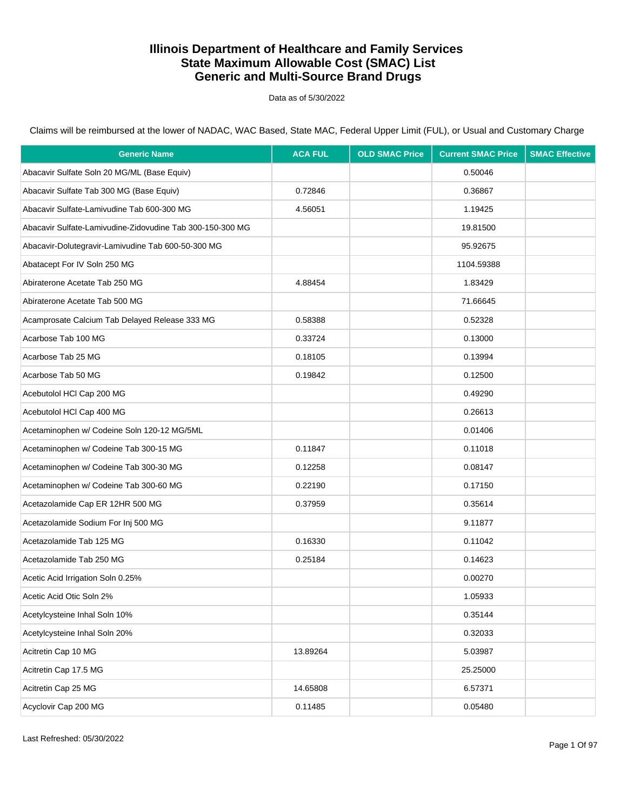Data as of 5/30/2022

| <b>Generic Name</b>                                       | <b>ACA FUL</b> | <b>OLD SMAC Price</b> | <b>Current SMAC Price</b> | <b>SMAC Effective</b> |
|-----------------------------------------------------------|----------------|-----------------------|---------------------------|-----------------------|
| Abacavir Sulfate Soln 20 MG/ML (Base Equiv)               |                |                       | 0.50046                   |                       |
| Abacavir Sulfate Tab 300 MG (Base Equiv)                  | 0.72846        |                       | 0.36867                   |                       |
| Abacavir Sulfate-Lamivudine Tab 600-300 MG                | 4.56051        |                       | 1.19425                   |                       |
| Abacavir Sulfate-Lamivudine-Zidovudine Tab 300-150-300 MG |                |                       | 19.81500                  |                       |
| Abacavir-Dolutegravir-Lamivudine Tab 600-50-300 MG        |                |                       | 95.92675                  |                       |
| Abatacept For IV Soln 250 MG                              |                |                       | 1104.59388                |                       |
| Abiraterone Acetate Tab 250 MG                            | 4.88454        |                       | 1.83429                   |                       |
| Abiraterone Acetate Tab 500 MG                            |                |                       | 71.66645                  |                       |
| Acamprosate Calcium Tab Delayed Release 333 MG            | 0.58388        |                       | 0.52328                   |                       |
| Acarbose Tab 100 MG                                       | 0.33724        |                       | 0.13000                   |                       |
| Acarbose Tab 25 MG                                        | 0.18105        |                       | 0.13994                   |                       |
| Acarbose Tab 50 MG                                        | 0.19842        |                       | 0.12500                   |                       |
| Acebutolol HCl Cap 200 MG                                 |                |                       | 0.49290                   |                       |
| Acebutolol HCl Cap 400 MG                                 |                |                       | 0.26613                   |                       |
| Acetaminophen w/ Codeine Soln 120-12 MG/5ML               |                |                       | 0.01406                   |                       |
| Acetaminophen w/ Codeine Tab 300-15 MG                    | 0.11847        |                       | 0.11018                   |                       |
| Acetaminophen w/ Codeine Tab 300-30 MG                    | 0.12258        |                       | 0.08147                   |                       |
| Acetaminophen w/ Codeine Tab 300-60 MG                    | 0.22190        |                       | 0.17150                   |                       |
| Acetazolamide Cap ER 12HR 500 MG                          | 0.37959        |                       | 0.35614                   |                       |
| Acetazolamide Sodium For Inj 500 MG                       |                |                       | 9.11877                   |                       |
| Acetazolamide Tab 125 MG                                  | 0.16330        |                       | 0.11042                   |                       |
| Acetazolamide Tab 250 MG                                  | 0.25184        |                       | 0.14623                   |                       |
| Acetic Acid Irrigation Soln 0.25%                         |                |                       | 0.00270                   |                       |
| Acetic Acid Otic Soln 2%                                  |                |                       | 1.05933                   |                       |
| Acetylcysteine Inhal Soln 10%                             |                |                       | 0.35144                   |                       |
| Acetylcysteine Inhal Soln 20%                             |                |                       | 0.32033                   |                       |
| Acitretin Cap 10 MG                                       | 13.89264       |                       | 5.03987                   |                       |
| Acitretin Cap 17.5 MG                                     |                |                       | 25.25000                  |                       |
| Acitretin Cap 25 MG                                       | 14.65808       |                       | 6.57371                   |                       |
| Acyclovir Cap 200 MG                                      | 0.11485        |                       | 0.05480                   |                       |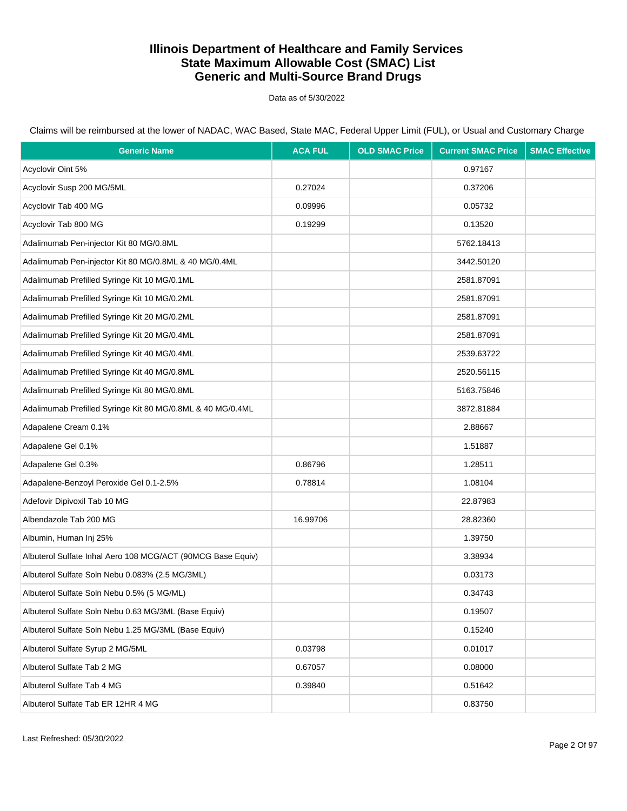Data as of 5/30/2022

| <b>Generic Name</b>                                         | <b>ACA FUL</b> | <b>OLD SMAC Price</b> | <b>Current SMAC Price</b> | <b>SMAC Effective</b> |
|-------------------------------------------------------------|----------------|-----------------------|---------------------------|-----------------------|
| Acyclovir Oint 5%                                           |                |                       | 0.97167                   |                       |
| Acyclovir Susp 200 MG/5ML                                   | 0.27024        |                       | 0.37206                   |                       |
| Acyclovir Tab 400 MG                                        | 0.09996        |                       | 0.05732                   |                       |
| Acyclovir Tab 800 MG                                        | 0.19299        |                       | 0.13520                   |                       |
| Adalimumab Pen-injector Kit 80 MG/0.8ML                     |                |                       | 5762.18413                |                       |
| Adalimumab Pen-injector Kit 80 MG/0.8ML & 40 MG/0.4ML       |                |                       | 3442.50120                |                       |
| Adalimumab Prefilled Syringe Kit 10 MG/0.1ML                |                |                       | 2581.87091                |                       |
| Adalimumab Prefilled Syringe Kit 10 MG/0.2ML                |                |                       | 2581.87091                |                       |
| Adalimumab Prefilled Syringe Kit 20 MG/0.2ML                |                |                       | 2581.87091                |                       |
| Adalimumab Prefilled Syringe Kit 20 MG/0.4ML                |                |                       | 2581.87091                |                       |
| Adalimumab Prefilled Syringe Kit 40 MG/0.4ML                |                |                       | 2539.63722                |                       |
| Adalimumab Prefilled Syringe Kit 40 MG/0.8ML                |                |                       | 2520.56115                |                       |
| Adalimumab Prefilled Syringe Kit 80 MG/0.8ML                |                |                       | 5163.75846                |                       |
| Adalimumab Prefilled Syringe Kit 80 MG/0.8ML & 40 MG/0.4ML  |                |                       | 3872.81884                |                       |
| Adapalene Cream 0.1%                                        |                |                       | 2.88667                   |                       |
| Adapalene Gel 0.1%                                          |                |                       | 1.51887                   |                       |
| Adapalene Gel 0.3%                                          | 0.86796        |                       | 1.28511                   |                       |
| Adapalene-Benzoyl Peroxide Gel 0.1-2.5%                     | 0.78814        |                       | 1.08104                   |                       |
| Adefovir Dipivoxil Tab 10 MG                                |                |                       | 22.87983                  |                       |
| Albendazole Tab 200 MG                                      | 16.99706       |                       | 28.82360                  |                       |
| Albumin, Human Inj 25%                                      |                |                       | 1.39750                   |                       |
| Albuterol Sulfate Inhal Aero 108 MCG/ACT (90MCG Base Equiv) |                |                       | 3.38934                   |                       |
| Albuterol Sulfate Soln Nebu 0.083% (2.5 MG/3ML)             |                |                       | 0.03173                   |                       |
| Albuterol Sulfate Soln Nebu 0.5% (5 MG/ML)                  |                |                       | 0.34743                   |                       |
| Albuterol Sulfate Soln Nebu 0.63 MG/3ML (Base Equiv)        |                |                       | 0.19507                   |                       |
| Albuterol Sulfate Soln Nebu 1.25 MG/3ML (Base Equiv)        |                |                       | 0.15240                   |                       |
| Albuterol Sulfate Syrup 2 MG/5ML                            | 0.03798        |                       | 0.01017                   |                       |
| Albuterol Sulfate Tab 2 MG                                  | 0.67057        |                       | 0.08000                   |                       |
| Albuterol Sulfate Tab 4 MG                                  | 0.39840        |                       | 0.51642                   |                       |
| Albuterol Sulfate Tab ER 12HR 4 MG                          |                |                       | 0.83750                   |                       |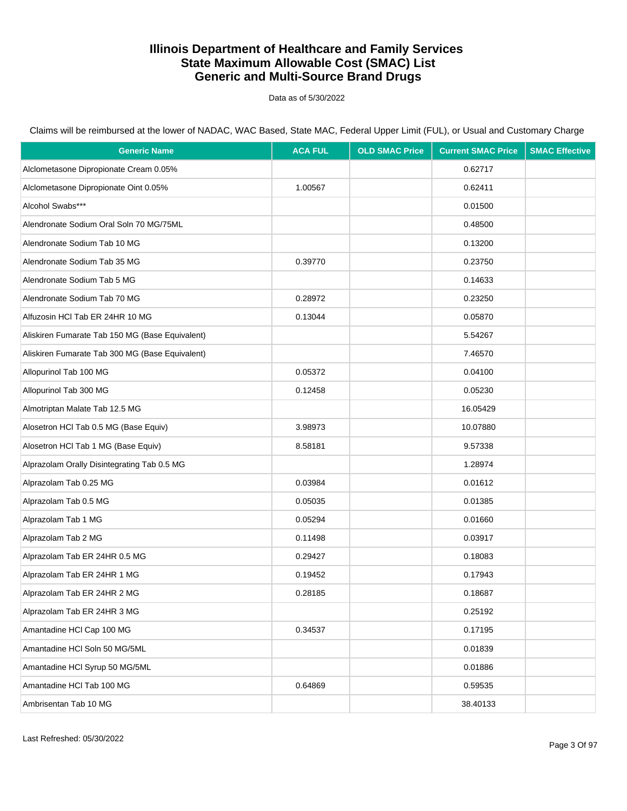Data as of 5/30/2022

| <b>Generic Name</b>                             | <b>ACA FUL</b> | <b>OLD SMAC Price</b> | <b>Current SMAC Price</b> | <b>SMAC Effective</b> |
|-------------------------------------------------|----------------|-----------------------|---------------------------|-----------------------|
| Alclometasone Dipropionate Cream 0.05%          |                |                       | 0.62717                   |                       |
| Alclometasone Dipropionate Oint 0.05%           | 1.00567        |                       | 0.62411                   |                       |
| Alcohol Swabs***                                |                |                       | 0.01500                   |                       |
| Alendronate Sodium Oral Soln 70 MG/75ML         |                |                       | 0.48500                   |                       |
| Alendronate Sodium Tab 10 MG                    |                |                       | 0.13200                   |                       |
| Alendronate Sodium Tab 35 MG                    | 0.39770        |                       | 0.23750                   |                       |
| Alendronate Sodium Tab 5 MG                     |                |                       | 0.14633                   |                       |
| Alendronate Sodium Tab 70 MG                    | 0.28972        |                       | 0.23250                   |                       |
| Alfuzosin HCl Tab ER 24HR 10 MG                 | 0.13044        |                       | 0.05870                   |                       |
| Aliskiren Fumarate Tab 150 MG (Base Equivalent) |                |                       | 5.54267                   |                       |
| Aliskiren Fumarate Tab 300 MG (Base Equivalent) |                |                       | 7.46570                   |                       |
| Allopurinol Tab 100 MG                          | 0.05372        |                       | 0.04100                   |                       |
| Allopurinol Tab 300 MG                          | 0.12458        |                       | 0.05230                   |                       |
| Almotriptan Malate Tab 12.5 MG                  |                |                       | 16.05429                  |                       |
| Alosetron HCl Tab 0.5 MG (Base Equiv)           | 3.98973        |                       | 10.07880                  |                       |
| Alosetron HCl Tab 1 MG (Base Equiv)             | 8.58181        |                       | 9.57338                   |                       |
| Alprazolam Orally Disintegrating Tab 0.5 MG     |                |                       | 1.28974                   |                       |
| Alprazolam Tab 0.25 MG                          | 0.03984        |                       | 0.01612                   |                       |
| Alprazolam Tab 0.5 MG                           | 0.05035        |                       | 0.01385                   |                       |
| Alprazolam Tab 1 MG                             | 0.05294        |                       | 0.01660                   |                       |
| Alprazolam Tab 2 MG                             | 0.11498        |                       | 0.03917                   |                       |
| Alprazolam Tab ER 24HR 0.5 MG                   | 0.29427        |                       | 0.18083                   |                       |
| Alprazolam Tab ER 24HR 1 MG                     | 0.19452        |                       | 0.17943                   |                       |
| Alprazolam Tab ER 24HR 2 MG                     | 0.28185        |                       | 0.18687                   |                       |
| Alprazolam Tab ER 24HR 3 MG                     |                |                       | 0.25192                   |                       |
| Amantadine HCl Cap 100 MG                       | 0.34537        |                       | 0.17195                   |                       |
| Amantadine HCl Soln 50 MG/5ML                   |                |                       | 0.01839                   |                       |
| Amantadine HCl Syrup 50 MG/5ML                  |                |                       | 0.01886                   |                       |
| Amantadine HCl Tab 100 MG                       | 0.64869        |                       | 0.59535                   |                       |
| Ambrisentan Tab 10 MG                           |                |                       | 38.40133                  |                       |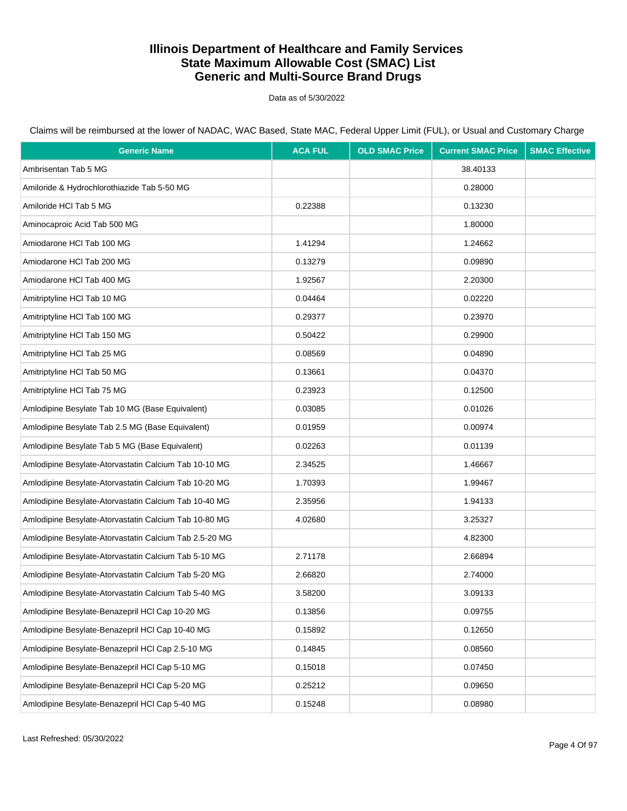Data as of 5/30/2022

| <b>Generic Name</b>                                    | <b>ACA FUL</b> | <b>OLD SMAC Price</b> | <b>Current SMAC Price</b> | <b>SMAC Effective</b> |
|--------------------------------------------------------|----------------|-----------------------|---------------------------|-----------------------|
| Ambrisentan Tab 5 MG                                   |                |                       | 38.40133                  |                       |
| Amiloride & Hydrochlorothiazide Tab 5-50 MG            |                |                       | 0.28000                   |                       |
| Amiloride HCI Tab 5 MG                                 | 0.22388        |                       | 0.13230                   |                       |
| Aminocaproic Acid Tab 500 MG                           |                |                       | 1.80000                   |                       |
| Amiodarone HCI Tab 100 MG                              | 1.41294        |                       | 1.24662                   |                       |
| Amiodarone HCI Tab 200 MG                              | 0.13279        |                       | 0.09890                   |                       |
| Amiodarone HCl Tab 400 MG                              | 1.92567        |                       | 2.20300                   |                       |
| Amitriptyline HCI Tab 10 MG                            | 0.04464        |                       | 0.02220                   |                       |
| Amitriptyline HCI Tab 100 MG                           | 0.29377        |                       | 0.23970                   |                       |
| Amitriptyline HCl Tab 150 MG                           | 0.50422        |                       | 0.29900                   |                       |
| Amitriptyline HCI Tab 25 MG                            | 0.08569        |                       | 0.04890                   |                       |
| Amitriptyline HCI Tab 50 MG                            | 0.13661        |                       | 0.04370                   |                       |
| Amitriptyline HCI Tab 75 MG                            | 0.23923        |                       | 0.12500                   |                       |
| Amlodipine Besylate Tab 10 MG (Base Equivalent)        | 0.03085        |                       | 0.01026                   |                       |
| Amlodipine Besylate Tab 2.5 MG (Base Equivalent)       | 0.01959        |                       | 0.00974                   |                       |
| Amlodipine Besylate Tab 5 MG (Base Equivalent)         | 0.02263        |                       | 0.01139                   |                       |
| Amlodipine Besylate-Atorvastatin Calcium Tab 10-10 MG  | 2.34525        |                       | 1.46667                   |                       |
| Amlodipine Besylate-Atorvastatin Calcium Tab 10-20 MG  | 1.70393        |                       | 1.99467                   |                       |
| Amlodipine Besylate-Atorvastatin Calcium Tab 10-40 MG  | 2.35956        |                       | 1.94133                   |                       |
| Amlodipine Besylate-Atorvastatin Calcium Tab 10-80 MG  | 4.02680        |                       | 3.25327                   |                       |
| Amlodipine Besylate-Atorvastatin Calcium Tab 2.5-20 MG |                |                       | 4.82300                   |                       |
| Amlodipine Besylate-Atorvastatin Calcium Tab 5-10 MG   | 2.71178        |                       | 2.66894                   |                       |
| Amlodipine Besylate-Atorvastatin Calcium Tab 5-20 MG   | 2.66820        |                       | 2.74000                   |                       |
| Amlodipine Besylate-Atorvastatin Calcium Tab 5-40 MG   | 3.58200        |                       | 3.09133                   |                       |
| Amlodipine Besylate-Benazepril HCl Cap 10-20 MG        | 0.13856        |                       | 0.09755                   |                       |
| Amlodipine Besylate-Benazepril HCl Cap 10-40 MG        | 0.15892        |                       | 0.12650                   |                       |
| Amlodipine Besylate-Benazepril HCl Cap 2.5-10 MG       | 0.14845        |                       | 0.08560                   |                       |
| Amlodipine Besylate-Benazepril HCl Cap 5-10 MG         | 0.15018        |                       | 0.07450                   |                       |
| Amlodipine Besylate-Benazepril HCl Cap 5-20 MG         | 0.25212        |                       | 0.09650                   |                       |
| Amlodipine Besylate-Benazepril HCl Cap 5-40 MG         | 0.15248        |                       | 0.08980                   |                       |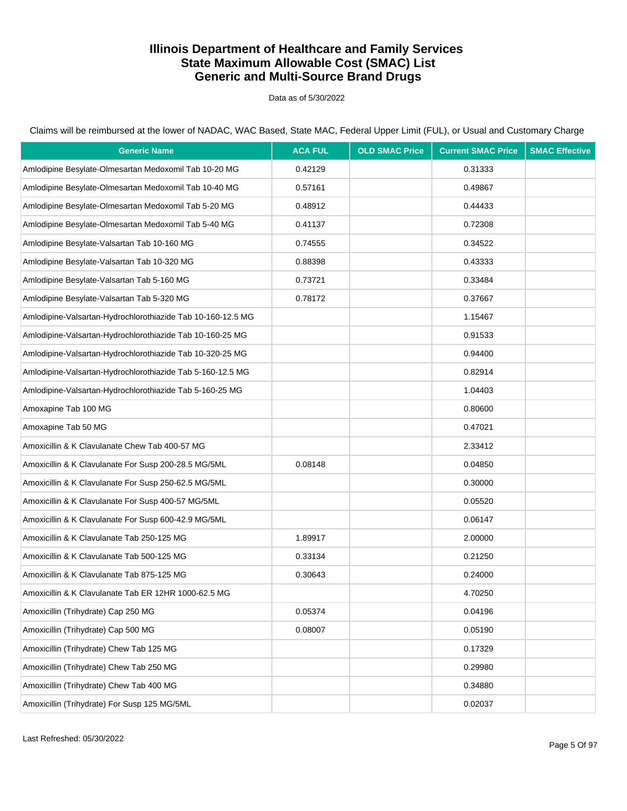Data as of 5/30/2022

Claims will be reimbursed at the lower of NADAC, WAC Based, State MAC, Federal Upper Limit (FUL), or Usual and Customary Charge

| <b>Generic Name</b>                                         | <b>ACA FUL</b> | <b>OLD SMAC Price</b> | <b>Current SMAC Price</b> | <b>SMAC Effective</b> |
|-------------------------------------------------------------|----------------|-----------------------|---------------------------|-----------------------|
| Amlodipine Besylate-Olmesartan Medoxomil Tab 10-20 MG       | 0.42129        |                       | 0.31333                   |                       |
| Amlodipine Besylate-Olmesartan Medoxomil Tab 10-40 MG       | 0.57161        |                       | 0.49867                   |                       |
| Amlodipine Besylate-Olmesartan Medoxomil Tab 5-20 MG        | 0.48912        |                       | 0.44433                   |                       |
| Amlodipine Besylate-Olmesartan Medoxomil Tab 5-40 MG        | 0.41137        |                       | 0.72308                   |                       |
| Amlodipine Besylate-Valsartan Tab 10-160 MG                 | 0.74555        |                       | 0.34522                   |                       |
| Amlodipine Besylate-Valsartan Tab 10-320 MG                 | 0.88398        |                       | 0.43333                   |                       |
| Amlodipine Besylate-Valsartan Tab 5-160 MG                  | 0.73721        |                       | 0.33484                   |                       |
| Amlodipine Besylate-Valsartan Tab 5-320 MG                  | 0.78172        |                       | 0.37667                   |                       |
| Amlodipine-Valsartan-Hydrochlorothiazide Tab 10-160-12.5 MG |                |                       | 1.15467                   |                       |
| Amlodipine-Valsartan-Hydrochlorothiazide Tab 10-160-25 MG   |                |                       | 0.91533                   |                       |
| Amlodipine-Valsartan-Hydrochlorothiazide Tab 10-320-25 MG   |                |                       | 0.94400                   |                       |
| Amlodipine-Valsartan-Hydrochlorothiazide Tab 5-160-12.5 MG  |                |                       | 0.82914                   |                       |
| Amlodipine-Valsartan-Hydrochlorothiazide Tab 5-160-25 MG    |                |                       | 1.04403                   |                       |
| Amoxapine Tab 100 MG                                        |                |                       | 0.80600                   |                       |
| Amoxapine Tab 50 MG                                         |                |                       | 0.47021                   |                       |
| Amoxicillin & K Clavulanate Chew Tab 400-57 MG              |                |                       | 2.33412                   |                       |
| Amoxicillin & K Clavulanate For Susp 200-28.5 MG/5ML        | 0.08148        |                       | 0.04850                   |                       |
| Amoxicillin & K Clavulanate For Susp 250-62.5 MG/5ML        |                |                       | 0.30000                   |                       |
| Amoxicillin & K Clavulanate For Susp 400-57 MG/5ML          |                |                       | 0.05520                   |                       |
| Amoxicillin & K Clavulanate For Susp 600-42.9 MG/5ML        |                |                       | 0.06147                   |                       |
| Amoxicillin & K Clavulanate Tab 250-125 MG                  | 1.89917        |                       | 2.00000                   |                       |
| Amoxicillin & K Clavulanate Tab 500-125 MG                  | 0.33134        |                       | 0.21250                   |                       |
| Amoxicillin & K Clavulanate Tab 875-125 MG                  | 0.30643        |                       | 0.24000                   |                       |
| Amoxicillin & K Clavulanate Tab ER 12HR 1000-62.5 MG        |                |                       | 4.70250                   |                       |
| Amoxicillin (Trihydrate) Cap 250 MG                         | 0.05374        |                       | 0.04196                   |                       |
| Amoxicillin (Trihydrate) Cap 500 MG                         | 0.08007        |                       | 0.05190                   |                       |
| Amoxicillin (Trihydrate) Chew Tab 125 MG                    |                |                       | 0.17329                   |                       |
| Amoxicillin (Trihydrate) Chew Tab 250 MG                    |                |                       | 0.29980                   |                       |
| Amoxicillin (Trihydrate) Chew Tab 400 MG                    |                |                       | 0.34880                   |                       |
| Amoxicillin (Trihydrate) For Susp 125 MG/5ML                |                |                       | 0.02037                   |                       |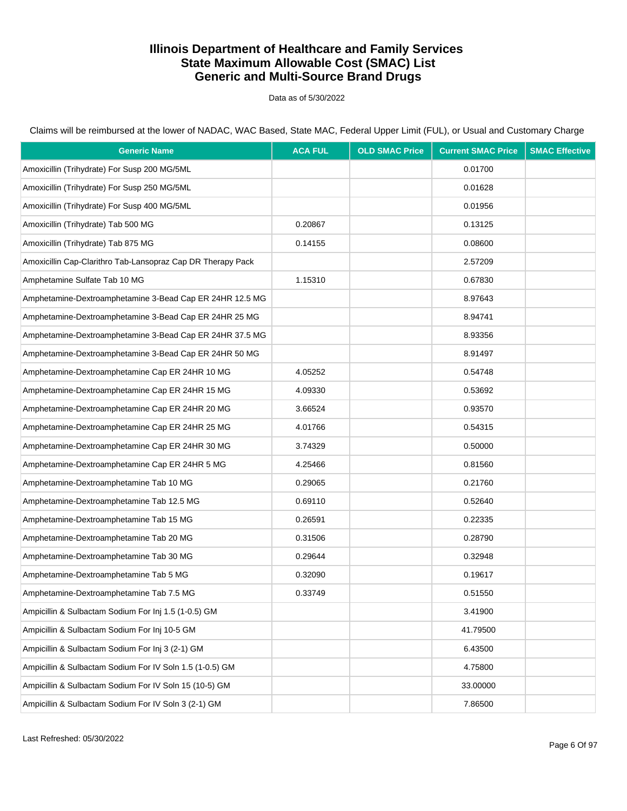Data as of 5/30/2022

| <b>Generic Name</b>                                         | <b>ACA FUL</b> | <b>OLD SMAC Price</b> | <b>Current SMAC Price</b> | <b>SMAC Effective</b> |
|-------------------------------------------------------------|----------------|-----------------------|---------------------------|-----------------------|
| Amoxicillin (Trihydrate) For Susp 200 MG/5ML                |                |                       | 0.01700                   |                       |
| Amoxicillin (Trihydrate) For Susp 250 MG/5ML                |                |                       | 0.01628                   |                       |
| Amoxicillin (Trihydrate) For Susp 400 MG/5ML                |                |                       | 0.01956                   |                       |
| Amoxicillin (Trihydrate) Tab 500 MG                         | 0.20867        |                       | 0.13125                   |                       |
| Amoxicillin (Trihydrate) Tab 875 MG                         | 0.14155        |                       | 0.08600                   |                       |
| Amoxicillin Cap-Clarithro Tab-Lansopraz Cap DR Therapy Pack |                |                       | 2.57209                   |                       |
| Amphetamine Sulfate Tab 10 MG                               | 1.15310        |                       | 0.67830                   |                       |
| Amphetamine-Dextroamphetamine 3-Bead Cap ER 24HR 12.5 MG    |                |                       | 8.97643                   |                       |
| Amphetamine-Dextroamphetamine 3-Bead Cap ER 24HR 25 MG      |                |                       | 8.94741                   |                       |
| Amphetamine-Dextroamphetamine 3-Bead Cap ER 24HR 37.5 MG    |                |                       | 8.93356                   |                       |
| Amphetamine-Dextroamphetamine 3-Bead Cap ER 24HR 50 MG      |                |                       | 8.91497                   |                       |
| Amphetamine-Dextroamphetamine Cap ER 24HR 10 MG             | 4.05252        |                       | 0.54748                   |                       |
| Amphetamine-Dextroamphetamine Cap ER 24HR 15 MG             | 4.09330        |                       | 0.53692                   |                       |
| Amphetamine-Dextroamphetamine Cap ER 24HR 20 MG             | 3.66524        |                       | 0.93570                   |                       |
| Amphetamine-Dextroamphetamine Cap ER 24HR 25 MG             | 4.01766        |                       | 0.54315                   |                       |
| Amphetamine-Dextroamphetamine Cap ER 24HR 30 MG             | 3.74329        |                       | 0.50000                   |                       |
| Amphetamine-Dextroamphetamine Cap ER 24HR 5 MG              | 4.25466        |                       | 0.81560                   |                       |
| Amphetamine-Dextroamphetamine Tab 10 MG                     | 0.29065        |                       | 0.21760                   |                       |
| Amphetamine-Dextroamphetamine Tab 12.5 MG                   | 0.69110        |                       | 0.52640                   |                       |
| Amphetamine-Dextroamphetamine Tab 15 MG                     | 0.26591        |                       | 0.22335                   |                       |
| Amphetamine-Dextroamphetamine Tab 20 MG                     | 0.31506        |                       | 0.28790                   |                       |
| Amphetamine-Dextroamphetamine Tab 30 MG                     | 0.29644        |                       | 0.32948                   |                       |
| Amphetamine-Dextroamphetamine Tab 5 MG                      | 0.32090        |                       | 0.19617                   |                       |
| Amphetamine-Dextroamphetamine Tab 7.5 MG                    | 0.33749        |                       | 0.51550                   |                       |
| Ampicillin & Sulbactam Sodium For Inj 1.5 (1-0.5) GM        |                |                       | 3.41900                   |                       |
| Ampicillin & Sulbactam Sodium For Inj 10-5 GM               |                |                       | 41.79500                  |                       |
| Ampicillin & Sulbactam Sodium For Inj 3 (2-1) GM            |                |                       | 6.43500                   |                       |
| Ampicillin & Sulbactam Sodium For IV Soln 1.5 (1-0.5) GM    |                |                       | 4.75800                   |                       |
| Ampicillin & Sulbactam Sodium For IV Soln 15 (10-5) GM      |                |                       | 33.00000                  |                       |
| Ampicillin & Sulbactam Sodium For IV Soln 3 (2-1) GM        |                |                       | 7.86500                   |                       |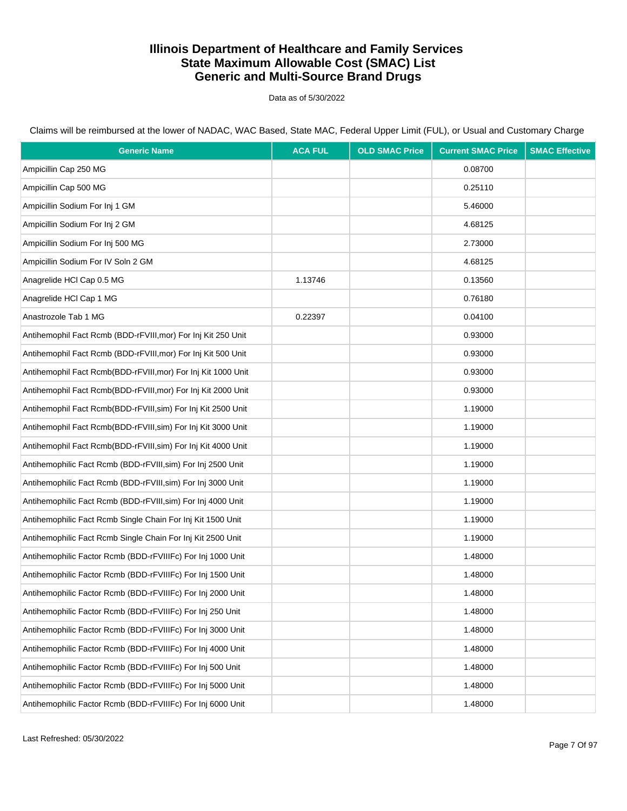Data as of 5/30/2022

| <b>Generic Name</b>                                           | <b>ACA FUL</b> | <b>OLD SMAC Price</b> | <b>Current SMAC Price</b> | <b>SMAC Effective</b> |
|---------------------------------------------------------------|----------------|-----------------------|---------------------------|-----------------------|
| Ampicillin Cap 250 MG                                         |                |                       | 0.08700                   |                       |
| Ampicillin Cap 500 MG                                         |                |                       | 0.25110                   |                       |
| Ampicillin Sodium For Inj 1 GM                                |                |                       | 5.46000                   |                       |
| Ampicillin Sodium For Inj 2 GM                                |                |                       | 4.68125                   |                       |
| Ampicillin Sodium For Inj 500 MG                              |                |                       | 2.73000                   |                       |
| Ampicillin Sodium For IV Soln 2 GM                            |                |                       | 4.68125                   |                       |
| Anagrelide HCI Cap 0.5 MG                                     | 1.13746        |                       | 0.13560                   |                       |
| Anagrelide HCI Cap 1 MG                                       |                |                       | 0.76180                   |                       |
| Anastrozole Tab 1 MG                                          | 0.22397        |                       | 0.04100                   |                       |
| Antihemophil Fact Rcmb (BDD-rFVIII, mor) For Inj Kit 250 Unit |                |                       | 0.93000                   |                       |
| Antihemophil Fact Rcmb (BDD-rFVIII, mor) For Inj Kit 500 Unit |                |                       | 0.93000                   |                       |
| Antihemophil Fact Rcmb(BDD-rFVIII, mor) For Inj Kit 1000 Unit |                |                       | 0.93000                   |                       |
| Antihemophil Fact Rcmb(BDD-rFVIII, mor) For Inj Kit 2000 Unit |                |                       | 0.93000                   |                       |
| Antihemophil Fact Rcmb(BDD-rFVIII, sim) For Inj Kit 2500 Unit |                |                       | 1.19000                   |                       |
| Antihemophil Fact Rcmb(BDD-rFVIII, sim) For Inj Kit 3000 Unit |                |                       | 1.19000                   |                       |
| Antihemophil Fact Rcmb(BDD-rFVIII, sim) For Inj Kit 4000 Unit |                |                       | 1.19000                   |                       |
| Antihemophilic Fact Rcmb (BDD-rFVIII, sim) For Inj 2500 Unit  |                |                       | 1.19000                   |                       |
| Antihemophilic Fact Rcmb (BDD-rFVIII, sim) For Inj 3000 Unit  |                |                       | 1.19000                   |                       |
| Antihemophilic Fact Rcmb (BDD-rFVIII, sim) For Inj 4000 Unit  |                |                       | 1.19000                   |                       |
| Antihemophilic Fact Rcmb Single Chain For Inj Kit 1500 Unit   |                |                       | 1.19000                   |                       |
| Antihemophilic Fact Rcmb Single Chain For Inj Kit 2500 Unit   |                |                       | 1.19000                   |                       |
| Antihemophilic Factor Rcmb (BDD-rFVIIIFc) For Inj 1000 Unit   |                |                       | 1.48000                   |                       |
| Antihemophilic Factor Rcmb (BDD-rFVIIIFc) For Inj 1500 Unit   |                |                       | 1.48000                   |                       |
| Antihemophilic Factor Rcmb (BDD-rFVIIIFc) For Inj 2000 Unit   |                |                       | 1.48000                   |                       |
| Antihemophilic Factor Rcmb (BDD-rFVIIIFc) For Inj 250 Unit    |                |                       | 1.48000                   |                       |
| Antihemophilic Factor Rcmb (BDD-rFVIIIFc) For Inj 3000 Unit   |                |                       | 1.48000                   |                       |
| Antihemophilic Factor Rcmb (BDD-rFVIIIFc) For Inj 4000 Unit   |                |                       | 1.48000                   |                       |
| Antihemophilic Factor Rcmb (BDD-rFVIIIFc) For Inj 500 Unit    |                |                       | 1.48000                   |                       |
| Antihemophilic Factor Rcmb (BDD-rFVIIIFc) For Inj 5000 Unit   |                |                       | 1.48000                   |                       |
| Antihemophilic Factor Rcmb (BDD-rFVIIIFc) For Inj 6000 Unit   |                |                       | 1.48000                   |                       |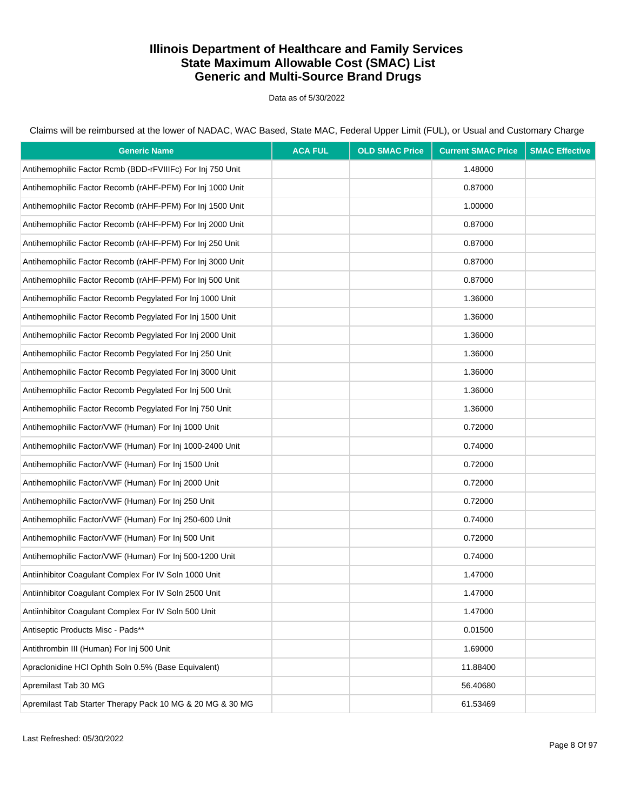Data as of 5/30/2022

Claims will be reimbursed at the lower of NADAC, WAC Based, State MAC, Federal Upper Limit (FUL), or Usual and Customary Charge

| <b>Generic Name</b>                                        | <b>ACA FUL</b> | <b>OLD SMAC Price</b> | <b>Current SMAC Price</b> | <b>SMAC Effective</b> |
|------------------------------------------------------------|----------------|-----------------------|---------------------------|-----------------------|
| Antihemophilic Factor Rcmb (BDD-rFVIIIFc) For Inj 750 Unit |                |                       | 1.48000                   |                       |
| Antihemophilic Factor Recomb (rAHF-PFM) For Inj 1000 Unit  |                |                       | 0.87000                   |                       |
| Antihemophilic Factor Recomb (rAHF-PFM) For Inj 1500 Unit  |                |                       | 1.00000                   |                       |
| Antihemophilic Factor Recomb (rAHF-PFM) For Inj 2000 Unit  |                |                       | 0.87000                   |                       |
| Antihemophilic Factor Recomb (rAHF-PFM) For Inj 250 Unit   |                |                       | 0.87000                   |                       |
| Antihemophilic Factor Recomb (rAHF-PFM) For Inj 3000 Unit  |                |                       | 0.87000                   |                       |
| Antihemophilic Factor Recomb (rAHF-PFM) For Inj 500 Unit   |                |                       | 0.87000                   |                       |
| Antihemophilic Factor Recomb Pegylated For Inj 1000 Unit   |                |                       | 1.36000                   |                       |
| Antihemophilic Factor Recomb Pegylated For Inj 1500 Unit   |                |                       | 1.36000                   |                       |
| Antihemophilic Factor Recomb Pegylated For Inj 2000 Unit   |                |                       | 1.36000                   |                       |
| Antihemophilic Factor Recomb Pegylated For Inj 250 Unit    |                |                       | 1.36000                   |                       |
| Antihemophilic Factor Recomb Pegylated For Inj 3000 Unit   |                |                       | 1.36000                   |                       |
| Antihemophilic Factor Recomb Peqylated For Inj 500 Unit    |                |                       | 1.36000                   |                       |
| Antihemophilic Factor Recomb Pegylated For Inj 750 Unit    |                |                       | 1.36000                   |                       |
| Antihemophilic Factor/VWF (Human) For Inj 1000 Unit        |                |                       | 0.72000                   |                       |
| Antihemophilic Factor/VWF (Human) For Inj 1000-2400 Unit   |                |                       | 0.74000                   |                       |
| Antihemophilic Factor/VWF (Human) For Inj 1500 Unit        |                |                       | 0.72000                   |                       |
| Antihemophilic Factor/VWF (Human) For Inj 2000 Unit        |                |                       | 0.72000                   |                       |
| Antihemophilic Factor/VWF (Human) For Inj 250 Unit         |                |                       | 0.72000                   |                       |
| Antihemophilic Factor/VWF (Human) For Inj 250-600 Unit     |                |                       | 0.74000                   |                       |
| Antihemophilic Factor/VWF (Human) For Inj 500 Unit         |                |                       | 0.72000                   |                       |
| Antihemophilic Factor/VWF (Human) For Inj 500-1200 Unit    |                |                       | 0.74000                   |                       |
| Antiinhibitor Coaqulant Complex For IV Soln 1000 Unit      |                |                       | 1.47000                   |                       |
| Antiinhibitor Coagulant Complex For IV Soln 2500 Unit      |                |                       | 1.47000                   |                       |
| Antiinhibitor Coaqulant Complex For IV Soln 500 Unit       |                |                       | 1.47000                   |                       |
| Antiseptic Products Misc - Pads**                          |                |                       | 0.01500                   |                       |
| Antithrombin III (Human) For Inj 500 Unit                  |                |                       | 1.69000                   |                       |
| Apraclonidine HCl Ophth Soln 0.5% (Base Equivalent)        |                |                       | 11.88400                  |                       |
| Apremilast Tab 30 MG                                       |                |                       | 56.40680                  |                       |
| Apremilast Tab Starter Therapy Pack 10 MG & 20 MG & 30 MG  |                |                       | 61.53469                  |                       |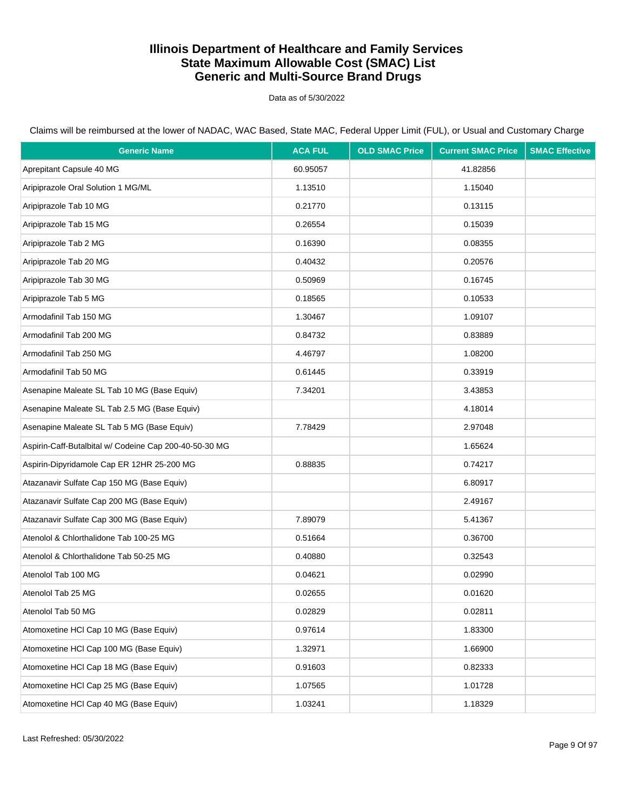Data as of 5/30/2022

| <b>Generic Name</b>                                    | <b>ACA FUL</b> | <b>OLD SMAC Price</b> | <b>Current SMAC Price</b> | <b>SMAC Effective</b> |
|--------------------------------------------------------|----------------|-----------------------|---------------------------|-----------------------|
| Aprepitant Capsule 40 MG                               | 60.95057       |                       | 41.82856                  |                       |
| Aripiprazole Oral Solution 1 MG/ML                     | 1.13510        |                       | 1.15040                   |                       |
| Aripiprazole Tab 10 MG                                 | 0.21770        |                       | 0.13115                   |                       |
| Aripiprazole Tab 15 MG                                 | 0.26554        |                       | 0.15039                   |                       |
| Aripiprazole Tab 2 MG                                  | 0.16390        |                       | 0.08355                   |                       |
| Aripiprazole Tab 20 MG                                 | 0.40432        |                       | 0.20576                   |                       |
| Aripiprazole Tab 30 MG                                 | 0.50969        |                       | 0.16745                   |                       |
| Aripiprazole Tab 5 MG                                  | 0.18565        |                       | 0.10533                   |                       |
| Armodafinil Tab 150 MG                                 | 1.30467        |                       | 1.09107                   |                       |
| Armodafinil Tab 200 MG                                 | 0.84732        |                       | 0.83889                   |                       |
| Armodafinil Tab 250 MG                                 | 4.46797        |                       | 1.08200                   |                       |
| Armodafinil Tab 50 MG                                  | 0.61445        |                       | 0.33919                   |                       |
| Asenapine Maleate SL Tab 10 MG (Base Equiv)            | 7.34201        |                       | 3.43853                   |                       |
| Asenapine Maleate SL Tab 2.5 MG (Base Equiv)           |                |                       | 4.18014                   |                       |
| Asenapine Maleate SL Tab 5 MG (Base Equiv)             | 7.78429        |                       | 2.97048                   |                       |
| Aspirin-Caff-Butalbital w/ Codeine Cap 200-40-50-30 MG |                |                       | 1.65624                   |                       |
| Aspirin-Dipyridamole Cap ER 12HR 25-200 MG             | 0.88835        |                       | 0.74217                   |                       |
| Atazanavir Sulfate Cap 150 MG (Base Equiv)             |                |                       | 6.80917                   |                       |
| Atazanavir Sulfate Cap 200 MG (Base Equiv)             |                |                       | 2.49167                   |                       |
| Atazanavir Sulfate Cap 300 MG (Base Equiv)             | 7.89079        |                       | 5.41367                   |                       |
| Atenolol & Chlorthalidone Tab 100-25 MG                | 0.51664        |                       | 0.36700                   |                       |
| Atenolol & Chlorthalidone Tab 50-25 MG                 | 0.40880        |                       | 0.32543                   |                       |
| Atenolol Tab 100 MG                                    | 0.04621        |                       | 0.02990                   |                       |
| Atenolol Tab 25 MG                                     | 0.02655        |                       | 0.01620                   |                       |
| Atenolol Tab 50 MG                                     | 0.02829        |                       | 0.02811                   |                       |
| Atomoxetine HCI Cap 10 MG (Base Equiv)                 | 0.97614        |                       | 1.83300                   |                       |
| Atomoxetine HCl Cap 100 MG (Base Equiv)                | 1.32971        |                       | 1.66900                   |                       |
| Atomoxetine HCI Cap 18 MG (Base Equiv)                 | 0.91603        |                       | 0.82333                   |                       |
| Atomoxetine HCI Cap 25 MG (Base Equiv)                 | 1.07565        |                       | 1.01728                   |                       |
| Atomoxetine HCl Cap 40 MG (Base Equiv)                 | 1.03241        |                       | 1.18329                   |                       |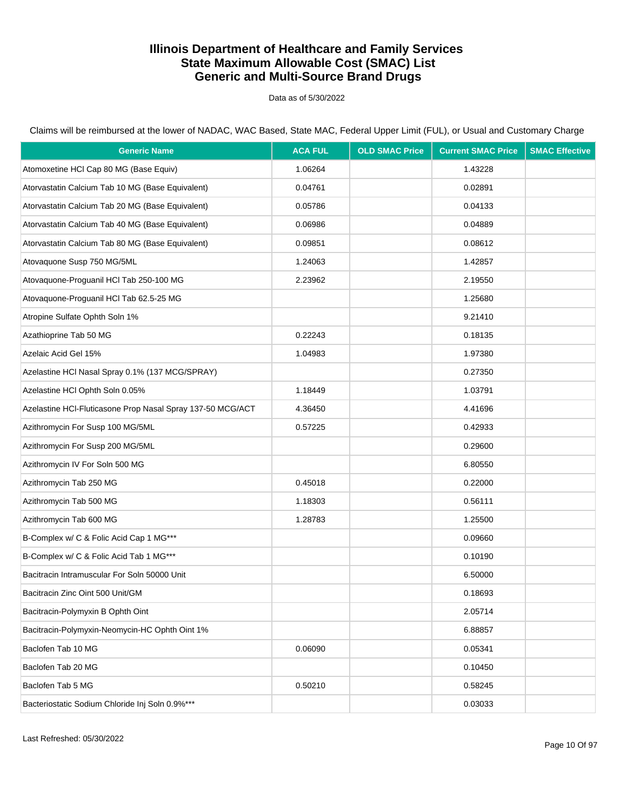Data as of 5/30/2022

| <b>Generic Name</b>                                        | <b>ACA FUL</b> | <b>OLD SMAC Price</b> | <b>Current SMAC Price</b> | <b>SMAC Effective</b> |
|------------------------------------------------------------|----------------|-----------------------|---------------------------|-----------------------|
| Atomoxetine HCI Cap 80 MG (Base Equiv)                     | 1.06264        |                       | 1.43228                   |                       |
| Atorvastatin Calcium Tab 10 MG (Base Equivalent)           | 0.04761        |                       | 0.02891                   |                       |
| Atorvastatin Calcium Tab 20 MG (Base Equivalent)           | 0.05786        |                       | 0.04133                   |                       |
| Atorvastatin Calcium Tab 40 MG (Base Equivalent)           | 0.06986        |                       | 0.04889                   |                       |
| Atorvastatin Calcium Tab 80 MG (Base Equivalent)           | 0.09851        |                       | 0.08612                   |                       |
| Atovaquone Susp 750 MG/5ML                                 | 1.24063        |                       | 1.42857                   |                       |
| Atovaquone-Proguanil HCl Tab 250-100 MG                    | 2.23962        |                       | 2.19550                   |                       |
| Atovaquone-Proguanil HCl Tab 62.5-25 MG                    |                |                       | 1.25680                   |                       |
| Atropine Sulfate Ophth Soln 1%                             |                |                       | 9.21410                   |                       |
| Azathioprine Tab 50 MG                                     | 0.22243        |                       | 0.18135                   |                       |
| Azelaic Acid Gel 15%                                       | 1.04983        |                       | 1.97380                   |                       |
| Azelastine HCl Nasal Spray 0.1% (137 MCG/SPRAY)            |                |                       | 0.27350                   |                       |
| Azelastine HCI Ophth Soln 0.05%                            | 1.18449        |                       | 1.03791                   |                       |
| Azelastine HCl-Fluticasone Prop Nasal Spray 137-50 MCG/ACT | 4.36450        |                       | 4.41696                   |                       |
| Azithromycin For Susp 100 MG/5ML                           | 0.57225        |                       | 0.42933                   |                       |
| Azithromycin For Susp 200 MG/5ML                           |                |                       | 0.29600                   |                       |
| Azithromycin IV For Soln 500 MG                            |                |                       | 6.80550                   |                       |
| Azithromycin Tab 250 MG                                    | 0.45018        |                       | 0.22000                   |                       |
| Azithromycin Tab 500 MG                                    | 1.18303        |                       | 0.56111                   |                       |
| Azithromycin Tab 600 MG                                    | 1.28783        |                       | 1.25500                   |                       |
| B-Complex w/ C & Folic Acid Cap 1 MG***                    |                |                       | 0.09660                   |                       |
| B-Complex w/ C & Folic Acid Tab 1 MG***                    |                |                       | 0.10190                   |                       |
| Bacitracin Intramuscular For Soln 50000 Unit               |                |                       | 6.50000                   |                       |
| Bacitracin Zinc Oint 500 Unit/GM                           |                |                       | 0.18693                   |                       |
| Bacitracin-Polymyxin B Ophth Oint                          |                |                       | 2.05714                   |                       |
| Bacitracin-Polymyxin-Neomycin-HC Ophth Oint 1%             |                |                       | 6.88857                   |                       |
| Baclofen Tab 10 MG                                         | 0.06090        |                       | 0.05341                   |                       |
| Baclofen Tab 20 MG                                         |                |                       | 0.10450                   |                       |
| Baclofen Tab 5 MG                                          | 0.50210        |                       | 0.58245                   |                       |
| Bacteriostatic Sodium Chloride Inj Soln 0.9%***            |                |                       | 0.03033                   |                       |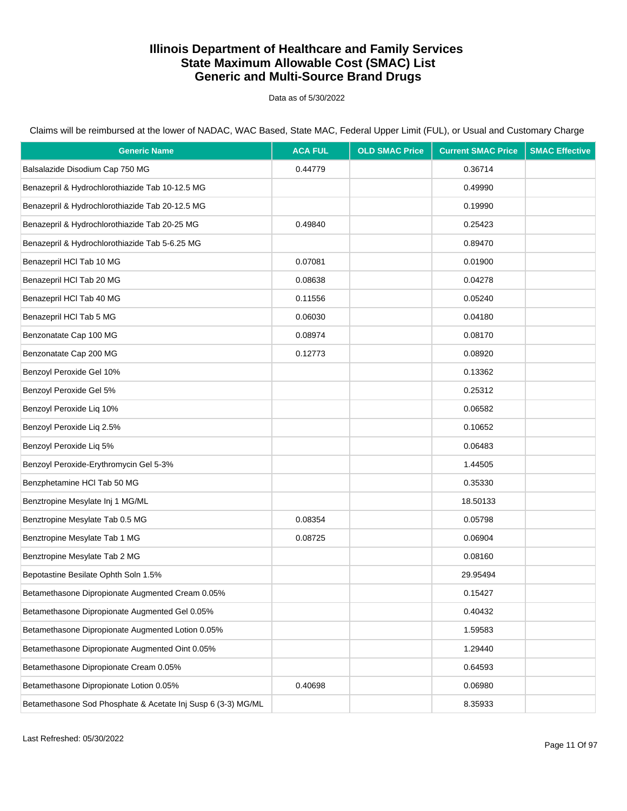Data as of 5/30/2022

| <b>Generic Name</b>                                          | <b>ACA FUL</b> | <b>OLD SMAC Price</b> | <b>Current SMAC Price</b> | <b>SMAC Effective</b> |
|--------------------------------------------------------------|----------------|-----------------------|---------------------------|-----------------------|
| Balsalazide Disodium Cap 750 MG                              | 0.44779        |                       | 0.36714                   |                       |
| Benazepril & Hydrochlorothiazide Tab 10-12.5 MG              |                |                       | 0.49990                   |                       |
| Benazepril & Hydrochlorothiazide Tab 20-12.5 MG              |                |                       | 0.19990                   |                       |
| Benazepril & Hydrochlorothiazide Tab 20-25 MG                | 0.49840        |                       | 0.25423                   |                       |
| Benazepril & Hydrochlorothiazide Tab 5-6.25 MG               |                |                       | 0.89470                   |                       |
| Benazepril HCl Tab 10 MG                                     | 0.07081        |                       | 0.01900                   |                       |
| Benazepril HCl Tab 20 MG                                     | 0.08638        |                       | 0.04278                   |                       |
| Benazepril HCl Tab 40 MG                                     | 0.11556        |                       | 0.05240                   |                       |
| Benazepril HCl Tab 5 MG                                      | 0.06030        |                       | 0.04180                   |                       |
| Benzonatate Cap 100 MG                                       | 0.08974        |                       | 0.08170                   |                       |
| Benzonatate Cap 200 MG                                       | 0.12773        |                       | 0.08920                   |                       |
| Benzoyl Peroxide Gel 10%                                     |                |                       | 0.13362                   |                       |
| Benzoyl Peroxide Gel 5%                                      |                |                       | 0.25312                   |                       |
| Benzoyl Peroxide Liq 10%                                     |                |                       | 0.06582                   |                       |
| Benzoyl Peroxide Liq 2.5%                                    |                |                       | 0.10652                   |                       |
| Benzoyl Peroxide Liq 5%                                      |                |                       | 0.06483                   |                       |
| Benzoyl Peroxide-Erythromycin Gel 5-3%                       |                |                       | 1.44505                   |                       |
| Benzphetamine HCI Tab 50 MG                                  |                |                       | 0.35330                   |                       |
| Benztropine Mesylate Inj 1 MG/ML                             |                |                       | 18.50133                  |                       |
| Benztropine Mesylate Tab 0.5 MG                              | 0.08354        |                       | 0.05798                   |                       |
| Benztropine Mesylate Tab 1 MG                                | 0.08725        |                       | 0.06904                   |                       |
| Benztropine Mesylate Tab 2 MG                                |                |                       | 0.08160                   |                       |
| Bepotastine Besilate Ophth Soln 1.5%                         |                |                       | 29.95494                  |                       |
| Betamethasone Dipropionate Augmented Cream 0.05%             |                |                       | 0.15427                   |                       |
| Betamethasone Dipropionate Augmented Gel 0.05%               |                |                       | 0.40432                   |                       |
| Betamethasone Dipropionate Augmented Lotion 0.05%            |                |                       | 1.59583                   |                       |
| Betamethasone Dipropionate Augmented Oint 0.05%              |                |                       | 1.29440                   |                       |
| Betamethasone Dipropionate Cream 0.05%                       |                |                       | 0.64593                   |                       |
| Betamethasone Dipropionate Lotion 0.05%                      | 0.40698        |                       | 0.06980                   |                       |
| Betamethasone Sod Phosphate & Acetate Inj Susp 6 (3-3) MG/ML |                |                       | 8.35933                   |                       |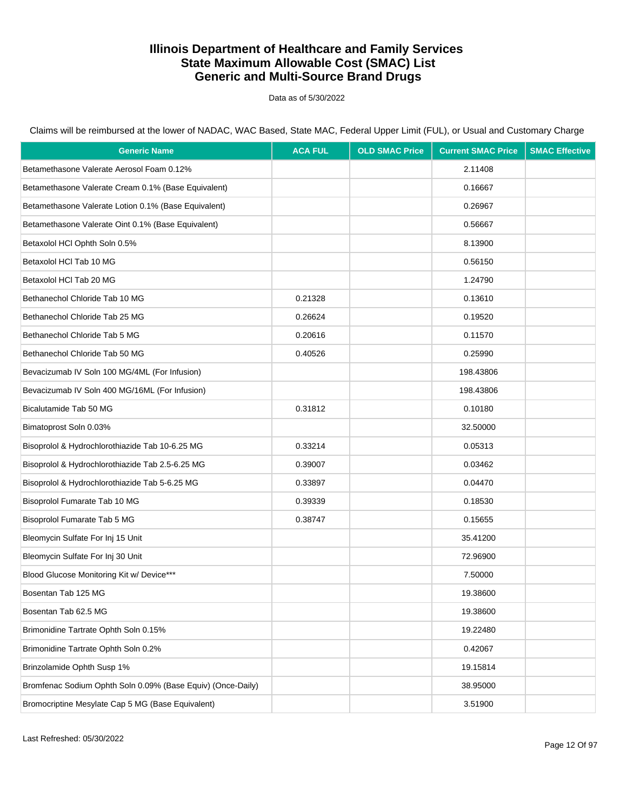Data as of 5/30/2022

| <b>Generic Name</b>                                         | <b>ACA FUL</b> | <b>OLD SMAC Price</b> | <b>Current SMAC Price</b> | <b>SMAC Effective</b> |
|-------------------------------------------------------------|----------------|-----------------------|---------------------------|-----------------------|
| Betamethasone Valerate Aerosol Foam 0.12%                   |                |                       | 2.11408                   |                       |
| Betamethasone Valerate Cream 0.1% (Base Equivalent)         |                |                       | 0.16667                   |                       |
| Betamethasone Valerate Lotion 0.1% (Base Equivalent)        |                |                       | 0.26967                   |                       |
| Betamethasone Valerate Oint 0.1% (Base Equivalent)          |                |                       | 0.56667                   |                       |
| Betaxolol HCl Ophth Soln 0.5%                               |                |                       | 8.13900                   |                       |
| Betaxolol HCl Tab 10 MG                                     |                |                       | 0.56150                   |                       |
| Betaxolol HCl Tab 20 MG                                     |                |                       | 1.24790                   |                       |
| Bethanechol Chloride Tab 10 MG                              | 0.21328        |                       | 0.13610                   |                       |
| Bethanechol Chloride Tab 25 MG                              | 0.26624        |                       | 0.19520                   |                       |
| Bethanechol Chloride Tab 5 MG                               | 0.20616        |                       | 0.11570                   |                       |
| Bethanechol Chloride Tab 50 MG                              | 0.40526        |                       | 0.25990                   |                       |
| Bevacizumab IV Soln 100 MG/4ML (For Infusion)               |                |                       | 198.43806                 |                       |
| Bevacizumab IV Soln 400 MG/16ML (For Infusion)              |                |                       | 198.43806                 |                       |
| Bicalutamide Tab 50 MG                                      | 0.31812        |                       | 0.10180                   |                       |
| Bimatoprost Soln 0.03%                                      |                |                       | 32.50000                  |                       |
| Bisoprolol & Hydrochlorothiazide Tab 10-6.25 MG             | 0.33214        |                       | 0.05313                   |                       |
| Bisoprolol & Hydrochlorothiazide Tab 2.5-6.25 MG            | 0.39007        |                       | 0.03462                   |                       |
| Bisoprolol & Hydrochlorothiazide Tab 5-6.25 MG              | 0.33897        |                       | 0.04470                   |                       |
| Bisoprolol Fumarate Tab 10 MG                               | 0.39339        |                       | 0.18530                   |                       |
| Bisoprolol Fumarate Tab 5 MG                                | 0.38747        |                       | 0.15655                   |                       |
| Bleomycin Sulfate For Inj 15 Unit                           |                |                       | 35.41200                  |                       |
| Bleomycin Sulfate For Inj 30 Unit                           |                |                       | 72.96900                  |                       |
| Blood Glucose Monitoring Kit w/ Device***                   |                |                       | 7.50000                   |                       |
| Bosentan Tab 125 MG                                         |                |                       | 19.38600                  |                       |
| Bosentan Tab 62.5 MG                                        |                |                       | 19.38600                  |                       |
| Brimonidine Tartrate Ophth Soln 0.15%                       |                |                       | 19.22480                  |                       |
| Brimonidine Tartrate Ophth Soln 0.2%                        |                |                       | 0.42067                   |                       |
| Brinzolamide Ophth Susp 1%                                  |                |                       | 19.15814                  |                       |
| Bromfenac Sodium Ophth Soln 0.09% (Base Equiv) (Once-Daily) |                |                       | 38.95000                  |                       |
| Bromocriptine Mesylate Cap 5 MG (Base Equivalent)           |                |                       | 3.51900                   |                       |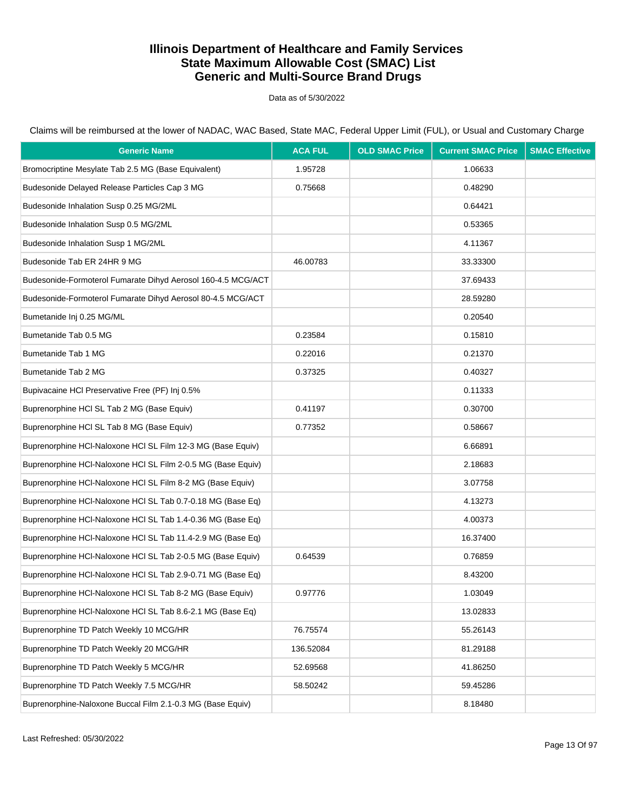Data as of 5/30/2022

Claims will be reimbursed at the lower of NADAC, WAC Based, State MAC, Federal Upper Limit (FUL), or Usual and Customary Charge

| <b>Generic Name</b>                                          | <b>ACA FUL</b> | <b>OLD SMAC Price</b> | <b>Current SMAC Price</b> | <b>SMAC Effective</b> |
|--------------------------------------------------------------|----------------|-----------------------|---------------------------|-----------------------|
| Bromocriptine Mesylate Tab 2.5 MG (Base Equivalent)          | 1.95728        |                       | 1.06633                   |                       |
| Budesonide Delayed Release Particles Cap 3 MG                | 0.75668        |                       | 0.48290                   |                       |
| Budesonide Inhalation Susp 0.25 MG/2ML                       |                |                       | 0.64421                   |                       |
| Budesonide Inhalation Susp 0.5 MG/2ML                        |                |                       | 0.53365                   |                       |
| Budesonide Inhalation Susp 1 MG/2ML                          |                |                       | 4.11367                   |                       |
| Budesonide Tab ER 24HR 9 MG                                  | 46.00783       |                       | 33.33300                  |                       |
| Budesonide-Formoterol Fumarate Dihyd Aerosol 160-4.5 MCG/ACT |                |                       | 37.69433                  |                       |
| Budesonide-Formoterol Fumarate Dihyd Aerosol 80-4.5 MCG/ACT  |                |                       | 28.59280                  |                       |
| Bumetanide Inj 0.25 MG/ML                                    |                |                       | 0.20540                   |                       |
| Bumetanide Tab 0.5 MG                                        | 0.23584        |                       | 0.15810                   |                       |
| Bumetanide Tab 1 MG                                          | 0.22016        |                       | 0.21370                   |                       |
| Bumetanide Tab 2 MG                                          | 0.37325        |                       | 0.40327                   |                       |
| Bupivacaine HCI Preservative Free (PF) Inj 0.5%              |                |                       | 0.11333                   |                       |
| Buprenorphine HCI SL Tab 2 MG (Base Equiv)                   | 0.41197        |                       | 0.30700                   |                       |
| Buprenorphine HCI SL Tab 8 MG (Base Equiv)                   | 0.77352        |                       | 0.58667                   |                       |
| Buprenorphine HCI-Naloxone HCI SL Film 12-3 MG (Base Equiv)  |                |                       | 6.66891                   |                       |
| Buprenorphine HCI-Naloxone HCI SL Film 2-0.5 MG (Base Equiv) |                |                       | 2.18683                   |                       |
| Buprenorphine HCI-Naloxone HCI SL Film 8-2 MG (Base Equiv)   |                |                       | 3.07758                   |                       |
| Buprenorphine HCI-Naloxone HCI SL Tab 0.7-0.18 MG (Base Eq)  |                |                       | 4.13273                   |                       |
| Buprenorphine HCI-Naloxone HCI SL Tab 1.4-0.36 MG (Base Eq)  |                |                       | 4.00373                   |                       |
| Buprenorphine HCI-Naloxone HCI SL Tab 11.4-2.9 MG (Base Eq)  |                |                       | 16.37400                  |                       |
| Buprenorphine HCI-Naloxone HCI SL Tab 2-0.5 MG (Base Equiv)  | 0.64539        |                       | 0.76859                   |                       |
| Buprenorphine HCI-Naloxone HCI SL Tab 2.9-0.71 MG (Base Eq)  |                |                       | 8.43200                   |                       |
| Buprenorphine HCI-Naloxone HCI SL Tab 8-2 MG (Base Equiv)    | 0.97776        |                       | 1.03049                   |                       |
| Buprenorphine HCI-Naloxone HCI SL Tab 8.6-2.1 MG (Base Eq)   |                |                       | 13.02833                  |                       |
| Buprenorphine TD Patch Weekly 10 MCG/HR                      | 76.75574       |                       | 55.26143                  |                       |
| Buprenorphine TD Patch Weekly 20 MCG/HR                      | 136.52084      |                       | 81.29188                  |                       |
| Buprenorphine TD Patch Weekly 5 MCG/HR                       | 52.69568       |                       | 41.86250                  |                       |
| Buprenorphine TD Patch Weekly 7.5 MCG/HR                     | 58.50242       |                       | 59.45286                  |                       |
| Buprenorphine-Naloxone Buccal Film 2.1-0.3 MG (Base Equiv)   |                |                       | 8.18480                   |                       |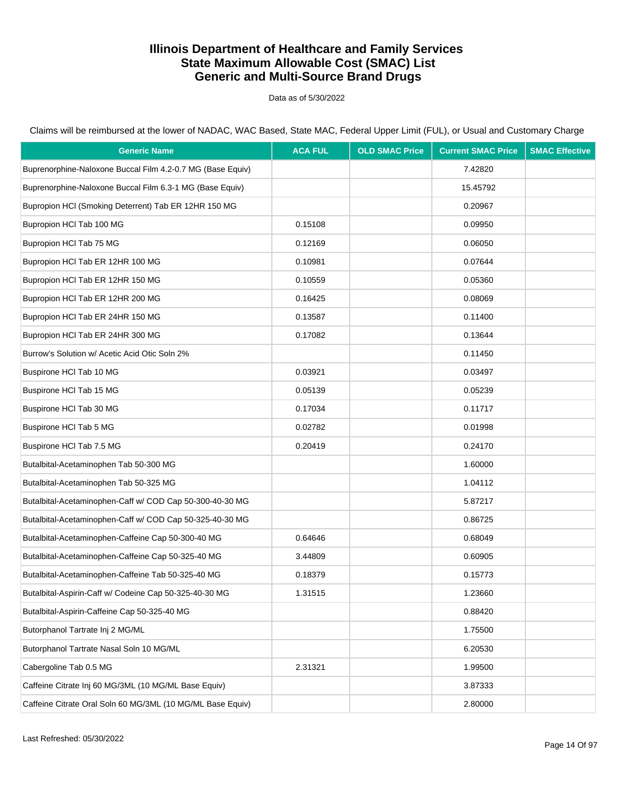Data as of 5/30/2022

Claims will be reimbursed at the lower of NADAC, WAC Based, State MAC, Federal Upper Limit (FUL), or Usual and Customary Charge

| <b>Generic Name</b>                                        | <b>ACA FUL</b> | <b>OLD SMAC Price</b> | <b>Current SMAC Price</b> | <b>SMAC Effective</b> |
|------------------------------------------------------------|----------------|-----------------------|---------------------------|-----------------------|
| Buprenorphine-Naloxone Buccal Film 4.2-0.7 MG (Base Equiv) |                |                       | 7.42820                   |                       |
| Buprenorphine-Naloxone Buccal Film 6.3-1 MG (Base Equiv)   |                |                       | 15.45792                  |                       |
| Bupropion HCI (Smoking Deterrent) Tab ER 12HR 150 MG       |                |                       | 0.20967                   |                       |
| Bupropion HCI Tab 100 MG                                   | 0.15108        |                       | 0.09950                   |                       |
| Bupropion HCI Tab 75 MG                                    | 0.12169        |                       | 0.06050                   |                       |
| Bupropion HCl Tab ER 12HR 100 MG                           | 0.10981        |                       | 0.07644                   |                       |
| Bupropion HCl Tab ER 12HR 150 MG                           | 0.10559        |                       | 0.05360                   |                       |
| Bupropion HCI Tab ER 12HR 200 MG                           | 0.16425        |                       | 0.08069                   |                       |
| Bupropion HCl Tab ER 24HR 150 MG                           | 0.13587        |                       | 0.11400                   |                       |
| Bupropion HCI Tab ER 24HR 300 MG                           | 0.17082        |                       | 0.13644                   |                       |
| Burrow's Solution w/ Acetic Acid Otic Soln 2%              |                |                       | 0.11450                   |                       |
| Buspirone HCI Tab 10 MG                                    | 0.03921        |                       | 0.03497                   |                       |
| Buspirone HCI Tab 15 MG                                    | 0.05139        |                       | 0.05239                   |                       |
| Buspirone HCI Tab 30 MG                                    | 0.17034        |                       | 0.11717                   |                       |
| Buspirone HCI Tab 5 MG                                     | 0.02782        |                       | 0.01998                   |                       |
| Buspirone HCl Tab 7.5 MG                                   | 0.20419        |                       | 0.24170                   |                       |
| Butalbital-Acetaminophen Tab 50-300 MG                     |                |                       | 1.60000                   |                       |
| Butalbital-Acetaminophen Tab 50-325 MG                     |                |                       | 1.04112                   |                       |
| Butalbital-Acetaminophen-Caff w/ COD Cap 50-300-40-30 MG   |                |                       | 5.87217                   |                       |
| Butalbital-Acetaminophen-Caff w/ COD Cap 50-325-40-30 MG   |                |                       | 0.86725                   |                       |
| Butalbital-Acetaminophen-Caffeine Cap 50-300-40 MG         | 0.64646        |                       | 0.68049                   |                       |
| Butalbital-Acetaminophen-Caffeine Cap 50-325-40 MG         | 3.44809        |                       | 0.60905                   |                       |
| Butalbital-Acetaminophen-Caffeine Tab 50-325-40 MG         | 0.18379        |                       | 0.15773                   |                       |
| Butalbital-Aspirin-Caff w/ Codeine Cap 50-325-40-30 MG     | 1.31515        |                       | 1.23660                   |                       |
| Butalbital-Aspirin-Caffeine Cap 50-325-40 MG               |                |                       | 0.88420                   |                       |
| Butorphanol Tartrate Inj 2 MG/ML                           |                |                       | 1.75500                   |                       |
| Butorphanol Tartrate Nasal Soln 10 MG/ML                   |                |                       | 6.20530                   |                       |
| Cabergoline Tab 0.5 MG                                     | 2.31321        |                       | 1.99500                   |                       |
| Caffeine Citrate Inj 60 MG/3ML (10 MG/ML Base Equiv)       |                |                       | 3.87333                   |                       |
| Caffeine Citrate Oral Soln 60 MG/3ML (10 MG/ML Base Equiv) |                |                       | 2.80000                   |                       |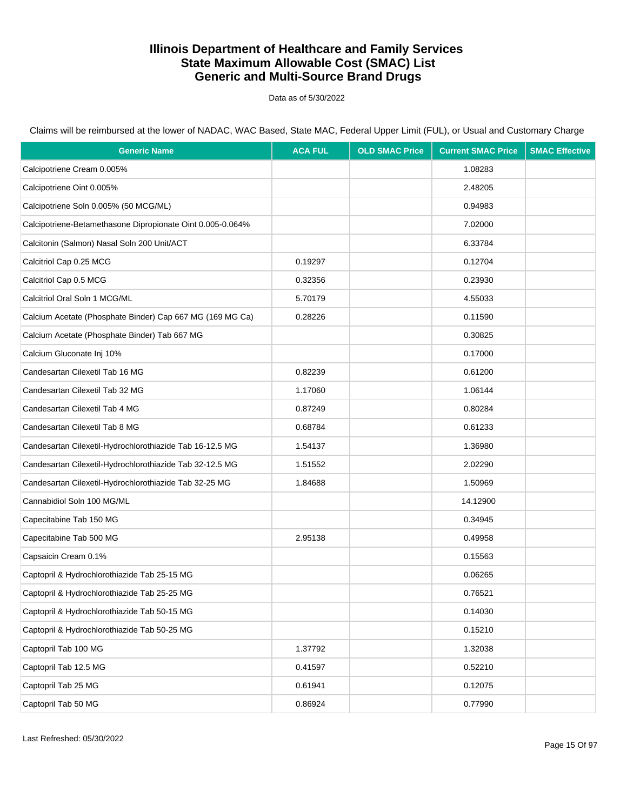Data as of 5/30/2022

| <b>Generic Name</b>                                        | <b>ACA FUL</b> | <b>OLD SMAC Price</b> | <b>Current SMAC Price</b> | <b>SMAC Effective</b> |
|------------------------------------------------------------|----------------|-----------------------|---------------------------|-----------------------|
| Calcipotriene Cream 0.005%                                 |                |                       | 1.08283                   |                       |
| Calcipotriene Oint 0.005%                                  |                |                       | 2.48205                   |                       |
| Calcipotriene Soln 0.005% (50 MCG/ML)                      |                |                       | 0.94983                   |                       |
| Calcipotriene-Betamethasone Dipropionate Oint 0.005-0.064% |                |                       | 7.02000                   |                       |
| Calcitonin (Salmon) Nasal Soln 200 Unit/ACT                |                |                       | 6.33784                   |                       |
| Calcitriol Cap 0.25 MCG                                    | 0.19297        |                       | 0.12704                   |                       |
| Calcitriol Cap 0.5 MCG                                     | 0.32356        |                       | 0.23930                   |                       |
| Calcitriol Oral Soln 1 MCG/ML                              | 5.70179        |                       | 4.55033                   |                       |
| Calcium Acetate (Phosphate Binder) Cap 667 MG (169 MG Ca)  | 0.28226        |                       | 0.11590                   |                       |
| Calcium Acetate (Phosphate Binder) Tab 667 MG              |                |                       | 0.30825                   |                       |
| Calcium Gluconate Inj 10%                                  |                |                       | 0.17000                   |                       |
| Candesartan Cilexetil Tab 16 MG                            | 0.82239        |                       | 0.61200                   |                       |
| Candesartan Cilexetil Tab 32 MG                            | 1.17060        |                       | 1.06144                   |                       |
| Candesartan Cilexetil Tab 4 MG                             | 0.87249        |                       | 0.80284                   |                       |
| Candesartan Cilexetil Tab 8 MG                             | 0.68784        |                       | 0.61233                   |                       |
| Candesartan Cilexetil-Hydrochlorothiazide Tab 16-12.5 MG   | 1.54137        |                       | 1.36980                   |                       |
| Candesartan Cilexetil-Hydrochlorothiazide Tab 32-12.5 MG   | 1.51552        |                       | 2.02290                   |                       |
| Candesartan Cilexetil-Hydrochlorothiazide Tab 32-25 MG     | 1.84688        |                       | 1.50969                   |                       |
| Cannabidiol Soln 100 MG/ML                                 |                |                       | 14.12900                  |                       |
| Capecitabine Tab 150 MG                                    |                |                       | 0.34945                   |                       |
| Capecitabine Tab 500 MG                                    | 2.95138        |                       | 0.49958                   |                       |
| Capsaicin Cream 0.1%                                       |                |                       | 0.15563                   |                       |
| Captopril & Hydrochlorothiazide Tab 25-15 MG               |                |                       | 0.06265                   |                       |
| Captopril & Hydrochlorothiazide Tab 25-25 MG               |                |                       | 0.76521                   |                       |
| Captopril & Hydrochlorothiazide Tab 50-15 MG               |                |                       | 0.14030                   |                       |
| Captopril & Hydrochlorothiazide Tab 50-25 MG               |                |                       | 0.15210                   |                       |
| Captopril Tab 100 MG                                       | 1.37792        |                       | 1.32038                   |                       |
| Captopril Tab 12.5 MG                                      | 0.41597        |                       | 0.52210                   |                       |
| Captopril Tab 25 MG                                        | 0.61941        |                       | 0.12075                   |                       |
| Captopril Tab 50 MG                                        | 0.86924        |                       | 0.77990                   |                       |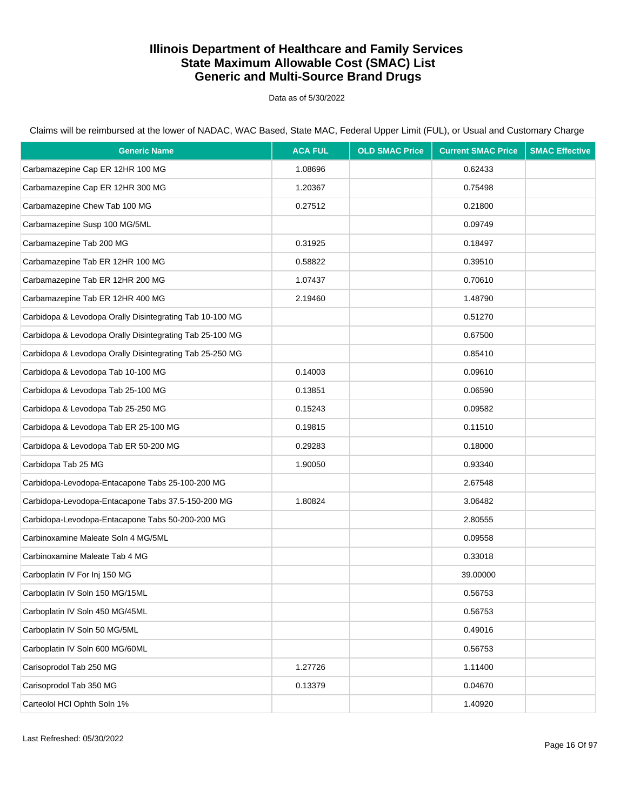Data as of 5/30/2022

| <b>Generic Name</b>                                      | <b>ACA FUL</b> | <b>OLD SMAC Price</b> | <b>Current SMAC Price</b> | <b>SMAC Effective</b> |
|----------------------------------------------------------|----------------|-----------------------|---------------------------|-----------------------|
| Carbamazepine Cap ER 12HR 100 MG                         | 1.08696        |                       | 0.62433                   |                       |
| Carbamazepine Cap ER 12HR 300 MG                         | 1.20367        |                       | 0.75498                   |                       |
| Carbamazepine Chew Tab 100 MG                            | 0.27512        |                       | 0.21800                   |                       |
| Carbamazepine Susp 100 MG/5ML                            |                |                       | 0.09749                   |                       |
| Carbamazepine Tab 200 MG                                 | 0.31925        |                       | 0.18497                   |                       |
| Carbamazepine Tab ER 12HR 100 MG                         | 0.58822        |                       | 0.39510                   |                       |
| Carbamazepine Tab ER 12HR 200 MG                         | 1.07437        |                       | 0.70610                   |                       |
| Carbamazepine Tab ER 12HR 400 MG                         | 2.19460        |                       | 1.48790                   |                       |
| Carbidopa & Levodopa Orally Disintegrating Tab 10-100 MG |                |                       | 0.51270                   |                       |
| Carbidopa & Levodopa Orally Disintegrating Tab 25-100 MG |                |                       | 0.67500                   |                       |
| Carbidopa & Levodopa Orally Disintegrating Tab 25-250 MG |                |                       | 0.85410                   |                       |
| Carbidopa & Levodopa Tab 10-100 MG                       | 0.14003        |                       | 0.09610                   |                       |
| Carbidopa & Levodopa Tab 25-100 MG                       | 0.13851        |                       | 0.06590                   |                       |
| Carbidopa & Levodopa Tab 25-250 MG                       | 0.15243        |                       | 0.09582                   |                       |
| Carbidopa & Levodopa Tab ER 25-100 MG                    | 0.19815        |                       | 0.11510                   |                       |
| Carbidopa & Levodopa Tab ER 50-200 MG                    | 0.29283        |                       | 0.18000                   |                       |
| Carbidopa Tab 25 MG                                      | 1.90050        |                       | 0.93340                   |                       |
| Carbidopa-Levodopa-Entacapone Tabs 25-100-200 MG         |                |                       | 2.67548                   |                       |
| Carbidopa-Levodopa-Entacapone Tabs 37.5-150-200 MG       | 1.80824        |                       | 3.06482                   |                       |
| Carbidopa-Levodopa-Entacapone Tabs 50-200-200 MG         |                |                       | 2.80555                   |                       |
| Carbinoxamine Maleate Soln 4 MG/5ML                      |                |                       | 0.09558                   |                       |
| Carbinoxamine Maleate Tab 4 MG                           |                |                       | 0.33018                   |                       |
| Carboplatin IV For Inj 150 MG                            |                |                       | 39.00000                  |                       |
| Carboplatin IV Soln 150 MG/15ML                          |                |                       | 0.56753                   |                       |
| Carboplatin IV Soln 450 MG/45ML                          |                |                       | 0.56753                   |                       |
| Carboplatin IV Soln 50 MG/5ML                            |                |                       | 0.49016                   |                       |
| Carboplatin IV Soln 600 MG/60ML                          |                |                       | 0.56753                   |                       |
| Carisoprodol Tab 250 MG                                  | 1.27726        |                       | 1.11400                   |                       |
| Carisoprodol Tab 350 MG                                  | 0.13379        |                       | 0.04670                   |                       |
| Carteolol HCl Ophth Soln 1%                              |                |                       | 1.40920                   |                       |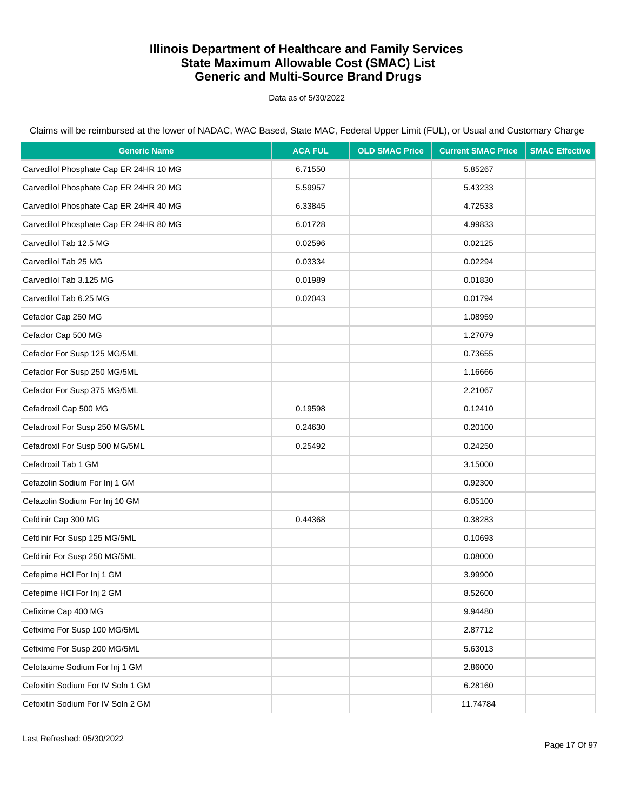Data as of 5/30/2022

| <b>Generic Name</b>                    | <b>ACA FUL</b> | <b>OLD SMAC Price</b> | <b>Current SMAC Price</b> | <b>SMAC Effective</b> |
|----------------------------------------|----------------|-----------------------|---------------------------|-----------------------|
| Carvedilol Phosphate Cap ER 24HR 10 MG | 6.71550        |                       | 5.85267                   |                       |
| Carvedilol Phosphate Cap ER 24HR 20 MG | 5.59957        |                       | 5.43233                   |                       |
| Carvedilol Phosphate Cap ER 24HR 40 MG | 6.33845        |                       | 4.72533                   |                       |
| Carvedilol Phosphate Cap ER 24HR 80 MG | 6.01728        |                       | 4.99833                   |                       |
| Carvedilol Tab 12.5 MG                 | 0.02596        |                       | 0.02125                   |                       |
| Carvedilol Tab 25 MG                   | 0.03334        |                       | 0.02294                   |                       |
| Carvedilol Tab 3.125 MG                | 0.01989        |                       | 0.01830                   |                       |
| Carvedilol Tab 6.25 MG                 | 0.02043        |                       | 0.01794                   |                       |
| Cefaclor Cap 250 MG                    |                |                       | 1.08959                   |                       |
| Cefaclor Cap 500 MG                    |                |                       | 1.27079                   |                       |
| Cefaclor For Susp 125 MG/5ML           |                |                       | 0.73655                   |                       |
| Cefaclor For Susp 250 MG/5ML           |                |                       | 1.16666                   |                       |
| Cefaclor For Susp 375 MG/5ML           |                |                       | 2.21067                   |                       |
| Cefadroxil Cap 500 MG                  | 0.19598        |                       | 0.12410                   |                       |
| Cefadroxil For Susp 250 MG/5ML         | 0.24630        |                       | 0.20100                   |                       |
| Cefadroxil For Susp 500 MG/5ML         | 0.25492        |                       | 0.24250                   |                       |
| Cefadroxil Tab 1 GM                    |                |                       | 3.15000                   |                       |
| Cefazolin Sodium For Inj 1 GM          |                |                       | 0.92300                   |                       |
| Cefazolin Sodium For Inj 10 GM         |                |                       | 6.05100                   |                       |
| Cefdinir Cap 300 MG                    | 0.44368        |                       | 0.38283                   |                       |
| Cefdinir For Susp 125 MG/5ML           |                |                       | 0.10693                   |                       |
| Cefdinir For Susp 250 MG/5ML           |                |                       | 0.08000                   |                       |
| Cefepime HCI For Inj 1 GM              |                |                       | 3.99900                   |                       |
| Cefepime HCI For Inj 2 GM              |                |                       | 8.52600                   |                       |
| Cefixime Cap 400 MG                    |                |                       | 9.94480                   |                       |
| Cefixime For Susp 100 MG/5ML           |                |                       | 2.87712                   |                       |
| Cefixime For Susp 200 MG/5ML           |                |                       | 5.63013                   |                       |
| Cefotaxime Sodium For Inj 1 GM         |                |                       | 2.86000                   |                       |
| Cefoxitin Sodium For IV Soln 1 GM      |                |                       | 6.28160                   |                       |
| Cefoxitin Sodium For IV Soln 2 GM      |                |                       | 11.74784                  |                       |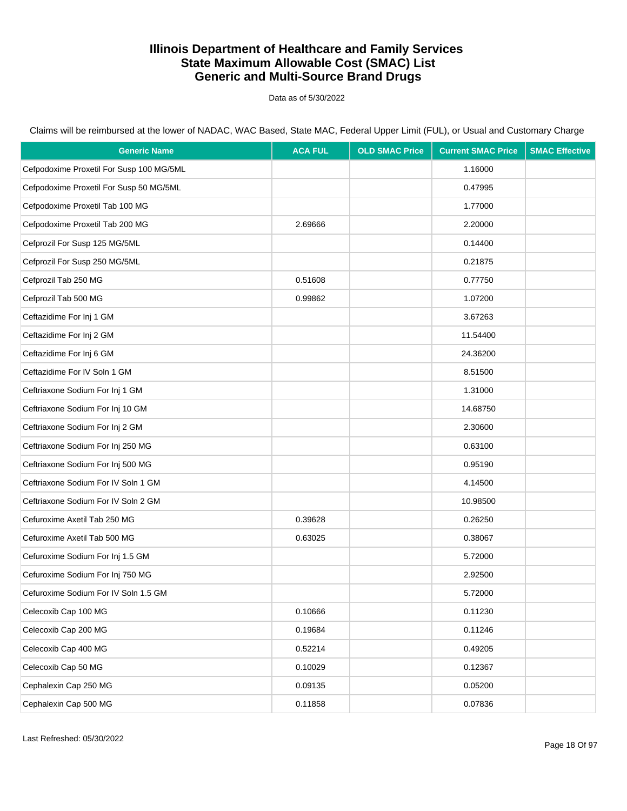Data as of 5/30/2022

| <b>Generic Name</b>                      | <b>ACA FUL</b> | <b>OLD SMAC Price</b> | <b>Current SMAC Price</b> | <b>SMAC Effective</b> |
|------------------------------------------|----------------|-----------------------|---------------------------|-----------------------|
| Cefpodoxime Proxetil For Susp 100 MG/5ML |                |                       | 1.16000                   |                       |
| Cefpodoxime Proxetil For Susp 50 MG/5ML  |                |                       | 0.47995                   |                       |
| Cefpodoxime Proxetil Tab 100 MG          |                |                       | 1.77000                   |                       |
| Cefpodoxime Proxetil Tab 200 MG          | 2.69666        |                       | 2.20000                   |                       |
| Cefprozil For Susp 125 MG/5ML            |                |                       | 0.14400                   |                       |
| Cefprozil For Susp 250 MG/5ML            |                |                       | 0.21875                   |                       |
| Cefprozil Tab 250 MG                     | 0.51608        |                       | 0.77750                   |                       |
| Cefprozil Tab 500 MG                     | 0.99862        |                       | 1.07200                   |                       |
| Ceftazidime For Inj 1 GM                 |                |                       | 3.67263                   |                       |
| Ceftazidime For Inj 2 GM                 |                |                       | 11.54400                  |                       |
| Ceftazidime For Inj 6 GM                 |                |                       | 24.36200                  |                       |
| Ceftazidime For IV Soln 1 GM             |                |                       | 8.51500                   |                       |
| Ceftriaxone Sodium For Inj 1 GM          |                |                       | 1.31000                   |                       |
| Ceftriaxone Sodium For Inj 10 GM         |                |                       | 14.68750                  |                       |
| Ceftriaxone Sodium For Inj 2 GM          |                |                       | 2.30600                   |                       |
| Ceftriaxone Sodium For Inj 250 MG        |                |                       | 0.63100                   |                       |
| Ceftriaxone Sodium For Inj 500 MG        |                |                       | 0.95190                   |                       |
| Ceftriaxone Sodium For IV Soln 1 GM      |                |                       | 4.14500                   |                       |
| Ceftriaxone Sodium For IV Soln 2 GM      |                |                       | 10.98500                  |                       |
| Cefuroxime Axetil Tab 250 MG             | 0.39628        |                       | 0.26250                   |                       |
| Cefuroxime Axetil Tab 500 MG             | 0.63025        |                       | 0.38067                   |                       |
| Cefuroxime Sodium For Inj 1.5 GM         |                |                       | 5.72000                   |                       |
| Cefuroxime Sodium For Inj 750 MG         |                |                       | 2.92500                   |                       |
| Cefuroxime Sodium For IV Soln 1.5 GM     |                |                       | 5.72000                   |                       |
| Celecoxib Cap 100 MG                     | 0.10666        |                       | 0.11230                   |                       |
| Celecoxib Cap 200 MG                     | 0.19684        |                       | 0.11246                   |                       |
| Celecoxib Cap 400 MG                     | 0.52214        |                       | 0.49205                   |                       |
| Celecoxib Cap 50 MG                      | 0.10029        |                       | 0.12367                   |                       |
| Cephalexin Cap 250 MG                    | 0.09135        |                       | 0.05200                   |                       |
| Cephalexin Cap 500 MG                    | 0.11858        |                       | 0.07836                   |                       |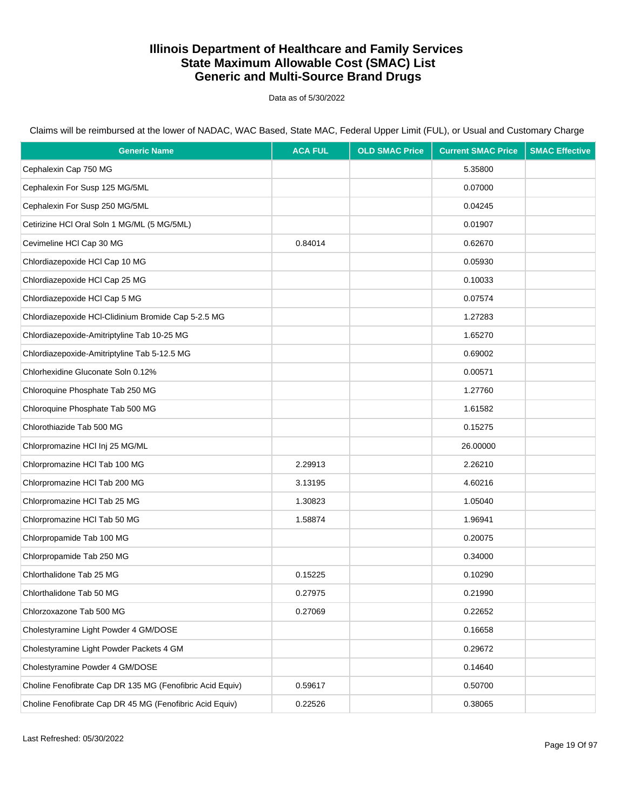Data as of 5/30/2022

Claims will be reimbursed at the lower of NADAC, WAC Based, State MAC, Federal Upper Limit (FUL), or Usual and Customary Charge

| <b>Generic Name</b>                                       | <b>ACA FUL</b> | <b>OLD SMAC Price</b> | <b>Current SMAC Price</b> | <b>SMAC Effective</b> |
|-----------------------------------------------------------|----------------|-----------------------|---------------------------|-----------------------|
| Cephalexin Cap 750 MG                                     |                |                       | 5.35800                   |                       |
| Cephalexin For Susp 125 MG/5ML                            |                |                       | 0.07000                   |                       |
| Cephalexin For Susp 250 MG/5ML                            |                |                       | 0.04245                   |                       |
| Cetirizine HCl Oral Soln 1 MG/ML (5 MG/5ML)               |                |                       | 0.01907                   |                       |
| Cevimeline HCl Cap 30 MG                                  | 0.84014        |                       | 0.62670                   |                       |
| Chlordiazepoxide HCl Cap 10 MG                            |                |                       | 0.05930                   |                       |
| Chlordiazepoxide HCl Cap 25 MG                            |                |                       | 0.10033                   |                       |
| Chlordiazepoxide HCl Cap 5 MG                             |                |                       | 0.07574                   |                       |
| Chlordiazepoxide HCl-Clidinium Bromide Cap 5-2.5 MG       |                |                       | 1.27283                   |                       |
| Chlordiazepoxide-Amitriptyline Tab 10-25 MG               |                |                       | 1.65270                   |                       |
| Chlordiazepoxide-Amitriptyline Tab 5-12.5 MG              |                |                       | 0.69002                   |                       |
| Chlorhexidine Gluconate Soln 0.12%                        |                |                       | 0.00571                   |                       |
| Chloroquine Phosphate Tab 250 MG                          |                |                       | 1.27760                   |                       |
| Chloroquine Phosphate Tab 500 MG                          |                |                       | 1.61582                   |                       |
| Chlorothiazide Tab 500 MG                                 |                |                       | 0.15275                   |                       |
| Chlorpromazine HCl Inj 25 MG/ML                           |                |                       | 26.00000                  |                       |
| Chlorpromazine HCl Tab 100 MG                             | 2.29913        |                       | 2.26210                   |                       |
| Chlorpromazine HCl Tab 200 MG                             | 3.13195        |                       | 4.60216                   |                       |
| Chlorpromazine HCl Tab 25 MG                              | 1.30823        |                       | 1.05040                   |                       |
| Chlorpromazine HCl Tab 50 MG                              | 1.58874        |                       | 1.96941                   |                       |
| Chlorpropamide Tab 100 MG                                 |                |                       | 0.20075                   |                       |
| Chlorpropamide Tab 250 MG                                 |                |                       | 0.34000                   |                       |
| Chlorthalidone Tab 25 MG                                  | 0.15225        |                       | 0.10290                   |                       |
| Chlorthalidone Tab 50 MG                                  | 0.27975        |                       | 0.21990                   |                       |
| Chlorzoxazone Tab 500 MG                                  | 0.27069        |                       | 0.22652                   |                       |
| Cholestyramine Light Powder 4 GM/DOSE                     |                |                       | 0.16658                   |                       |
| Cholestyramine Light Powder Packets 4 GM                  |                |                       | 0.29672                   |                       |
| Cholestyramine Powder 4 GM/DOSE                           |                |                       | 0.14640                   |                       |
| Choline Fenofibrate Cap DR 135 MG (Fenofibric Acid Equiv) | 0.59617        |                       | 0.50700                   |                       |
| Choline Fenofibrate Cap DR 45 MG (Fenofibric Acid Equiv)  | 0.22526        |                       | 0.38065                   |                       |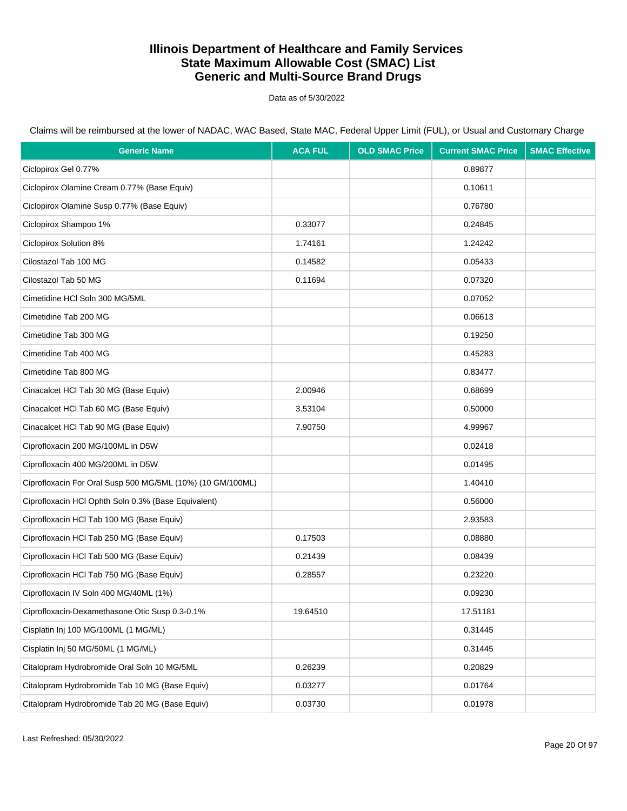Data as of 5/30/2022

| <b>Generic Name</b>                                        | <b>ACA FUL</b> | <b>OLD SMAC Price</b> | <b>Current SMAC Price</b> | <b>SMAC Effective</b> |
|------------------------------------------------------------|----------------|-----------------------|---------------------------|-----------------------|
| Ciclopirox Gel 0.77%                                       |                |                       | 0.89877                   |                       |
| Ciclopirox Olamine Cream 0.77% (Base Equiv)                |                |                       | 0.10611                   |                       |
| Ciclopirox Olamine Susp 0.77% (Base Equiv)                 |                |                       | 0.76780                   |                       |
| Ciclopirox Shampoo 1%                                      | 0.33077        |                       | 0.24845                   |                       |
| Ciclopirox Solution 8%                                     | 1.74161        |                       | 1.24242                   |                       |
| Cilostazol Tab 100 MG                                      | 0.14582        |                       | 0.05433                   |                       |
| Cilostazol Tab 50 MG                                       | 0.11694        |                       | 0.07320                   |                       |
| Cimetidine HCI Soln 300 MG/5ML                             |                |                       | 0.07052                   |                       |
| Cimetidine Tab 200 MG                                      |                |                       | 0.06613                   |                       |
| Cimetidine Tab 300 MG                                      |                |                       | 0.19250                   |                       |
| Cimetidine Tab 400 MG                                      |                |                       | 0.45283                   |                       |
| Cimetidine Tab 800 MG                                      |                |                       | 0.83477                   |                       |
| Cinacalcet HCl Tab 30 MG (Base Equiv)                      | 2.00946        |                       | 0.68699                   |                       |
| Cinacalcet HCl Tab 60 MG (Base Equiv)                      | 3.53104        |                       | 0.50000                   |                       |
| Cinacalcet HCl Tab 90 MG (Base Equiv)                      | 7.90750        |                       | 4.99967                   |                       |
| Ciprofloxacin 200 MG/100ML in D5W                          |                |                       | 0.02418                   |                       |
| Ciprofloxacin 400 MG/200ML in D5W                          |                |                       | 0.01495                   |                       |
| Ciprofloxacin For Oral Susp 500 MG/5ML (10%) (10 GM/100ML) |                |                       | 1.40410                   |                       |
| Ciprofloxacin HCl Ophth Soln 0.3% (Base Equivalent)        |                |                       | 0.56000                   |                       |
| Ciprofloxacin HCI Tab 100 MG (Base Equiv)                  |                |                       | 2.93583                   |                       |
| Ciprofloxacin HCl Tab 250 MG (Base Equiv)                  | 0.17503        |                       | 0.08880                   |                       |
| Ciprofloxacin HCI Tab 500 MG (Base Equiv)                  | 0.21439        |                       | 0.08439                   |                       |
| Ciprofloxacin HCI Tab 750 MG (Base Equiv)                  | 0.28557        |                       | 0.23220                   |                       |
| Ciprofloxacin IV Soln 400 MG/40ML (1%)                     |                |                       | 0.09230                   |                       |
| Ciprofloxacin-Dexamethasone Otic Susp 0.3-0.1%             | 19.64510       |                       | 17.51181                  |                       |
| Cisplatin Inj 100 MG/100ML (1 MG/ML)                       |                |                       | 0.31445                   |                       |
| Cisplatin Inj 50 MG/50ML (1 MG/ML)                         |                |                       | 0.31445                   |                       |
| Citalopram Hydrobromide Oral Soln 10 MG/5ML                | 0.26239        |                       | 0.20829                   |                       |
| Citalopram Hydrobromide Tab 10 MG (Base Equiv)             | 0.03277        |                       | 0.01764                   |                       |
| Citalopram Hydrobromide Tab 20 MG (Base Equiv)             | 0.03730        |                       | 0.01978                   |                       |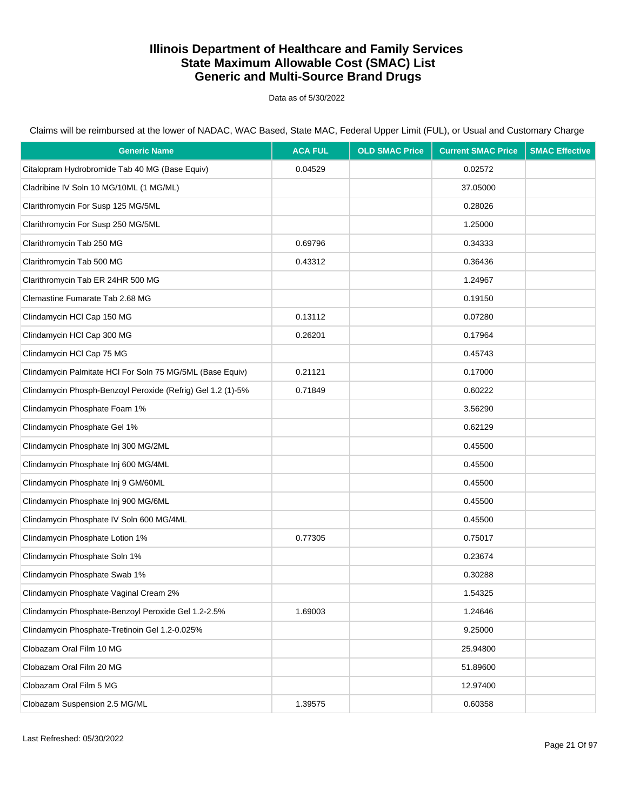Data as of 5/30/2022

| <b>Generic Name</b>                                         | <b>ACA FUL</b> | <b>OLD SMAC Price</b> | <b>Current SMAC Price</b> | <b>SMAC Effective</b> |
|-------------------------------------------------------------|----------------|-----------------------|---------------------------|-----------------------|
| Citalopram Hydrobromide Tab 40 MG (Base Equiv)              | 0.04529        |                       | 0.02572                   |                       |
| Cladribine IV Soln 10 MG/10ML (1 MG/ML)                     |                |                       | 37.05000                  |                       |
| Clarithromycin For Susp 125 MG/5ML                          |                |                       | 0.28026                   |                       |
| Clarithromycin For Susp 250 MG/5ML                          |                |                       | 1.25000                   |                       |
| Clarithromycin Tab 250 MG                                   | 0.69796        |                       | 0.34333                   |                       |
| Clarithromycin Tab 500 MG                                   | 0.43312        |                       | 0.36436                   |                       |
| Clarithromycin Tab ER 24HR 500 MG                           |                |                       | 1.24967                   |                       |
| Clemastine Fumarate Tab 2.68 MG                             |                |                       | 0.19150                   |                       |
| Clindamycin HCl Cap 150 MG                                  | 0.13112        |                       | 0.07280                   |                       |
| Clindamycin HCl Cap 300 MG                                  | 0.26201        |                       | 0.17964                   |                       |
| Clindamycin HCl Cap 75 MG                                   |                |                       | 0.45743                   |                       |
| Clindamycin Palmitate HCI For Soln 75 MG/5ML (Base Equiv)   | 0.21121        |                       | 0.17000                   |                       |
| Clindamycin Phosph-Benzoyl Peroxide (Refrig) Gel 1.2 (1)-5% | 0.71849        |                       | 0.60222                   |                       |
| Clindamycin Phosphate Foam 1%                               |                |                       | 3.56290                   |                       |
| Clindamycin Phosphate Gel 1%                                |                |                       | 0.62129                   |                       |
| Clindamycin Phosphate Inj 300 MG/2ML                        |                |                       | 0.45500                   |                       |
| Clindamycin Phosphate Inj 600 MG/4ML                        |                |                       | 0.45500                   |                       |
| Clindamycin Phosphate Inj 9 GM/60ML                         |                |                       | 0.45500                   |                       |
| Clindamycin Phosphate Inj 900 MG/6ML                        |                |                       | 0.45500                   |                       |
| Clindamycin Phosphate IV Soln 600 MG/4ML                    |                |                       | 0.45500                   |                       |
| Clindamycin Phosphate Lotion 1%                             | 0.77305        |                       | 0.75017                   |                       |
| Clindamycin Phosphate Soln 1%                               |                |                       | 0.23674                   |                       |
| Clindamycin Phosphate Swab 1%                               |                |                       | 0.30288                   |                       |
| Clindamycin Phosphate Vaginal Cream 2%                      |                |                       | 1.54325                   |                       |
| Clindamycin Phosphate-Benzoyl Peroxide Gel 1.2-2.5%         | 1.69003        |                       | 1.24646                   |                       |
| Clindamycin Phosphate-Tretinoin Gel 1.2-0.025%              |                |                       | 9.25000                   |                       |
| Clobazam Oral Film 10 MG                                    |                |                       | 25.94800                  |                       |
| Clobazam Oral Film 20 MG                                    |                |                       | 51.89600                  |                       |
| Clobazam Oral Film 5 MG                                     |                |                       | 12.97400                  |                       |
| Clobazam Suspension 2.5 MG/ML                               | 1.39575        |                       | 0.60358                   |                       |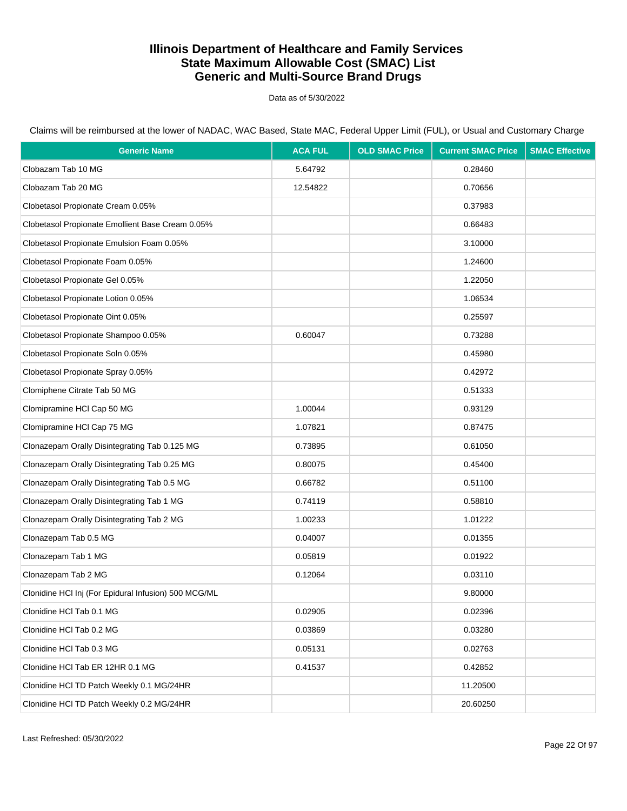Data as of 5/30/2022

Claims will be reimbursed at the lower of NADAC, WAC Based, State MAC, Federal Upper Limit (FUL), or Usual and Customary Charge

| <b>Generic Name</b>                                  | <b>ACA FUL</b> | <b>OLD SMAC Price</b> | <b>Current SMAC Price</b> | <b>SMAC Effective</b> |
|------------------------------------------------------|----------------|-----------------------|---------------------------|-----------------------|
| Clobazam Tab 10 MG                                   | 5.64792        |                       | 0.28460                   |                       |
| Clobazam Tab 20 MG                                   | 12.54822       |                       | 0.70656                   |                       |
| Clobetasol Propionate Cream 0.05%                    |                |                       | 0.37983                   |                       |
| Clobetasol Propionate Emollient Base Cream 0.05%     |                |                       | 0.66483                   |                       |
| Clobetasol Propionate Emulsion Foam 0.05%            |                |                       | 3.10000                   |                       |
| Clobetasol Propionate Foam 0.05%                     |                |                       | 1.24600                   |                       |
| Clobetasol Propionate Gel 0.05%                      |                |                       | 1.22050                   |                       |
| Clobetasol Propionate Lotion 0.05%                   |                |                       | 1.06534                   |                       |
| Clobetasol Propionate Oint 0.05%                     |                |                       | 0.25597                   |                       |
| Clobetasol Propionate Shampoo 0.05%                  | 0.60047        |                       | 0.73288                   |                       |
| Clobetasol Propionate Soln 0.05%                     |                |                       | 0.45980                   |                       |
| Clobetasol Propionate Spray 0.05%                    |                |                       | 0.42972                   |                       |
| Clomiphene Citrate Tab 50 MG                         |                |                       | 0.51333                   |                       |
| Clomipramine HCI Cap 50 MG                           | 1.00044        |                       | 0.93129                   |                       |
| Clomipramine HCl Cap 75 MG                           | 1.07821        |                       | 0.87475                   |                       |
| Clonazepam Orally Disintegrating Tab 0.125 MG        | 0.73895        |                       | 0.61050                   |                       |
| Clonazepam Orally Disintegrating Tab 0.25 MG         | 0.80075        |                       | 0.45400                   |                       |
| Clonazepam Orally Disintegrating Tab 0.5 MG          | 0.66782        |                       | 0.51100                   |                       |
| Clonazepam Orally Disintegrating Tab 1 MG            | 0.74119        |                       | 0.58810                   |                       |
| Clonazepam Orally Disintegrating Tab 2 MG            | 1.00233        |                       | 1.01222                   |                       |
| Clonazepam Tab 0.5 MG                                | 0.04007        |                       | 0.01355                   |                       |
| Clonazepam Tab 1 MG                                  | 0.05819        |                       | 0.01922                   |                       |
| Clonazepam Tab 2 MG                                  | 0.12064        |                       | 0.03110                   |                       |
| Clonidine HCl Inj (For Epidural Infusion) 500 MCG/ML |                |                       | 9.80000                   |                       |
| Clonidine HCl Tab 0.1 MG                             | 0.02905        |                       | 0.02396                   |                       |
| Clonidine HCl Tab 0.2 MG                             | 0.03869        |                       | 0.03280                   |                       |
| Clonidine HCl Tab 0.3 MG                             | 0.05131        |                       | 0.02763                   |                       |
| Clonidine HCl Tab ER 12HR 0.1 MG                     | 0.41537        |                       | 0.42852                   |                       |
| Clonidine HCI TD Patch Weekly 0.1 MG/24HR            |                |                       | 11.20500                  |                       |
| Clonidine HCI TD Patch Weekly 0.2 MG/24HR            |                |                       | 20.60250                  |                       |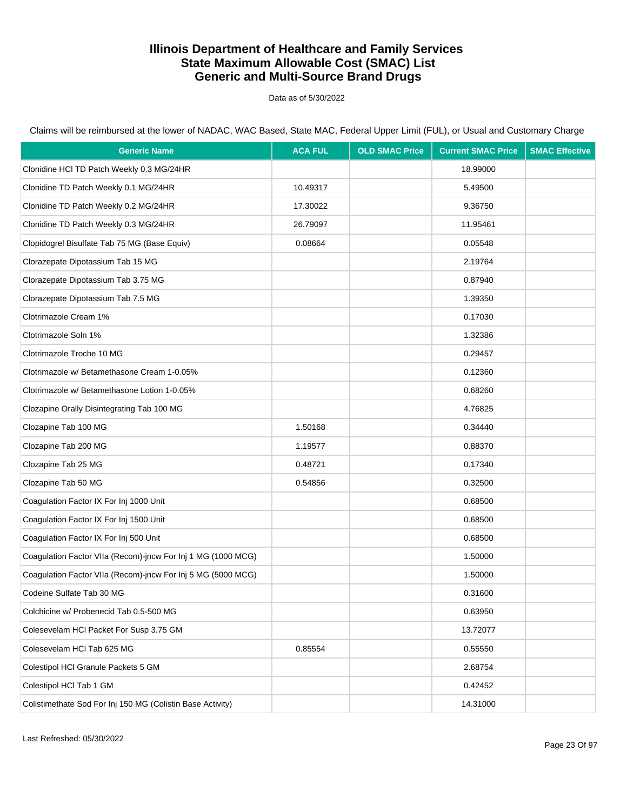Data as of 5/30/2022

| <b>Generic Name</b>                                          | <b>ACA FUL</b> | <b>OLD SMAC Price</b> | <b>Current SMAC Price</b> | <b>SMAC Effective</b> |
|--------------------------------------------------------------|----------------|-----------------------|---------------------------|-----------------------|
| Clonidine HCl TD Patch Weekly 0.3 MG/24HR                    |                |                       | 18.99000                  |                       |
| Clonidine TD Patch Weekly 0.1 MG/24HR                        | 10.49317       |                       | 5.49500                   |                       |
| Clonidine TD Patch Weekly 0.2 MG/24HR                        | 17.30022       |                       | 9.36750                   |                       |
| Clonidine TD Patch Weekly 0.3 MG/24HR                        | 26.79097       |                       | 11.95461                  |                       |
| Clopidogrel Bisulfate Tab 75 MG (Base Equiv)                 | 0.08664        |                       | 0.05548                   |                       |
| Clorazepate Dipotassium Tab 15 MG                            |                |                       | 2.19764                   |                       |
| Clorazepate Dipotassium Tab 3.75 MG                          |                |                       | 0.87940                   |                       |
| Clorazepate Dipotassium Tab 7.5 MG                           |                |                       | 1.39350                   |                       |
| Clotrimazole Cream 1%                                        |                |                       | 0.17030                   |                       |
| Clotrimazole Soln 1%                                         |                |                       | 1.32386                   |                       |
| Clotrimazole Troche 10 MG                                    |                |                       | 0.29457                   |                       |
| Clotrimazole w/ Betamethasone Cream 1-0.05%                  |                |                       | 0.12360                   |                       |
| Clotrimazole w/ Betamethasone Lotion 1-0.05%                 |                |                       | 0.68260                   |                       |
| Clozapine Orally Disintegrating Tab 100 MG                   |                |                       | 4.76825                   |                       |
| Clozapine Tab 100 MG                                         | 1.50168        |                       | 0.34440                   |                       |
| Clozapine Tab 200 MG                                         | 1.19577        |                       | 0.88370                   |                       |
| Clozapine Tab 25 MG                                          | 0.48721        |                       | 0.17340                   |                       |
| Clozapine Tab 50 MG                                          | 0.54856        |                       | 0.32500                   |                       |
| Coagulation Factor IX For Inj 1000 Unit                      |                |                       | 0.68500                   |                       |
| Coagulation Factor IX For Inj 1500 Unit                      |                |                       | 0.68500                   |                       |
| Coagulation Factor IX For Inj 500 Unit                       |                |                       | 0.68500                   |                       |
| Coagulation Factor VIIa (Recom)-jncw For Inj 1 MG (1000 MCG) |                |                       | 1.50000                   |                       |
| Coagulation Factor VIIa (Recom)-jncw For Inj 5 MG (5000 MCG) |                |                       | 1.50000                   |                       |
| Codeine Sulfate Tab 30 MG                                    |                |                       | 0.31600                   |                       |
| Colchicine w/ Probenecid Tab 0.5-500 MG                      |                |                       | 0.63950                   |                       |
| Colesevelam HCI Packet For Susp 3.75 GM                      |                |                       | 13.72077                  |                       |
| Colesevelam HCl Tab 625 MG                                   | 0.85554        |                       | 0.55550                   |                       |
| Colestipol HCI Granule Packets 5 GM                          |                |                       | 2.68754                   |                       |
| Colestipol HCI Tab 1 GM                                      |                |                       | 0.42452                   |                       |
| Colistimethate Sod For Inj 150 MG (Colistin Base Activity)   |                |                       | 14.31000                  |                       |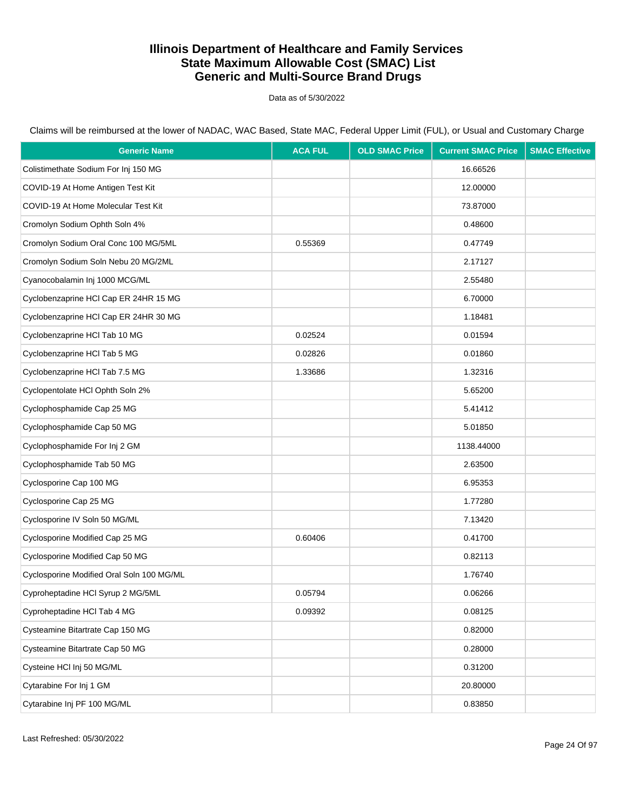Data as of 5/30/2022

| <b>Generic Name</b>                       | <b>ACA FUL</b> | <b>OLD SMAC Price</b> | <b>Current SMAC Price</b> | <b>SMAC Effective</b> |
|-------------------------------------------|----------------|-----------------------|---------------------------|-----------------------|
| Colistimethate Sodium For Inj 150 MG      |                |                       | 16.66526                  |                       |
| COVID-19 At Home Antigen Test Kit         |                |                       | 12.00000                  |                       |
| COVID-19 At Home Molecular Test Kit       |                |                       | 73.87000                  |                       |
| Cromolyn Sodium Ophth Soln 4%             |                |                       | 0.48600                   |                       |
| Cromolyn Sodium Oral Conc 100 MG/5ML      | 0.55369        |                       | 0.47749                   |                       |
| Cromolyn Sodium Soln Nebu 20 MG/2ML       |                |                       | 2.17127                   |                       |
| Cyanocobalamin Inj 1000 MCG/ML            |                |                       | 2.55480                   |                       |
| Cyclobenzaprine HCl Cap ER 24HR 15 MG     |                |                       | 6.70000                   |                       |
| Cyclobenzaprine HCl Cap ER 24HR 30 MG     |                |                       | 1.18481                   |                       |
| Cyclobenzaprine HCl Tab 10 MG             | 0.02524        |                       | 0.01594                   |                       |
| Cyclobenzaprine HCl Tab 5 MG              | 0.02826        |                       | 0.01860                   |                       |
| Cyclobenzaprine HCl Tab 7.5 MG            | 1.33686        |                       | 1.32316                   |                       |
| Cyclopentolate HCI Ophth Soln 2%          |                |                       | 5.65200                   |                       |
| Cyclophosphamide Cap 25 MG                |                |                       | 5.41412                   |                       |
| Cyclophosphamide Cap 50 MG                |                |                       | 5.01850                   |                       |
| Cyclophosphamide For Inj 2 GM             |                |                       | 1138.44000                |                       |
| Cyclophosphamide Tab 50 MG                |                |                       | 2.63500                   |                       |
| Cyclosporine Cap 100 MG                   |                |                       | 6.95353                   |                       |
| Cyclosporine Cap 25 MG                    |                |                       | 1.77280                   |                       |
| Cyclosporine IV Soln 50 MG/ML             |                |                       | 7.13420                   |                       |
| Cyclosporine Modified Cap 25 MG           | 0.60406        |                       | 0.41700                   |                       |
| Cyclosporine Modified Cap 50 MG           |                |                       | 0.82113                   |                       |
| Cyclosporine Modified Oral Soln 100 MG/ML |                |                       | 1.76740                   |                       |
| Cyproheptadine HCI Syrup 2 MG/5ML         | 0.05794        |                       | 0.06266                   |                       |
| Cyproheptadine HCl Tab 4 MG               | 0.09392        |                       | 0.08125                   |                       |
| Cysteamine Bitartrate Cap 150 MG          |                |                       | 0.82000                   |                       |
| Cysteamine Bitartrate Cap 50 MG           |                |                       | 0.28000                   |                       |
| Cysteine HCl Inj 50 MG/ML                 |                |                       | 0.31200                   |                       |
| Cytarabine For Inj 1 GM                   |                |                       | 20.80000                  |                       |
| Cytarabine Inj PF 100 MG/ML               |                |                       | 0.83850                   |                       |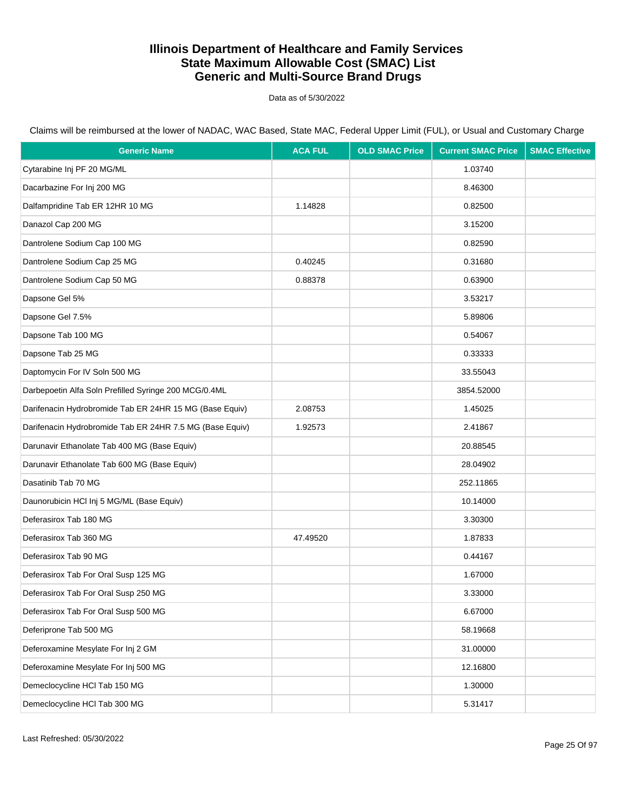Data as of 5/30/2022

| <b>Generic Name</b>                                      | <b>ACA FUL</b> | <b>OLD SMAC Price</b> | <b>Current SMAC Price</b> | <b>SMAC Effective</b> |
|----------------------------------------------------------|----------------|-----------------------|---------------------------|-----------------------|
| Cytarabine Inj PF 20 MG/ML                               |                |                       | 1.03740                   |                       |
| Dacarbazine For Inj 200 MG                               |                |                       | 8.46300                   |                       |
| Dalfampridine Tab ER 12HR 10 MG                          | 1.14828        |                       | 0.82500                   |                       |
| Danazol Cap 200 MG                                       |                |                       | 3.15200                   |                       |
| Dantrolene Sodium Cap 100 MG                             |                |                       | 0.82590                   |                       |
| Dantrolene Sodium Cap 25 MG                              | 0.40245        |                       | 0.31680                   |                       |
| Dantrolene Sodium Cap 50 MG                              | 0.88378        |                       | 0.63900                   |                       |
| Dapsone Gel 5%                                           |                |                       | 3.53217                   |                       |
| Dapsone Gel 7.5%                                         |                |                       | 5.89806                   |                       |
| Dapsone Tab 100 MG                                       |                |                       | 0.54067                   |                       |
| Dapsone Tab 25 MG                                        |                |                       | 0.33333                   |                       |
| Daptomycin For IV Soln 500 MG                            |                |                       | 33.55043                  |                       |
| Darbepoetin Alfa Soln Prefilled Syringe 200 MCG/0.4ML    |                |                       | 3854.52000                |                       |
| Darifenacin Hydrobromide Tab ER 24HR 15 MG (Base Equiv)  | 2.08753        |                       | 1.45025                   |                       |
| Darifenacin Hydrobromide Tab ER 24HR 7.5 MG (Base Equiv) | 1.92573        |                       | 2.41867                   |                       |
| Darunavir Ethanolate Tab 400 MG (Base Equiv)             |                |                       | 20.88545                  |                       |
| Darunavir Ethanolate Tab 600 MG (Base Equiv)             |                |                       | 28.04902                  |                       |
| Dasatinib Tab 70 MG                                      |                |                       | 252.11865                 |                       |
| Daunorubicin HCI Inj 5 MG/ML (Base Equiv)                |                |                       | 10.14000                  |                       |
| Deferasirox Tab 180 MG                                   |                |                       | 3.30300                   |                       |
| Deferasirox Tab 360 MG                                   | 47.49520       |                       | 1.87833                   |                       |
| Deferasirox Tab 90 MG                                    |                |                       | 0.44167                   |                       |
| Deferasirox Tab For Oral Susp 125 MG                     |                |                       | 1.67000                   |                       |
| Deferasirox Tab For Oral Susp 250 MG                     |                |                       | 3.33000                   |                       |
| Deferasirox Tab For Oral Susp 500 MG                     |                |                       | 6.67000                   |                       |
| Deferiprone Tab 500 MG                                   |                |                       | 58.19668                  |                       |
| Deferoxamine Mesylate For Inj 2 GM                       |                |                       | 31.00000                  |                       |
| Deferoxamine Mesylate For Inj 500 MG                     |                |                       | 12.16800                  |                       |
| Demeclocycline HCI Tab 150 MG                            |                |                       | 1.30000                   |                       |
| Demeclocycline HCl Tab 300 MG                            |                |                       | 5.31417                   |                       |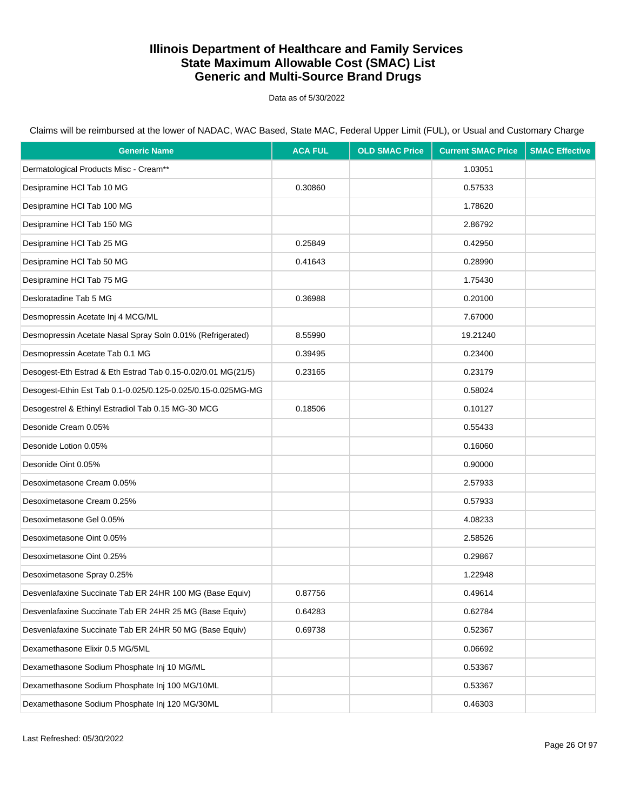Data as of 5/30/2022

Claims will be reimbursed at the lower of NADAC, WAC Based, State MAC, Federal Upper Limit (FUL), or Usual and Customary Charge

| <b>Generic Name</b>                                          | <b>ACA FUL</b> | <b>OLD SMAC Price</b> | <b>Current SMAC Price</b> | <b>SMAC Effective</b> |
|--------------------------------------------------------------|----------------|-----------------------|---------------------------|-----------------------|
| Dermatological Products Misc - Cream**                       |                |                       | 1.03051                   |                       |
| Desipramine HCI Tab 10 MG                                    | 0.30860        |                       | 0.57533                   |                       |
| Desipramine HCI Tab 100 MG                                   |                |                       | 1.78620                   |                       |
| Desipramine HCI Tab 150 MG                                   |                |                       | 2.86792                   |                       |
| Desipramine HCI Tab 25 MG                                    | 0.25849        |                       | 0.42950                   |                       |
| Desipramine HCI Tab 50 MG                                    | 0.41643        |                       | 0.28990                   |                       |
| Desipramine HCI Tab 75 MG                                    |                |                       | 1.75430                   |                       |
| Desloratadine Tab 5 MG                                       | 0.36988        |                       | 0.20100                   |                       |
| Desmopressin Acetate Inj 4 MCG/ML                            |                |                       | 7.67000                   |                       |
| Desmopressin Acetate Nasal Spray Soln 0.01% (Refrigerated)   | 8.55990        |                       | 19.21240                  |                       |
| Desmopressin Acetate Tab 0.1 MG                              | 0.39495        |                       | 0.23400                   |                       |
| Desogest-Eth Estrad & Eth Estrad Tab 0.15-0.02/0.01 MG(21/5) | 0.23165        |                       | 0.23179                   |                       |
| Desogest-Ethin Est Tab 0.1-0.025/0.125-0.025/0.15-0.025MG-MG |                |                       | 0.58024                   |                       |
| Desogestrel & Ethinyl Estradiol Tab 0.15 MG-30 MCG           | 0.18506        |                       | 0.10127                   |                       |
| Desonide Cream 0.05%                                         |                |                       | 0.55433                   |                       |
| Desonide Lotion 0.05%                                        |                |                       | 0.16060                   |                       |
| Desonide Oint 0.05%                                          |                |                       | 0.90000                   |                       |
| Desoximetasone Cream 0.05%                                   |                |                       | 2.57933                   |                       |
| Desoximetasone Cream 0.25%                                   |                |                       | 0.57933                   |                       |
| Desoximetasone Gel 0.05%                                     |                |                       | 4.08233                   |                       |
| Desoximetasone Oint 0.05%                                    |                |                       | 2.58526                   |                       |
| Desoximetasone Oint 0.25%                                    |                |                       | 0.29867                   |                       |
| Desoximetasone Spray 0.25%                                   |                |                       | 1.22948                   |                       |
| Desvenlafaxine Succinate Tab ER 24HR 100 MG (Base Equiv)     | 0.87756        |                       | 0.49614                   |                       |
| Desvenlafaxine Succinate Tab ER 24HR 25 MG (Base Equiv)      | 0.64283        |                       | 0.62784                   |                       |
| Desvenlafaxine Succinate Tab ER 24HR 50 MG (Base Equiv)      | 0.69738        |                       | 0.52367                   |                       |
| Dexamethasone Elixir 0.5 MG/5ML                              |                |                       | 0.06692                   |                       |
| Dexamethasone Sodium Phosphate Inj 10 MG/ML                  |                |                       | 0.53367                   |                       |
| Dexamethasone Sodium Phosphate Inj 100 MG/10ML               |                |                       | 0.53367                   |                       |
| Dexamethasone Sodium Phosphate Inj 120 MG/30ML               |                |                       | 0.46303                   |                       |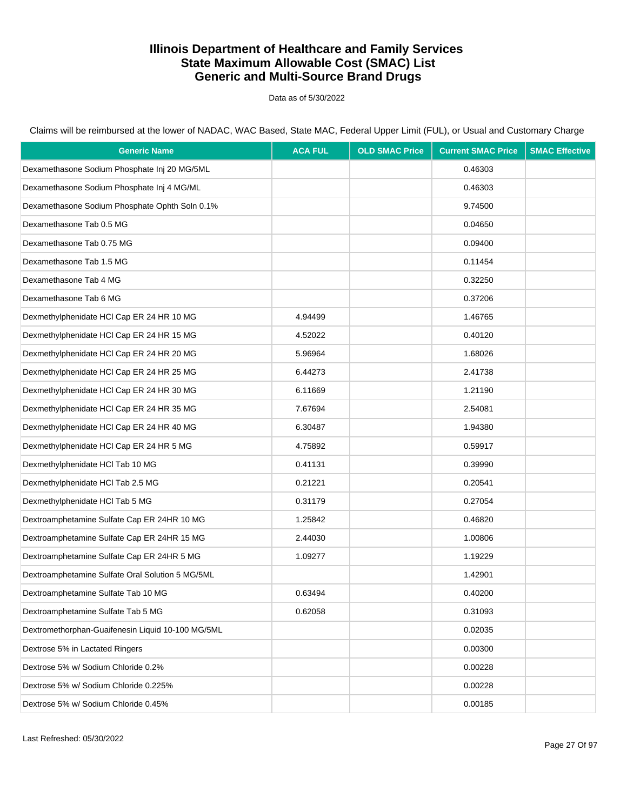Data as of 5/30/2022

Claims will be reimbursed at the lower of NADAC, WAC Based, State MAC, Federal Upper Limit (FUL), or Usual and Customary Charge

| <b>Generic Name</b>                               | <b>ACA FUL</b> | <b>OLD SMAC Price</b> | <b>Current SMAC Price</b> | <b>SMAC Effective</b> |
|---------------------------------------------------|----------------|-----------------------|---------------------------|-----------------------|
| Dexamethasone Sodium Phosphate Inj 20 MG/5ML      |                |                       | 0.46303                   |                       |
| Dexamethasone Sodium Phosphate Inj 4 MG/ML        |                |                       | 0.46303                   |                       |
| Dexamethasone Sodium Phosphate Ophth Soln 0.1%    |                |                       | 9.74500                   |                       |
| Dexamethasone Tab 0.5 MG                          |                |                       | 0.04650                   |                       |
| Dexamethasone Tab 0.75 MG                         |                |                       | 0.09400                   |                       |
| Dexamethasone Tab 1.5 MG                          |                |                       | 0.11454                   |                       |
| Dexamethasone Tab 4 MG                            |                |                       | 0.32250                   |                       |
| Dexamethasone Tab 6 MG                            |                |                       | 0.37206                   |                       |
| Dexmethylphenidate HCI Cap ER 24 HR 10 MG         | 4.94499        |                       | 1.46765                   |                       |
| Dexmethylphenidate HCI Cap ER 24 HR 15 MG         | 4.52022        |                       | 0.40120                   |                       |
| Dexmethylphenidate HCI Cap ER 24 HR 20 MG         | 5.96964        |                       | 1.68026                   |                       |
| Dexmethylphenidate HCI Cap ER 24 HR 25 MG         | 6.44273        |                       | 2.41738                   |                       |
| Dexmethylphenidate HCI Cap ER 24 HR 30 MG         | 6.11669        |                       | 1.21190                   |                       |
| Dexmethylphenidate HCI Cap ER 24 HR 35 MG         | 7.67694        |                       | 2.54081                   |                       |
| Dexmethylphenidate HCI Cap ER 24 HR 40 MG         | 6.30487        |                       | 1.94380                   |                       |
| Dexmethylphenidate HCI Cap ER 24 HR 5 MG          | 4.75892        |                       | 0.59917                   |                       |
| Dexmethylphenidate HCl Tab 10 MG                  | 0.41131        |                       | 0.39990                   |                       |
| Dexmethylphenidate HCl Tab 2.5 MG                 | 0.21221        |                       | 0.20541                   |                       |
| Dexmethylphenidate HCl Tab 5 MG                   | 0.31179        |                       | 0.27054                   |                       |
| Dextroamphetamine Sulfate Cap ER 24HR 10 MG       | 1.25842        |                       | 0.46820                   |                       |
| Dextroamphetamine Sulfate Cap ER 24HR 15 MG       | 2.44030        |                       | 1.00806                   |                       |
| Dextroamphetamine Sulfate Cap ER 24HR 5 MG        | 1.09277        |                       | 1.19229                   |                       |
| Dextroamphetamine Sulfate Oral Solution 5 MG/5ML  |                |                       | 1.42901                   |                       |
| Dextroamphetamine Sulfate Tab 10 MG               | 0.63494        |                       | 0.40200                   |                       |
| Dextroamphetamine Sulfate Tab 5 MG                | 0.62058        |                       | 0.31093                   |                       |
| Dextromethorphan-Guaifenesin Liquid 10-100 MG/5ML |                |                       | 0.02035                   |                       |
| Dextrose 5% in Lactated Ringers                   |                |                       | 0.00300                   |                       |
| Dextrose 5% w/ Sodium Chloride 0.2%               |                |                       | 0.00228                   |                       |
| Dextrose 5% w/ Sodium Chloride 0.225%             |                |                       | 0.00228                   |                       |
| Dextrose 5% w/ Sodium Chloride 0.45%              |                |                       | 0.00185                   |                       |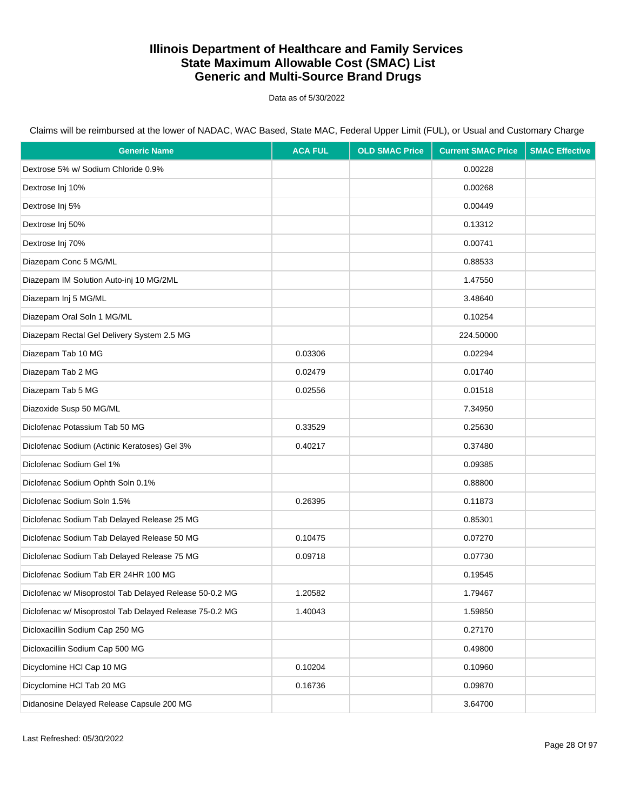Data as of 5/30/2022

| <b>Generic Name</b>                                     | <b>ACA FUL</b> | <b>OLD SMAC Price</b> | <b>Current SMAC Price</b> | <b>SMAC Effective</b> |
|---------------------------------------------------------|----------------|-----------------------|---------------------------|-----------------------|
| Dextrose 5% w/ Sodium Chloride 0.9%                     |                |                       | 0.00228                   |                       |
| Dextrose Inj 10%                                        |                |                       | 0.00268                   |                       |
| Dextrose Inj 5%                                         |                |                       | 0.00449                   |                       |
| Dextrose Inj 50%                                        |                |                       | 0.13312                   |                       |
| Dextrose Inj 70%                                        |                |                       | 0.00741                   |                       |
| Diazepam Conc 5 MG/ML                                   |                |                       | 0.88533                   |                       |
| Diazepam IM Solution Auto-inj 10 MG/2ML                 |                |                       | 1.47550                   |                       |
| Diazepam Inj 5 MG/ML                                    |                |                       | 3.48640                   |                       |
| Diazepam Oral Soln 1 MG/ML                              |                |                       | 0.10254                   |                       |
| Diazepam Rectal Gel Delivery System 2.5 MG              |                |                       | 224.50000                 |                       |
| Diazepam Tab 10 MG                                      | 0.03306        |                       | 0.02294                   |                       |
| Diazepam Tab 2 MG                                       | 0.02479        |                       | 0.01740                   |                       |
| Diazepam Tab 5 MG                                       | 0.02556        |                       | 0.01518                   |                       |
| Diazoxide Susp 50 MG/ML                                 |                |                       | 7.34950                   |                       |
| Diclofenac Potassium Tab 50 MG                          | 0.33529        |                       | 0.25630                   |                       |
| Diclofenac Sodium (Actinic Keratoses) Gel 3%            | 0.40217        |                       | 0.37480                   |                       |
| Diclofenac Sodium Gel 1%                                |                |                       | 0.09385                   |                       |
| Diclofenac Sodium Ophth Soln 0.1%                       |                |                       | 0.88800                   |                       |
| Diclofenac Sodium Soln 1.5%                             | 0.26395        |                       | 0.11873                   |                       |
| Diclofenac Sodium Tab Delayed Release 25 MG             |                |                       | 0.85301                   |                       |
| Diclofenac Sodium Tab Delayed Release 50 MG             | 0.10475        |                       | 0.07270                   |                       |
| Diclofenac Sodium Tab Delayed Release 75 MG             | 0.09718        |                       | 0.07730                   |                       |
| Diclofenac Sodium Tab ER 24HR 100 MG                    |                |                       | 0.19545                   |                       |
| Diclofenac w/ Misoprostol Tab Delayed Release 50-0.2 MG | 1.20582        |                       | 1.79467                   |                       |
| Diclofenac w/ Misoprostol Tab Delayed Release 75-0.2 MG | 1.40043        |                       | 1.59850                   |                       |
| Dicloxacillin Sodium Cap 250 MG                         |                |                       | 0.27170                   |                       |
| Dicloxacillin Sodium Cap 500 MG                         |                |                       | 0.49800                   |                       |
| Dicyclomine HCI Cap 10 MG                               | 0.10204        |                       | 0.10960                   |                       |
| Dicyclomine HCl Tab 20 MG                               | 0.16736        |                       | 0.09870                   |                       |
| Didanosine Delayed Release Capsule 200 MG               |                |                       | 3.64700                   |                       |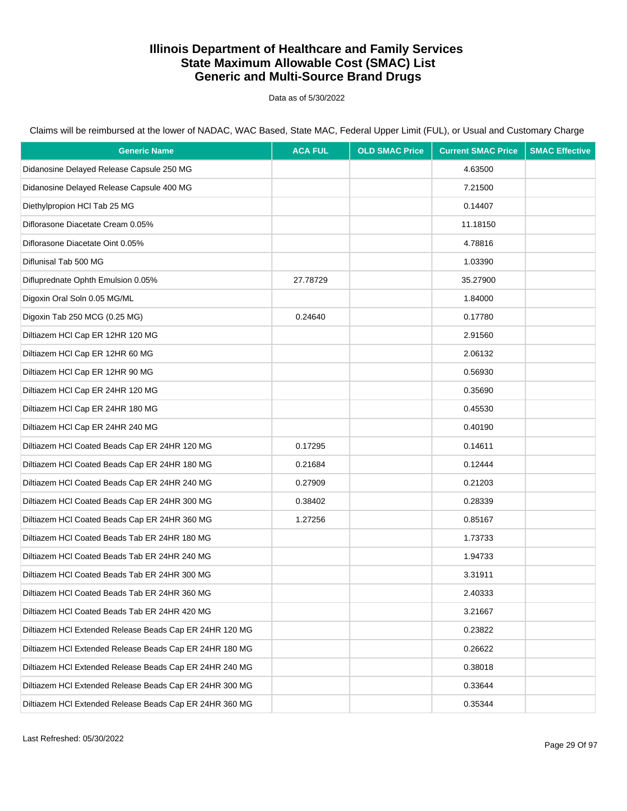Data as of 5/30/2022

Claims will be reimbursed at the lower of NADAC, WAC Based, State MAC, Federal Upper Limit (FUL), or Usual and Customary Charge

| <b>Generic Name</b>                                     | <b>ACA FUL</b> | <b>OLD SMAC Price</b> | <b>Current SMAC Price</b> | <b>SMAC Effective</b> |
|---------------------------------------------------------|----------------|-----------------------|---------------------------|-----------------------|
| Didanosine Delayed Release Capsule 250 MG               |                |                       | 4.63500                   |                       |
| Didanosine Delayed Release Capsule 400 MG               |                |                       | 7.21500                   |                       |
| Diethylpropion HCI Tab 25 MG                            |                |                       | 0.14407                   |                       |
| Diflorasone Diacetate Cream 0.05%                       |                |                       | 11.18150                  |                       |
| Diflorasone Diacetate Oint 0.05%                        |                |                       | 4.78816                   |                       |
| Diflunisal Tab 500 MG                                   |                |                       | 1.03390                   |                       |
| Difluprednate Ophth Emulsion 0.05%                      | 27.78729       |                       | 35.27900                  |                       |
| Digoxin Oral Soln 0.05 MG/ML                            |                |                       | 1.84000                   |                       |
| Digoxin Tab 250 MCG (0.25 MG)                           | 0.24640        |                       | 0.17780                   |                       |
| Diltiazem HCl Cap ER 12HR 120 MG                        |                |                       | 2.91560                   |                       |
| Diltiazem HCl Cap ER 12HR 60 MG                         |                |                       | 2.06132                   |                       |
| Diltiazem HCl Cap ER 12HR 90 MG                         |                |                       | 0.56930                   |                       |
| Diltiazem HCl Cap ER 24HR 120 MG                        |                |                       | 0.35690                   |                       |
| Diltiazem HCl Cap ER 24HR 180 MG                        |                |                       | 0.45530                   |                       |
| Diltiazem HCl Cap ER 24HR 240 MG                        |                |                       | 0.40190                   |                       |
| Diltiazem HCl Coated Beads Cap ER 24HR 120 MG           | 0.17295        |                       | 0.14611                   |                       |
| Diltiazem HCl Coated Beads Cap ER 24HR 180 MG           | 0.21684        |                       | 0.12444                   |                       |
| Diltiazem HCl Coated Beads Cap ER 24HR 240 MG           | 0.27909        |                       | 0.21203                   |                       |
| Diltiazem HCl Coated Beads Cap ER 24HR 300 MG           | 0.38402        |                       | 0.28339                   |                       |
| Diltiazem HCl Coated Beads Cap ER 24HR 360 MG           | 1.27256        |                       | 0.85167                   |                       |
| Diltiazem HCI Coated Beads Tab ER 24HR 180 MG           |                |                       | 1.73733                   |                       |
| Diltiazem HCl Coated Beads Tab ER 24HR 240 MG           |                |                       | 1.94733                   |                       |
| Diltiazem HCl Coated Beads Tab ER 24HR 300 MG           |                |                       | 3.31911                   |                       |
| Diltiazem HCI Coated Beads Tab ER 24HR 360 MG           |                |                       | 2.40333                   |                       |
| Diltiazem HCl Coated Beads Tab ER 24HR 420 MG           |                |                       | 3.21667                   |                       |
| Diltiazem HCI Extended Release Beads Cap ER 24HR 120 MG |                |                       | 0.23822                   |                       |
| Diltiazem HCI Extended Release Beads Cap ER 24HR 180 MG |                |                       | 0.26622                   |                       |
| Diltiazem HCI Extended Release Beads Cap ER 24HR 240 MG |                |                       | 0.38018                   |                       |
| Diltiazem HCI Extended Release Beads Cap ER 24HR 300 MG |                |                       | 0.33644                   |                       |
| Diltiazem HCI Extended Release Beads Cap ER 24HR 360 MG |                |                       | 0.35344                   |                       |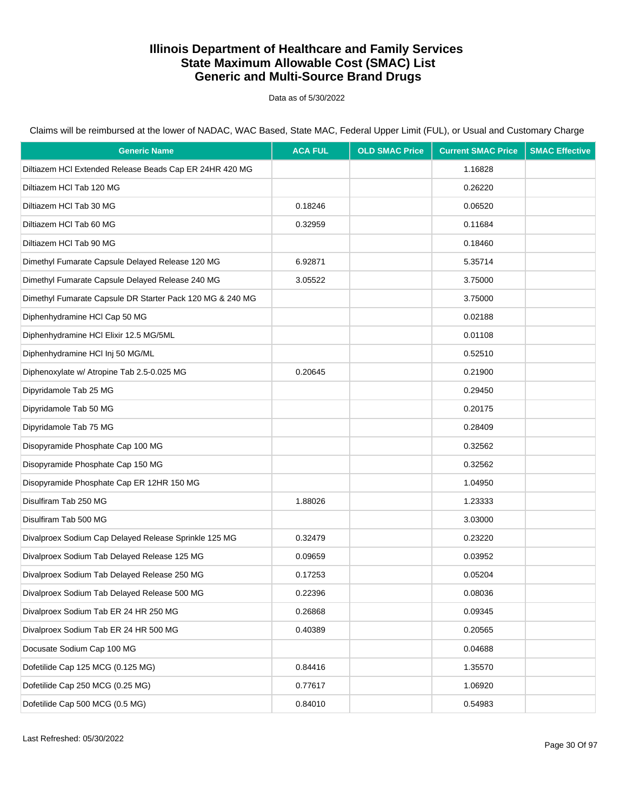Data as of 5/30/2022

Claims will be reimbursed at the lower of NADAC, WAC Based, State MAC, Federal Upper Limit (FUL), or Usual and Customary Charge

| <b>Generic Name</b>                                       | <b>ACA FUL</b> | <b>OLD SMAC Price</b> | <b>Current SMAC Price</b> | <b>SMAC Effective</b> |
|-----------------------------------------------------------|----------------|-----------------------|---------------------------|-----------------------|
| Diltiazem HCI Extended Release Beads Cap ER 24HR 420 MG   |                |                       | 1.16828                   |                       |
| Diltiazem HCl Tab 120 MG                                  |                |                       | 0.26220                   |                       |
| Diltiazem HCl Tab 30 MG                                   | 0.18246        |                       | 0.06520                   |                       |
| Diltiazem HCl Tab 60 MG                                   | 0.32959        |                       | 0.11684                   |                       |
| Diltiazem HCl Tab 90 MG                                   |                |                       | 0.18460                   |                       |
| Dimethyl Fumarate Capsule Delayed Release 120 MG          | 6.92871        |                       | 5.35714                   |                       |
| Dimethyl Fumarate Capsule Delayed Release 240 MG          | 3.05522        |                       | 3.75000                   |                       |
| Dimethyl Fumarate Capsule DR Starter Pack 120 MG & 240 MG |                |                       | 3.75000                   |                       |
| Diphenhydramine HCI Cap 50 MG                             |                |                       | 0.02188                   |                       |
| Diphenhydramine HCI Elixir 12.5 MG/5ML                    |                |                       | 0.01108                   |                       |
| Diphenhydramine HCI Inj 50 MG/ML                          |                |                       | 0.52510                   |                       |
| Diphenoxylate w/ Atropine Tab 2.5-0.025 MG                | 0.20645        |                       | 0.21900                   |                       |
| Dipyridamole Tab 25 MG                                    |                |                       | 0.29450                   |                       |
| Dipyridamole Tab 50 MG                                    |                |                       | 0.20175                   |                       |
| Dipyridamole Tab 75 MG                                    |                |                       | 0.28409                   |                       |
| Disopyramide Phosphate Cap 100 MG                         |                |                       | 0.32562                   |                       |
| Disopyramide Phosphate Cap 150 MG                         |                |                       | 0.32562                   |                       |
| Disopyramide Phosphate Cap ER 12HR 150 MG                 |                |                       | 1.04950                   |                       |
| Disulfiram Tab 250 MG                                     | 1.88026        |                       | 1.23333                   |                       |
| Disulfiram Tab 500 MG                                     |                |                       | 3.03000                   |                       |
| Divalproex Sodium Cap Delayed Release Sprinkle 125 MG     | 0.32479        |                       | 0.23220                   |                       |
| Divalproex Sodium Tab Delayed Release 125 MG              | 0.09659        |                       | 0.03952                   |                       |
| Divalproex Sodium Tab Delayed Release 250 MG              | 0.17253        |                       | 0.05204                   |                       |
| Divalproex Sodium Tab Delayed Release 500 MG              | 0.22396        |                       | 0.08036                   |                       |
| Divalproex Sodium Tab ER 24 HR 250 MG                     | 0.26868        |                       | 0.09345                   |                       |
| Divalproex Sodium Tab ER 24 HR 500 MG                     | 0.40389        |                       | 0.20565                   |                       |
| Docusate Sodium Cap 100 MG                                |                |                       | 0.04688                   |                       |
| Dofetilide Cap 125 MCG (0.125 MG)                         | 0.84416        |                       | 1.35570                   |                       |
| Dofetilide Cap 250 MCG (0.25 MG)                          | 0.77617        |                       | 1.06920                   |                       |
| Dofetilide Cap 500 MCG (0.5 MG)                           | 0.84010        |                       | 0.54983                   |                       |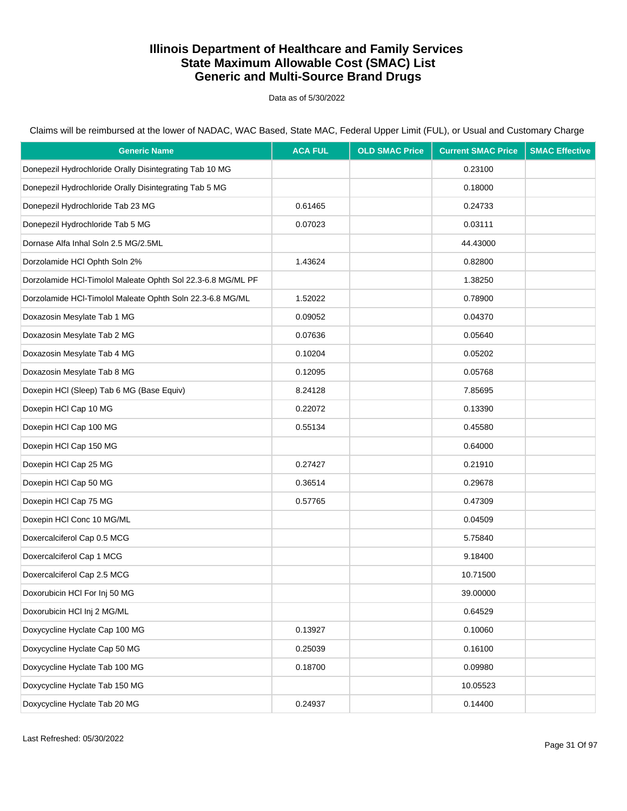Data as of 5/30/2022

| <b>Generic Name</b>                                         | <b>ACA FUL</b> | <b>OLD SMAC Price</b> | <b>Current SMAC Price</b> | <b>SMAC Effective</b> |
|-------------------------------------------------------------|----------------|-----------------------|---------------------------|-----------------------|
| Donepezil Hydrochloride Orally Disintegrating Tab 10 MG     |                |                       | 0.23100                   |                       |
| Donepezil Hydrochloride Orally Disintegrating Tab 5 MG      |                |                       | 0.18000                   |                       |
| Donepezil Hydrochloride Tab 23 MG                           | 0.61465        |                       | 0.24733                   |                       |
| Donepezil Hydrochloride Tab 5 MG                            | 0.07023        |                       | 0.03111                   |                       |
| Dornase Alfa Inhal Soln 2.5 MG/2.5ML                        |                |                       | 44.43000                  |                       |
| Dorzolamide HCl Ophth Soln 2%                               | 1.43624        |                       | 0.82800                   |                       |
| Dorzolamide HCl-Timolol Maleate Ophth Sol 22.3-6.8 MG/ML PF |                |                       | 1.38250                   |                       |
| Dorzolamide HCl-Timolol Maleate Ophth Soln 22.3-6.8 MG/ML   | 1.52022        |                       | 0.78900                   |                       |
| Doxazosin Mesylate Tab 1 MG                                 | 0.09052        |                       | 0.04370                   |                       |
| Doxazosin Mesylate Tab 2 MG                                 | 0.07636        |                       | 0.05640                   |                       |
| Doxazosin Mesylate Tab 4 MG                                 | 0.10204        |                       | 0.05202                   |                       |
| Doxazosin Mesylate Tab 8 MG                                 | 0.12095        |                       | 0.05768                   |                       |
| Doxepin HCI (Sleep) Tab 6 MG (Base Equiv)                   | 8.24128        |                       | 7.85695                   |                       |
| Doxepin HCl Cap 10 MG                                       | 0.22072        |                       | 0.13390                   |                       |
| Doxepin HCl Cap 100 MG                                      | 0.55134        |                       | 0.45580                   |                       |
| Doxepin HCl Cap 150 MG                                      |                |                       | 0.64000                   |                       |
| Doxepin HCl Cap 25 MG                                       | 0.27427        |                       | 0.21910                   |                       |
| Doxepin HCl Cap 50 MG                                       | 0.36514        |                       | 0.29678                   |                       |
| Doxepin HCl Cap 75 MG                                       | 0.57765        |                       | 0.47309                   |                       |
| Doxepin HCI Conc 10 MG/ML                                   |                |                       | 0.04509                   |                       |
| Doxercalciferol Cap 0.5 MCG                                 |                |                       | 5.75840                   |                       |
| Doxercalciferol Cap 1 MCG                                   |                |                       | 9.18400                   |                       |
| Doxercalciferol Cap 2.5 MCG                                 |                |                       | 10.71500                  |                       |
| Doxorubicin HCI For Inj 50 MG                               |                |                       | 39.00000                  |                       |
| Doxorubicin HCl Inj 2 MG/ML                                 |                |                       | 0.64529                   |                       |
| Doxycycline Hyclate Cap 100 MG                              | 0.13927        |                       | 0.10060                   |                       |
| Doxycycline Hyclate Cap 50 MG                               | 0.25039        |                       | 0.16100                   |                       |
| Doxycycline Hyclate Tab 100 MG                              | 0.18700        |                       | 0.09980                   |                       |
| Doxycycline Hyclate Tab 150 MG                              |                |                       | 10.05523                  |                       |
| Doxycycline Hyclate Tab 20 MG                               | 0.24937        |                       | 0.14400                   |                       |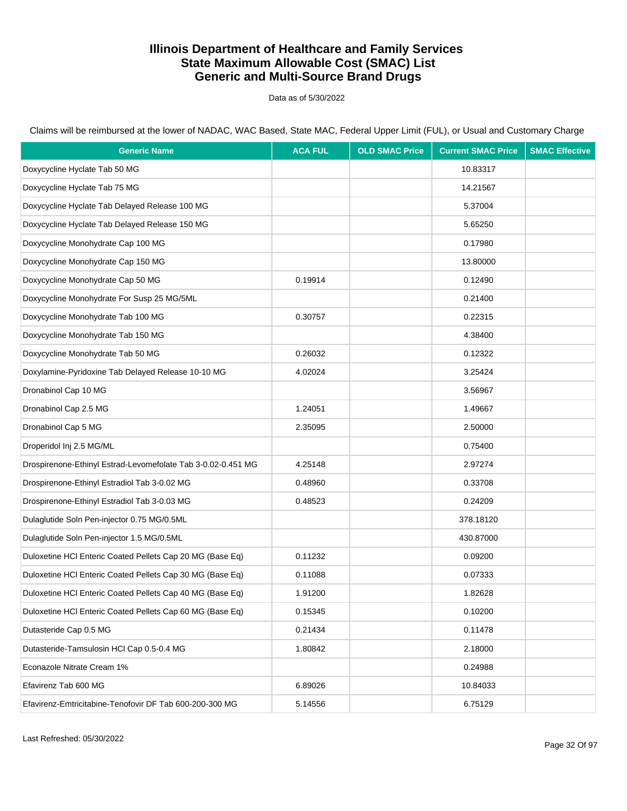Data as of 5/30/2022

Claims will be reimbursed at the lower of NADAC, WAC Based, State MAC, Federal Upper Limit (FUL), or Usual and Customary Charge

| <b>Generic Name</b>                                          | <b>ACA FUL</b> | <b>OLD SMAC Price</b> | <b>Current SMAC Price</b> | <b>SMAC Effective</b> |
|--------------------------------------------------------------|----------------|-----------------------|---------------------------|-----------------------|
| Doxycycline Hyclate Tab 50 MG                                |                |                       | 10.83317                  |                       |
| Doxycycline Hyclate Tab 75 MG                                |                |                       | 14.21567                  |                       |
| Doxycycline Hyclate Tab Delayed Release 100 MG               |                |                       | 5.37004                   |                       |
| Doxycycline Hyclate Tab Delayed Release 150 MG               |                |                       | 5.65250                   |                       |
| Doxycycline Monohydrate Cap 100 MG                           |                |                       | 0.17980                   |                       |
| Doxycycline Monohydrate Cap 150 MG                           |                |                       | 13.80000                  |                       |
| Doxycycline Monohydrate Cap 50 MG                            | 0.19914        |                       | 0.12490                   |                       |
| Doxycycline Monohydrate For Susp 25 MG/5ML                   |                |                       | 0.21400                   |                       |
| Doxycycline Monohydrate Tab 100 MG                           | 0.30757        |                       | 0.22315                   |                       |
| Doxycycline Monohydrate Tab 150 MG                           |                |                       | 4.38400                   |                       |
| Doxycycline Monohydrate Tab 50 MG                            | 0.26032        |                       | 0.12322                   |                       |
| Doxylamine-Pyridoxine Tab Delayed Release 10-10 MG           | 4.02024        |                       | 3.25424                   |                       |
| Dronabinol Cap 10 MG                                         |                |                       | 3.56967                   |                       |
| Dronabinol Cap 2.5 MG                                        | 1.24051        |                       | 1.49667                   |                       |
| Dronabinol Cap 5 MG                                          | 2.35095        |                       | 2.50000                   |                       |
| Droperidol Inj 2.5 MG/ML                                     |                |                       | 0.75400                   |                       |
| Drospirenone-Ethinyl Estrad-Levomefolate Tab 3-0.02-0.451 MG | 4.25148        |                       | 2.97274                   |                       |
| Drospirenone-Ethinyl Estradiol Tab 3-0.02 MG                 | 0.48960        |                       | 0.33708                   |                       |
| Drospirenone-Ethinyl Estradiol Tab 3-0.03 MG                 | 0.48523        |                       | 0.24209                   |                       |
| Dulaglutide Soln Pen-injector 0.75 MG/0.5ML                  |                |                       | 378.18120                 |                       |
| Dulaglutide Soln Pen-injector 1.5 MG/0.5ML                   |                |                       | 430.87000                 |                       |
| Duloxetine HCI Enteric Coated Pellets Cap 20 MG (Base Eq)    | 0.11232        |                       | 0.09200                   |                       |
| Duloxetine HCI Enteric Coated Pellets Cap 30 MG (Base Eq)    | 0.11088        |                       | 0.07333                   |                       |
| Duloxetine HCI Enteric Coated Pellets Cap 40 MG (Base Eq)    | 1.91200        |                       | 1.82628                   |                       |
| Duloxetine HCI Enteric Coated Pellets Cap 60 MG (Base Eq)    | 0.15345        |                       | 0.10200                   |                       |
| Dutasteride Cap 0.5 MG                                       | 0.21434        |                       | 0.11478                   |                       |
| Dutasteride-Tamsulosin HCI Cap 0.5-0.4 MG                    | 1.80842        |                       | 2.18000                   |                       |
| Econazole Nitrate Cream 1%                                   |                |                       | 0.24988                   |                       |
| Efavirenz Tab 600 MG                                         | 6.89026        |                       | 10.84033                  |                       |
| Efavirenz-Emtricitabine-Tenofovir DF Tab 600-200-300 MG      | 5.14556        |                       | 6.75129                   |                       |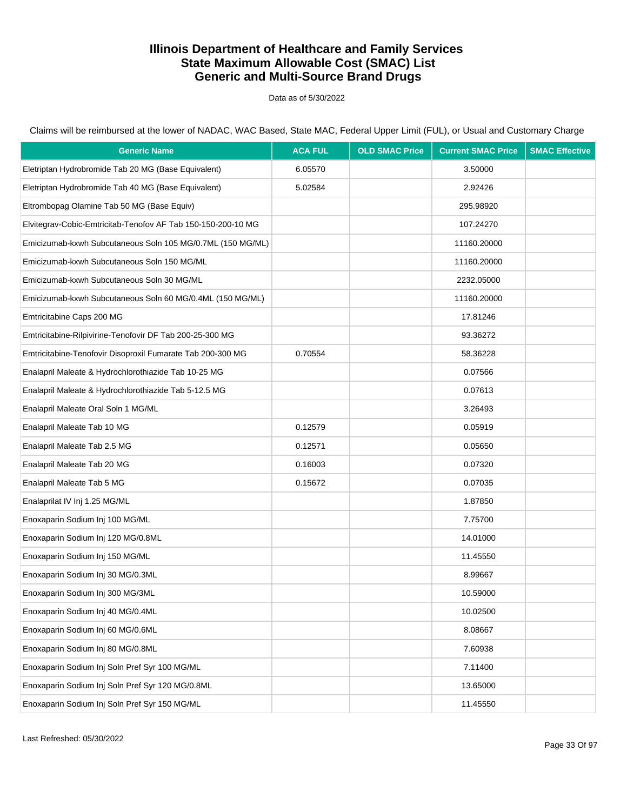Data as of 5/30/2022

Claims will be reimbursed at the lower of NADAC, WAC Based, State MAC, Federal Upper Limit (FUL), or Usual and Customary Charge

| <b>Generic Name</b>                                          | <b>ACA FUL</b> | <b>OLD SMAC Price</b> | <b>Current SMAC Price</b> | <b>SMAC Effective</b> |
|--------------------------------------------------------------|----------------|-----------------------|---------------------------|-----------------------|
| Eletriptan Hydrobromide Tab 20 MG (Base Equivalent)          | 6.05570        |                       | 3.50000                   |                       |
| Eletriptan Hydrobromide Tab 40 MG (Base Equivalent)          | 5.02584        |                       | 2.92426                   |                       |
| Eltrombopag Olamine Tab 50 MG (Base Equiv)                   |                |                       | 295.98920                 |                       |
| Elvitegrav-Cobic-Emtricitab-Tenofov AF Tab 150-150-200-10 MG |                |                       | 107.24270                 |                       |
| Emicizumab-kxwh Subcutaneous Soln 105 MG/0.7ML (150 MG/ML)   |                |                       | 11160.20000               |                       |
| Emicizumab-kxwh Subcutaneous Soln 150 MG/ML                  |                |                       | 11160.20000               |                       |
| Emicizumab-kxwh Subcutaneous Soln 30 MG/ML                   |                |                       | 2232.05000                |                       |
| Emicizumab-kxwh Subcutaneous Soln 60 MG/0.4ML (150 MG/ML)    |                |                       | 11160.20000               |                       |
| Emtricitabine Caps 200 MG                                    |                |                       | 17.81246                  |                       |
| Emtricitabine-Rilpivirine-Tenofovir DF Tab 200-25-300 MG     |                |                       | 93.36272                  |                       |
| Emtricitabine-Tenofovir Disoproxil Fumarate Tab 200-300 MG   | 0.70554        |                       | 58.36228                  |                       |
| Enalapril Maleate & Hydrochlorothiazide Tab 10-25 MG         |                |                       | 0.07566                   |                       |
| Enalapril Maleate & Hydrochlorothiazide Tab 5-12.5 MG        |                |                       | 0.07613                   |                       |
| Enalapril Maleate Oral Soln 1 MG/ML                          |                |                       | 3.26493                   |                       |
| Enalapril Maleate Tab 10 MG                                  | 0.12579        |                       | 0.05919                   |                       |
| Enalapril Maleate Tab 2.5 MG                                 | 0.12571        |                       | 0.05650                   |                       |
| Enalapril Maleate Tab 20 MG                                  | 0.16003        |                       | 0.07320                   |                       |
| Enalapril Maleate Tab 5 MG                                   | 0.15672        |                       | 0.07035                   |                       |
| Enalaprilat IV Inj 1.25 MG/ML                                |                |                       | 1.87850                   |                       |
| Enoxaparin Sodium Inj 100 MG/ML                              |                |                       | 7.75700                   |                       |
| Enoxaparin Sodium Inj 120 MG/0.8ML                           |                |                       | 14.01000                  |                       |
| Enoxaparin Sodium Inj 150 MG/ML                              |                |                       | 11.45550                  |                       |
| Enoxaparin Sodium Inj 30 MG/0.3ML                            |                |                       | 8.99667                   |                       |
| Enoxaparin Sodium Inj 300 MG/3ML                             |                |                       | 10.59000                  |                       |
| Enoxaparin Sodium Inj 40 MG/0.4ML                            |                |                       | 10.02500                  |                       |
| Enoxaparin Sodium Inj 60 MG/0.6ML                            |                |                       | 8.08667                   |                       |
| Enoxaparin Sodium Inj 80 MG/0.8ML                            |                |                       | 7.60938                   |                       |
| Enoxaparin Sodium Inj Soln Pref Syr 100 MG/ML                |                |                       | 7.11400                   |                       |
| Enoxaparin Sodium Inj Soln Pref Syr 120 MG/0.8ML             |                |                       | 13.65000                  |                       |
| Enoxaparin Sodium Inj Soln Pref Syr 150 MG/ML                |                |                       | 11.45550                  |                       |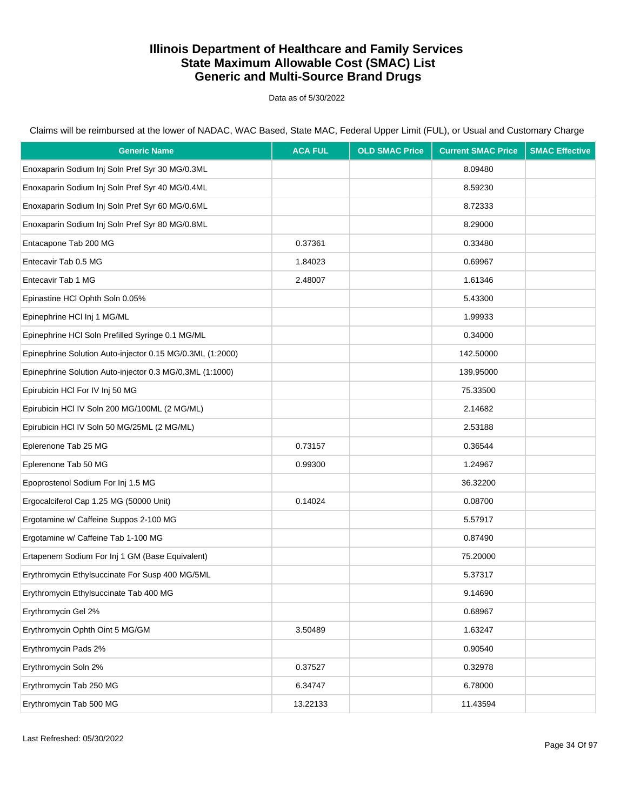Data as of 5/30/2022

| <b>Generic Name</b>                                       | <b>ACA FUL</b> | <b>OLD SMAC Price</b> | <b>Current SMAC Price</b> | <b>SMAC Effective</b> |
|-----------------------------------------------------------|----------------|-----------------------|---------------------------|-----------------------|
| Enoxaparin Sodium Inj Soln Pref Syr 30 MG/0.3ML           |                |                       | 8.09480                   |                       |
| Enoxaparin Sodium Inj Soln Pref Syr 40 MG/0.4ML           |                |                       | 8.59230                   |                       |
| Enoxaparin Sodium Inj Soln Pref Syr 60 MG/0.6ML           |                |                       | 8.72333                   |                       |
| Enoxaparin Sodium Inj Soln Pref Syr 80 MG/0.8ML           |                |                       | 8.29000                   |                       |
| Entacapone Tab 200 MG                                     | 0.37361        |                       | 0.33480                   |                       |
| Entecavir Tab 0.5 MG                                      | 1.84023        |                       | 0.69967                   |                       |
| Entecavir Tab 1 MG                                        | 2.48007        |                       | 1.61346                   |                       |
| Epinastine HCI Ophth Soln 0.05%                           |                |                       | 5.43300                   |                       |
| Epinephrine HCI Inj 1 MG/ML                               |                |                       | 1.99933                   |                       |
| Epinephrine HCI Soln Prefilled Syringe 0.1 MG/ML          |                |                       | 0.34000                   |                       |
| Epinephrine Solution Auto-injector 0.15 MG/0.3ML (1:2000) |                |                       | 142.50000                 |                       |
| Epinephrine Solution Auto-injector 0.3 MG/0.3ML (1:1000)  |                |                       | 139.95000                 |                       |
| Epirubicin HCI For IV Inj 50 MG                           |                |                       | 75.33500                  |                       |
| Epirubicin HCl IV Soln 200 MG/100ML (2 MG/ML)             |                |                       | 2.14682                   |                       |
| Epirubicin HCI IV Soln 50 MG/25ML (2 MG/ML)               |                |                       | 2.53188                   |                       |
| Eplerenone Tab 25 MG                                      | 0.73157        |                       | 0.36544                   |                       |
| Eplerenone Tab 50 MG                                      | 0.99300        |                       | 1.24967                   |                       |
| Epoprostenol Sodium For Inj 1.5 MG                        |                |                       | 36.32200                  |                       |
| Ergocalciferol Cap 1.25 MG (50000 Unit)                   | 0.14024        |                       | 0.08700                   |                       |
| Ergotamine w/ Caffeine Suppos 2-100 MG                    |                |                       | 5.57917                   |                       |
| Ergotamine w/ Caffeine Tab 1-100 MG                       |                |                       | 0.87490                   |                       |
| Ertapenem Sodium For Inj 1 GM (Base Equivalent)           |                |                       | 75.20000                  |                       |
| Erythromycin Ethylsuccinate For Susp 400 MG/5ML           |                |                       | 5.37317                   |                       |
| Erythromycin Ethylsuccinate Tab 400 MG                    |                |                       | 9.14690                   |                       |
| Erythromycin Gel 2%                                       |                |                       | 0.68967                   |                       |
| Erythromycin Ophth Oint 5 MG/GM                           | 3.50489        |                       | 1.63247                   |                       |
| Erythromycin Pads 2%                                      |                |                       | 0.90540                   |                       |
| Erythromycin Soln 2%                                      | 0.37527        |                       | 0.32978                   |                       |
| Erythromycin Tab 250 MG                                   | 6.34747        |                       | 6.78000                   |                       |
| Erythromycin Tab 500 MG                                   | 13.22133       |                       | 11.43594                  |                       |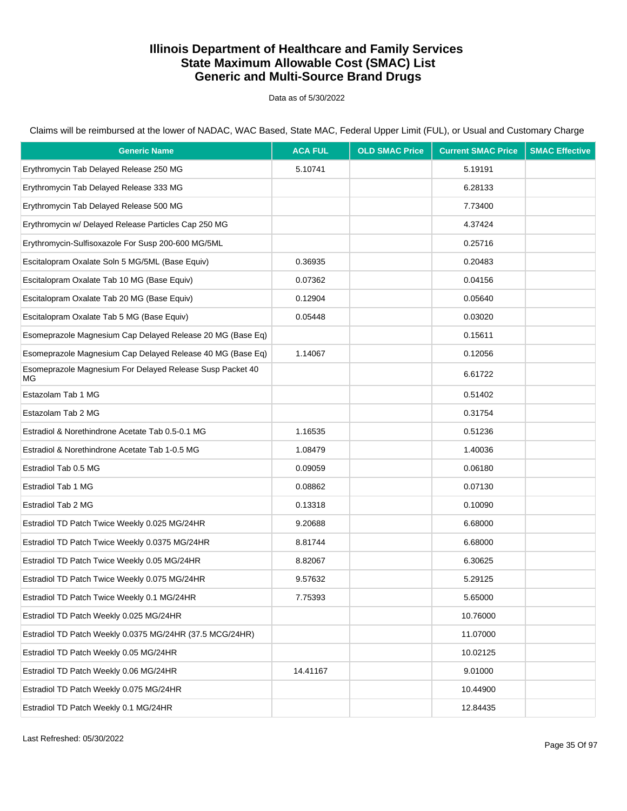Data as of 5/30/2022

Claims will be reimbursed at the lower of NADAC, WAC Based, State MAC, Federal Upper Limit (FUL), or Usual and Customary Charge

| <b>Generic Name</b>                                             | <b>ACA FUL</b> | <b>OLD SMAC Price</b> | <b>Current SMAC Price</b> | <b>SMAC Effective</b> |
|-----------------------------------------------------------------|----------------|-----------------------|---------------------------|-----------------------|
| Erythromycin Tab Delayed Release 250 MG                         | 5.10741        |                       | 5.19191                   |                       |
| Erythromycin Tab Delayed Release 333 MG                         |                |                       | 6.28133                   |                       |
| Erythromycin Tab Delayed Release 500 MG                         |                |                       | 7.73400                   |                       |
| Erythromycin w/ Delayed Release Particles Cap 250 MG            |                |                       | 4.37424                   |                       |
| Erythromycin-Sulfisoxazole For Susp 200-600 MG/5ML              |                |                       | 0.25716                   |                       |
| Escitalopram Oxalate Soln 5 MG/5ML (Base Equiv)                 | 0.36935        |                       | 0.20483                   |                       |
| Escitalopram Oxalate Tab 10 MG (Base Equiv)                     | 0.07362        |                       | 0.04156                   |                       |
| Escitalopram Oxalate Tab 20 MG (Base Equiv)                     | 0.12904        |                       | 0.05640                   |                       |
| Escitalopram Oxalate Tab 5 MG (Base Equiv)                      | 0.05448        |                       | 0.03020                   |                       |
| Esomeprazole Magnesium Cap Delayed Release 20 MG (Base Eq)      |                |                       | 0.15611                   |                       |
| Esomeprazole Magnesium Cap Delayed Release 40 MG (Base Eq)      | 1.14067        |                       | 0.12056                   |                       |
| Esomeprazole Magnesium For Delayed Release Susp Packet 40<br>МG |                |                       | 6.61722                   |                       |
| Estazolam Tab 1 MG                                              |                |                       | 0.51402                   |                       |
| Estazolam Tab 2 MG                                              |                |                       | 0.31754                   |                       |
| Estradiol & Norethindrone Acetate Tab 0.5-0.1 MG                | 1.16535        |                       | 0.51236                   |                       |
| Estradiol & Norethindrone Acetate Tab 1-0.5 MG                  | 1.08479        |                       | 1.40036                   |                       |
| Estradiol Tab 0.5 MG                                            | 0.09059        |                       | 0.06180                   |                       |
| Estradiol Tab 1 MG                                              | 0.08862        |                       | 0.07130                   |                       |
| Estradiol Tab 2 MG                                              | 0.13318        |                       | 0.10090                   |                       |
| Estradiol TD Patch Twice Weekly 0.025 MG/24HR                   | 9.20688        |                       | 6.68000                   |                       |
| Estradiol TD Patch Twice Weekly 0.0375 MG/24HR                  | 8.81744        |                       | 6.68000                   |                       |
| Estradiol TD Patch Twice Weekly 0.05 MG/24HR                    | 8.82067        |                       | 6.30625                   |                       |
| Estradiol TD Patch Twice Weekly 0.075 MG/24HR                   | 9.57632        |                       | 5.29125                   |                       |
| Estradiol TD Patch Twice Weekly 0.1 MG/24HR                     | 7.75393        |                       | 5.65000                   |                       |
| Estradiol TD Patch Weekly 0.025 MG/24HR                         |                |                       | 10.76000                  |                       |
| Estradiol TD Patch Weekly 0.0375 MG/24HR (37.5 MCG/24HR)        |                |                       | 11.07000                  |                       |
| Estradiol TD Patch Weekly 0.05 MG/24HR                          |                |                       | 10.02125                  |                       |
| Estradiol TD Patch Weekly 0.06 MG/24HR                          | 14.41167       |                       | 9.01000                   |                       |
| Estradiol TD Patch Weekly 0.075 MG/24HR                         |                |                       | 10.44900                  |                       |
| Estradiol TD Patch Weekly 0.1 MG/24HR                           |                |                       | 12.84435                  |                       |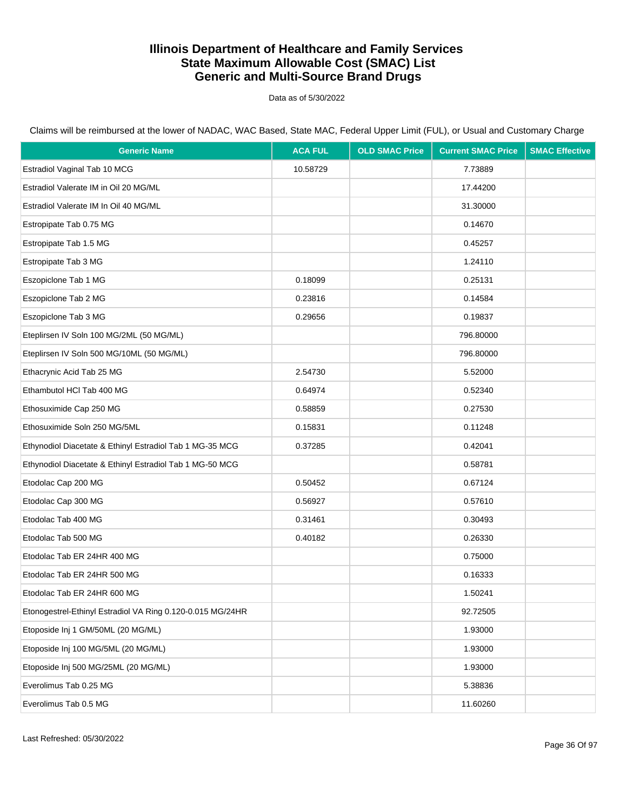Data as of 5/30/2022

| <b>Generic Name</b>                                        | <b>ACA FUL</b> | <b>OLD SMAC Price</b> | <b>Current SMAC Price</b> | <b>SMAC Effective</b> |
|------------------------------------------------------------|----------------|-----------------------|---------------------------|-----------------------|
| Estradiol Vaginal Tab 10 MCG                               | 10.58729       |                       | 7.73889                   |                       |
| Estradiol Valerate IM in Oil 20 MG/ML                      |                |                       | 17.44200                  |                       |
| Estradiol Valerate IM In Oil 40 MG/ML                      |                |                       | 31.30000                  |                       |
| Estropipate Tab 0.75 MG                                    |                |                       | 0.14670                   |                       |
| Estropipate Tab 1.5 MG                                     |                |                       | 0.45257                   |                       |
| Estropipate Tab 3 MG                                       |                |                       | 1.24110                   |                       |
| Eszopiclone Tab 1 MG                                       | 0.18099        |                       | 0.25131                   |                       |
| Eszopiclone Tab 2 MG                                       | 0.23816        |                       | 0.14584                   |                       |
| Eszopiclone Tab 3 MG                                       | 0.29656        |                       | 0.19837                   |                       |
| Eteplirsen IV Soln 100 MG/2ML (50 MG/ML)                   |                |                       | 796.80000                 |                       |
| Eteplirsen IV Soln 500 MG/10ML (50 MG/ML)                  |                |                       | 796.80000                 |                       |
| Ethacrynic Acid Tab 25 MG                                  | 2.54730        |                       | 5.52000                   |                       |
| Ethambutol HCl Tab 400 MG                                  | 0.64974        |                       | 0.52340                   |                       |
| Ethosuximide Cap 250 MG                                    | 0.58859        |                       | 0.27530                   |                       |
| Ethosuximide Soln 250 MG/5ML                               | 0.15831        |                       | 0.11248                   |                       |
| Ethynodiol Diacetate & Ethinyl Estradiol Tab 1 MG-35 MCG   | 0.37285        |                       | 0.42041                   |                       |
| Ethynodiol Diacetate & Ethinyl Estradiol Tab 1 MG-50 MCG   |                |                       | 0.58781                   |                       |
| Etodolac Cap 200 MG                                        | 0.50452        |                       | 0.67124                   |                       |
| Etodolac Cap 300 MG                                        | 0.56927        |                       | 0.57610                   |                       |
| Etodolac Tab 400 MG                                        | 0.31461        |                       | 0.30493                   |                       |
| Etodolac Tab 500 MG                                        | 0.40182        |                       | 0.26330                   |                       |
| Etodolac Tab ER 24HR 400 MG                                |                |                       | 0.75000                   |                       |
| Etodolac Tab ER 24HR 500 MG                                |                |                       | 0.16333                   |                       |
| Etodolac Tab ER 24HR 600 MG                                |                |                       | 1.50241                   |                       |
| Etonogestrel-Ethinyl Estradiol VA Ring 0.120-0.015 MG/24HR |                |                       | 92.72505                  |                       |
| Etoposide Inj 1 GM/50ML (20 MG/ML)                         |                |                       | 1.93000                   |                       |
| Etoposide Inj 100 MG/5ML (20 MG/ML)                        |                |                       | 1.93000                   |                       |
| Etoposide Inj 500 MG/25ML (20 MG/ML)                       |                |                       | 1.93000                   |                       |
| Everolimus Tab 0.25 MG                                     |                |                       | 5.38836                   |                       |
| Everolimus Tab 0.5 MG                                      |                |                       | 11.60260                  |                       |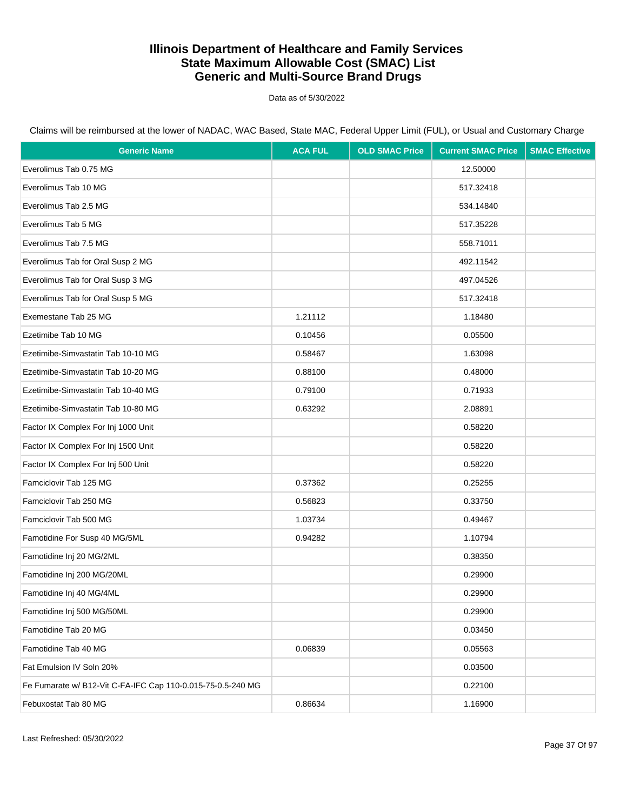Data as of 5/30/2022

| <b>Generic Name</b>                                         | <b>ACA FUL</b> | <b>OLD SMAC Price</b> | <b>Current SMAC Price</b> | <b>SMAC Effective</b> |
|-------------------------------------------------------------|----------------|-----------------------|---------------------------|-----------------------|
| Everolimus Tab 0.75 MG                                      |                |                       | 12.50000                  |                       |
| Everolimus Tab 10 MG                                        |                |                       | 517.32418                 |                       |
| Everolimus Tab 2.5 MG                                       |                |                       | 534.14840                 |                       |
| Everolimus Tab 5 MG                                         |                |                       | 517.35228                 |                       |
| Everolimus Tab 7.5 MG                                       |                |                       | 558.71011                 |                       |
| Everolimus Tab for Oral Susp 2 MG                           |                |                       | 492.11542                 |                       |
| Everolimus Tab for Oral Susp 3 MG                           |                |                       | 497.04526                 |                       |
| Everolimus Tab for Oral Susp 5 MG                           |                |                       | 517.32418                 |                       |
| Exemestane Tab 25 MG                                        | 1.21112        |                       | 1.18480                   |                       |
| Ezetimibe Tab 10 MG                                         | 0.10456        |                       | 0.05500                   |                       |
| Ezetimibe-Simvastatin Tab 10-10 MG                          | 0.58467        |                       | 1.63098                   |                       |
| Ezetimibe-Simvastatin Tab 10-20 MG                          | 0.88100        |                       | 0.48000                   |                       |
| Ezetimibe-Simvastatin Tab 10-40 MG                          | 0.79100        |                       | 0.71933                   |                       |
| Ezetimibe-Simvastatin Tab 10-80 MG                          | 0.63292        |                       | 2.08891                   |                       |
| Factor IX Complex For Inj 1000 Unit                         |                |                       | 0.58220                   |                       |
| Factor IX Complex For Inj 1500 Unit                         |                |                       | 0.58220                   |                       |
| Factor IX Complex For Inj 500 Unit                          |                |                       | 0.58220                   |                       |
| Famciclovir Tab 125 MG                                      | 0.37362        |                       | 0.25255                   |                       |
| Famciclovir Tab 250 MG                                      | 0.56823        |                       | 0.33750                   |                       |
| Famciclovir Tab 500 MG                                      | 1.03734        |                       | 0.49467                   |                       |
| Famotidine For Susp 40 MG/5ML                               | 0.94282        |                       | 1.10794                   |                       |
| Famotidine Inj 20 MG/2ML                                    |                |                       | 0.38350                   |                       |
| Famotidine Inj 200 MG/20ML                                  |                |                       | 0.29900                   |                       |
| Famotidine Inj 40 MG/4ML                                    |                |                       | 0.29900                   |                       |
| Famotidine Inj 500 MG/50ML                                  |                |                       | 0.29900                   |                       |
| Famotidine Tab 20 MG                                        |                |                       | 0.03450                   |                       |
| Famotidine Tab 40 MG                                        | 0.06839        |                       | 0.05563                   |                       |
| Fat Emulsion IV Soln 20%                                    |                |                       | 0.03500                   |                       |
| Fe Fumarate w/ B12-Vit C-FA-IFC Cap 110-0.015-75-0.5-240 MG |                |                       | 0.22100                   |                       |
| Febuxostat Tab 80 MG                                        | 0.86634        |                       | 1.16900                   |                       |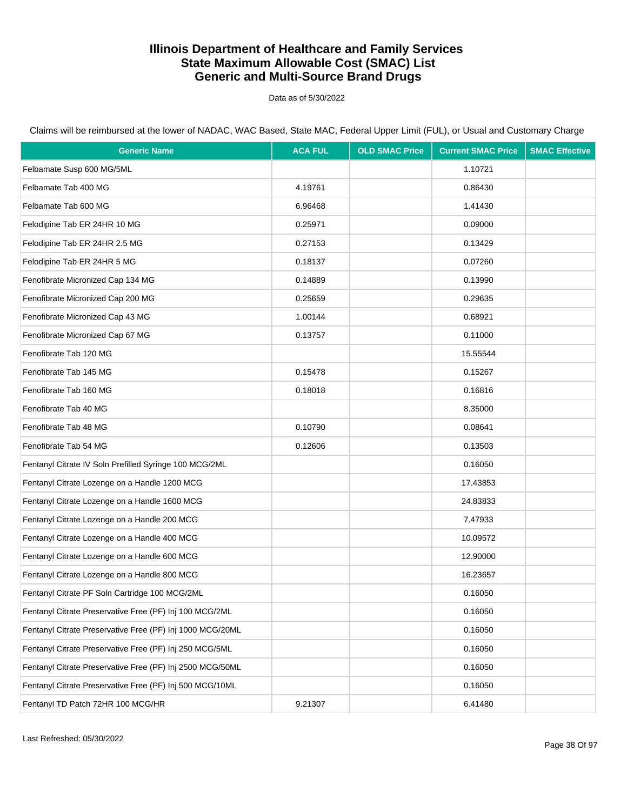Data as of 5/30/2022

Claims will be reimbursed at the lower of NADAC, WAC Based, State MAC, Federal Upper Limit (FUL), or Usual and Customary Charge

| <b>Generic Name</b>                                       | <b>ACA FUL</b> | <b>OLD SMAC Price</b> | <b>Current SMAC Price</b> | <b>SMAC Effective</b> |
|-----------------------------------------------------------|----------------|-----------------------|---------------------------|-----------------------|
| Felbamate Susp 600 MG/5ML                                 |                |                       | 1.10721                   |                       |
| Felbamate Tab 400 MG                                      | 4.19761        |                       | 0.86430                   |                       |
| Felbamate Tab 600 MG                                      | 6.96468        |                       | 1.41430                   |                       |
| Felodipine Tab ER 24HR 10 MG                              | 0.25971        |                       | 0.09000                   |                       |
| Felodipine Tab ER 24HR 2.5 MG                             | 0.27153        |                       | 0.13429                   |                       |
| Felodipine Tab ER 24HR 5 MG                               | 0.18137        |                       | 0.07260                   |                       |
| Fenofibrate Micronized Cap 134 MG                         | 0.14889        |                       | 0.13990                   |                       |
| Fenofibrate Micronized Cap 200 MG                         | 0.25659        |                       | 0.29635                   |                       |
| Fenofibrate Micronized Cap 43 MG                          | 1.00144        |                       | 0.68921                   |                       |
| Fenofibrate Micronized Cap 67 MG                          | 0.13757        |                       | 0.11000                   |                       |
| Fenofibrate Tab 120 MG                                    |                |                       | 15.55544                  |                       |
| Fenofibrate Tab 145 MG                                    | 0.15478        |                       | 0.15267                   |                       |
| Fenofibrate Tab 160 MG                                    | 0.18018        |                       | 0.16816                   |                       |
| Fenofibrate Tab 40 MG                                     |                |                       | 8.35000                   |                       |
| Fenofibrate Tab 48 MG                                     | 0.10790        |                       | 0.08641                   |                       |
| Fenofibrate Tab 54 MG                                     | 0.12606        |                       | 0.13503                   |                       |
| Fentanyl Citrate IV Soln Prefilled Syringe 100 MCG/2ML    |                |                       | 0.16050                   |                       |
| Fentanyl Citrate Lozenge on a Handle 1200 MCG             |                |                       | 17.43853                  |                       |
| Fentanyl Citrate Lozenge on a Handle 1600 MCG             |                |                       | 24.83833                  |                       |
| Fentanyl Citrate Lozenge on a Handle 200 MCG              |                |                       | 7.47933                   |                       |
| Fentanyl Citrate Lozenge on a Handle 400 MCG              |                |                       | 10.09572                  |                       |
| Fentanyl Citrate Lozenge on a Handle 600 MCG              |                |                       | 12.90000                  |                       |
| Fentanyl Citrate Lozenge on a Handle 800 MCG              |                |                       | 16.23657                  |                       |
| Fentanyl Citrate PF Soln Cartridge 100 MCG/2ML            |                |                       | 0.16050                   |                       |
| Fentanyl Citrate Preservative Free (PF) Inj 100 MCG/2ML   |                |                       | 0.16050                   |                       |
| Fentanyl Citrate Preservative Free (PF) Inj 1000 MCG/20ML |                |                       | 0.16050                   |                       |
| Fentanyl Citrate Preservative Free (PF) Inj 250 MCG/5ML   |                |                       | 0.16050                   |                       |
| Fentanyl Citrate Preservative Free (PF) Inj 2500 MCG/50ML |                |                       | 0.16050                   |                       |
| Fentanyl Citrate Preservative Free (PF) Inj 500 MCG/10ML  |                |                       | 0.16050                   |                       |
| Fentanyl TD Patch 72HR 100 MCG/HR                         | 9.21307        |                       | 6.41480                   |                       |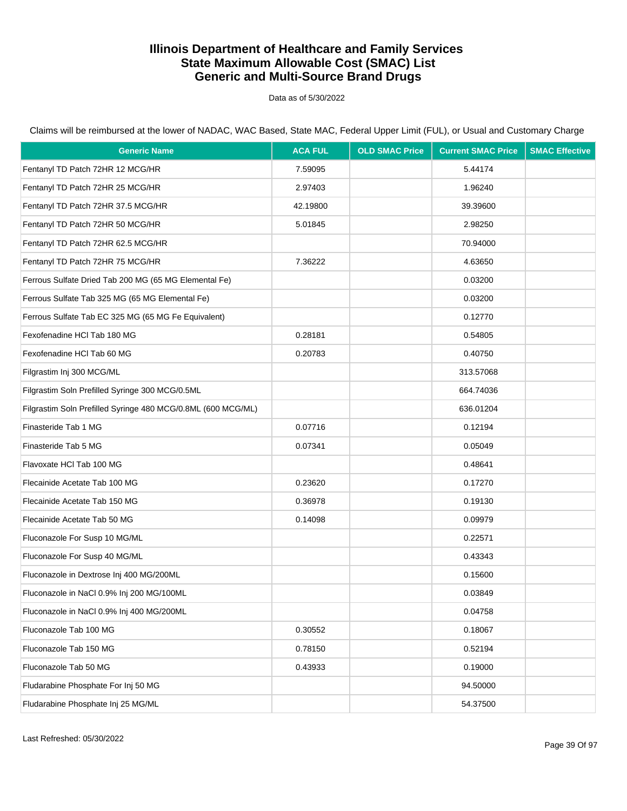Data as of 5/30/2022

| <b>Generic Name</b>                                          | <b>ACA FUL</b> | <b>OLD SMAC Price</b> | <b>Current SMAC Price</b> | <b>SMAC Effective</b> |
|--------------------------------------------------------------|----------------|-----------------------|---------------------------|-----------------------|
| Fentanyl TD Patch 72HR 12 MCG/HR                             | 7.59095        |                       | 5.44174                   |                       |
| Fentanyl TD Patch 72HR 25 MCG/HR                             | 2.97403        |                       | 1.96240                   |                       |
| Fentanyl TD Patch 72HR 37.5 MCG/HR                           | 42.19800       |                       | 39.39600                  |                       |
| Fentanyl TD Patch 72HR 50 MCG/HR                             | 5.01845        |                       | 2.98250                   |                       |
| Fentanyl TD Patch 72HR 62.5 MCG/HR                           |                |                       | 70.94000                  |                       |
| Fentanyl TD Patch 72HR 75 MCG/HR                             | 7.36222        |                       | 4.63650                   |                       |
| Ferrous Sulfate Dried Tab 200 MG (65 MG Elemental Fe)        |                |                       | 0.03200                   |                       |
| Ferrous Sulfate Tab 325 MG (65 MG Elemental Fe)              |                |                       | 0.03200                   |                       |
| Ferrous Sulfate Tab EC 325 MG (65 MG Fe Equivalent)          |                |                       | 0.12770                   |                       |
| Fexofenadine HCI Tab 180 MG                                  | 0.28181        |                       | 0.54805                   |                       |
| Fexofenadine HCl Tab 60 MG                                   | 0.20783        |                       | 0.40750                   |                       |
| Filgrastim Inj 300 MCG/ML                                    |                |                       | 313.57068                 |                       |
| Filgrastim Soln Prefilled Syringe 300 MCG/0.5ML              |                |                       | 664.74036                 |                       |
| Filgrastim Soln Prefilled Syringe 480 MCG/0.8ML (600 MCG/ML) |                |                       | 636.01204                 |                       |
| Finasteride Tab 1 MG                                         | 0.07716        |                       | 0.12194                   |                       |
| Finasteride Tab 5 MG                                         | 0.07341        |                       | 0.05049                   |                       |
| Flavoxate HCl Tab 100 MG                                     |                |                       | 0.48641                   |                       |
| Flecainide Acetate Tab 100 MG                                | 0.23620        |                       | 0.17270                   |                       |
| Flecainide Acetate Tab 150 MG                                | 0.36978        |                       | 0.19130                   |                       |
| Flecainide Acetate Tab 50 MG                                 | 0.14098        |                       | 0.09979                   |                       |
| Fluconazole For Susp 10 MG/ML                                |                |                       | 0.22571                   |                       |
| Fluconazole For Susp 40 MG/ML                                |                |                       | 0.43343                   |                       |
| Fluconazole in Dextrose Inj 400 MG/200ML                     |                |                       | 0.15600                   |                       |
| Fluconazole in NaCl 0.9% Inj 200 MG/100ML                    |                |                       | 0.03849                   |                       |
| Fluconazole in NaCl 0.9% Inj 400 MG/200ML                    |                |                       | 0.04758                   |                       |
| Fluconazole Tab 100 MG                                       | 0.30552        |                       | 0.18067                   |                       |
| Fluconazole Tab 150 MG                                       | 0.78150        |                       | 0.52194                   |                       |
| Fluconazole Tab 50 MG                                        | 0.43933        |                       | 0.19000                   |                       |
| Fludarabine Phosphate For Inj 50 MG                          |                |                       | 94.50000                  |                       |
| Fludarabine Phosphate Inj 25 MG/ML                           |                |                       | 54.37500                  |                       |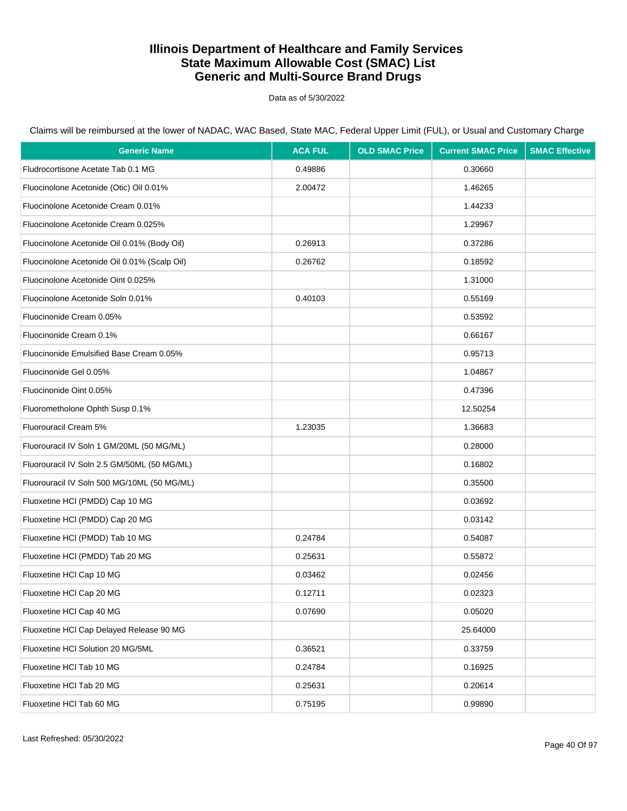Data as of 5/30/2022

| <b>Generic Name</b>                          | <b>ACA FUL</b> | <b>OLD SMAC Price</b> | <b>Current SMAC Price</b> | <b>SMAC Effective</b> |
|----------------------------------------------|----------------|-----------------------|---------------------------|-----------------------|
| Fludrocortisone Acetate Tab 0.1 MG           | 0.49886        |                       | 0.30660                   |                       |
| Fluocinolone Acetonide (Otic) Oil 0.01%      | 2.00472        |                       | 1.46265                   |                       |
| Fluocinolone Acetonide Cream 0.01%           |                |                       | 1.44233                   |                       |
| Fluocinolone Acetonide Cream 0.025%          |                |                       | 1.29967                   |                       |
| Fluocinolone Acetonide Oil 0.01% (Body Oil)  | 0.26913        |                       | 0.37286                   |                       |
| Fluocinolone Acetonide Oil 0.01% (Scalp Oil) | 0.26762        |                       | 0.18592                   |                       |
| Fluocinolone Acetonide Oint 0.025%           |                |                       | 1.31000                   |                       |
| Fluocinolone Acetonide Soln 0.01%            | 0.40103        |                       | 0.55169                   |                       |
| Fluocinonide Cream 0.05%                     |                |                       | 0.53592                   |                       |
| Fluocinonide Cream 0.1%                      |                |                       | 0.66167                   |                       |
| Fluocinonide Emulsified Base Cream 0.05%     |                |                       | 0.95713                   |                       |
| Fluocinonide Gel 0.05%                       |                |                       | 1.04867                   |                       |
| Fluocinonide Oint 0.05%                      |                |                       | 0.47396                   |                       |
| Fluorometholone Ophth Susp 0.1%              |                |                       | 12.50254                  |                       |
| Fluorouracil Cream 5%                        | 1.23035        |                       | 1.36683                   |                       |
| Fluorouracil IV Soln 1 GM/20ML (50 MG/ML)    |                |                       | 0.28000                   |                       |
| Fluorouracil IV Soln 2.5 GM/50ML (50 MG/ML)  |                |                       | 0.16802                   |                       |
| Fluorouracil IV Soln 500 MG/10ML (50 MG/ML)  |                |                       | 0.35500                   |                       |
| Fluoxetine HCI (PMDD) Cap 10 MG              |                |                       | 0.03692                   |                       |
| Fluoxetine HCI (PMDD) Cap 20 MG              |                |                       | 0.03142                   |                       |
| Fluoxetine HCI (PMDD) Tab 10 MG              | 0.24784        |                       | 0.54087                   |                       |
| Fluoxetine HCI (PMDD) Tab 20 MG              | 0.25631        |                       | 0.55872                   |                       |
| Fluoxetine HCl Cap 10 MG                     | 0.03462        |                       | 0.02456                   |                       |
| Fluoxetine HCl Cap 20 MG                     | 0.12711        |                       | 0.02323                   |                       |
| Fluoxetine HCl Cap 40 MG                     | 0.07690        |                       | 0.05020                   |                       |
| Fluoxetine HCl Cap Delayed Release 90 MG     |                |                       | 25.64000                  |                       |
| Fluoxetine HCl Solution 20 MG/5ML            | 0.36521        |                       | 0.33759                   |                       |
| Fluoxetine HCl Tab 10 MG                     | 0.24784        |                       | 0.16925                   |                       |
| Fluoxetine HCl Tab 20 MG                     | 0.25631        |                       | 0.20614                   |                       |
| Fluoxetine HCl Tab 60 MG                     | 0.75195        |                       | 0.99890                   |                       |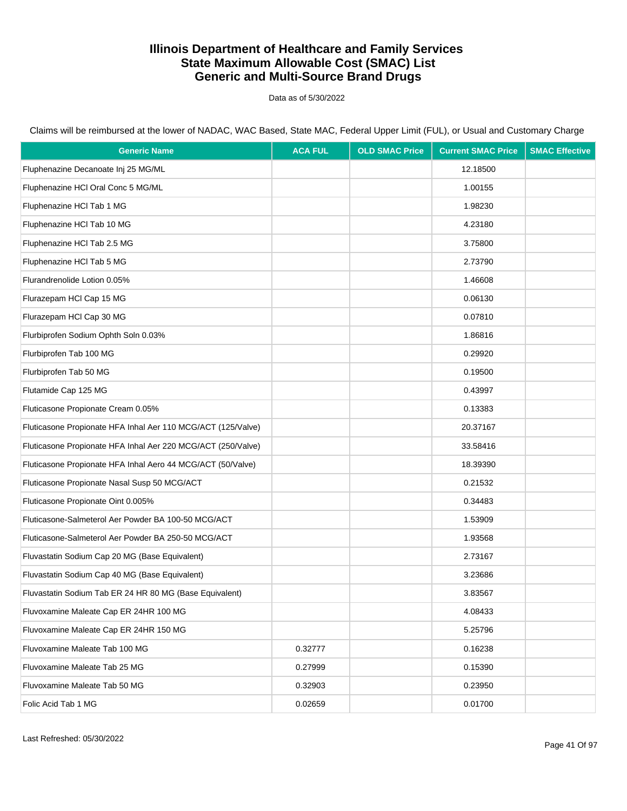Data as of 5/30/2022

| <b>Generic Name</b>                                          | <b>ACA FUL</b> | <b>OLD SMAC Price</b> | <b>Current SMAC Price</b> | <b>SMAC Effective</b> |
|--------------------------------------------------------------|----------------|-----------------------|---------------------------|-----------------------|
| Fluphenazine Decanoate Inj 25 MG/ML                          |                |                       | 12.18500                  |                       |
| Fluphenazine HCl Oral Conc 5 MG/ML                           |                |                       | 1.00155                   |                       |
| Fluphenazine HCl Tab 1 MG                                    |                |                       | 1.98230                   |                       |
| Fluphenazine HCl Tab 10 MG                                   |                |                       | 4.23180                   |                       |
| Fluphenazine HCI Tab 2.5 MG                                  |                |                       | 3.75800                   |                       |
| Fluphenazine HCl Tab 5 MG                                    |                |                       | 2.73790                   |                       |
| Flurandrenolide Lotion 0.05%                                 |                |                       | 1.46608                   |                       |
| Flurazepam HCl Cap 15 MG                                     |                |                       | 0.06130                   |                       |
| Flurazepam HCl Cap 30 MG                                     |                |                       | 0.07810                   |                       |
| Flurbiprofen Sodium Ophth Soln 0.03%                         |                |                       | 1.86816                   |                       |
| Flurbiprofen Tab 100 MG                                      |                |                       | 0.29920                   |                       |
| Flurbiprofen Tab 50 MG                                       |                |                       | 0.19500                   |                       |
| Flutamide Cap 125 MG                                         |                |                       | 0.43997                   |                       |
| Fluticasone Propionate Cream 0.05%                           |                |                       | 0.13383                   |                       |
| Fluticasone Propionate HFA Inhal Aer 110 MCG/ACT (125/Valve) |                |                       | 20.37167                  |                       |
| Fluticasone Propionate HFA Inhal Aer 220 MCG/ACT (250/Valve) |                |                       | 33.58416                  |                       |
| Fluticasone Propionate HFA Inhal Aero 44 MCG/ACT (50/Valve)  |                |                       | 18.39390                  |                       |
| Fluticasone Propionate Nasal Susp 50 MCG/ACT                 |                |                       | 0.21532                   |                       |
| Fluticasone Propionate Oint 0.005%                           |                |                       | 0.34483                   |                       |
| Fluticasone-Salmeterol Aer Powder BA 100-50 MCG/ACT          |                |                       | 1.53909                   |                       |
| Fluticasone-Salmeterol Aer Powder BA 250-50 MCG/ACT          |                |                       | 1.93568                   |                       |
| Fluvastatin Sodium Cap 20 MG (Base Equivalent)               |                |                       | 2.73167                   |                       |
| Fluvastatin Sodium Cap 40 MG (Base Equivalent)               |                |                       | 3.23686                   |                       |
| Fluvastatin Sodium Tab ER 24 HR 80 MG (Base Equivalent)      |                |                       | 3.83567                   |                       |
| Fluvoxamine Maleate Cap ER 24HR 100 MG                       |                |                       | 4.08433                   |                       |
| Fluvoxamine Maleate Cap ER 24HR 150 MG                       |                |                       | 5.25796                   |                       |
| Fluvoxamine Maleate Tab 100 MG                               | 0.32777        |                       | 0.16238                   |                       |
| Fluvoxamine Maleate Tab 25 MG                                | 0.27999        |                       | 0.15390                   |                       |
| Fluvoxamine Maleate Tab 50 MG                                | 0.32903        |                       | 0.23950                   |                       |
| Folic Acid Tab 1 MG                                          | 0.02659        |                       | 0.01700                   |                       |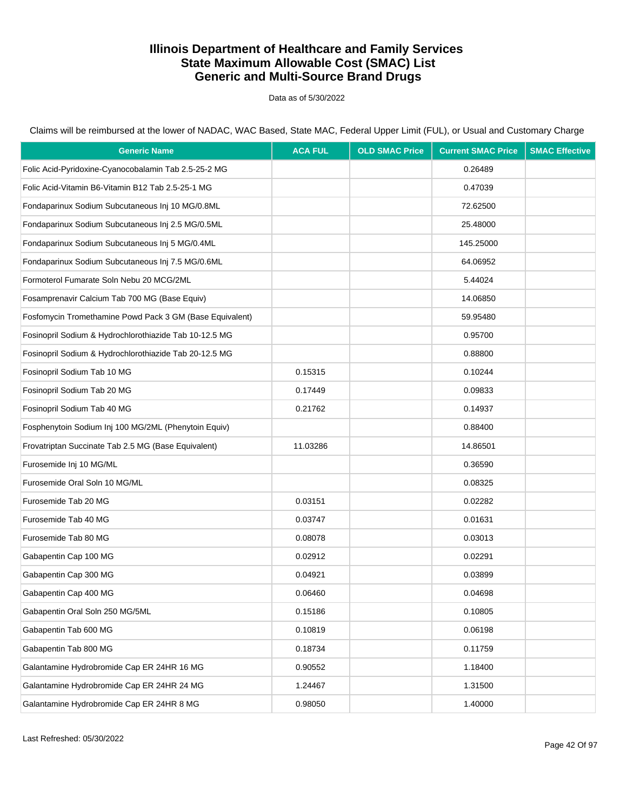Data as of 5/30/2022

Claims will be reimbursed at the lower of NADAC, WAC Based, State MAC, Federal Upper Limit (FUL), or Usual and Customary Charge

| <b>Generic Name</b>                                      | <b>ACA FUL</b> | <b>OLD SMAC Price</b> | <b>Current SMAC Price</b> | <b>SMAC Effective</b> |
|----------------------------------------------------------|----------------|-----------------------|---------------------------|-----------------------|
| Folic Acid-Pyridoxine-Cyanocobalamin Tab 2.5-25-2 MG     |                |                       | 0.26489                   |                       |
| Folic Acid-Vitamin B6-Vitamin B12 Tab 2.5-25-1 MG        |                |                       | 0.47039                   |                       |
| Fondaparinux Sodium Subcutaneous Inj 10 MG/0.8ML         |                |                       | 72.62500                  |                       |
| Fondaparinux Sodium Subcutaneous Inj 2.5 MG/0.5ML        |                |                       | 25.48000                  |                       |
| Fondaparinux Sodium Subcutaneous Inj 5 MG/0.4ML          |                |                       | 145.25000                 |                       |
| Fondaparinux Sodium Subcutaneous Inj 7.5 MG/0.6ML        |                |                       | 64.06952                  |                       |
| Formoterol Fumarate Soln Nebu 20 MCG/2ML                 |                |                       | 5.44024                   |                       |
| Fosamprenavir Calcium Tab 700 MG (Base Equiv)            |                |                       | 14.06850                  |                       |
| Fosfomycin Tromethamine Powd Pack 3 GM (Base Equivalent) |                |                       | 59.95480                  |                       |
| Fosinopril Sodium & Hydrochlorothiazide Tab 10-12.5 MG   |                |                       | 0.95700                   |                       |
| Fosinopril Sodium & Hydrochlorothiazide Tab 20-12.5 MG   |                |                       | 0.88800                   |                       |
| Fosinopril Sodium Tab 10 MG                              | 0.15315        |                       | 0.10244                   |                       |
| Fosinopril Sodium Tab 20 MG                              | 0.17449        |                       | 0.09833                   |                       |
| Fosinopril Sodium Tab 40 MG                              | 0.21762        |                       | 0.14937                   |                       |
| Fosphenytoin Sodium Inj 100 MG/2ML (Phenytoin Equiv)     |                |                       | 0.88400                   |                       |
| Frovatriptan Succinate Tab 2.5 MG (Base Equivalent)      | 11.03286       |                       | 14.86501                  |                       |
| Furosemide Inj 10 MG/ML                                  |                |                       | 0.36590                   |                       |
| Furosemide Oral Soln 10 MG/ML                            |                |                       | 0.08325                   |                       |
| Furosemide Tab 20 MG                                     | 0.03151        |                       | 0.02282                   |                       |
| Furosemide Tab 40 MG                                     | 0.03747        |                       | 0.01631                   |                       |
| Furosemide Tab 80 MG                                     | 0.08078        |                       | 0.03013                   |                       |
| Gabapentin Cap 100 MG                                    | 0.02912        |                       | 0.02291                   |                       |
| Gabapentin Cap 300 MG                                    | 0.04921        |                       | 0.03899                   |                       |
| Gabapentin Cap 400 MG                                    | 0.06460        |                       | 0.04698                   |                       |
| Gabapentin Oral Soln 250 MG/5ML                          | 0.15186        |                       | 0.10805                   |                       |
| Gabapentin Tab 600 MG                                    | 0.10819        |                       | 0.06198                   |                       |
| Gabapentin Tab 800 MG                                    | 0.18734        |                       | 0.11759                   |                       |
| Galantamine Hydrobromide Cap ER 24HR 16 MG               | 0.90552        |                       | 1.18400                   |                       |
| Galantamine Hydrobromide Cap ER 24HR 24 MG               | 1.24467        |                       | 1.31500                   |                       |
| Galantamine Hydrobromide Cap ER 24HR 8 MG                | 0.98050        |                       | 1.40000                   |                       |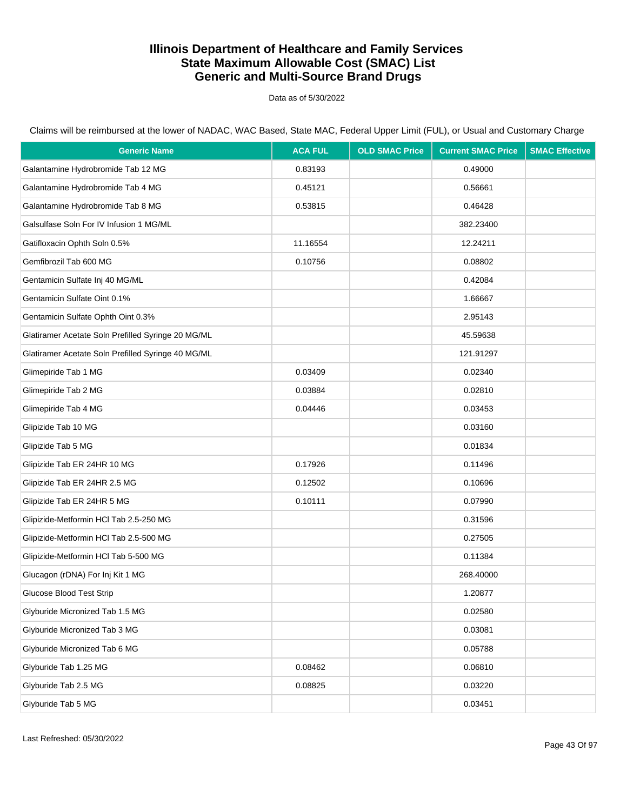Data as of 5/30/2022

| <b>Generic Name</b>                                | <b>ACA FUL</b> | <b>OLD SMAC Price</b> | <b>Current SMAC Price</b> | <b>SMAC Effective</b> |
|----------------------------------------------------|----------------|-----------------------|---------------------------|-----------------------|
| Galantamine Hydrobromide Tab 12 MG                 | 0.83193        |                       | 0.49000                   |                       |
| Galantamine Hydrobromide Tab 4 MG                  | 0.45121        |                       | 0.56661                   |                       |
| Galantamine Hydrobromide Tab 8 MG                  | 0.53815        |                       | 0.46428                   |                       |
| Galsulfase Soln For IV Infusion 1 MG/ML            |                |                       | 382.23400                 |                       |
| Gatifloxacin Ophth Soln 0.5%                       | 11.16554       |                       | 12.24211                  |                       |
| Gemfibrozil Tab 600 MG                             | 0.10756        |                       | 0.08802                   |                       |
| Gentamicin Sulfate Inj 40 MG/ML                    |                |                       | 0.42084                   |                       |
| Gentamicin Sulfate Oint 0.1%                       |                |                       | 1.66667                   |                       |
| Gentamicin Sulfate Ophth Oint 0.3%                 |                |                       | 2.95143                   |                       |
| Glatiramer Acetate Soln Prefilled Syringe 20 MG/ML |                |                       | 45.59638                  |                       |
| Glatiramer Acetate Soln Prefilled Syringe 40 MG/ML |                |                       | 121.91297                 |                       |
| Glimepiride Tab 1 MG                               | 0.03409        |                       | 0.02340                   |                       |
| Glimepiride Tab 2 MG                               | 0.03884        |                       | 0.02810                   |                       |
| Glimepiride Tab 4 MG                               | 0.04446        |                       | 0.03453                   |                       |
| Glipizide Tab 10 MG                                |                |                       | 0.03160                   |                       |
| Glipizide Tab 5 MG                                 |                |                       | 0.01834                   |                       |
| Glipizide Tab ER 24HR 10 MG                        | 0.17926        |                       | 0.11496                   |                       |
| Glipizide Tab ER 24HR 2.5 MG                       | 0.12502        |                       | 0.10696                   |                       |
| Glipizide Tab ER 24HR 5 MG                         | 0.10111        |                       | 0.07990                   |                       |
| Glipizide-Metformin HCl Tab 2.5-250 MG             |                |                       | 0.31596                   |                       |
| Glipizide-Metformin HCl Tab 2.5-500 MG             |                |                       | 0.27505                   |                       |
| Glipizide-Metformin HCl Tab 5-500 MG               |                |                       | 0.11384                   |                       |
| Glucagon (rDNA) For Inj Kit 1 MG                   |                |                       | 268.40000                 |                       |
| Glucose Blood Test Strip                           |                |                       | 1.20877                   |                       |
| Glyburide Micronized Tab 1.5 MG                    |                |                       | 0.02580                   |                       |
| Glyburide Micronized Tab 3 MG                      |                |                       | 0.03081                   |                       |
| Glyburide Micronized Tab 6 MG                      |                |                       | 0.05788                   |                       |
| Glyburide Tab 1.25 MG                              | 0.08462        |                       | 0.06810                   |                       |
| Glyburide Tab 2.5 MG                               | 0.08825        |                       | 0.03220                   |                       |
| Glyburide Tab 5 MG                                 |                |                       | 0.03451                   |                       |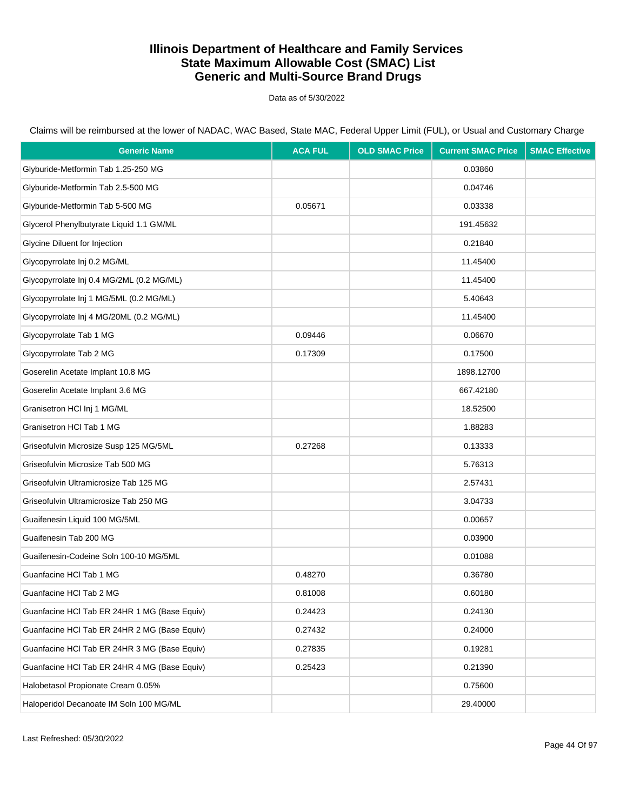Data as of 5/30/2022

Claims will be reimbursed at the lower of NADAC, WAC Based, State MAC, Federal Upper Limit (FUL), or Usual and Customary Charge

| <b>Generic Name</b>                          | <b>ACA FUL</b> | <b>OLD SMAC Price</b> | <b>Current SMAC Price</b> | <b>SMAC Effective</b> |
|----------------------------------------------|----------------|-----------------------|---------------------------|-----------------------|
| Glyburide-Metformin Tab 1.25-250 MG          |                |                       | 0.03860                   |                       |
| Glyburide-Metformin Tab 2.5-500 MG           |                |                       | 0.04746                   |                       |
| Glyburide-Metformin Tab 5-500 MG             | 0.05671        |                       | 0.03338                   |                       |
| Glycerol Phenylbutyrate Liquid 1.1 GM/ML     |                |                       | 191.45632                 |                       |
| Glycine Diluent for Injection                |                |                       | 0.21840                   |                       |
| Glycopyrrolate Inj 0.2 MG/ML                 |                |                       | 11.45400                  |                       |
| Glycopyrrolate Inj 0.4 MG/2ML (0.2 MG/ML)    |                |                       | 11.45400                  |                       |
| Glycopyrrolate Inj 1 MG/5ML (0.2 MG/ML)      |                |                       | 5.40643                   |                       |
| Glycopyrrolate Inj 4 MG/20ML (0.2 MG/ML)     |                |                       | 11.45400                  |                       |
| Glycopyrrolate Tab 1 MG                      | 0.09446        |                       | 0.06670                   |                       |
| Glycopyrrolate Tab 2 MG                      | 0.17309        |                       | 0.17500                   |                       |
| Goserelin Acetate Implant 10.8 MG            |                |                       | 1898.12700                |                       |
| Goserelin Acetate Implant 3.6 MG             |                |                       | 667.42180                 |                       |
| Granisetron HCl Inj 1 MG/ML                  |                |                       | 18.52500                  |                       |
| Granisetron HCI Tab 1 MG                     |                |                       | 1.88283                   |                       |
| Griseofulvin Microsize Susp 125 MG/5ML       | 0.27268        |                       | 0.13333                   |                       |
| Griseofulvin Microsize Tab 500 MG            |                |                       | 5.76313                   |                       |
| Griseofulvin Ultramicrosize Tab 125 MG       |                |                       | 2.57431                   |                       |
| Griseofulvin Ultramicrosize Tab 250 MG       |                |                       | 3.04733                   |                       |
| Guaifenesin Liquid 100 MG/5ML                |                |                       | 0.00657                   |                       |
| Guaifenesin Tab 200 MG                       |                |                       | 0.03900                   |                       |
| Guaifenesin-Codeine Soln 100-10 MG/5ML       |                |                       | 0.01088                   |                       |
| Guanfacine HCl Tab 1 MG                      | 0.48270        |                       | 0.36780                   |                       |
| Guanfacine HCI Tab 2 MG                      | 0.81008        |                       | 0.60180                   |                       |
| Guanfacine HCI Tab ER 24HR 1 MG (Base Equiv) | 0.24423        |                       | 0.24130                   |                       |
| Guanfacine HCI Tab ER 24HR 2 MG (Base Equiv) | 0.27432        |                       | 0.24000                   |                       |
| Guanfacine HCI Tab ER 24HR 3 MG (Base Equiv) | 0.27835        |                       | 0.19281                   |                       |
| Guanfacine HCI Tab ER 24HR 4 MG (Base Equiv) | 0.25423        |                       | 0.21390                   |                       |
| Halobetasol Propionate Cream 0.05%           |                |                       | 0.75600                   |                       |
| Haloperidol Decanoate IM Soln 100 MG/ML      |                |                       | 29.40000                  |                       |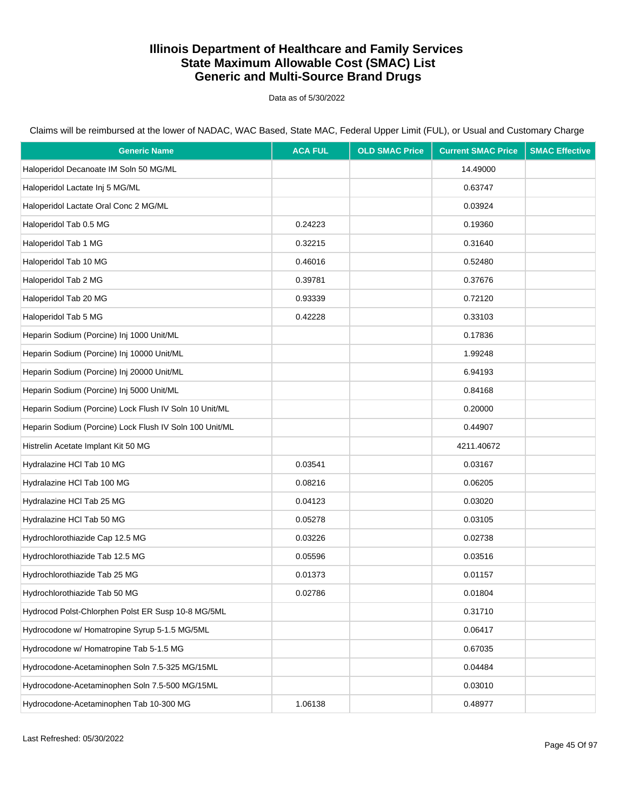Data as of 5/30/2022

Claims will be reimbursed at the lower of NADAC, WAC Based, State MAC, Federal Upper Limit (FUL), or Usual and Customary Charge

| <b>Generic Name</b>                                     | <b>ACA FUL</b> | <b>OLD SMAC Price</b> | <b>Current SMAC Price</b> | <b>SMAC Effective</b> |
|---------------------------------------------------------|----------------|-----------------------|---------------------------|-----------------------|
| Haloperidol Decanoate IM Soln 50 MG/ML                  |                |                       | 14.49000                  |                       |
| Haloperidol Lactate Inj 5 MG/ML                         |                |                       | 0.63747                   |                       |
| Haloperidol Lactate Oral Conc 2 MG/ML                   |                |                       | 0.03924                   |                       |
| Haloperidol Tab 0.5 MG                                  | 0.24223        |                       | 0.19360                   |                       |
| Haloperidol Tab 1 MG                                    | 0.32215        |                       | 0.31640                   |                       |
| Haloperidol Tab 10 MG                                   | 0.46016        |                       | 0.52480                   |                       |
| Haloperidol Tab 2 MG                                    | 0.39781        |                       | 0.37676                   |                       |
| Haloperidol Tab 20 MG                                   | 0.93339        |                       | 0.72120                   |                       |
| Haloperidol Tab 5 MG                                    | 0.42228        |                       | 0.33103                   |                       |
| Heparin Sodium (Porcine) Inj 1000 Unit/ML               |                |                       | 0.17836                   |                       |
| Heparin Sodium (Porcine) Inj 10000 Unit/ML              |                |                       | 1.99248                   |                       |
| Heparin Sodium (Porcine) Inj 20000 Unit/ML              |                |                       | 6.94193                   |                       |
| Heparin Sodium (Porcine) Inj 5000 Unit/ML               |                |                       | 0.84168                   |                       |
| Heparin Sodium (Porcine) Lock Flush IV Soln 10 Unit/ML  |                |                       | 0.20000                   |                       |
| Heparin Sodium (Porcine) Lock Flush IV Soln 100 Unit/ML |                |                       | 0.44907                   |                       |
| Histrelin Acetate Implant Kit 50 MG                     |                |                       | 4211.40672                |                       |
| Hydralazine HCl Tab 10 MG                               | 0.03541        |                       | 0.03167                   |                       |
| Hydralazine HCl Tab 100 MG                              | 0.08216        |                       | 0.06205                   |                       |
| Hydralazine HCl Tab 25 MG                               | 0.04123        |                       | 0.03020                   |                       |
| Hydralazine HCl Tab 50 MG                               | 0.05278        |                       | 0.03105                   |                       |
| Hydrochlorothiazide Cap 12.5 MG                         | 0.03226        |                       | 0.02738                   |                       |
| Hydrochlorothiazide Tab 12.5 MG                         | 0.05596        |                       | 0.03516                   |                       |
| Hydrochlorothiazide Tab 25 MG                           | 0.01373        |                       | 0.01157                   |                       |
| Hydrochlorothiazide Tab 50 MG                           | 0.02786        |                       | 0.01804                   |                       |
| Hydrocod Polst-Chlorphen Polst ER Susp 10-8 MG/5ML      |                |                       | 0.31710                   |                       |
| Hydrocodone w/ Homatropine Syrup 5-1.5 MG/5ML           |                |                       | 0.06417                   |                       |
| Hydrocodone w/ Homatropine Tab 5-1.5 MG                 |                |                       | 0.67035                   |                       |
| Hydrocodone-Acetaminophen Soln 7.5-325 MG/15ML          |                |                       | 0.04484                   |                       |
| Hydrocodone-Acetaminophen Soln 7.5-500 MG/15ML          |                |                       | 0.03010                   |                       |
| Hydrocodone-Acetaminophen Tab 10-300 MG                 | 1.06138        |                       | 0.48977                   |                       |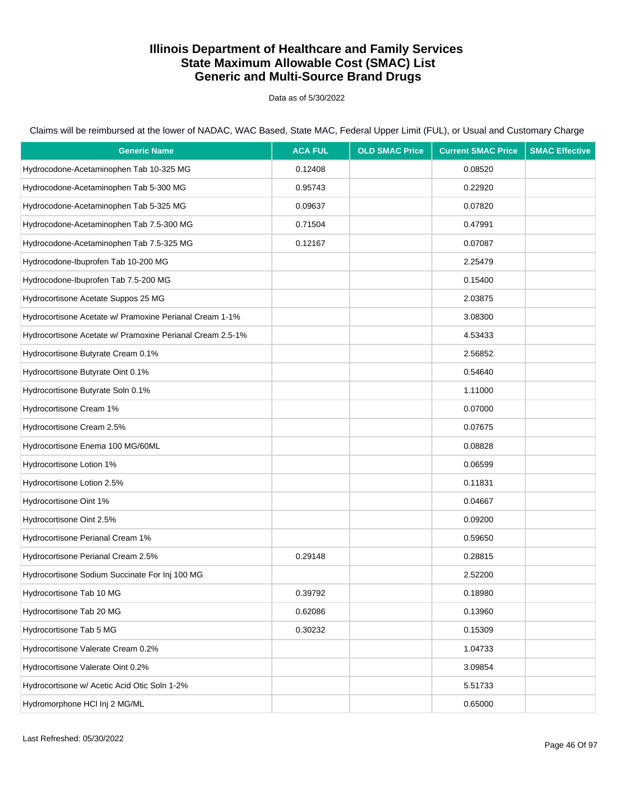Data as of 5/30/2022

Claims will be reimbursed at the lower of NADAC, WAC Based, State MAC, Federal Upper Limit (FUL), or Usual and Customary Charge

| <b>Generic Name</b>                                       | <b>ACA FUL</b> | <b>OLD SMAC Price</b> | <b>Current SMAC Price</b> | <b>SMAC Effective</b> |
|-----------------------------------------------------------|----------------|-----------------------|---------------------------|-----------------------|
| Hydrocodone-Acetaminophen Tab 10-325 MG                   | 0.12408        |                       | 0.08520                   |                       |
| Hydrocodone-Acetaminophen Tab 5-300 MG                    | 0.95743        |                       | 0.22920                   |                       |
| Hydrocodone-Acetaminophen Tab 5-325 MG                    | 0.09637        |                       | 0.07820                   |                       |
| Hydrocodone-Acetaminophen Tab 7.5-300 MG                  | 0.71504        |                       | 0.47991                   |                       |
| Hydrocodone-Acetaminophen Tab 7.5-325 MG                  | 0.12167        |                       | 0.07087                   |                       |
| Hydrocodone-Ibuprofen Tab 10-200 MG                       |                |                       | 2.25479                   |                       |
| Hydrocodone-Ibuprofen Tab 7.5-200 MG                      |                |                       | 0.15400                   |                       |
| Hydrocortisone Acetate Suppos 25 MG                       |                |                       | 2.03875                   |                       |
| Hydrocortisone Acetate w/ Pramoxine Perianal Cream 1-1%   |                |                       | 3.08300                   |                       |
| Hydrocortisone Acetate w/ Pramoxine Perianal Cream 2.5-1% |                |                       | 4.53433                   |                       |
| Hydrocortisone Butyrate Cream 0.1%                        |                |                       | 2.56852                   |                       |
| Hydrocortisone Butyrate Oint 0.1%                         |                |                       | 0.54640                   |                       |
| Hydrocortisone Butyrate Soln 0.1%                         |                |                       | 1.11000                   |                       |
| Hydrocortisone Cream 1%                                   |                |                       | 0.07000                   |                       |
| Hydrocortisone Cream 2.5%                                 |                |                       | 0.07675                   |                       |
| Hydrocortisone Enema 100 MG/60ML                          |                |                       | 0.08828                   |                       |
| Hydrocortisone Lotion 1%                                  |                |                       | 0.06599                   |                       |
| Hydrocortisone Lotion 2.5%                                |                |                       | 0.11831                   |                       |
| Hydrocortisone Oint 1%                                    |                |                       | 0.04667                   |                       |
| Hydrocortisone Oint 2.5%                                  |                |                       | 0.09200                   |                       |
| Hydrocortisone Perianal Cream 1%                          |                |                       | 0.59650                   |                       |
| Hydrocortisone Perianal Cream 2.5%                        | 0.29148        |                       | 0.28815                   |                       |
| Hydrocortisone Sodium Succinate For Inj 100 MG            |                |                       | 2.52200                   |                       |
| Hydrocortisone Tab 10 MG                                  | 0.39792        |                       | 0.18980                   |                       |
| Hydrocortisone Tab 20 MG                                  | 0.62086        |                       | 0.13960                   |                       |
| Hydrocortisone Tab 5 MG                                   | 0.30232        |                       | 0.15309                   |                       |
| Hydrocortisone Valerate Cream 0.2%                        |                |                       | 1.04733                   |                       |
| Hydrocortisone Valerate Oint 0.2%                         |                |                       | 3.09854                   |                       |
| Hydrocortisone w/ Acetic Acid Otic Soln 1-2%              |                |                       | 5.51733                   |                       |
| Hydromorphone HCl Inj 2 MG/ML                             |                |                       | 0.65000                   |                       |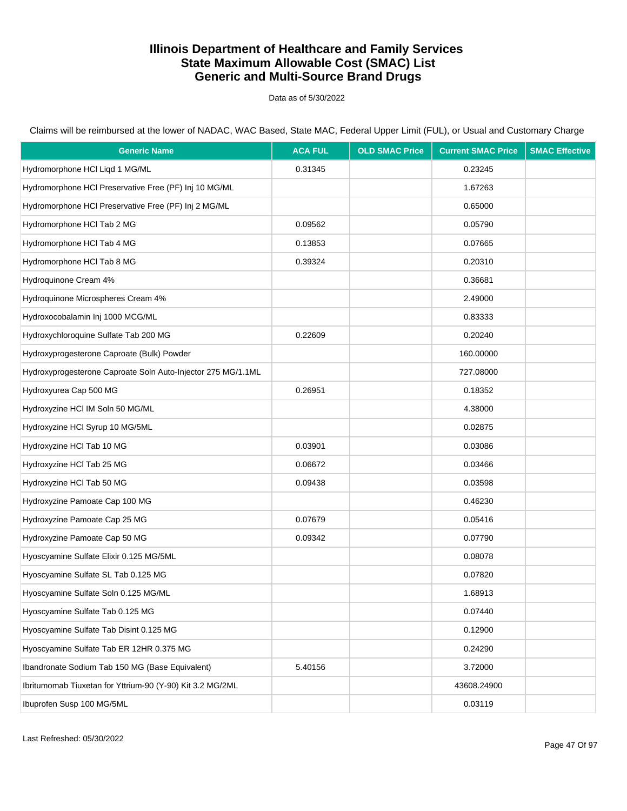Data as of 5/30/2022

| <b>Generic Name</b>                                          | <b>ACA FUL</b> | <b>OLD SMAC Price</b> | <b>Current SMAC Price</b> | <b>SMAC Effective</b> |
|--------------------------------------------------------------|----------------|-----------------------|---------------------------|-----------------------|
| Hydromorphone HCI Liqd 1 MG/ML                               | 0.31345        |                       | 0.23245                   |                       |
| Hydromorphone HCI Preservative Free (PF) Inj 10 MG/ML        |                |                       | 1.67263                   |                       |
| Hydromorphone HCI Preservative Free (PF) Inj 2 MG/ML         |                |                       | 0.65000                   |                       |
| Hydromorphone HCl Tab 2 MG                                   | 0.09562        |                       | 0.05790                   |                       |
| Hydromorphone HCI Tab 4 MG                                   | 0.13853        |                       | 0.07665                   |                       |
| Hydromorphone HCl Tab 8 MG                                   | 0.39324        |                       | 0.20310                   |                       |
| Hydroquinone Cream 4%                                        |                |                       | 0.36681                   |                       |
| Hydroquinone Microspheres Cream 4%                           |                |                       | 2.49000                   |                       |
| Hydroxocobalamin Inj 1000 MCG/ML                             |                |                       | 0.83333                   |                       |
| Hydroxychloroquine Sulfate Tab 200 MG                        | 0.22609        |                       | 0.20240                   |                       |
| Hydroxyprogesterone Caproate (Bulk) Powder                   |                |                       | 160.00000                 |                       |
| Hydroxyprogesterone Caproate Soln Auto-Injector 275 MG/1.1ML |                |                       | 727.08000                 |                       |
| Hydroxyurea Cap 500 MG                                       | 0.26951        |                       | 0.18352                   |                       |
| Hydroxyzine HCI IM Soln 50 MG/ML                             |                |                       | 4.38000                   |                       |
| Hydroxyzine HCI Syrup 10 MG/5ML                              |                |                       | 0.02875                   |                       |
| Hydroxyzine HCl Tab 10 MG                                    | 0.03901        |                       | 0.03086                   |                       |
| Hydroxyzine HCI Tab 25 MG                                    | 0.06672        |                       | 0.03466                   |                       |
| Hydroxyzine HCl Tab 50 MG                                    | 0.09438        |                       | 0.03598                   |                       |
| Hydroxyzine Pamoate Cap 100 MG                               |                |                       | 0.46230                   |                       |
| Hydroxyzine Pamoate Cap 25 MG                                | 0.07679        |                       | 0.05416                   |                       |
| Hydroxyzine Pamoate Cap 50 MG                                | 0.09342        |                       | 0.07790                   |                       |
| Hyoscyamine Sulfate Elixir 0.125 MG/5ML                      |                |                       | 0.08078                   |                       |
| Hyoscyamine Sulfate SL Tab 0.125 MG                          |                |                       | 0.07820                   |                       |
| Hyoscyamine Sulfate Soln 0.125 MG/ML                         |                |                       | 1.68913                   |                       |
| Hyoscyamine Sulfate Tab 0.125 MG                             |                |                       | 0.07440                   |                       |
| Hyoscyamine Sulfate Tab Disint 0.125 MG                      |                |                       | 0.12900                   |                       |
| Hyoscyamine Sulfate Tab ER 12HR 0.375 MG                     |                |                       | 0.24290                   |                       |
| Ibandronate Sodium Tab 150 MG (Base Equivalent)              | 5.40156        |                       | 3.72000                   |                       |
| Ibritumomab Tiuxetan for Yttrium-90 (Y-90) Kit 3.2 MG/2ML    |                |                       | 43608.24900               |                       |
| Ibuprofen Susp 100 MG/5ML                                    |                |                       | 0.03119                   |                       |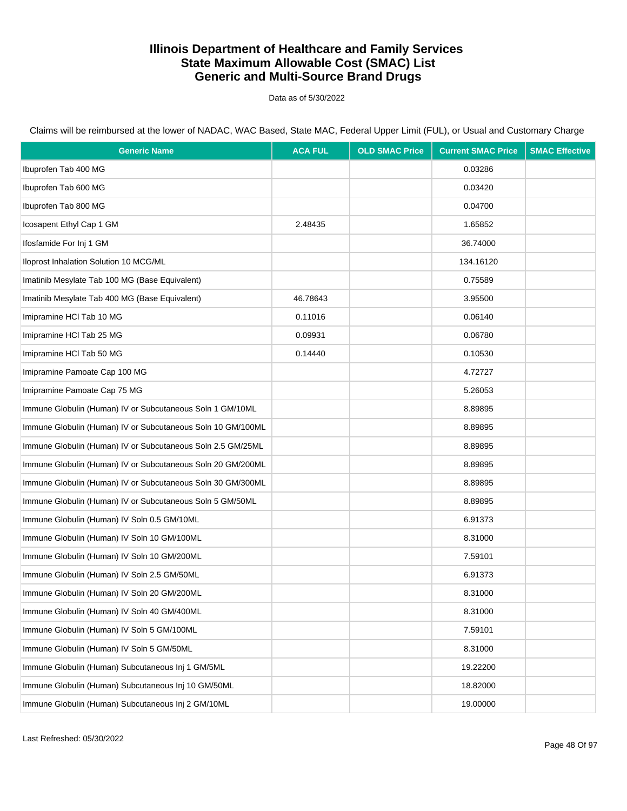Data as of 5/30/2022

| <b>Generic Name</b>                                         | <b>ACA FUL</b> | <b>OLD SMAC Price</b> | <b>Current SMAC Price</b> | <b>SMAC Effective</b> |
|-------------------------------------------------------------|----------------|-----------------------|---------------------------|-----------------------|
| Ibuprofen Tab 400 MG                                        |                |                       | 0.03286                   |                       |
| Ibuprofen Tab 600 MG                                        |                |                       | 0.03420                   |                       |
| Ibuprofen Tab 800 MG                                        |                |                       | 0.04700                   |                       |
| Icosapent Ethyl Cap 1 GM                                    | 2.48435        |                       | 1.65852                   |                       |
| Ifosfamide For Inj 1 GM                                     |                |                       | 36.74000                  |                       |
| Iloprost Inhalation Solution 10 MCG/ML                      |                |                       | 134.16120                 |                       |
| Imatinib Mesylate Tab 100 MG (Base Equivalent)              |                |                       | 0.75589                   |                       |
| Imatinib Mesylate Tab 400 MG (Base Equivalent)              | 46.78643       |                       | 3.95500                   |                       |
| Imipramine HCI Tab 10 MG                                    | 0.11016        |                       | 0.06140                   |                       |
| Imipramine HCI Tab 25 MG                                    | 0.09931        |                       | 0.06780                   |                       |
| Imipramine HCI Tab 50 MG                                    | 0.14440        |                       | 0.10530                   |                       |
| Imipramine Pamoate Cap 100 MG                               |                |                       | 4.72727                   |                       |
| Imipramine Pamoate Cap 75 MG                                |                |                       | 5.26053                   |                       |
| Immune Globulin (Human) IV or Subcutaneous Soln 1 GM/10ML   |                |                       | 8.89895                   |                       |
| Immune Globulin (Human) IV or Subcutaneous Soln 10 GM/100ML |                |                       | 8.89895                   |                       |
| Immune Globulin (Human) IV or Subcutaneous Soln 2.5 GM/25ML |                |                       | 8.89895                   |                       |
| Immune Globulin (Human) IV or Subcutaneous Soln 20 GM/200ML |                |                       | 8.89895                   |                       |
| Immune Globulin (Human) IV or Subcutaneous Soln 30 GM/300ML |                |                       | 8.89895                   |                       |
| Immune Globulin (Human) IV or Subcutaneous Soln 5 GM/50ML   |                |                       | 8.89895                   |                       |
| Immune Globulin (Human) IV Soln 0.5 GM/10ML                 |                |                       | 6.91373                   |                       |
| Immune Globulin (Human) IV Soln 10 GM/100ML                 |                |                       | 8.31000                   |                       |
| Immune Globulin (Human) IV Soln 10 GM/200ML                 |                |                       | 7.59101                   |                       |
| Immune Globulin (Human) IV Soln 2.5 GM/50ML                 |                |                       | 6.91373                   |                       |
| Immune Globulin (Human) IV Soln 20 GM/200ML                 |                |                       | 8.31000                   |                       |
| Immune Globulin (Human) IV Soln 40 GM/400ML                 |                |                       | 8.31000                   |                       |
| Immune Globulin (Human) IV Soln 5 GM/100ML                  |                |                       | 7.59101                   |                       |
| Immune Globulin (Human) IV Soln 5 GM/50ML                   |                |                       | 8.31000                   |                       |
| Immune Globulin (Human) Subcutaneous Inj 1 GM/5ML           |                |                       | 19.22200                  |                       |
| Immune Globulin (Human) Subcutaneous Inj 10 GM/50ML         |                |                       | 18.82000                  |                       |
| Immune Globulin (Human) Subcutaneous Inj 2 GM/10ML          |                |                       | 19.00000                  |                       |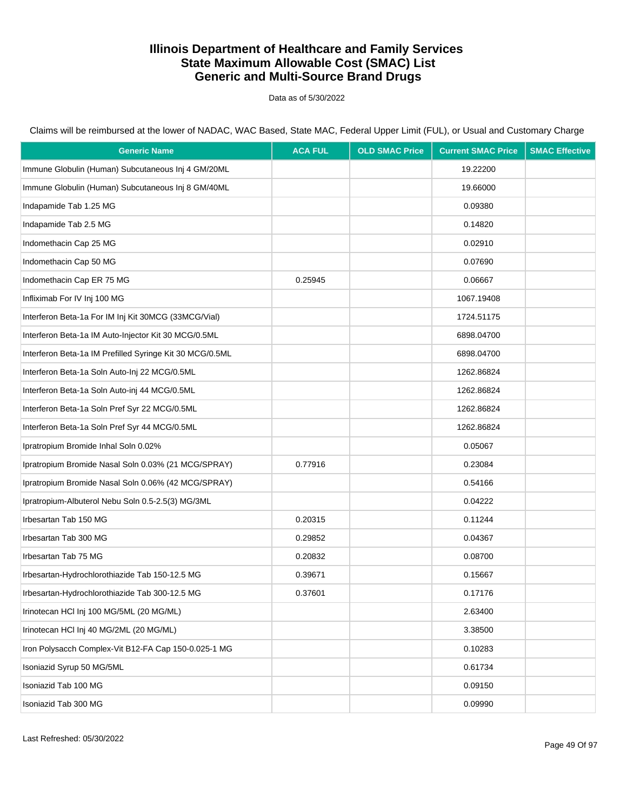Data as of 5/30/2022

| <b>Generic Name</b>                                      | <b>ACA FUL</b> | <b>OLD SMAC Price</b> | <b>Current SMAC Price</b> | <b>SMAC Effective</b> |
|----------------------------------------------------------|----------------|-----------------------|---------------------------|-----------------------|
| Immune Globulin (Human) Subcutaneous Inj 4 GM/20ML       |                |                       | 19.22200                  |                       |
| Immune Globulin (Human) Subcutaneous Inj 8 GM/40ML       |                |                       | 19.66000                  |                       |
| Indapamide Tab 1.25 MG                                   |                |                       | 0.09380                   |                       |
| Indapamide Tab 2.5 MG                                    |                |                       | 0.14820                   |                       |
| Indomethacin Cap 25 MG                                   |                |                       | 0.02910                   |                       |
| Indomethacin Cap 50 MG                                   |                |                       | 0.07690                   |                       |
| Indomethacin Cap ER 75 MG                                | 0.25945        |                       | 0.06667                   |                       |
| Infliximab For IV Inj 100 MG                             |                |                       | 1067.19408                |                       |
| Interferon Beta-1a For IM Inj Kit 30MCG (33MCG/Vial)     |                |                       | 1724.51175                |                       |
| Interferon Beta-1a IM Auto-Injector Kit 30 MCG/0.5ML     |                |                       | 6898.04700                |                       |
| Interferon Beta-1a IM Prefilled Syringe Kit 30 MCG/0.5ML |                |                       | 6898.04700                |                       |
| Interferon Beta-1a Soln Auto-Inj 22 MCG/0.5ML            |                |                       | 1262.86824                |                       |
| Interferon Beta-1a Soln Auto-inj 44 MCG/0.5ML            |                |                       | 1262.86824                |                       |
| Interferon Beta-1a Soln Pref Syr 22 MCG/0.5ML            |                |                       | 1262.86824                |                       |
| Interferon Beta-1a Soln Pref Syr 44 MCG/0.5ML            |                |                       | 1262.86824                |                       |
| Ipratropium Bromide Inhal Soln 0.02%                     |                |                       | 0.05067                   |                       |
| Ipratropium Bromide Nasal Soln 0.03% (21 MCG/SPRAY)      | 0.77916        |                       | 0.23084                   |                       |
| Ipratropium Bromide Nasal Soln 0.06% (42 MCG/SPRAY)      |                |                       | 0.54166                   |                       |
| Ipratropium-Albuterol Nebu Soln 0.5-2.5(3) MG/3ML        |                |                       | 0.04222                   |                       |
| Irbesartan Tab 150 MG                                    | 0.20315        |                       | 0.11244                   |                       |
| Irbesartan Tab 300 MG                                    | 0.29852        |                       | 0.04367                   |                       |
| Irbesartan Tab 75 MG                                     | 0.20832        |                       | 0.08700                   |                       |
| Irbesartan-Hydrochlorothiazide Tab 150-12.5 MG           | 0.39671        |                       | 0.15667                   |                       |
| Irbesartan-Hydrochlorothiazide Tab 300-12.5 MG           | 0.37601        |                       | 0.17176                   |                       |
| Irinotecan HCI Inj 100 MG/5ML (20 MG/ML)                 |                |                       | 2.63400                   |                       |
| Irinotecan HCI Inj 40 MG/2ML (20 MG/ML)                  |                |                       | 3.38500                   |                       |
| Iron Polysacch Complex-Vit B12-FA Cap 150-0.025-1 MG     |                |                       | 0.10283                   |                       |
| Isoniazid Syrup 50 MG/5ML                                |                |                       | 0.61734                   |                       |
| Isoniazid Tab 100 MG                                     |                |                       | 0.09150                   |                       |
| Isoniazid Tab 300 MG                                     |                |                       | 0.09990                   |                       |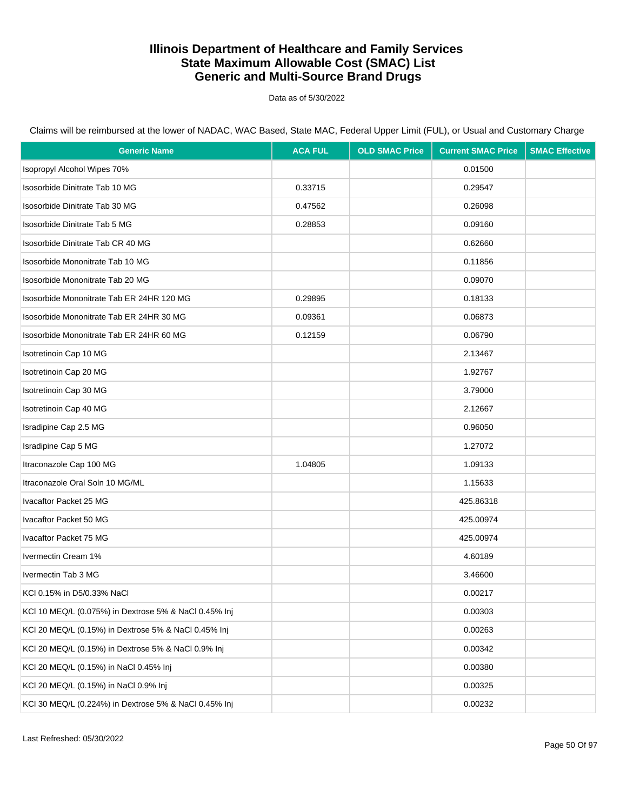Data as of 5/30/2022

Claims will be reimbursed at the lower of NADAC, WAC Based, State MAC, Federal Upper Limit (FUL), or Usual and Customary Charge

| <b>Generic Name</b>                                   | <b>ACA FUL</b> | <b>OLD SMAC Price</b> | <b>Current SMAC Price</b> | <b>SMAC Effective</b> |
|-------------------------------------------------------|----------------|-----------------------|---------------------------|-----------------------|
| Isopropyl Alcohol Wipes 70%                           |                |                       | 0.01500                   |                       |
| Isosorbide Dinitrate Tab 10 MG                        | 0.33715        |                       | 0.29547                   |                       |
| Isosorbide Dinitrate Tab 30 MG                        | 0.47562        |                       | 0.26098                   |                       |
| Isosorbide Dinitrate Tab 5 MG                         | 0.28853        |                       | 0.09160                   |                       |
| Isosorbide Dinitrate Tab CR 40 MG                     |                |                       | 0.62660                   |                       |
| Isosorbide Mononitrate Tab 10 MG                      |                |                       | 0.11856                   |                       |
| Isosorbide Mononitrate Tab 20 MG                      |                |                       | 0.09070                   |                       |
| Isosorbide Mononitrate Tab ER 24HR 120 MG             | 0.29895        |                       | 0.18133                   |                       |
| Isosorbide Mononitrate Tab ER 24HR 30 MG              | 0.09361        |                       | 0.06873                   |                       |
| Isosorbide Mononitrate Tab ER 24HR 60 MG              | 0.12159        |                       | 0.06790                   |                       |
| Isotretinoin Cap 10 MG                                |                |                       | 2.13467                   |                       |
| Isotretinoin Cap 20 MG                                |                |                       | 1.92767                   |                       |
| Isotretinoin Cap 30 MG                                |                |                       | 3.79000                   |                       |
| Isotretinoin Cap 40 MG                                |                |                       | 2.12667                   |                       |
| Isradipine Cap 2.5 MG                                 |                |                       | 0.96050                   |                       |
| Isradipine Cap 5 MG                                   |                |                       | 1.27072                   |                       |
| Itraconazole Cap 100 MG                               | 1.04805        |                       | 1.09133                   |                       |
| Itraconazole Oral Soln 10 MG/ML                       |                |                       | 1.15633                   |                       |
| Ivacaftor Packet 25 MG                                |                |                       | 425.86318                 |                       |
| Ivacaftor Packet 50 MG                                |                |                       | 425.00974                 |                       |
| Ivacaftor Packet 75 MG                                |                |                       | 425.00974                 |                       |
| Ivermectin Cream 1%                                   |                |                       | 4.60189                   |                       |
| Ivermectin Tab 3 MG                                   |                |                       | 3.46600                   |                       |
| KCI 0.15% in D5/0.33% NaCl                            |                |                       | 0.00217                   |                       |
| KCI 10 MEQ/L (0.075%) in Dextrose 5% & NaCl 0.45% Inj |                |                       | 0.00303                   |                       |
| KCI 20 MEQ/L (0.15%) in Dextrose 5% & NaCl 0.45% Inj  |                |                       | 0.00263                   |                       |
| KCI 20 MEQ/L (0.15%) in Dextrose 5% & NaCl 0.9% Inj   |                |                       | 0.00342                   |                       |
| KCI 20 MEQ/L (0.15%) in NaCl 0.45% Inj                |                |                       | 0.00380                   |                       |
| KCI 20 MEQ/L (0.15%) in NaCl 0.9% Inj                 |                |                       | 0.00325                   |                       |
| KCI 30 MEQ/L (0.224%) in Dextrose 5% & NaCl 0.45% Inj |                |                       | 0.00232                   |                       |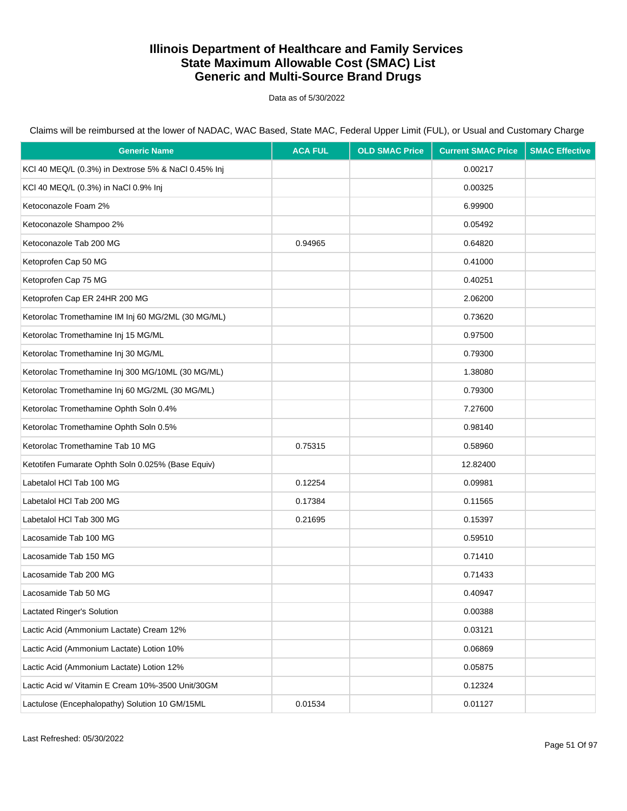Data as of 5/30/2022

Claims will be reimbursed at the lower of NADAC, WAC Based, State MAC, Federal Upper Limit (FUL), or Usual and Customary Charge

| <b>Generic Name</b>                                 | <b>ACA FUL</b> | <b>OLD SMAC Price</b> | <b>Current SMAC Price</b> | <b>SMAC Effective</b> |
|-----------------------------------------------------|----------------|-----------------------|---------------------------|-----------------------|
| KCl 40 MEQ/L (0.3%) in Dextrose 5% & NaCl 0.45% Inj |                |                       | 0.00217                   |                       |
| KCI 40 MEQ/L (0.3%) in NaCl 0.9% Inj                |                |                       | 0.00325                   |                       |
| Ketoconazole Foam 2%                                |                |                       | 6.99900                   |                       |
| Ketoconazole Shampoo 2%                             |                |                       | 0.05492                   |                       |
| Ketoconazole Tab 200 MG                             | 0.94965        |                       | 0.64820                   |                       |
| Ketoprofen Cap 50 MG                                |                |                       | 0.41000                   |                       |
| Ketoprofen Cap 75 MG                                |                |                       | 0.40251                   |                       |
| Ketoprofen Cap ER 24HR 200 MG                       |                |                       | 2.06200                   |                       |
| Ketorolac Tromethamine IM Inj 60 MG/2ML (30 MG/ML)  |                |                       | 0.73620                   |                       |
| Ketorolac Tromethamine Inj 15 MG/ML                 |                |                       | 0.97500                   |                       |
| Ketorolac Tromethamine Inj 30 MG/ML                 |                |                       | 0.79300                   |                       |
| Ketorolac Tromethamine Inj 300 MG/10ML (30 MG/ML)   |                |                       | 1.38080                   |                       |
| Ketorolac Tromethamine Inj 60 MG/2ML (30 MG/ML)     |                |                       | 0.79300                   |                       |
| Ketorolac Tromethamine Ophth Soln 0.4%              |                |                       | 7.27600                   |                       |
| Ketorolac Tromethamine Ophth Soln 0.5%              |                |                       | 0.98140                   |                       |
| Ketorolac Tromethamine Tab 10 MG                    | 0.75315        |                       | 0.58960                   |                       |
| Ketotifen Fumarate Ophth Soln 0.025% (Base Equiv)   |                |                       | 12.82400                  |                       |
| Labetalol HCl Tab 100 MG                            | 0.12254        |                       | 0.09981                   |                       |
| Labetalol HCI Tab 200 MG                            | 0.17384        |                       | 0.11565                   |                       |
| Labetalol HCl Tab 300 MG                            | 0.21695        |                       | 0.15397                   |                       |
| Lacosamide Tab 100 MG                               |                |                       | 0.59510                   |                       |
| Lacosamide Tab 150 MG                               |                |                       | 0.71410                   |                       |
| Lacosamide Tab 200 MG                               |                |                       | 0.71433                   |                       |
| Lacosamide Tab 50 MG                                |                |                       | 0.40947                   |                       |
| Lactated Ringer's Solution                          |                |                       | 0.00388                   |                       |
| Lactic Acid (Ammonium Lactate) Cream 12%            |                |                       | 0.03121                   |                       |
| Lactic Acid (Ammonium Lactate) Lotion 10%           |                |                       | 0.06869                   |                       |
| Lactic Acid (Ammonium Lactate) Lotion 12%           |                |                       | 0.05875                   |                       |
| Lactic Acid w/ Vitamin E Cream 10%-3500 Unit/30GM   |                |                       | 0.12324                   |                       |
| Lactulose (Encephalopathy) Solution 10 GM/15ML      | 0.01534        |                       | 0.01127                   |                       |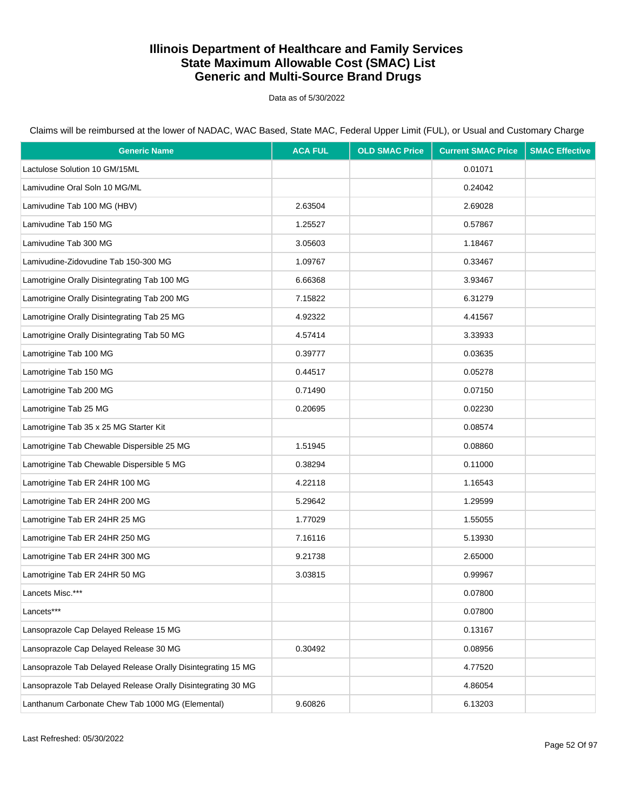Data as of 5/30/2022

Claims will be reimbursed at the lower of NADAC, WAC Based, State MAC, Federal Upper Limit (FUL), or Usual and Customary Charge

| <b>Generic Name</b>                                          | <b>ACA FUL</b> | <b>OLD SMAC Price</b> | <b>Current SMAC Price</b> | <b>SMAC Effective</b> |
|--------------------------------------------------------------|----------------|-----------------------|---------------------------|-----------------------|
| Lactulose Solution 10 GM/15ML                                |                |                       | 0.01071                   |                       |
| Lamivudine Oral Soln 10 MG/ML                                |                |                       | 0.24042                   |                       |
| Lamivudine Tab 100 MG (HBV)                                  | 2.63504        |                       | 2.69028                   |                       |
| Lamivudine Tab 150 MG                                        | 1.25527        |                       | 0.57867                   |                       |
| Lamivudine Tab 300 MG                                        | 3.05603        |                       | 1.18467                   |                       |
| Lamivudine-Zidovudine Tab 150-300 MG                         | 1.09767        |                       | 0.33467                   |                       |
| Lamotrigine Orally Disintegrating Tab 100 MG                 | 6.66368        |                       | 3.93467                   |                       |
| Lamotrigine Orally Disintegrating Tab 200 MG                 | 7.15822        |                       | 6.31279                   |                       |
| Lamotrigine Orally Disintegrating Tab 25 MG                  | 4.92322        |                       | 4.41567                   |                       |
| Lamotrigine Orally Disintegrating Tab 50 MG                  | 4.57414        |                       | 3.33933                   |                       |
| Lamotrigine Tab 100 MG                                       | 0.39777        |                       | 0.03635                   |                       |
| Lamotrigine Tab 150 MG                                       | 0.44517        |                       | 0.05278                   |                       |
| Lamotrigine Tab 200 MG                                       | 0.71490        |                       | 0.07150                   |                       |
| Lamotrigine Tab 25 MG                                        | 0.20695        |                       | 0.02230                   |                       |
| Lamotrigine Tab 35 x 25 MG Starter Kit                       |                |                       | 0.08574                   |                       |
| Lamotrigine Tab Chewable Dispersible 25 MG                   | 1.51945        |                       | 0.08860                   |                       |
| Lamotrigine Tab Chewable Dispersible 5 MG                    | 0.38294        |                       | 0.11000                   |                       |
| Lamotrigine Tab ER 24HR 100 MG                               | 4.22118        |                       | 1.16543                   |                       |
| Lamotrigine Tab ER 24HR 200 MG                               | 5.29642        |                       | 1.29599                   |                       |
| Lamotrigine Tab ER 24HR 25 MG                                | 1.77029        |                       | 1.55055                   |                       |
| Lamotrigine Tab ER 24HR 250 MG                               | 7.16116        |                       | 5.13930                   |                       |
| Lamotrigine Tab ER 24HR 300 MG                               | 9.21738        |                       | 2.65000                   |                       |
| Lamotrigine Tab ER 24HR 50 MG                                | 3.03815        |                       | 0.99967                   |                       |
| Lancets Misc.***                                             |                |                       | 0.07800                   |                       |
| Lancets***                                                   |                |                       | 0.07800                   |                       |
| Lansoprazole Cap Delayed Release 15 MG                       |                |                       | 0.13167                   |                       |
| Lansoprazole Cap Delayed Release 30 MG                       | 0.30492        |                       | 0.08956                   |                       |
| Lansoprazole Tab Delayed Release Orally Disintegrating 15 MG |                |                       | 4.77520                   |                       |
| Lansoprazole Tab Delayed Release Orally Disintegrating 30 MG |                |                       | 4.86054                   |                       |
| Lanthanum Carbonate Chew Tab 1000 MG (Elemental)             | 9.60826        |                       | 6.13203                   |                       |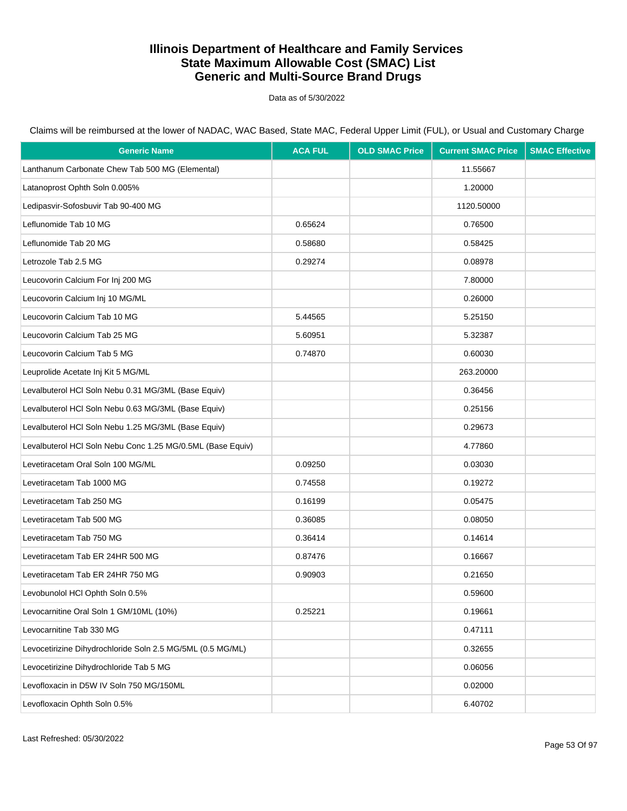Data as of 5/30/2022

| <b>Generic Name</b>                                        | <b>ACA FUL</b> | <b>OLD SMAC Price</b> | <b>Current SMAC Price</b> | <b>SMAC Effective</b> |
|------------------------------------------------------------|----------------|-----------------------|---------------------------|-----------------------|
| Lanthanum Carbonate Chew Tab 500 MG (Elemental)            |                |                       | 11.55667                  |                       |
| Latanoprost Ophth Soln 0.005%                              |                |                       | 1.20000                   |                       |
| Ledipasvir-Sofosbuvir Tab 90-400 MG                        |                |                       | 1120.50000                |                       |
| Leflunomide Tab 10 MG                                      | 0.65624        |                       | 0.76500                   |                       |
| Leflunomide Tab 20 MG                                      | 0.58680        |                       | 0.58425                   |                       |
| Letrozole Tab 2.5 MG                                       | 0.29274        |                       | 0.08978                   |                       |
| Leucovorin Calcium For Inj 200 MG                          |                |                       | 7.80000                   |                       |
| Leucovorin Calcium Inj 10 MG/ML                            |                |                       | 0.26000                   |                       |
| Leucovorin Calcium Tab 10 MG                               | 5.44565        |                       | 5.25150                   |                       |
| Leucovorin Calcium Tab 25 MG                               | 5.60951        |                       | 5.32387                   |                       |
| Leucovorin Calcium Tab 5 MG                                | 0.74870        |                       | 0.60030                   |                       |
| Leuprolide Acetate Inj Kit 5 MG/ML                         |                |                       | 263.20000                 |                       |
| Levalbuterol HCI Soln Nebu 0.31 MG/3ML (Base Equiv)        |                |                       | 0.36456                   |                       |
| Levalbuterol HCI Soln Nebu 0.63 MG/3ML (Base Equiv)        |                |                       | 0.25156                   |                       |
| Levalbuterol HCI Soln Nebu 1.25 MG/3ML (Base Equiv)        |                |                       | 0.29673                   |                       |
| Levalbuterol HCI Soln Nebu Conc 1.25 MG/0.5ML (Base Equiv) |                |                       | 4.77860                   |                       |
| Levetiracetam Oral Soln 100 MG/ML                          | 0.09250        |                       | 0.03030                   |                       |
| Levetiracetam Tab 1000 MG                                  | 0.74558        |                       | 0.19272                   |                       |
| Levetiracetam Tab 250 MG                                   | 0.16199        |                       | 0.05475                   |                       |
| Levetiracetam Tab 500 MG                                   | 0.36085        |                       | 0.08050                   |                       |
| Levetiracetam Tab 750 MG                                   | 0.36414        |                       | 0.14614                   |                       |
| Levetiracetam Tab ER 24HR 500 MG                           | 0.87476        |                       | 0.16667                   |                       |
| Levetiracetam Tab ER 24HR 750 MG                           | 0.90903        |                       | 0.21650                   |                       |
| Levobunolol HCI Ophth Soln 0.5%                            |                |                       | 0.59600                   |                       |
| Levocarnitine Oral Soln 1 GM/10ML (10%)                    | 0.25221        |                       | 0.19661                   |                       |
| Levocarnitine Tab 330 MG                                   |                |                       | 0.47111                   |                       |
| Levocetirizine Dihydrochloride Soln 2.5 MG/5ML (0.5 MG/ML) |                |                       | 0.32655                   |                       |
| Levocetirizine Dihydrochloride Tab 5 MG                    |                |                       | 0.06056                   |                       |
| Levofloxacin in D5W IV Soln 750 MG/150ML                   |                |                       | 0.02000                   |                       |
| Levofloxacin Ophth Soln 0.5%                               |                |                       | 6.40702                   |                       |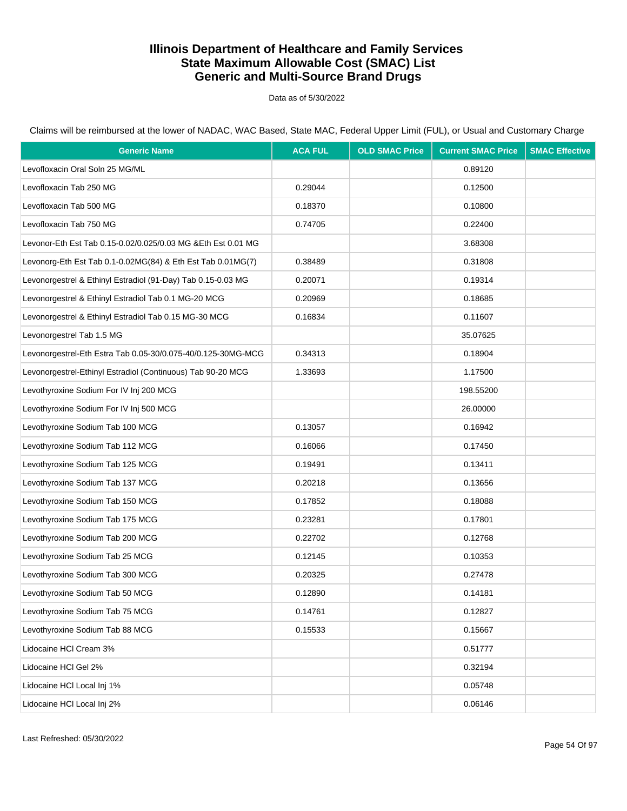Data as of 5/30/2022

Claims will be reimbursed at the lower of NADAC, WAC Based, State MAC, Federal Upper Limit (FUL), or Usual and Customary Charge

| <b>Generic Name</b>                                           | <b>ACA FUL</b> | <b>OLD SMAC Price</b> | <b>Current SMAC Price</b> | <b>SMAC Effective</b> |
|---------------------------------------------------------------|----------------|-----------------------|---------------------------|-----------------------|
| Levofloxacin Oral Soln 25 MG/ML                               |                |                       | 0.89120                   |                       |
| Levofloxacin Tab 250 MG                                       | 0.29044        |                       | 0.12500                   |                       |
| Levofloxacin Tab 500 MG                                       | 0.18370        |                       | 0.10800                   |                       |
| Levofloxacin Tab 750 MG                                       | 0.74705        |                       | 0.22400                   |                       |
| Levonor-Eth Est Tab 0.15-0.02/0.025/0.03 MG & Eth Est 0.01 MG |                |                       | 3.68308                   |                       |
| Levonorg-Eth Est Tab 0.1-0.02MG(84) & Eth Est Tab 0.01MG(7)   | 0.38489        |                       | 0.31808                   |                       |
| Levonorgestrel & Ethinyl Estradiol (91-Day) Tab 0.15-0.03 MG  | 0.20071        |                       | 0.19314                   |                       |
| Levonorgestrel & Ethinyl Estradiol Tab 0.1 MG-20 MCG          | 0.20969        |                       | 0.18685                   |                       |
| Levonorgestrel & Ethinyl Estradiol Tab 0.15 MG-30 MCG         | 0.16834        |                       | 0.11607                   |                       |
| Levonorgestrel Tab 1.5 MG                                     |                |                       | 35.07625                  |                       |
| Levonorgestrel-Eth Estra Tab 0.05-30/0.075-40/0.125-30MG-MCG  | 0.34313        |                       | 0.18904                   |                       |
| Levonorgestrel-Ethinyl Estradiol (Continuous) Tab 90-20 MCG   | 1.33693        |                       | 1.17500                   |                       |
| Levothyroxine Sodium For IV Inj 200 MCG                       |                |                       | 198.55200                 |                       |
| Levothyroxine Sodium For IV Inj 500 MCG                       |                |                       | 26.00000                  |                       |
| Levothyroxine Sodium Tab 100 MCG                              | 0.13057        |                       | 0.16942                   |                       |
| Levothyroxine Sodium Tab 112 MCG                              | 0.16066        |                       | 0.17450                   |                       |
| Levothyroxine Sodium Tab 125 MCG                              | 0.19491        |                       | 0.13411                   |                       |
| Levothyroxine Sodium Tab 137 MCG                              | 0.20218        |                       | 0.13656                   |                       |
| Levothyroxine Sodium Tab 150 MCG                              | 0.17852        |                       | 0.18088                   |                       |
| Levothyroxine Sodium Tab 175 MCG                              | 0.23281        |                       | 0.17801                   |                       |
| Levothyroxine Sodium Tab 200 MCG                              | 0.22702        |                       | 0.12768                   |                       |
| Levothyroxine Sodium Tab 25 MCG                               | 0.12145        |                       | 0.10353                   |                       |
| Levothyroxine Sodium Tab 300 MCG                              | 0.20325        |                       | 0.27478                   |                       |
| Levothyroxine Sodium Tab 50 MCG                               | 0.12890        |                       | 0.14181                   |                       |
| Levothyroxine Sodium Tab 75 MCG                               | 0.14761        |                       | 0.12827                   |                       |
| Levothyroxine Sodium Tab 88 MCG                               | 0.15533        |                       | 0.15667                   |                       |
| Lidocaine HCI Cream 3%                                        |                |                       | 0.51777                   |                       |
| Lidocaine HCI Gel 2%                                          |                |                       | 0.32194                   |                       |
| Lidocaine HCI Local Inj 1%                                    |                |                       | 0.05748                   |                       |
| Lidocaine HCI Local Inj 2%                                    |                |                       | 0.06146                   |                       |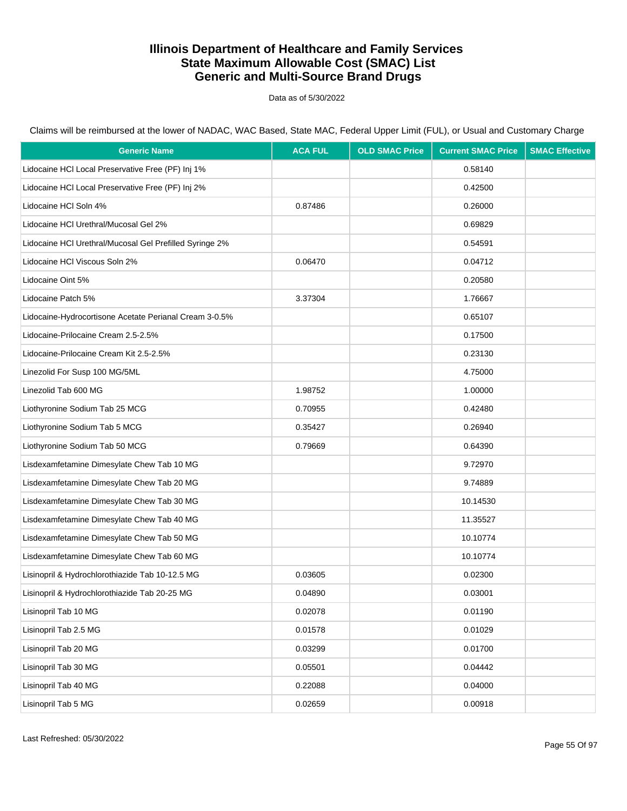Data as of 5/30/2022

| <b>Generic Name</b>                                     | <b>ACA FUL</b> | <b>OLD SMAC Price</b> | <b>Current SMAC Price</b> | <b>SMAC Effective</b> |
|---------------------------------------------------------|----------------|-----------------------|---------------------------|-----------------------|
| Lidocaine HCI Local Preservative Free (PF) Inj 1%       |                |                       | 0.58140                   |                       |
| Lidocaine HCI Local Preservative Free (PF) Inj 2%       |                |                       | 0.42500                   |                       |
| Lidocaine HCI Soln 4%                                   | 0.87486        |                       | 0.26000                   |                       |
| Lidocaine HCI Urethral/Mucosal Gel 2%                   |                |                       | 0.69829                   |                       |
| Lidocaine HCI Urethral/Mucosal Gel Prefilled Syringe 2% |                |                       | 0.54591                   |                       |
| Lidocaine HCI Viscous Soln 2%                           | 0.06470        |                       | 0.04712                   |                       |
| Lidocaine Oint 5%                                       |                |                       | 0.20580                   |                       |
| Lidocaine Patch 5%                                      | 3.37304        |                       | 1.76667                   |                       |
| Lidocaine-Hydrocortisone Acetate Perianal Cream 3-0.5%  |                |                       | 0.65107                   |                       |
| Lidocaine-Prilocaine Cream 2.5-2.5%                     |                |                       | 0.17500                   |                       |
| Lidocaine-Prilocaine Cream Kit 2.5-2.5%                 |                |                       | 0.23130                   |                       |
| Linezolid For Susp 100 MG/5ML                           |                |                       | 4.75000                   |                       |
| Linezolid Tab 600 MG                                    | 1.98752        |                       | 1.00000                   |                       |
| Liothyronine Sodium Tab 25 MCG                          | 0.70955        |                       | 0.42480                   |                       |
| Liothyronine Sodium Tab 5 MCG                           | 0.35427        |                       | 0.26940                   |                       |
| Liothyronine Sodium Tab 50 MCG                          | 0.79669        |                       | 0.64390                   |                       |
| Lisdexamfetamine Dimesylate Chew Tab 10 MG              |                |                       | 9.72970                   |                       |
| Lisdexamfetamine Dimesylate Chew Tab 20 MG              |                |                       | 9.74889                   |                       |
| Lisdexamfetamine Dimesylate Chew Tab 30 MG              |                |                       | 10.14530                  |                       |
| Lisdexamfetamine Dimesylate Chew Tab 40 MG              |                |                       | 11.35527                  |                       |
| Lisdexamfetamine Dimesylate Chew Tab 50 MG              |                |                       | 10.10774                  |                       |
| Lisdexamfetamine Dimesylate Chew Tab 60 MG              |                |                       | 10.10774                  |                       |
| Lisinopril & Hydrochlorothiazide Tab 10-12.5 MG         | 0.03605        |                       | 0.02300                   |                       |
| Lisinopril & Hydrochlorothiazide Tab 20-25 MG           | 0.04890        |                       | 0.03001                   |                       |
| Lisinopril Tab 10 MG                                    | 0.02078        |                       | 0.01190                   |                       |
| Lisinopril Tab 2.5 MG                                   | 0.01578        |                       | 0.01029                   |                       |
| Lisinopril Tab 20 MG                                    | 0.03299        |                       | 0.01700                   |                       |
| Lisinopril Tab 30 MG                                    | 0.05501        |                       | 0.04442                   |                       |
| Lisinopril Tab 40 MG                                    | 0.22088        |                       | 0.04000                   |                       |
| Lisinopril Tab 5 MG                                     | 0.02659        |                       | 0.00918                   |                       |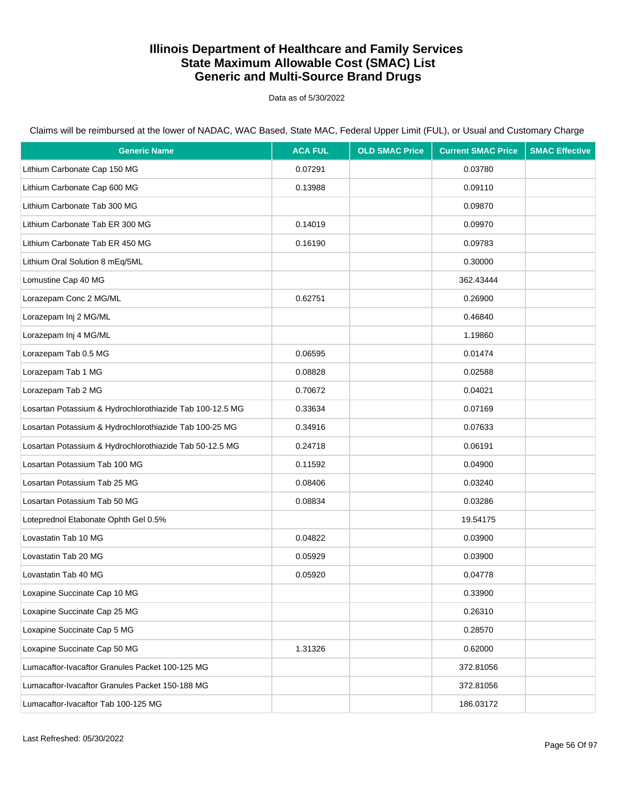Data as of 5/30/2022

| <b>Generic Name</b>                                      | <b>ACA FUL</b> | <b>OLD SMAC Price</b> | <b>Current SMAC Price</b> | <b>SMAC Effective</b> |
|----------------------------------------------------------|----------------|-----------------------|---------------------------|-----------------------|
| Lithium Carbonate Cap 150 MG                             | 0.07291        |                       | 0.03780                   |                       |
| Lithium Carbonate Cap 600 MG                             | 0.13988        |                       | 0.09110                   |                       |
| Lithium Carbonate Tab 300 MG                             |                |                       | 0.09870                   |                       |
| Lithium Carbonate Tab ER 300 MG                          | 0.14019        |                       | 0.09970                   |                       |
| Lithium Carbonate Tab ER 450 MG                          | 0.16190        |                       | 0.09783                   |                       |
| Lithium Oral Solution 8 mEq/5ML                          |                |                       | 0.30000                   |                       |
| Lomustine Cap 40 MG                                      |                |                       | 362.43444                 |                       |
| Lorazepam Conc 2 MG/ML                                   | 0.62751        |                       | 0.26900                   |                       |
| Lorazepam Inj 2 MG/ML                                    |                |                       | 0.46840                   |                       |
| Lorazepam Inj 4 MG/ML                                    |                |                       | 1.19860                   |                       |
| Lorazepam Tab 0.5 MG                                     | 0.06595        |                       | 0.01474                   |                       |
| Lorazepam Tab 1 MG                                       | 0.08828        |                       | 0.02588                   |                       |
| Lorazepam Tab 2 MG                                       | 0.70672        |                       | 0.04021                   |                       |
| Losartan Potassium & Hydrochlorothiazide Tab 100-12.5 MG | 0.33634        |                       | 0.07169                   |                       |
| Losartan Potassium & Hydrochlorothiazide Tab 100-25 MG   | 0.34916        |                       | 0.07633                   |                       |
| Losartan Potassium & Hydrochlorothiazide Tab 50-12.5 MG  | 0.24718        |                       | 0.06191                   |                       |
| Losartan Potassium Tab 100 MG                            | 0.11592        |                       | 0.04900                   |                       |
| Losartan Potassium Tab 25 MG                             | 0.08406        |                       | 0.03240                   |                       |
| Losartan Potassium Tab 50 MG                             | 0.08834        |                       | 0.03286                   |                       |
| Loteprednol Etabonate Ophth Gel 0.5%                     |                |                       | 19.54175                  |                       |
| Lovastatin Tab 10 MG                                     | 0.04822        |                       | 0.03900                   |                       |
| Lovastatin Tab 20 MG                                     | 0.05929        |                       | 0.03900                   |                       |
| Lovastatin Tab 40 MG                                     | 0.05920        |                       | 0.04778                   |                       |
| Loxapine Succinate Cap 10 MG                             |                |                       | 0.33900                   |                       |
| Loxapine Succinate Cap 25 MG                             |                |                       | 0.26310                   |                       |
| Loxapine Succinate Cap 5 MG                              |                |                       | 0.28570                   |                       |
| Loxapine Succinate Cap 50 MG                             | 1.31326        |                       | 0.62000                   |                       |
| Lumacaftor-Ivacaftor Granules Packet 100-125 MG          |                |                       | 372.81056                 |                       |
| Lumacaftor-Ivacaftor Granules Packet 150-188 MG          |                |                       | 372.81056                 |                       |
| Lumacaftor-Ivacaftor Tab 100-125 MG                      |                |                       | 186.03172                 |                       |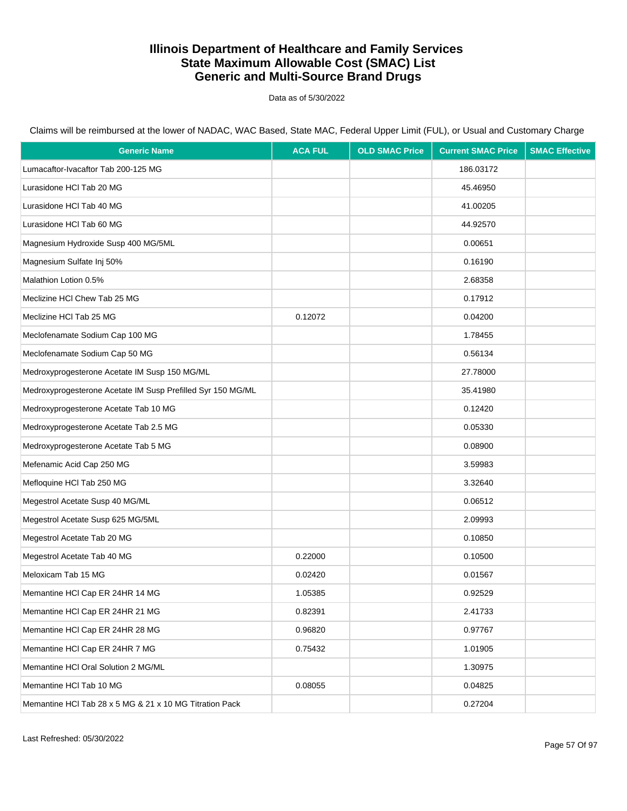Data as of 5/30/2022

Claims will be reimbursed at the lower of NADAC, WAC Based, State MAC, Federal Upper Limit (FUL), or Usual and Customary Charge

| <b>Generic Name</b>                                         | <b>ACA FUL</b> | <b>OLD SMAC Price</b> | <b>Current SMAC Price</b> | <b>SMAC Effective</b> |
|-------------------------------------------------------------|----------------|-----------------------|---------------------------|-----------------------|
| Lumacaftor-Ivacaftor Tab 200-125 MG                         |                |                       | 186.03172                 |                       |
| Lurasidone HCI Tab 20 MG                                    |                |                       | 45.46950                  |                       |
| Lurasidone HCI Tab 40 MG                                    |                |                       | 41.00205                  |                       |
| Lurasidone HCI Tab 60 MG                                    |                |                       | 44.92570                  |                       |
| Magnesium Hydroxide Susp 400 MG/5ML                         |                |                       | 0.00651                   |                       |
| Magnesium Sulfate Inj 50%                                   |                |                       | 0.16190                   |                       |
| Malathion Lotion 0.5%                                       |                |                       | 2.68358                   |                       |
| Meclizine HCI Chew Tab 25 MG                                |                |                       | 0.17912                   |                       |
| Meclizine HCl Tab 25 MG                                     | 0.12072        |                       | 0.04200                   |                       |
| Meclofenamate Sodium Cap 100 MG                             |                |                       | 1.78455                   |                       |
| Meclofenamate Sodium Cap 50 MG                              |                |                       | 0.56134                   |                       |
| Medroxyprogesterone Acetate IM Susp 150 MG/ML               |                |                       | 27.78000                  |                       |
| Medroxyprogesterone Acetate IM Susp Prefilled Syr 150 MG/ML |                |                       | 35.41980                  |                       |
| Medroxyprogesterone Acetate Tab 10 MG                       |                |                       | 0.12420                   |                       |
| Medroxyprogesterone Acetate Tab 2.5 MG                      |                |                       | 0.05330                   |                       |
| Medroxyprogesterone Acetate Tab 5 MG                        |                |                       | 0.08900                   |                       |
| Mefenamic Acid Cap 250 MG                                   |                |                       | 3.59983                   |                       |
| Mefloquine HCI Tab 250 MG                                   |                |                       | 3.32640                   |                       |
| Megestrol Acetate Susp 40 MG/ML                             |                |                       | 0.06512                   |                       |
| Megestrol Acetate Susp 625 MG/5ML                           |                |                       | 2.09993                   |                       |
| Megestrol Acetate Tab 20 MG                                 |                |                       | 0.10850                   |                       |
| Megestrol Acetate Tab 40 MG                                 | 0.22000        |                       | 0.10500                   |                       |
| Meloxicam Tab 15 MG                                         | 0.02420        |                       | 0.01567                   |                       |
| Memantine HCI Cap ER 24HR 14 MG                             | 1.05385        |                       | 0.92529                   |                       |
| Memantine HCI Cap ER 24HR 21 MG                             | 0.82391        |                       | 2.41733                   |                       |
| Memantine HCI Cap ER 24HR 28 MG                             | 0.96820        |                       | 0.97767                   |                       |
| Memantine HCI Cap ER 24HR 7 MG                              | 0.75432        |                       | 1.01905                   |                       |
| Memantine HCI Oral Solution 2 MG/ML                         |                |                       | 1.30975                   |                       |
| Memantine HCI Tab 10 MG                                     | 0.08055        |                       | 0.04825                   |                       |
| Memantine HCI Tab 28 x 5 MG & 21 x 10 MG Titration Pack     |                |                       | 0.27204                   |                       |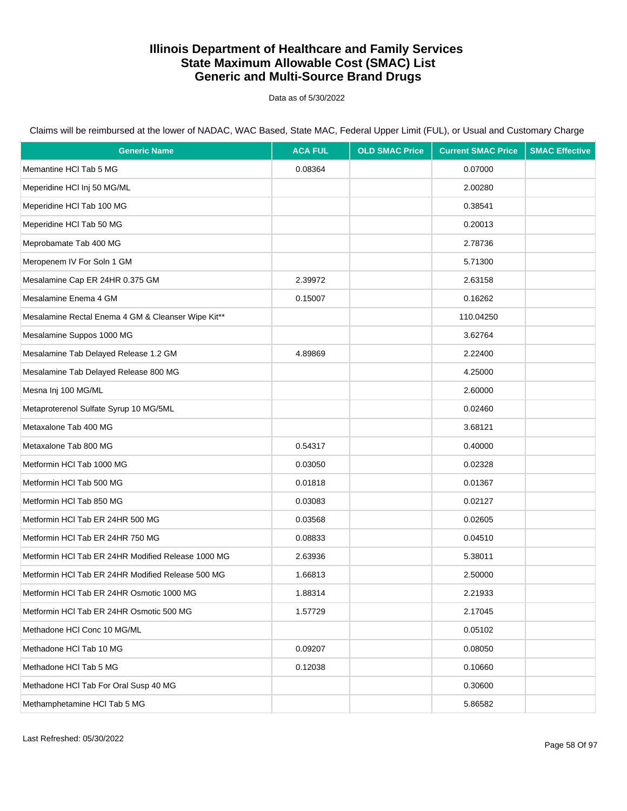Data as of 5/30/2022

| <b>Generic Name</b>                                | <b>ACA FUL</b> | <b>OLD SMAC Price</b> | <b>Current SMAC Price</b> | <b>SMAC Effective</b> |
|----------------------------------------------------|----------------|-----------------------|---------------------------|-----------------------|
| Memantine HCI Tab 5 MG                             | 0.08364        |                       | 0.07000                   |                       |
| Meperidine HCI Inj 50 MG/ML                        |                |                       | 2.00280                   |                       |
| Meperidine HCI Tab 100 MG                          |                |                       | 0.38541                   |                       |
| Meperidine HCI Tab 50 MG                           |                |                       | 0.20013                   |                       |
| Meprobamate Tab 400 MG                             |                |                       | 2.78736                   |                       |
| Meropenem IV For Soln 1 GM                         |                |                       | 5.71300                   |                       |
| Mesalamine Cap ER 24HR 0.375 GM                    | 2.39972        |                       | 2.63158                   |                       |
| Mesalamine Enema 4 GM                              | 0.15007        |                       | 0.16262                   |                       |
| Mesalamine Rectal Enema 4 GM & Cleanser Wipe Kit** |                |                       | 110.04250                 |                       |
| Mesalamine Suppos 1000 MG                          |                |                       | 3.62764                   |                       |
| Mesalamine Tab Delayed Release 1.2 GM              | 4.89869        |                       | 2.22400                   |                       |
| Mesalamine Tab Delayed Release 800 MG              |                |                       | 4.25000                   |                       |
| Mesna Inj 100 MG/ML                                |                |                       | 2.60000                   |                       |
| Metaproterenol Sulfate Syrup 10 MG/5ML             |                |                       | 0.02460                   |                       |
| Metaxalone Tab 400 MG                              |                |                       | 3.68121                   |                       |
| Metaxalone Tab 800 MG                              | 0.54317        |                       | 0.40000                   |                       |
| Metformin HCI Tab 1000 MG                          | 0.03050        |                       | 0.02328                   |                       |
| Metformin HCI Tab 500 MG                           | 0.01818        |                       | 0.01367                   |                       |
| Metformin HCI Tab 850 MG                           | 0.03083        |                       | 0.02127                   |                       |
| Metformin HCI Tab ER 24HR 500 MG                   | 0.03568        |                       | 0.02605                   |                       |
| Metformin HCI Tab ER 24HR 750 MG                   | 0.08833        |                       | 0.04510                   |                       |
| Metformin HCI Tab ER 24HR Modified Release 1000 MG | 2.63936        |                       | 5.38011                   |                       |
| Metformin HCI Tab ER 24HR Modified Release 500 MG  | 1.66813        |                       | 2.50000                   |                       |
| Metformin HCI Tab ER 24HR Osmotic 1000 MG          | 1.88314        |                       | 2.21933                   |                       |
| Metformin HCI Tab ER 24HR Osmotic 500 MG           | 1.57729        |                       | 2.17045                   |                       |
| Methadone HCI Conc 10 MG/ML                        |                |                       | 0.05102                   |                       |
| Methadone HCI Tab 10 MG                            | 0.09207        |                       | 0.08050                   |                       |
| Methadone HCI Tab 5 MG                             | 0.12038        |                       | 0.10660                   |                       |
| Methadone HCI Tab For Oral Susp 40 MG              |                |                       | 0.30600                   |                       |
| Methamphetamine HCI Tab 5 MG                       |                |                       | 5.86582                   |                       |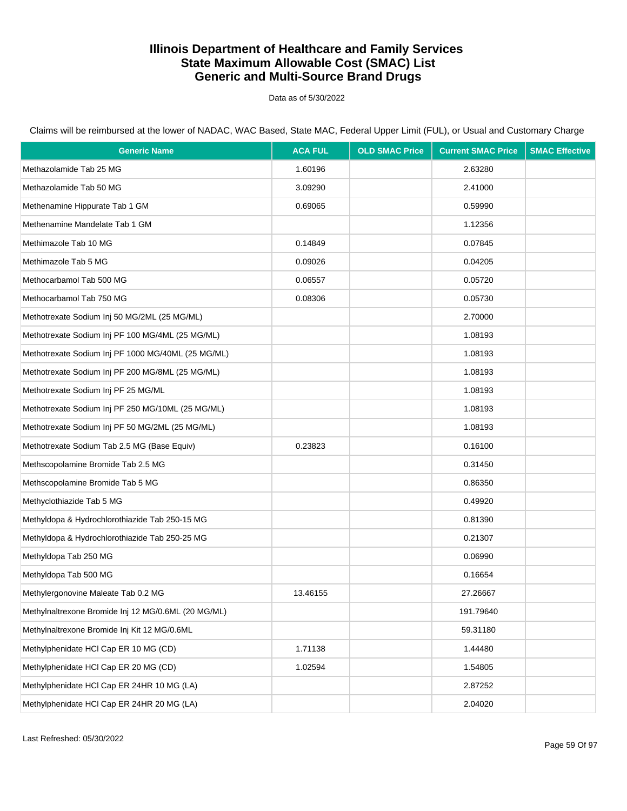Data as of 5/30/2022

| <b>Generic Name</b>                                 | <b>ACA FUL</b> | <b>OLD SMAC Price</b> | <b>Current SMAC Price</b> | <b>SMAC Effective</b> |
|-----------------------------------------------------|----------------|-----------------------|---------------------------|-----------------------|
| Methazolamide Tab 25 MG                             | 1.60196        |                       | 2.63280                   |                       |
| Methazolamide Tab 50 MG                             | 3.09290        |                       | 2.41000                   |                       |
| Methenamine Hippurate Tab 1 GM                      | 0.69065        |                       | 0.59990                   |                       |
| Methenamine Mandelate Tab 1 GM                      |                |                       | 1.12356                   |                       |
| Methimazole Tab 10 MG                               | 0.14849        |                       | 0.07845                   |                       |
| Methimazole Tab 5 MG                                | 0.09026        |                       | 0.04205                   |                       |
| Methocarbamol Tab 500 MG                            | 0.06557        |                       | 0.05720                   |                       |
| Methocarbamol Tab 750 MG                            | 0.08306        |                       | 0.05730                   |                       |
| Methotrexate Sodium Inj 50 MG/2ML (25 MG/ML)        |                |                       | 2.70000                   |                       |
| Methotrexate Sodium Inj PF 100 MG/4ML (25 MG/ML)    |                |                       | 1.08193                   |                       |
| Methotrexate Sodium Inj PF 1000 MG/40ML (25 MG/ML)  |                |                       | 1.08193                   |                       |
| Methotrexate Sodium Inj PF 200 MG/8ML (25 MG/ML)    |                |                       | 1.08193                   |                       |
| Methotrexate Sodium Inj PF 25 MG/ML                 |                |                       | 1.08193                   |                       |
| Methotrexate Sodium Inj PF 250 MG/10ML (25 MG/ML)   |                |                       | 1.08193                   |                       |
| Methotrexate Sodium Inj PF 50 MG/2ML (25 MG/ML)     |                |                       | 1.08193                   |                       |
| Methotrexate Sodium Tab 2.5 MG (Base Equiv)         | 0.23823        |                       | 0.16100                   |                       |
| Methscopolamine Bromide Tab 2.5 MG                  |                |                       | 0.31450                   |                       |
| Methscopolamine Bromide Tab 5 MG                    |                |                       | 0.86350                   |                       |
| Methyclothiazide Tab 5 MG                           |                |                       | 0.49920                   |                       |
| Methyldopa & Hydrochlorothiazide Tab 250-15 MG      |                |                       | 0.81390                   |                       |
| Methyldopa & Hydrochlorothiazide Tab 250-25 MG      |                |                       | 0.21307                   |                       |
| Methyldopa Tab 250 MG                               |                |                       | 0.06990                   |                       |
| Methyldopa Tab 500 MG                               |                |                       | 0.16654                   |                       |
| Methylergonovine Maleate Tab 0.2 MG                 | 13.46155       |                       | 27.26667                  |                       |
| Methylnaltrexone Bromide Inj 12 MG/0.6ML (20 MG/ML) |                |                       | 191.79640                 |                       |
| Methylnaltrexone Bromide Inj Kit 12 MG/0.6ML        |                |                       | 59.31180                  |                       |
| Methylphenidate HCI Cap ER 10 MG (CD)               | 1.71138        |                       | 1.44480                   |                       |
| Methylphenidate HCI Cap ER 20 MG (CD)               | 1.02594        |                       | 1.54805                   |                       |
| Methylphenidate HCl Cap ER 24HR 10 MG (LA)          |                |                       | 2.87252                   |                       |
| Methylphenidate HCl Cap ER 24HR 20 MG (LA)          |                |                       | 2.04020                   |                       |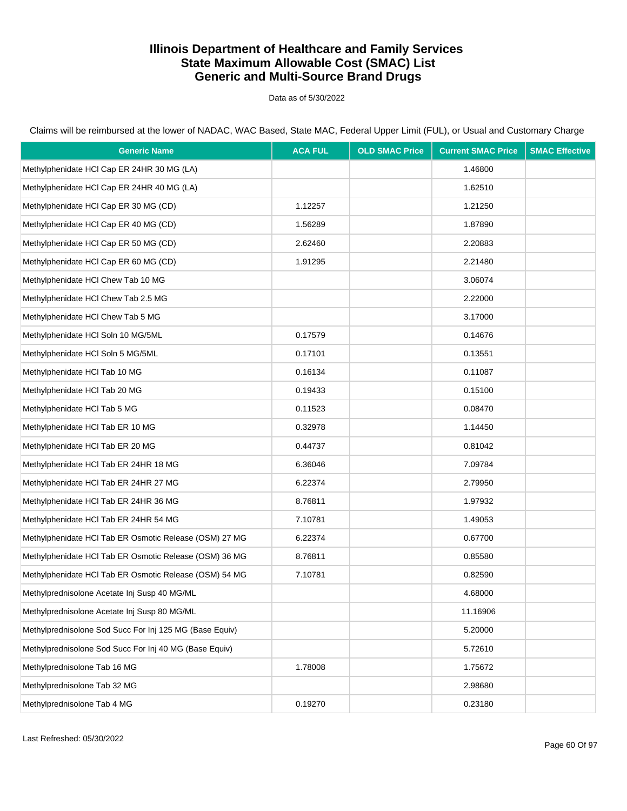Data as of 5/30/2022

| <b>Generic Name</b>                                     | <b>ACA FUL</b> | <b>OLD SMAC Price</b> | <b>Current SMAC Price</b> | <b>SMAC Effective</b> |
|---------------------------------------------------------|----------------|-----------------------|---------------------------|-----------------------|
| Methylphenidate HCl Cap ER 24HR 30 MG (LA)              |                |                       | 1.46800                   |                       |
| Methylphenidate HCI Cap ER 24HR 40 MG (LA)              |                |                       | 1.62510                   |                       |
| Methylphenidate HCI Cap ER 30 MG (CD)                   | 1.12257        |                       | 1.21250                   |                       |
| Methylphenidate HCI Cap ER 40 MG (CD)                   | 1.56289        |                       | 1.87890                   |                       |
| Methylphenidate HCI Cap ER 50 MG (CD)                   | 2.62460        |                       | 2.20883                   |                       |
| Methylphenidate HCI Cap ER 60 MG (CD)                   | 1.91295        |                       | 2.21480                   |                       |
| Methylphenidate HCl Chew Tab 10 MG                      |                |                       | 3.06074                   |                       |
| Methylphenidate HCI Chew Tab 2.5 MG                     |                |                       | 2.22000                   |                       |
| Methylphenidate HCI Chew Tab 5 MG                       |                |                       | 3.17000                   |                       |
| Methylphenidate HCI Soln 10 MG/5ML                      | 0.17579        |                       | 0.14676                   |                       |
| Methylphenidate HCI Soln 5 MG/5ML                       | 0.17101        |                       | 0.13551                   |                       |
| Methylphenidate HCl Tab 10 MG                           | 0.16134        |                       | 0.11087                   |                       |
| Methylphenidate HCI Tab 20 MG                           | 0.19433        |                       | 0.15100                   |                       |
| Methylphenidate HCI Tab 5 MG                            | 0.11523        |                       | 0.08470                   |                       |
| Methylphenidate HCI Tab ER 10 MG                        | 0.32978        |                       | 1.14450                   |                       |
| Methylphenidate HCI Tab ER 20 MG                        | 0.44737        |                       | 0.81042                   |                       |
| Methylphenidate HCI Tab ER 24HR 18 MG                   | 6.36046        |                       | 7.09784                   |                       |
| Methylphenidate HCI Tab ER 24HR 27 MG                   | 6.22374        |                       | 2.79950                   |                       |
| Methylphenidate HCI Tab ER 24HR 36 MG                   | 8.76811        |                       | 1.97932                   |                       |
| Methylphenidate HCI Tab ER 24HR 54 MG                   | 7.10781        |                       | 1.49053                   |                       |
| Methylphenidate HCI Tab ER Osmotic Release (OSM) 27 MG  | 6.22374        |                       | 0.67700                   |                       |
| Methylphenidate HCI Tab ER Osmotic Release (OSM) 36 MG  | 8.76811        |                       | 0.85580                   |                       |
| Methylphenidate HCl Tab ER Osmotic Release (OSM) 54 MG  | 7.10781        |                       | 0.82590                   |                       |
| Methylprednisolone Acetate Inj Susp 40 MG/ML            |                |                       | 4.68000                   |                       |
| Methylprednisolone Acetate Inj Susp 80 MG/ML            |                |                       | 11.16906                  |                       |
| Methylprednisolone Sod Succ For Inj 125 MG (Base Equiv) |                |                       | 5.20000                   |                       |
| Methylprednisolone Sod Succ For Inj 40 MG (Base Equiv)  |                |                       | 5.72610                   |                       |
| Methylprednisolone Tab 16 MG                            | 1.78008        |                       | 1.75672                   |                       |
| Methylprednisolone Tab 32 MG                            |                |                       | 2.98680                   |                       |
| Methylprednisolone Tab 4 MG                             | 0.19270        |                       | 0.23180                   |                       |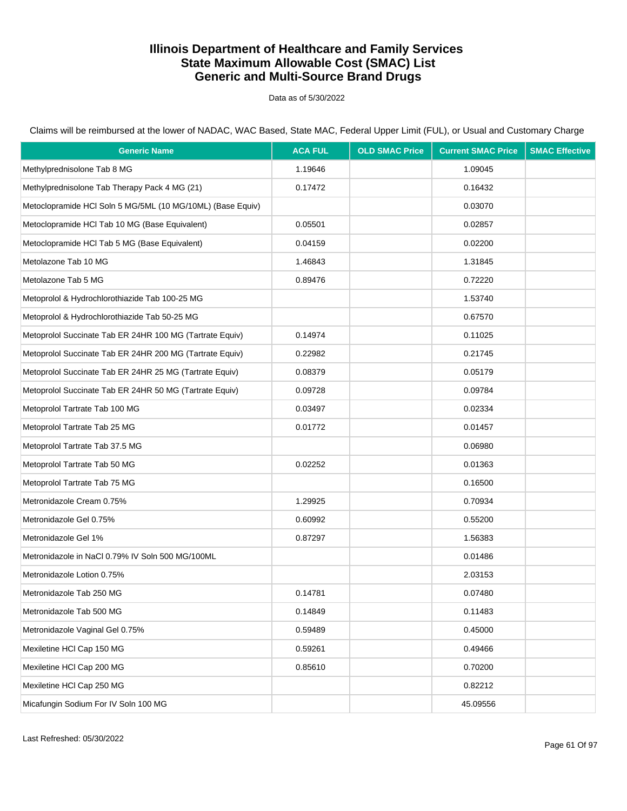Data as of 5/30/2022

Claims will be reimbursed at the lower of NADAC, WAC Based, State MAC, Federal Upper Limit (FUL), or Usual and Customary Charge

| <b>Generic Name</b>                                        | <b>ACA FUL</b> | <b>OLD SMAC Price</b> | <b>Current SMAC Price</b> | <b>SMAC Effective</b> |
|------------------------------------------------------------|----------------|-----------------------|---------------------------|-----------------------|
| Methylprednisolone Tab 8 MG                                | 1.19646        |                       | 1.09045                   |                       |
| Methylprednisolone Tab Therapy Pack 4 MG (21)              | 0.17472        |                       | 0.16432                   |                       |
| Metoclopramide HCl Soln 5 MG/5ML (10 MG/10ML) (Base Equiv) |                |                       | 0.03070                   |                       |
| Metoclopramide HCl Tab 10 MG (Base Equivalent)             | 0.05501        |                       | 0.02857                   |                       |
| Metoclopramide HCl Tab 5 MG (Base Equivalent)              | 0.04159        |                       | 0.02200                   |                       |
| Metolazone Tab 10 MG                                       | 1.46843        |                       | 1.31845                   |                       |
| Metolazone Tab 5 MG                                        | 0.89476        |                       | 0.72220                   |                       |
| Metoprolol & Hydrochlorothiazide Tab 100-25 MG             |                |                       | 1.53740                   |                       |
| Metoprolol & Hydrochlorothiazide Tab 50-25 MG              |                |                       | 0.67570                   |                       |
| Metoprolol Succinate Tab ER 24HR 100 MG (Tartrate Equiv)   | 0.14974        |                       | 0.11025                   |                       |
| Metoprolol Succinate Tab ER 24HR 200 MG (Tartrate Equiv)   | 0.22982        |                       | 0.21745                   |                       |
| Metoprolol Succinate Tab ER 24HR 25 MG (Tartrate Equiv)    | 0.08379        |                       | 0.05179                   |                       |
| Metoprolol Succinate Tab ER 24HR 50 MG (Tartrate Equiv)    | 0.09728        |                       | 0.09784                   |                       |
| Metoprolol Tartrate Tab 100 MG                             | 0.03497        |                       | 0.02334                   |                       |
| Metoprolol Tartrate Tab 25 MG                              | 0.01772        |                       | 0.01457                   |                       |
| Metoprolol Tartrate Tab 37.5 MG                            |                |                       | 0.06980                   |                       |
| Metoprolol Tartrate Tab 50 MG                              | 0.02252        |                       | 0.01363                   |                       |
| Metoprolol Tartrate Tab 75 MG                              |                |                       | 0.16500                   |                       |
| Metronidazole Cream 0.75%                                  | 1.29925        |                       | 0.70934                   |                       |
| Metronidazole Gel 0.75%                                    | 0.60992        |                       | 0.55200                   |                       |
| Metronidazole Gel 1%                                       | 0.87297        |                       | 1.56383                   |                       |
| Metronidazole in NaCl 0.79% IV Soln 500 MG/100ML           |                |                       | 0.01486                   |                       |
| Metronidazole Lotion 0.75%                                 |                |                       | 2.03153                   |                       |
| Metronidazole Tab 250 MG                                   | 0.14781        |                       | 0.07480                   |                       |
| Metronidazole Tab 500 MG                                   | 0.14849        |                       | 0.11483                   |                       |
| Metronidazole Vaginal Gel 0.75%                            | 0.59489        |                       | 0.45000                   |                       |
| Mexiletine HCI Cap 150 MG                                  | 0.59261        |                       | 0.49466                   |                       |
| Mexiletine HCI Cap 200 MG                                  | 0.85610        |                       | 0.70200                   |                       |
| Mexiletine HCI Cap 250 MG                                  |                |                       | 0.82212                   |                       |
| Micafungin Sodium For IV Soln 100 MG                       |                |                       | 45.09556                  |                       |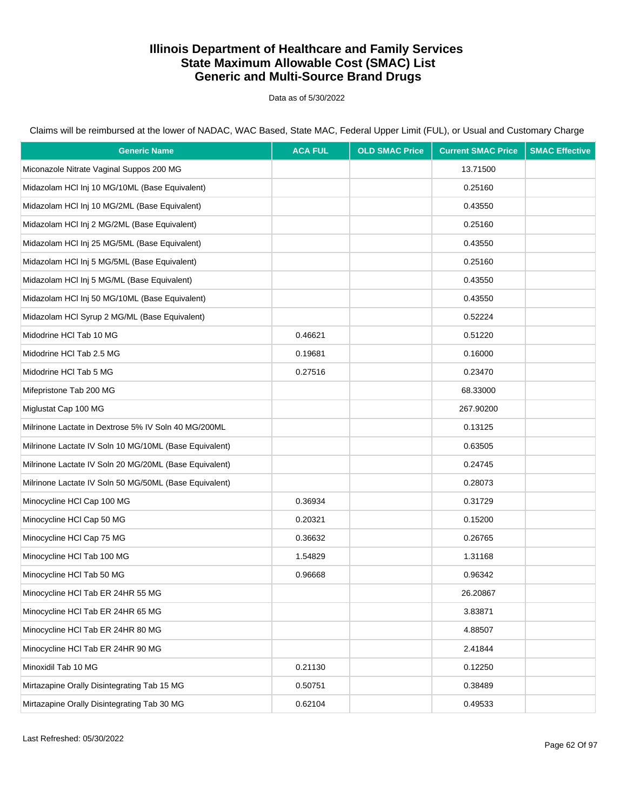Data as of 5/30/2022

| <b>Generic Name</b>                                    | <b>ACA FUL</b> | <b>OLD SMAC Price</b> | <b>Current SMAC Price</b> | <b>SMAC Effective</b> |
|--------------------------------------------------------|----------------|-----------------------|---------------------------|-----------------------|
| Miconazole Nitrate Vaginal Suppos 200 MG               |                |                       | 13.71500                  |                       |
| Midazolam HCl Inj 10 MG/10ML (Base Equivalent)         |                |                       | 0.25160                   |                       |
| Midazolam HCl Inj 10 MG/2ML (Base Equivalent)          |                |                       | 0.43550                   |                       |
| Midazolam HCl Inj 2 MG/2ML (Base Equivalent)           |                |                       | 0.25160                   |                       |
| Midazolam HCl Inj 25 MG/5ML (Base Equivalent)          |                |                       | 0.43550                   |                       |
| Midazolam HCl Inj 5 MG/5ML (Base Equivalent)           |                |                       | 0.25160                   |                       |
| Midazolam HCl Inj 5 MG/ML (Base Equivalent)            |                |                       | 0.43550                   |                       |
| Midazolam HCl Inj 50 MG/10ML (Base Equivalent)         |                |                       | 0.43550                   |                       |
| Midazolam HCl Syrup 2 MG/ML (Base Equivalent)          |                |                       | 0.52224                   |                       |
| Midodrine HCI Tab 10 MG                                | 0.46621        |                       | 0.51220                   |                       |
| Midodrine HCI Tab 2.5 MG                               | 0.19681        |                       | 0.16000                   |                       |
| Midodrine HCI Tab 5 MG                                 | 0.27516        |                       | 0.23470                   |                       |
| Mifepristone Tab 200 MG                                |                |                       | 68.33000                  |                       |
| Miglustat Cap 100 MG                                   |                |                       | 267.90200                 |                       |
| Milrinone Lactate in Dextrose 5% IV Soln 40 MG/200ML   |                |                       | 0.13125                   |                       |
| Milrinone Lactate IV Soln 10 MG/10ML (Base Equivalent) |                |                       | 0.63505                   |                       |
| Milrinone Lactate IV Soln 20 MG/20ML (Base Equivalent) |                |                       | 0.24745                   |                       |
| Milrinone Lactate IV Soln 50 MG/50ML (Base Equivalent) |                |                       | 0.28073                   |                       |
| Minocycline HCI Cap 100 MG                             | 0.36934        |                       | 0.31729                   |                       |
| Minocycline HCI Cap 50 MG                              | 0.20321        |                       | 0.15200                   |                       |
| Minocycline HCl Cap 75 MG                              | 0.36632        |                       | 0.26765                   |                       |
| Minocycline HCl Tab 100 MG                             | 1.54829        |                       | 1.31168                   |                       |
| Minocycline HCl Tab 50 MG                              | 0.96668        |                       | 0.96342                   |                       |
| Minocycline HCI Tab ER 24HR 55 MG                      |                |                       | 26.20867                  |                       |
| Minocycline HCI Tab ER 24HR 65 MG                      |                |                       | 3.83871                   |                       |
| Minocycline HCl Tab ER 24HR 80 MG                      |                |                       | 4.88507                   |                       |
| Minocycline HCI Tab ER 24HR 90 MG                      |                |                       | 2.41844                   |                       |
| Minoxidil Tab 10 MG                                    | 0.21130        |                       | 0.12250                   |                       |
| Mirtazapine Orally Disintegrating Tab 15 MG            | 0.50751        |                       | 0.38489                   |                       |
| Mirtazapine Orally Disintegrating Tab 30 MG            | 0.62104        |                       | 0.49533                   |                       |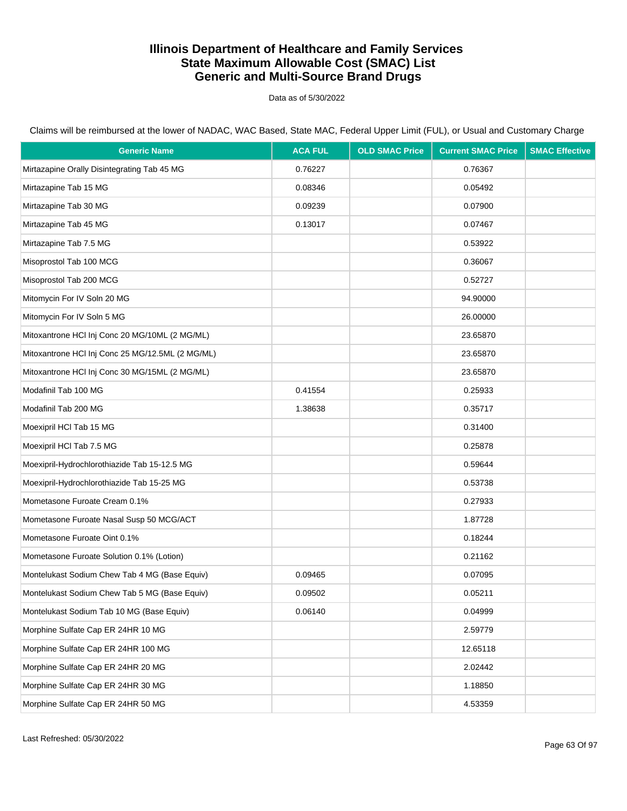Data as of 5/30/2022

| <b>Generic Name</b>                              | <b>ACA FUL</b> | <b>OLD SMAC Price</b> | <b>Current SMAC Price</b> | <b>SMAC Effective</b> |
|--------------------------------------------------|----------------|-----------------------|---------------------------|-----------------------|
| Mirtazapine Orally Disintegrating Tab 45 MG      | 0.76227        |                       | 0.76367                   |                       |
| Mirtazapine Tab 15 MG                            | 0.08346        |                       | 0.05492                   |                       |
| Mirtazapine Tab 30 MG                            | 0.09239        |                       | 0.07900                   |                       |
| Mirtazapine Tab 45 MG                            | 0.13017        |                       | 0.07467                   |                       |
| Mirtazapine Tab 7.5 MG                           |                |                       | 0.53922                   |                       |
| Misoprostol Tab 100 MCG                          |                |                       | 0.36067                   |                       |
| Misoprostol Tab 200 MCG                          |                |                       | 0.52727                   |                       |
| Mitomycin For IV Soln 20 MG                      |                |                       | 94.90000                  |                       |
| Mitomycin For IV Soln 5 MG                       |                |                       | 26.00000                  |                       |
| Mitoxantrone HCl Inj Conc 20 MG/10ML (2 MG/ML)   |                |                       | 23.65870                  |                       |
| Mitoxantrone HCl Inj Conc 25 MG/12.5ML (2 MG/ML) |                |                       | 23.65870                  |                       |
| Mitoxantrone HCl Inj Conc 30 MG/15ML (2 MG/ML)   |                |                       | 23.65870                  |                       |
| Modafinil Tab 100 MG                             | 0.41554        |                       | 0.25933                   |                       |
| Modafinil Tab 200 MG                             | 1.38638        |                       | 0.35717                   |                       |
| Moexipril HCI Tab 15 MG                          |                |                       | 0.31400                   |                       |
| Moexipril HCl Tab 7.5 MG                         |                |                       | 0.25878                   |                       |
| Moexipril-Hydrochlorothiazide Tab 15-12.5 MG     |                |                       | 0.59644                   |                       |
| Moexipril-Hydrochlorothiazide Tab 15-25 MG       |                |                       | 0.53738                   |                       |
| Mometasone Furoate Cream 0.1%                    |                |                       | 0.27933                   |                       |
| Mometasone Furoate Nasal Susp 50 MCG/ACT         |                |                       | 1.87728                   |                       |
| Mometasone Furoate Oint 0.1%                     |                |                       | 0.18244                   |                       |
| Mometasone Furoate Solution 0.1% (Lotion)        |                |                       | 0.21162                   |                       |
| Montelukast Sodium Chew Tab 4 MG (Base Equiv)    | 0.09465        |                       | 0.07095                   |                       |
| Montelukast Sodium Chew Tab 5 MG (Base Equiv)    | 0.09502        |                       | 0.05211                   |                       |
| Montelukast Sodium Tab 10 MG (Base Equiv)        | 0.06140        |                       | 0.04999                   |                       |
| Morphine Sulfate Cap ER 24HR 10 MG               |                |                       | 2.59779                   |                       |
| Morphine Sulfate Cap ER 24HR 100 MG              |                |                       | 12.65118                  |                       |
| Morphine Sulfate Cap ER 24HR 20 MG               |                |                       | 2.02442                   |                       |
| Morphine Sulfate Cap ER 24HR 30 MG               |                |                       | 1.18850                   |                       |
| Morphine Sulfate Cap ER 24HR 50 MG               |                |                       | 4.53359                   |                       |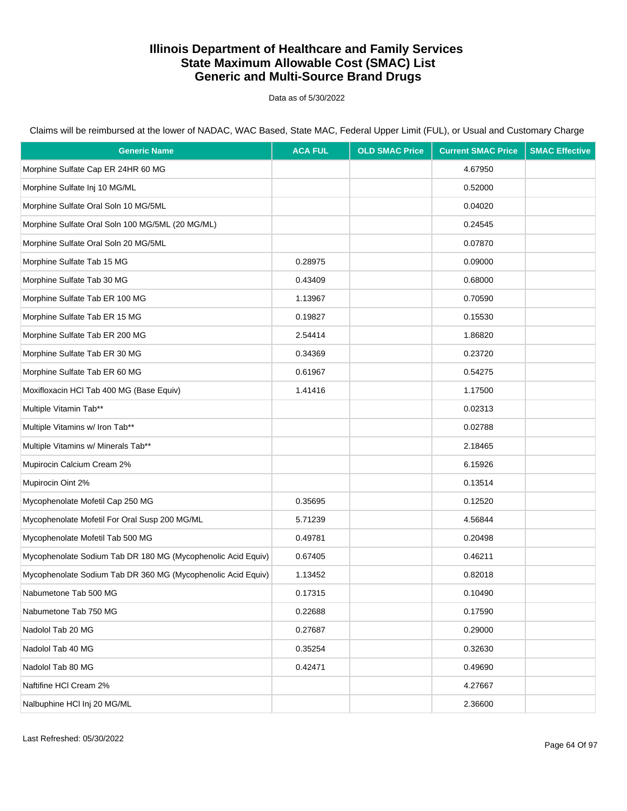Data as of 5/30/2022

| <b>Generic Name</b>                                          | <b>ACA FUL</b> | <b>OLD SMAC Price</b> | <b>Current SMAC Price</b> | <b>SMAC Effective</b> |
|--------------------------------------------------------------|----------------|-----------------------|---------------------------|-----------------------|
| Morphine Sulfate Cap ER 24HR 60 MG                           |                |                       | 4.67950                   |                       |
| Morphine Sulfate Inj 10 MG/ML                                |                |                       | 0.52000                   |                       |
| Morphine Sulfate Oral Soln 10 MG/5ML                         |                |                       | 0.04020                   |                       |
| Morphine Sulfate Oral Soln 100 MG/5ML (20 MG/ML)             |                |                       | 0.24545                   |                       |
| Morphine Sulfate Oral Soln 20 MG/5ML                         |                |                       | 0.07870                   |                       |
| Morphine Sulfate Tab 15 MG                                   | 0.28975        |                       | 0.09000                   |                       |
| Morphine Sulfate Tab 30 MG                                   | 0.43409        |                       | 0.68000                   |                       |
| Morphine Sulfate Tab ER 100 MG                               | 1.13967        |                       | 0.70590                   |                       |
| Morphine Sulfate Tab ER 15 MG                                | 0.19827        |                       | 0.15530                   |                       |
| Morphine Sulfate Tab ER 200 MG                               | 2.54414        |                       | 1.86820                   |                       |
| Morphine Sulfate Tab ER 30 MG                                | 0.34369        |                       | 0.23720                   |                       |
| Morphine Sulfate Tab ER 60 MG                                | 0.61967        |                       | 0.54275                   |                       |
| Moxifloxacin HCl Tab 400 MG (Base Equiv)                     | 1.41416        |                       | 1.17500                   |                       |
| Multiple Vitamin Tab**                                       |                |                       | 0.02313                   |                       |
| Multiple Vitamins w/ Iron Tab**                              |                |                       | 0.02788                   |                       |
| Multiple Vitamins w/ Minerals Tab**                          |                |                       | 2.18465                   |                       |
| Mupirocin Calcium Cream 2%                                   |                |                       | 6.15926                   |                       |
| Mupirocin Oint 2%                                            |                |                       | 0.13514                   |                       |
| Mycophenolate Mofetil Cap 250 MG                             | 0.35695        |                       | 0.12520                   |                       |
| Mycophenolate Mofetil For Oral Susp 200 MG/ML                | 5.71239        |                       | 4.56844                   |                       |
| Mycophenolate Mofetil Tab 500 MG                             | 0.49781        |                       | 0.20498                   |                       |
| Mycophenolate Sodium Tab DR 180 MG (Mycophenolic Acid Equiv) | 0.67405        |                       | 0.46211                   |                       |
| Mycophenolate Sodium Tab DR 360 MG (Mycophenolic Acid Equiv) | 1.13452        |                       | 0.82018                   |                       |
| Nabumetone Tab 500 MG                                        | 0.17315        |                       | 0.10490                   |                       |
| Nabumetone Tab 750 MG                                        | 0.22688        |                       | 0.17590                   |                       |
| Nadolol Tab 20 MG                                            | 0.27687        |                       | 0.29000                   |                       |
| Nadolol Tab 40 MG                                            | 0.35254        |                       | 0.32630                   |                       |
| Nadolol Tab 80 MG                                            | 0.42471        |                       | 0.49690                   |                       |
| Naftifine HCI Cream 2%                                       |                |                       | 4.27667                   |                       |
| Nalbuphine HCl Inj 20 MG/ML                                  |                |                       | 2.36600                   |                       |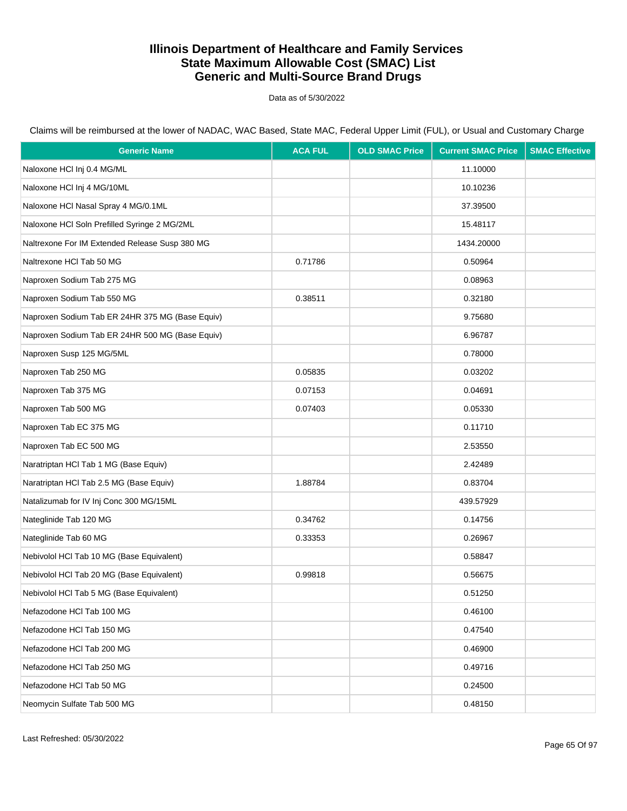Data as of 5/30/2022

| <b>Generic Name</b>                             | <b>ACA FUL</b> | <b>OLD SMAC Price</b> | <b>Current SMAC Price</b> | <b>SMAC Effective</b> |
|-------------------------------------------------|----------------|-----------------------|---------------------------|-----------------------|
| Naloxone HCl Inj 0.4 MG/ML                      |                |                       | 11.10000                  |                       |
| Naloxone HCI Inj 4 MG/10ML                      |                |                       | 10.10236                  |                       |
| Naloxone HCl Nasal Spray 4 MG/0.1ML             |                |                       | 37.39500                  |                       |
| Naloxone HCl Soln Prefilled Syringe 2 MG/2ML    |                |                       | 15.48117                  |                       |
| Naltrexone For IM Extended Release Susp 380 MG  |                |                       | 1434.20000                |                       |
| Naltrexone HCl Tab 50 MG                        | 0.71786        |                       | 0.50964                   |                       |
| Naproxen Sodium Tab 275 MG                      |                |                       | 0.08963                   |                       |
| Naproxen Sodium Tab 550 MG                      | 0.38511        |                       | 0.32180                   |                       |
| Naproxen Sodium Tab ER 24HR 375 MG (Base Equiv) |                |                       | 9.75680                   |                       |
| Naproxen Sodium Tab ER 24HR 500 MG (Base Equiv) |                |                       | 6.96787                   |                       |
| Naproxen Susp 125 MG/5ML                        |                |                       | 0.78000                   |                       |
| Naproxen Tab 250 MG                             | 0.05835        |                       | 0.03202                   |                       |
| Naproxen Tab 375 MG                             | 0.07153        |                       | 0.04691                   |                       |
| Naproxen Tab 500 MG                             | 0.07403        |                       | 0.05330                   |                       |
| Naproxen Tab EC 375 MG                          |                |                       | 0.11710                   |                       |
| Naproxen Tab EC 500 MG                          |                |                       | 2.53550                   |                       |
| Naratriptan HCl Tab 1 MG (Base Equiv)           |                |                       | 2.42489                   |                       |
| Naratriptan HCl Tab 2.5 MG (Base Equiv)         | 1.88784        |                       | 0.83704                   |                       |
| Natalizumab for IV Inj Conc 300 MG/15ML         |                |                       | 439.57929                 |                       |
| Nateglinide Tab 120 MG                          | 0.34762        |                       | 0.14756                   |                       |
| Nateglinide Tab 60 MG                           | 0.33353        |                       | 0.26967                   |                       |
| Nebivolol HCl Tab 10 MG (Base Equivalent)       |                |                       | 0.58847                   |                       |
| Nebivolol HCl Tab 20 MG (Base Equivalent)       | 0.99818        |                       | 0.56675                   |                       |
| Nebivolol HCl Tab 5 MG (Base Equivalent)        |                |                       | 0.51250                   |                       |
| Nefazodone HCI Tab 100 MG                       |                |                       | 0.46100                   |                       |
| Nefazodone HCl Tab 150 MG                       |                |                       | 0.47540                   |                       |
| Nefazodone HCl Tab 200 MG                       |                |                       | 0.46900                   |                       |
| Nefazodone HCl Tab 250 MG                       |                |                       | 0.49716                   |                       |
| Nefazodone HCl Tab 50 MG                        |                |                       | 0.24500                   |                       |
| Neomycin Sulfate Tab 500 MG                     |                |                       | 0.48150                   |                       |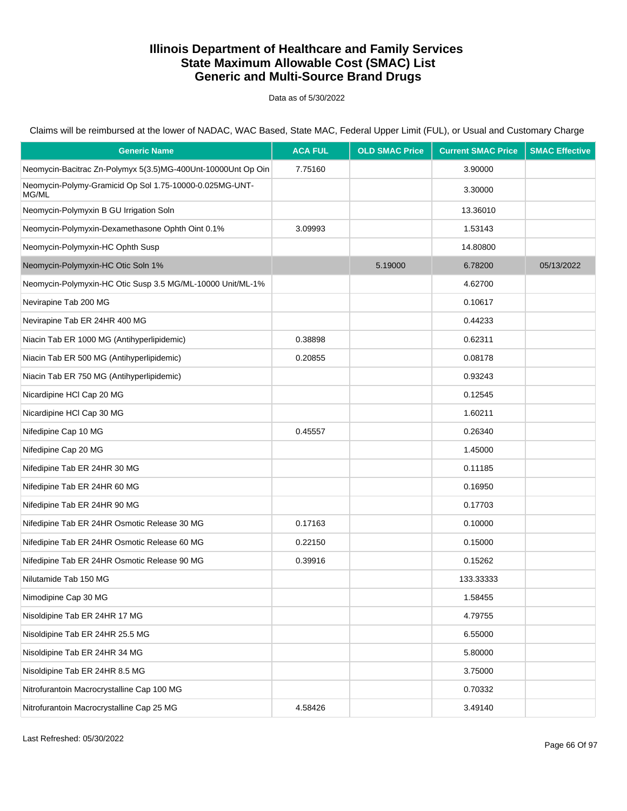Data as of 5/30/2022

Claims will be reimbursed at the lower of NADAC, WAC Based, State MAC, Federal Upper Limit (FUL), or Usual and Customary Charge

| <b>Generic Name</b>                                              | <b>ACA FUL</b> | <b>OLD SMAC Price</b> | <b>Current SMAC Price</b> | <b>SMAC Effective</b> |
|------------------------------------------------------------------|----------------|-----------------------|---------------------------|-----------------------|
| Neomycin-Bacitrac Zn-Polymyx 5(3.5)MG-400Unt-10000Unt Op Oin     | 7.75160        |                       | 3.90000                   |                       |
| Neomycin-Polymy-Gramicid Op Sol 1.75-10000-0.025MG-UNT-<br>MG/ML |                |                       | 3.30000                   |                       |
| Neomycin-Polymyxin B GU Irrigation Soln                          |                |                       | 13.36010                  |                       |
| Neomycin-Polymyxin-Dexamethasone Ophth Oint 0.1%                 | 3.09993        |                       | 1.53143                   |                       |
| Neomycin-Polymyxin-HC Ophth Susp                                 |                |                       | 14.80800                  |                       |
| Neomycin-Polymyxin-HC Otic Soln 1%                               |                | 5.19000               | 6.78200                   | 05/13/2022            |
| Neomycin-Polymyxin-HC Otic Susp 3.5 MG/ML-10000 Unit/ML-1%       |                |                       | 4.62700                   |                       |
| Nevirapine Tab 200 MG                                            |                |                       | 0.10617                   |                       |
| Nevirapine Tab ER 24HR 400 MG                                    |                |                       | 0.44233                   |                       |
| Niacin Tab ER 1000 MG (Antihyperlipidemic)                       | 0.38898        |                       | 0.62311                   |                       |
| Niacin Tab ER 500 MG (Antihyperlipidemic)                        | 0.20855        |                       | 0.08178                   |                       |
| Niacin Tab ER 750 MG (Antihyperlipidemic)                        |                |                       | 0.93243                   |                       |
| Nicardipine HCI Cap 20 MG                                        |                |                       | 0.12545                   |                       |
| Nicardipine HCl Cap 30 MG                                        |                |                       | 1.60211                   |                       |
| Nifedipine Cap 10 MG                                             | 0.45557        |                       | 0.26340                   |                       |
| Nifedipine Cap 20 MG                                             |                |                       | 1.45000                   |                       |
| Nifedipine Tab ER 24HR 30 MG                                     |                |                       | 0.11185                   |                       |
| Nifedipine Tab ER 24HR 60 MG                                     |                |                       | 0.16950                   |                       |
| Nifedipine Tab ER 24HR 90 MG                                     |                |                       | 0.17703                   |                       |
| Nifedipine Tab ER 24HR Osmotic Release 30 MG                     | 0.17163        |                       | 0.10000                   |                       |
| Nifedipine Tab ER 24HR Osmotic Release 60 MG                     | 0.22150        |                       | 0.15000                   |                       |
| Nifedipine Tab ER 24HR Osmotic Release 90 MG                     | 0.39916        |                       | 0.15262                   |                       |
| Nilutamide Tab 150 MG                                            |                |                       | 133.33333                 |                       |
| Nimodipine Cap 30 MG                                             |                |                       | 1.58455                   |                       |
| Nisoldipine Tab ER 24HR 17 MG                                    |                |                       | 4.79755                   |                       |
| Nisoldipine Tab ER 24HR 25.5 MG                                  |                |                       | 6.55000                   |                       |
| Nisoldipine Tab ER 24HR 34 MG                                    |                |                       | 5.80000                   |                       |
| Nisoldipine Tab ER 24HR 8.5 MG                                   |                |                       | 3.75000                   |                       |
| Nitrofurantoin Macrocrystalline Cap 100 MG                       |                |                       | 0.70332                   |                       |
| Nitrofurantoin Macrocrystalline Cap 25 MG                        | 4.58426        |                       | 3.49140                   |                       |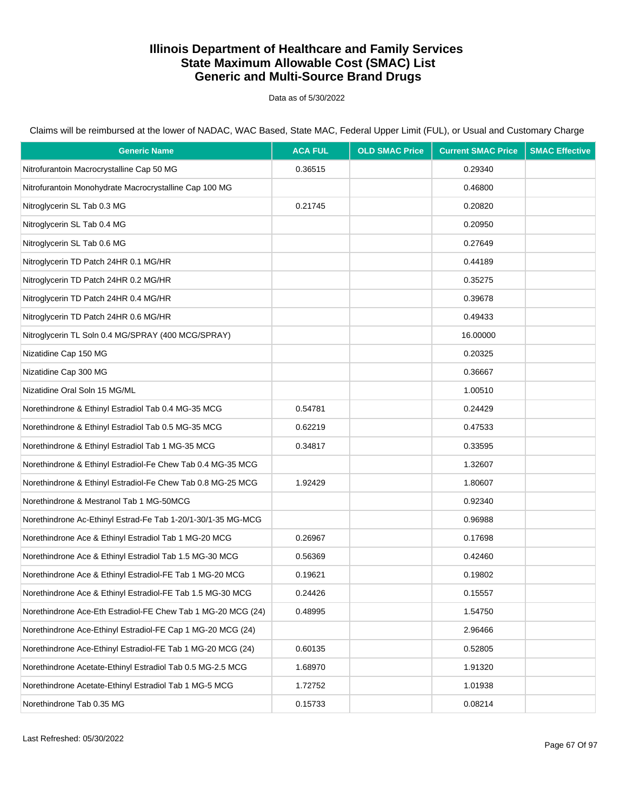Data as of 5/30/2022

Claims will be reimbursed at the lower of NADAC, WAC Based, State MAC, Federal Upper Limit (FUL), or Usual and Customary Charge

| <b>Generic Name</b>                                          | <b>ACA FUL</b> | <b>OLD SMAC Price</b> | <b>Current SMAC Price</b> | <b>SMAC Effective</b> |
|--------------------------------------------------------------|----------------|-----------------------|---------------------------|-----------------------|
| Nitrofurantoin Macrocrystalline Cap 50 MG                    | 0.36515        |                       | 0.29340                   |                       |
| Nitrofurantoin Monohydrate Macrocrystalline Cap 100 MG       |                |                       | 0.46800                   |                       |
| Nitroglycerin SL Tab 0.3 MG                                  | 0.21745        |                       | 0.20820                   |                       |
| Nitroglycerin SL Tab 0.4 MG                                  |                |                       | 0.20950                   |                       |
| Nitroglycerin SL Tab 0.6 MG                                  |                |                       | 0.27649                   |                       |
| Nitroglycerin TD Patch 24HR 0.1 MG/HR                        |                |                       | 0.44189                   |                       |
| Nitroglycerin TD Patch 24HR 0.2 MG/HR                        |                |                       | 0.35275                   |                       |
| Nitroglycerin TD Patch 24HR 0.4 MG/HR                        |                |                       | 0.39678                   |                       |
| Nitroglycerin TD Patch 24HR 0.6 MG/HR                        |                |                       | 0.49433                   |                       |
| Nitroglycerin TL Soln 0.4 MG/SPRAY (400 MCG/SPRAY)           |                |                       | 16.00000                  |                       |
| Nizatidine Cap 150 MG                                        |                |                       | 0.20325                   |                       |
| Nizatidine Cap 300 MG                                        |                |                       | 0.36667                   |                       |
| Nizatidine Oral Soln 15 MG/ML                                |                |                       | 1.00510                   |                       |
| Norethindrone & Ethinyl Estradiol Tab 0.4 MG-35 MCG          | 0.54781        |                       | 0.24429                   |                       |
| Norethindrone & Ethinyl Estradiol Tab 0.5 MG-35 MCG          | 0.62219        |                       | 0.47533                   |                       |
| Norethindrone & Ethinyl Estradiol Tab 1 MG-35 MCG            | 0.34817        |                       | 0.33595                   |                       |
| Norethindrone & Ethinyl Estradiol-Fe Chew Tab 0.4 MG-35 MCG  |                |                       | 1.32607                   |                       |
| Norethindrone & Ethinyl Estradiol-Fe Chew Tab 0.8 MG-25 MCG  | 1.92429        |                       | 1.80607                   |                       |
| Norethindrone & Mestranol Tab 1 MG-50MCG                     |                |                       | 0.92340                   |                       |
| Norethindrone Ac-Ethinyl Estrad-Fe Tab 1-20/1-30/1-35 MG-MCG |                |                       | 0.96988                   |                       |
| Norethindrone Ace & Ethinyl Estradiol Tab 1 MG-20 MCG        | 0.26967        |                       | 0.17698                   |                       |
| Norethindrone Ace & Ethinyl Estradiol Tab 1.5 MG-30 MCG      | 0.56369        |                       | 0.42460                   |                       |
| Norethindrone Ace & Ethinyl Estradiol-FE Tab 1 MG-20 MCG     | 0.19621        |                       | 0.19802                   |                       |
| Norethindrone Ace & Ethinyl Estradiol-FE Tab 1.5 MG-30 MCG   | 0.24426        |                       | 0.15557                   |                       |
| Norethindrone Ace-Eth Estradiol-FE Chew Tab 1 MG-20 MCG (24) | 0.48995        |                       | 1.54750                   |                       |
| Norethindrone Ace-Ethinyl Estradiol-FE Cap 1 MG-20 MCG (24)  |                |                       | 2.96466                   |                       |
| Norethindrone Ace-Ethinyl Estradiol-FE Tab 1 MG-20 MCG (24)  | 0.60135        |                       | 0.52805                   |                       |
| Norethindrone Acetate-Ethinyl Estradiol Tab 0.5 MG-2.5 MCG   | 1.68970        |                       | 1.91320                   |                       |
| Norethindrone Acetate-Ethinyl Estradiol Tab 1 MG-5 MCG       | 1.72752        |                       | 1.01938                   |                       |
| Norethindrone Tab 0.35 MG                                    | 0.15733        |                       | 0.08214                   |                       |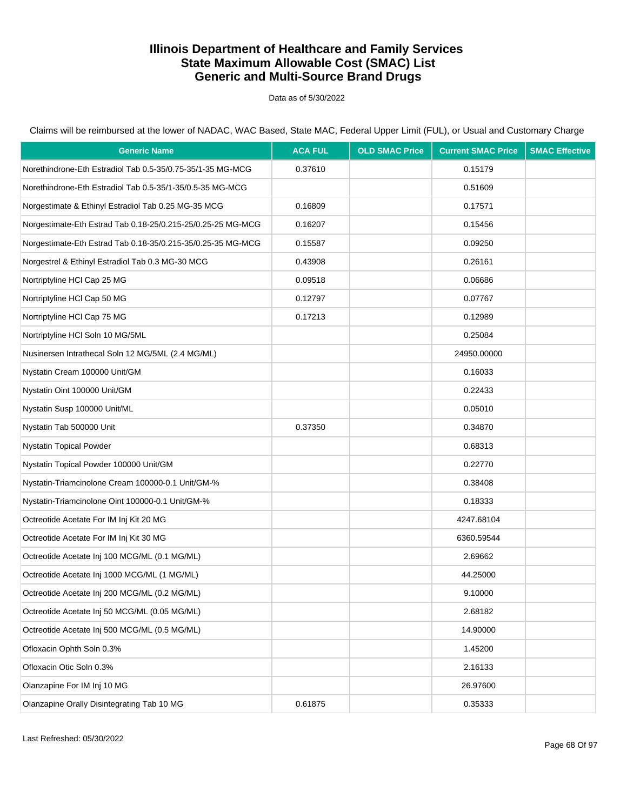Data as of 5/30/2022

Claims will be reimbursed at the lower of NADAC, WAC Based, State MAC, Federal Upper Limit (FUL), or Usual and Customary Charge

| <b>Generic Name</b>                                         | <b>ACA FUL</b> | <b>OLD SMAC Price</b> | <b>Current SMAC Price</b> | <b>SMAC Effective</b> |
|-------------------------------------------------------------|----------------|-----------------------|---------------------------|-----------------------|
| Norethindrone-Eth Estradiol Tab 0.5-35/0.75-35/1-35 MG-MCG  | 0.37610        |                       | 0.15179                   |                       |
| Norethindrone-Eth Estradiol Tab 0.5-35/1-35/0.5-35 MG-MCG   |                |                       | 0.51609                   |                       |
| Norgestimate & Ethinyl Estradiol Tab 0.25 MG-35 MCG         | 0.16809        |                       | 0.17571                   |                       |
| Norgestimate-Eth Estrad Tab 0.18-25/0.215-25/0.25-25 MG-MCG | 0.16207        |                       | 0.15456                   |                       |
| Norgestimate-Eth Estrad Tab 0.18-35/0.215-35/0.25-35 MG-MCG | 0.15587        |                       | 0.09250                   |                       |
| Norgestrel & Ethinyl Estradiol Tab 0.3 MG-30 MCG            | 0.43908        |                       | 0.26161                   |                       |
| Nortriptyline HCI Cap 25 MG                                 | 0.09518        |                       | 0.06686                   |                       |
| Nortriptyline HCl Cap 50 MG                                 | 0.12797        |                       | 0.07767                   |                       |
| Nortriptyline HCI Cap 75 MG                                 | 0.17213        |                       | 0.12989                   |                       |
| Nortriptyline HCI Soln 10 MG/5ML                            |                |                       | 0.25084                   |                       |
| Nusinersen Intrathecal Soln 12 MG/5ML (2.4 MG/ML)           |                |                       | 24950.00000               |                       |
| Nystatin Cream 100000 Unit/GM                               |                |                       | 0.16033                   |                       |
| Nystatin Oint 100000 Unit/GM                                |                |                       | 0.22433                   |                       |
| Nystatin Susp 100000 Unit/ML                                |                |                       | 0.05010                   |                       |
| Nystatin Tab 500000 Unit                                    | 0.37350        |                       | 0.34870                   |                       |
| <b>Nystatin Topical Powder</b>                              |                |                       | 0.68313                   |                       |
| Nystatin Topical Powder 100000 Unit/GM                      |                |                       | 0.22770                   |                       |
| Nystatin-Triamcinolone Cream 100000-0.1 Unit/GM-%           |                |                       | 0.38408                   |                       |
| Nystatin-Triamcinolone Oint 100000-0.1 Unit/GM-%            |                |                       | 0.18333                   |                       |
| Octreotide Acetate For IM Inj Kit 20 MG                     |                |                       | 4247.68104                |                       |
| Octreotide Acetate For IM Inj Kit 30 MG                     |                |                       | 6360.59544                |                       |
| Octreotide Acetate Inj 100 MCG/ML (0.1 MG/ML)               |                |                       | 2.69662                   |                       |
| Octreotide Acetate Inj 1000 MCG/ML (1 MG/ML)                |                |                       | 44.25000                  |                       |
| Octreotide Acetate Inj 200 MCG/ML (0.2 MG/ML)               |                |                       | 9.10000                   |                       |
| Octreotide Acetate Inj 50 MCG/ML (0.05 MG/ML)               |                |                       | 2.68182                   |                       |
| Octreotide Acetate Inj 500 MCG/ML (0.5 MG/ML)               |                |                       | 14.90000                  |                       |
| Ofloxacin Ophth Soln 0.3%                                   |                |                       | 1.45200                   |                       |
| Ofloxacin Otic Soln 0.3%                                    |                |                       | 2.16133                   |                       |
| Olanzapine For IM Inj 10 MG                                 |                |                       | 26.97600                  |                       |
| Olanzapine Orally Disintegrating Tab 10 MG                  | 0.61875        |                       | 0.35333                   |                       |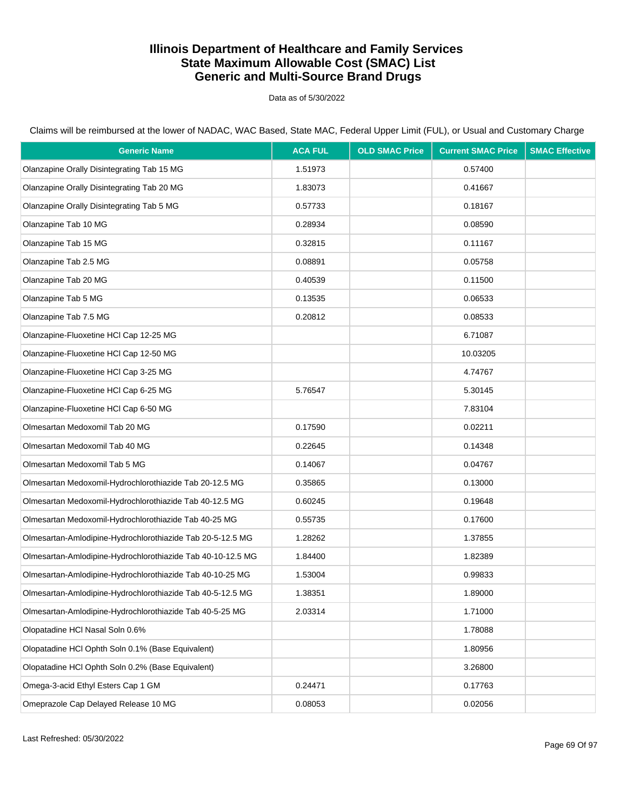Data as of 5/30/2022

Claims will be reimbursed at the lower of NADAC, WAC Based, State MAC, Federal Upper Limit (FUL), or Usual and Customary Charge

| <b>Generic Name</b>                                         | <b>ACA FUL</b> | <b>OLD SMAC Price</b> | <b>Current SMAC Price</b> | <b>SMAC Effective</b> |
|-------------------------------------------------------------|----------------|-----------------------|---------------------------|-----------------------|
| Olanzapine Orally Disintegrating Tab 15 MG                  | 1.51973        |                       | 0.57400                   |                       |
| Olanzapine Orally Disintegrating Tab 20 MG                  | 1.83073        |                       | 0.41667                   |                       |
| Olanzapine Orally Disintegrating Tab 5 MG                   | 0.57733        |                       | 0.18167                   |                       |
| Olanzapine Tab 10 MG                                        | 0.28934        |                       | 0.08590                   |                       |
| Olanzapine Tab 15 MG                                        | 0.32815        |                       | 0.11167                   |                       |
| Olanzapine Tab 2.5 MG                                       | 0.08891        |                       | 0.05758                   |                       |
| Olanzapine Tab 20 MG                                        | 0.40539        |                       | 0.11500                   |                       |
| Olanzapine Tab 5 MG                                         | 0.13535        |                       | 0.06533                   |                       |
| Olanzapine Tab 7.5 MG                                       | 0.20812        |                       | 0.08533                   |                       |
| Olanzapine-Fluoxetine HCl Cap 12-25 MG                      |                |                       | 6.71087                   |                       |
| Olanzapine-Fluoxetine HCl Cap 12-50 MG                      |                |                       | 10.03205                  |                       |
| Olanzapine-Fluoxetine HCl Cap 3-25 MG                       |                |                       | 4.74767                   |                       |
| Olanzapine-Fluoxetine HCl Cap 6-25 MG                       | 5.76547        |                       | 5.30145                   |                       |
| Olanzapine-Fluoxetine HCl Cap 6-50 MG                       |                |                       | 7.83104                   |                       |
| Olmesartan Medoxomil Tab 20 MG                              | 0.17590        |                       | 0.02211                   |                       |
| Olmesartan Medoxomil Tab 40 MG                              | 0.22645        |                       | 0.14348                   |                       |
| Olmesartan Medoxomil Tab 5 MG                               | 0.14067        |                       | 0.04767                   |                       |
| Olmesartan Medoxomil-Hydrochlorothiazide Tab 20-12.5 MG     | 0.35865        |                       | 0.13000                   |                       |
| Olmesartan Medoxomil-Hydrochlorothiazide Tab 40-12.5 MG     | 0.60245        |                       | 0.19648                   |                       |
| Olmesartan Medoxomil-Hydrochlorothiazide Tab 40-25 MG       | 0.55735        |                       | 0.17600                   |                       |
| Olmesartan-Amlodipine-Hydrochlorothiazide Tab 20-5-12.5 MG  | 1.28262        |                       | 1.37855                   |                       |
| Olmesartan-Amlodipine-Hydrochlorothiazide Tab 40-10-12.5 MG | 1.84400        |                       | 1.82389                   |                       |
| Olmesartan-Amlodipine-Hydrochlorothiazide Tab 40-10-25 MG   | 1.53004        |                       | 0.99833                   |                       |
| Olmesartan-Amlodipine-Hydrochlorothiazide Tab 40-5-12.5 MG  | 1.38351        |                       | 1.89000                   |                       |
| Olmesartan-Amlodipine-Hydrochlorothiazide Tab 40-5-25 MG    | 2.03314        |                       | 1.71000                   |                       |
| Olopatadine HCl Nasal Soln 0.6%                             |                |                       | 1.78088                   |                       |
| Olopatadine HCI Ophth Soln 0.1% (Base Equivalent)           |                |                       | 1.80956                   |                       |
| Olopatadine HCI Ophth Soln 0.2% (Base Equivalent)           |                |                       | 3.26800                   |                       |
| Omega-3-acid Ethyl Esters Cap 1 GM                          | 0.24471        |                       | 0.17763                   |                       |
| Omeprazole Cap Delayed Release 10 MG                        | 0.08053        |                       | 0.02056                   |                       |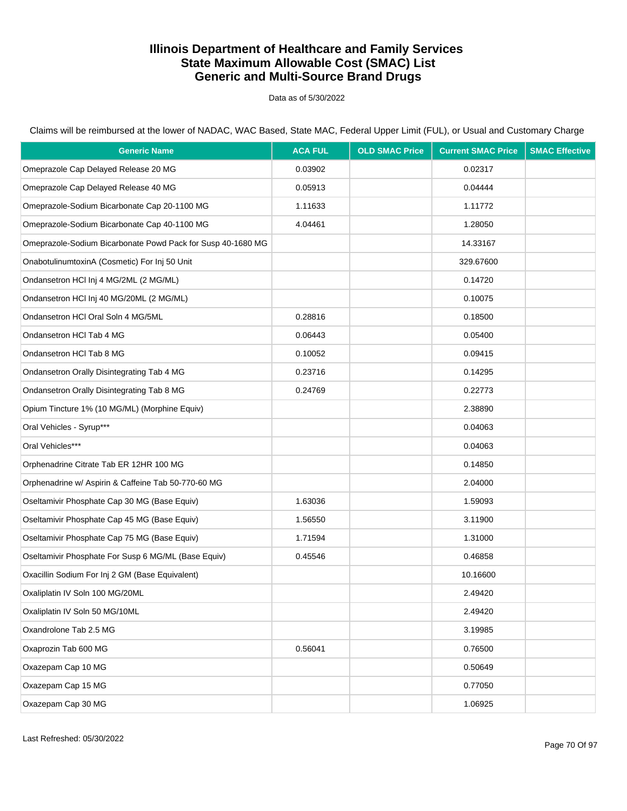Data as of 5/30/2022

| <b>Generic Name</b>                                         | <b>ACA FUL</b> | <b>OLD SMAC Price</b> | <b>Current SMAC Price</b> | <b>SMAC Effective</b> |
|-------------------------------------------------------------|----------------|-----------------------|---------------------------|-----------------------|
| Omeprazole Cap Delayed Release 20 MG                        | 0.03902        |                       | 0.02317                   |                       |
| Omeprazole Cap Delayed Release 40 MG                        | 0.05913        |                       | 0.04444                   |                       |
| Omeprazole-Sodium Bicarbonate Cap 20-1100 MG                | 1.11633        |                       | 1.11772                   |                       |
| Omeprazole-Sodium Bicarbonate Cap 40-1100 MG                | 4.04461        |                       | 1.28050                   |                       |
| Omeprazole-Sodium Bicarbonate Powd Pack for Susp 40-1680 MG |                |                       | 14.33167                  |                       |
| OnabotulinumtoxinA (Cosmetic) For Inj 50 Unit               |                |                       | 329.67600                 |                       |
| Ondansetron HCI Inj 4 MG/2ML (2 MG/ML)                      |                |                       | 0.14720                   |                       |
| Ondansetron HCI Inj 40 MG/20ML (2 MG/ML)                    |                |                       | 0.10075                   |                       |
| Ondansetron HCI Oral Soln 4 MG/5ML                          | 0.28816        |                       | 0.18500                   |                       |
| Ondansetron HCI Tab 4 MG                                    | 0.06443        |                       | 0.05400                   |                       |
| Ondansetron HCI Tab 8 MG                                    | 0.10052        |                       | 0.09415                   |                       |
| Ondansetron Orally Disintegrating Tab 4 MG                  | 0.23716        |                       | 0.14295                   |                       |
| Ondansetron Orally Disintegrating Tab 8 MG                  | 0.24769        |                       | 0.22773                   |                       |
| Opium Tincture 1% (10 MG/ML) (Morphine Equiv)               |                |                       | 2.38890                   |                       |
| Oral Vehicles - Syrup***                                    |                |                       | 0.04063                   |                       |
| Oral Vehicles***                                            |                |                       | 0.04063                   |                       |
| Orphenadrine Citrate Tab ER 12HR 100 MG                     |                |                       | 0.14850                   |                       |
| Orphenadrine w/ Aspirin & Caffeine Tab 50-770-60 MG         |                |                       | 2.04000                   |                       |
| Oseltamivir Phosphate Cap 30 MG (Base Equiv)                | 1.63036        |                       | 1.59093                   |                       |
| Oseltamivir Phosphate Cap 45 MG (Base Equiv)                | 1.56550        |                       | 3.11900                   |                       |
| Oseltamivir Phosphate Cap 75 MG (Base Equiv)                | 1.71594        |                       | 1.31000                   |                       |
| Oseltamivir Phosphate For Susp 6 MG/ML (Base Equiv)         | 0.45546        |                       | 0.46858                   |                       |
| Oxacillin Sodium For Inj 2 GM (Base Equivalent)             |                |                       | 10.16600                  |                       |
| Oxaliplatin IV Soln 100 MG/20ML                             |                |                       | 2.49420                   |                       |
| Oxaliplatin IV Soln 50 MG/10ML                              |                |                       | 2.49420                   |                       |
| Oxandrolone Tab 2.5 MG                                      |                |                       | 3.19985                   |                       |
| Oxaprozin Tab 600 MG                                        | 0.56041        |                       | 0.76500                   |                       |
| Oxazepam Cap 10 MG                                          |                |                       | 0.50649                   |                       |
| Oxazepam Cap 15 MG                                          |                |                       | 0.77050                   |                       |
| Oxazepam Cap 30 MG                                          |                |                       | 1.06925                   |                       |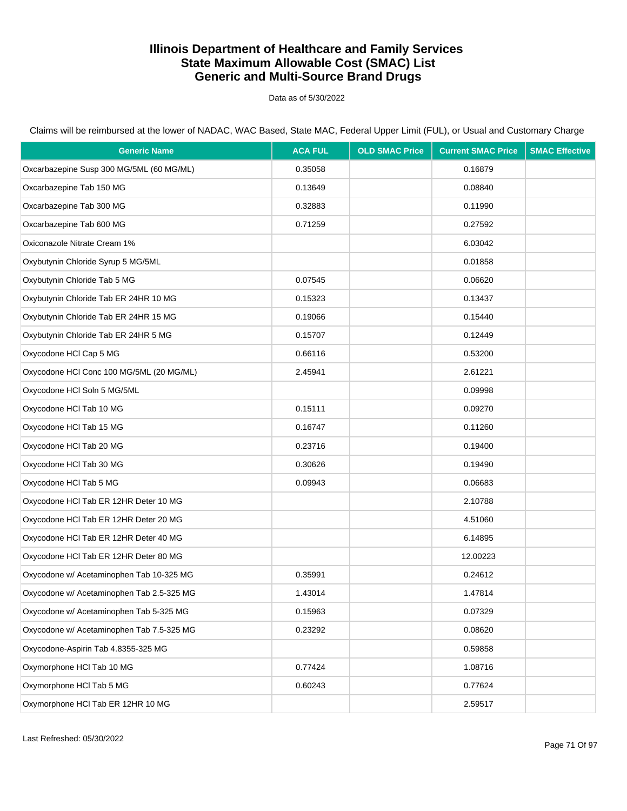Data as of 5/30/2022

| <b>Generic Name</b>                       | <b>ACA FUL</b> | <b>OLD SMAC Price</b> | <b>Current SMAC Price</b> | <b>SMAC Effective</b> |
|-------------------------------------------|----------------|-----------------------|---------------------------|-----------------------|
| Oxcarbazepine Susp 300 MG/5ML (60 MG/ML)  | 0.35058        |                       | 0.16879                   |                       |
| Oxcarbazepine Tab 150 MG                  | 0.13649        |                       | 0.08840                   |                       |
| Oxcarbazepine Tab 300 MG                  | 0.32883        |                       | 0.11990                   |                       |
| Oxcarbazepine Tab 600 MG                  | 0.71259        |                       | 0.27592                   |                       |
| Oxiconazole Nitrate Cream 1%              |                |                       | 6.03042                   |                       |
| Oxybutynin Chloride Syrup 5 MG/5ML        |                |                       | 0.01858                   |                       |
| Oxybutynin Chloride Tab 5 MG              | 0.07545        |                       | 0.06620                   |                       |
| Oxybutynin Chloride Tab ER 24HR 10 MG     | 0.15323        |                       | 0.13437                   |                       |
| Oxybutynin Chloride Tab ER 24HR 15 MG     | 0.19066        |                       | 0.15440                   |                       |
| Oxybutynin Chloride Tab ER 24HR 5 MG      | 0.15707        |                       | 0.12449                   |                       |
| Oxycodone HCl Cap 5 MG                    | 0.66116        |                       | 0.53200                   |                       |
| Oxycodone HCl Conc 100 MG/5ML (20 MG/ML)  | 2.45941        |                       | 2.61221                   |                       |
| Oxycodone HCI Soln 5 MG/5ML               |                |                       | 0.09998                   |                       |
| Oxycodone HCI Tab 10 MG                   | 0.15111        |                       | 0.09270                   |                       |
| Oxycodone HCI Tab 15 MG                   | 0.16747        |                       | 0.11260                   |                       |
| Oxycodone HCI Tab 20 MG                   | 0.23716        |                       | 0.19400                   |                       |
| Oxycodone HCI Tab 30 MG                   | 0.30626        |                       | 0.19490                   |                       |
| Oxycodone HCI Tab 5 MG                    | 0.09943        |                       | 0.06683                   |                       |
| Oxycodone HCI Tab ER 12HR Deter 10 MG     |                |                       | 2.10788                   |                       |
| Oxycodone HCl Tab ER 12HR Deter 20 MG     |                |                       | 4.51060                   |                       |
| Oxycodone HCl Tab ER 12HR Deter 40 MG     |                |                       | 6.14895                   |                       |
| Oxycodone HCl Tab ER 12HR Deter 80 MG     |                |                       | 12.00223                  |                       |
| Oxycodone w/ Acetaminophen Tab 10-325 MG  | 0.35991        |                       | 0.24612                   |                       |
| Oxycodone w/ Acetaminophen Tab 2.5-325 MG | 1.43014        |                       | 1.47814                   |                       |
| Oxycodone w/ Acetaminophen Tab 5-325 MG   | 0.15963        |                       | 0.07329                   |                       |
| Oxycodone w/ Acetaminophen Tab 7.5-325 MG | 0.23292        |                       | 0.08620                   |                       |
| Oxycodone-Aspirin Tab 4.8355-325 MG       |                |                       | 0.59858                   |                       |
| Oxymorphone HCI Tab 10 MG                 | 0.77424        |                       | 1.08716                   |                       |
| Oxymorphone HCl Tab 5 MG                  | 0.60243        |                       | 0.77624                   |                       |
| Oxymorphone HCI Tab ER 12HR 10 MG         |                |                       | 2.59517                   |                       |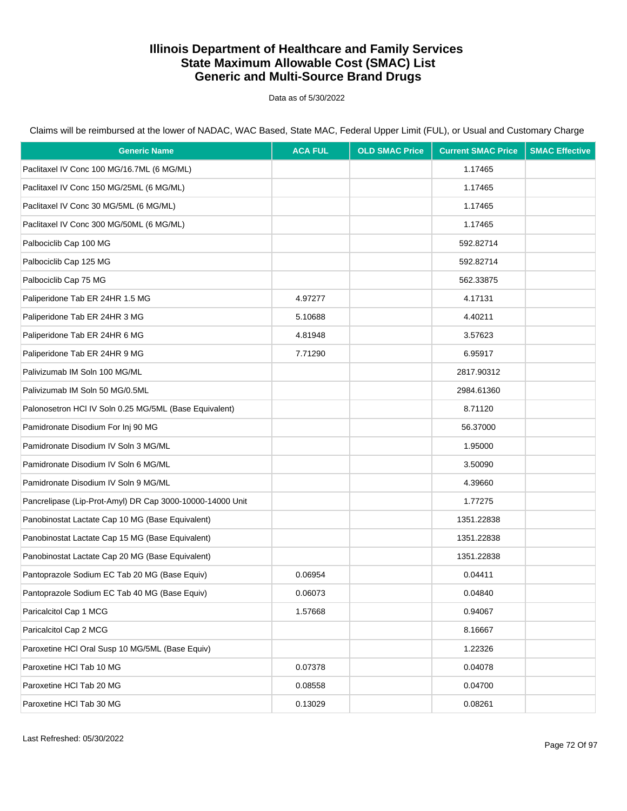Data as of 5/30/2022

| <b>Generic Name</b>                                       | <b>ACA FUL</b> | <b>OLD SMAC Price</b> | <b>Current SMAC Price</b> | <b>SMAC Effective</b> |
|-----------------------------------------------------------|----------------|-----------------------|---------------------------|-----------------------|
| Paclitaxel IV Conc 100 MG/16.7ML (6 MG/ML)                |                |                       | 1.17465                   |                       |
| Paclitaxel IV Conc 150 MG/25ML (6 MG/ML)                  |                |                       | 1.17465                   |                       |
| Paclitaxel IV Conc 30 MG/5ML (6 MG/ML)                    |                |                       | 1.17465                   |                       |
| Paclitaxel IV Conc 300 MG/50ML (6 MG/ML)                  |                |                       | 1.17465                   |                       |
| Palbociclib Cap 100 MG                                    |                |                       | 592.82714                 |                       |
| Palbociclib Cap 125 MG                                    |                |                       | 592.82714                 |                       |
| Palbociclib Cap 75 MG                                     |                |                       | 562.33875                 |                       |
| Paliperidone Tab ER 24HR 1.5 MG                           | 4.97277        |                       | 4.17131                   |                       |
| Paliperidone Tab ER 24HR 3 MG                             | 5.10688        |                       | 4.40211                   |                       |
| Paliperidone Tab ER 24HR 6 MG                             | 4.81948        |                       | 3.57623                   |                       |
| Paliperidone Tab ER 24HR 9 MG                             | 7.71290        |                       | 6.95917                   |                       |
| Palivizumab IM Soln 100 MG/ML                             |                |                       | 2817.90312                |                       |
| Palivizumab IM Soln 50 MG/0.5ML                           |                |                       | 2984.61360                |                       |
| Palonosetron HCI IV Soln 0.25 MG/5ML (Base Equivalent)    |                |                       | 8.71120                   |                       |
| Pamidronate Disodium For Inj 90 MG                        |                |                       | 56.37000                  |                       |
| Pamidronate Disodium IV Soln 3 MG/ML                      |                |                       | 1.95000                   |                       |
| Pamidronate Disodium IV Soln 6 MG/ML                      |                |                       | 3.50090                   |                       |
| Pamidronate Disodium IV Soln 9 MG/ML                      |                |                       | 4.39660                   |                       |
| Pancrelipase (Lip-Prot-Amyl) DR Cap 3000-10000-14000 Unit |                |                       | 1.77275                   |                       |
| Panobinostat Lactate Cap 10 MG (Base Equivalent)          |                |                       | 1351.22838                |                       |
| Panobinostat Lactate Cap 15 MG (Base Equivalent)          |                |                       | 1351.22838                |                       |
| Panobinostat Lactate Cap 20 MG (Base Equivalent)          |                |                       | 1351.22838                |                       |
| Pantoprazole Sodium EC Tab 20 MG (Base Equiv)             | 0.06954        |                       | 0.04411                   |                       |
| Pantoprazole Sodium EC Tab 40 MG (Base Equiv)             | 0.06073        |                       | 0.04840                   |                       |
| Paricalcitol Cap 1 MCG                                    | 1.57668        |                       | 0.94067                   |                       |
| Paricalcitol Cap 2 MCG                                    |                |                       | 8.16667                   |                       |
| Paroxetine HCI Oral Susp 10 MG/5ML (Base Equiv)           |                |                       | 1.22326                   |                       |
| Paroxetine HCI Tab 10 MG                                  | 0.07378        |                       | 0.04078                   |                       |
| Paroxetine HCl Tab 20 MG                                  | 0.08558        |                       | 0.04700                   |                       |
| Paroxetine HCl Tab 30 MG                                  | 0.13029        |                       | 0.08261                   |                       |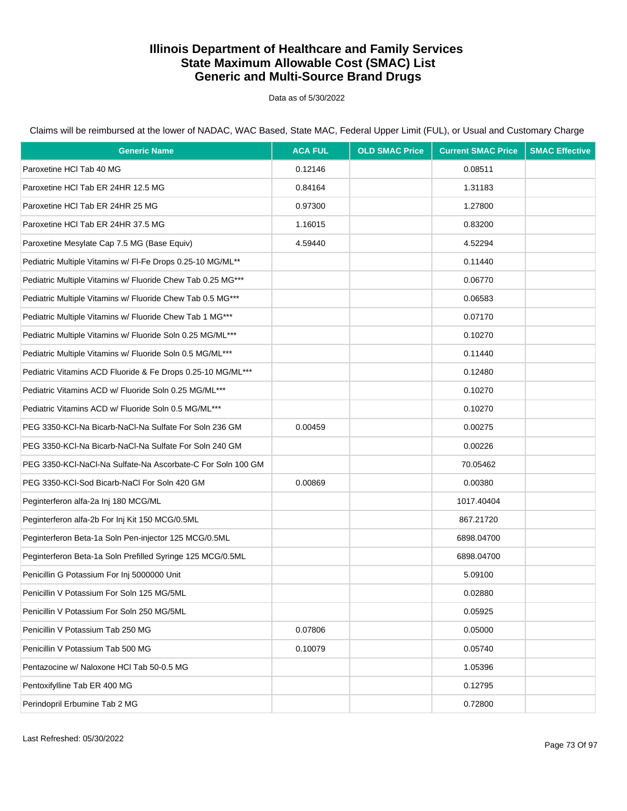Data as of 5/30/2022

Claims will be reimbursed at the lower of NADAC, WAC Based, State MAC, Federal Upper Limit (FUL), or Usual and Customary Charge

| <b>Generic Name</b>                                         | <b>ACA FUL</b> | <b>OLD SMAC Price</b> | <b>Current SMAC Price</b> | <b>SMAC Effective</b> |
|-------------------------------------------------------------|----------------|-----------------------|---------------------------|-----------------------|
| Paroxetine HCI Tab 40 MG                                    | 0.12146        |                       | 0.08511                   |                       |
| Paroxetine HCI Tab ER 24HR 12.5 MG                          | 0.84164        |                       | 1.31183                   |                       |
| Paroxetine HCI Tab ER 24HR 25 MG                            | 0.97300        |                       | 1.27800                   |                       |
| Paroxetine HCI Tab ER 24HR 37.5 MG                          | 1.16015        |                       | 0.83200                   |                       |
| Paroxetine Mesylate Cap 7.5 MG (Base Equiv)                 | 4.59440        |                       | 4.52294                   |                       |
| Pediatric Multiple Vitamins w/ FI-Fe Drops 0.25-10 MG/ML**  |                |                       | 0.11440                   |                       |
| Pediatric Multiple Vitamins w/ Fluoride Chew Tab 0.25 MG*** |                |                       | 0.06770                   |                       |
| Pediatric Multiple Vitamins w/ Fluoride Chew Tab 0.5 MG***  |                |                       | 0.06583                   |                       |
| Pediatric Multiple Vitamins w/ Fluoride Chew Tab 1 MG***    |                |                       | 0.07170                   |                       |
| Pediatric Multiple Vitamins w/ Fluoride Soln 0.25 MG/ML***  |                |                       | 0.10270                   |                       |
| Pediatric Multiple Vitamins w/ Fluoride Soln 0.5 MG/ML***   |                |                       | 0.11440                   |                       |
| Pediatric Vitamins ACD Fluoride & Fe Drops 0.25-10 MG/ML*** |                |                       | 0.12480                   |                       |
| Pediatric Vitamins ACD w/ Fluoride Soln 0.25 MG/ML***       |                |                       | 0.10270                   |                       |
| Pediatric Vitamins ACD w/ Fluoride Soln 0.5 MG/ML***        |                |                       | 0.10270                   |                       |
| PEG 3350-KCI-Na Bicarb-NaCI-Na Sulfate For Soln 236 GM      | 0.00459        |                       | 0.00275                   |                       |
| PEG 3350-KCI-Na Bicarb-NaCI-Na Sulfate For Soln 240 GM      |                |                       | 0.00226                   |                       |
| PEG 3350-KCI-NaCI-Na Sulfate-Na Ascorbate-C For Soln 100 GM |                |                       | 70.05462                  |                       |
| PEG 3350-KCI-Sod Bicarb-NaCl For Soln 420 GM                | 0.00869        |                       | 0.00380                   |                       |
| Peginterferon alfa-2a Inj 180 MCG/ML                        |                |                       | 1017.40404                |                       |
| Peginterferon alfa-2b For Inj Kit 150 MCG/0.5ML             |                |                       | 867.21720                 |                       |
| Peginterferon Beta-1a Soln Pen-injector 125 MCG/0.5ML       |                |                       | 6898.04700                |                       |
| Peginterferon Beta-1a Soln Prefilled Syringe 125 MCG/0.5ML  |                |                       | 6898.04700                |                       |
| Penicillin G Potassium For Inj 5000000 Unit                 |                |                       | 5.09100                   |                       |
| Penicillin V Potassium For Soln 125 MG/5ML                  |                |                       | 0.02880                   |                       |
| Penicillin V Potassium For Soln 250 MG/5ML                  |                |                       | 0.05925                   |                       |
| Penicillin V Potassium Tab 250 MG                           | 0.07806        |                       | 0.05000                   |                       |
| Penicillin V Potassium Tab 500 MG                           | 0.10079        |                       | 0.05740                   |                       |
| Pentazocine w/ Naloxone HCI Tab 50-0.5 MG                   |                |                       | 1.05396                   |                       |
| Pentoxifylline Tab ER 400 MG                                |                |                       | 0.12795                   |                       |
| Perindopril Erbumine Tab 2 MG                               |                |                       | 0.72800                   |                       |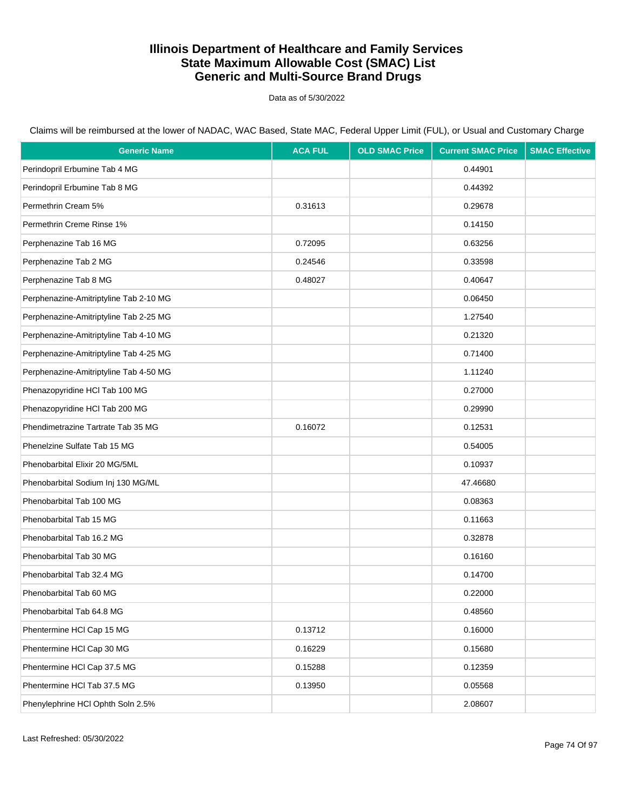Data as of 5/30/2022

| <b>Generic Name</b>                    | <b>ACA FUL</b> | <b>OLD SMAC Price</b> | <b>Current SMAC Price</b> | <b>SMAC Effective</b> |
|----------------------------------------|----------------|-----------------------|---------------------------|-----------------------|
| Perindopril Erbumine Tab 4 MG          |                |                       | 0.44901                   |                       |
| Perindopril Erbumine Tab 8 MG          |                |                       | 0.44392                   |                       |
| Permethrin Cream 5%                    | 0.31613        |                       | 0.29678                   |                       |
| Permethrin Creme Rinse 1%              |                |                       | 0.14150                   |                       |
| Perphenazine Tab 16 MG                 | 0.72095        |                       | 0.63256                   |                       |
| Perphenazine Tab 2 MG                  | 0.24546        |                       | 0.33598                   |                       |
| Perphenazine Tab 8 MG                  | 0.48027        |                       | 0.40647                   |                       |
| Perphenazine-Amitriptyline Tab 2-10 MG |                |                       | 0.06450                   |                       |
| Perphenazine-Amitriptyline Tab 2-25 MG |                |                       | 1.27540                   |                       |
| Perphenazine-Amitriptyline Tab 4-10 MG |                |                       | 0.21320                   |                       |
| Perphenazine-Amitriptyline Tab 4-25 MG |                |                       | 0.71400                   |                       |
| Perphenazine-Amitriptyline Tab 4-50 MG |                |                       | 1.11240                   |                       |
| Phenazopyridine HCl Tab 100 MG         |                |                       | 0.27000                   |                       |
| Phenazopyridine HCl Tab 200 MG         |                |                       | 0.29990                   |                       |
| Phendimetrazine Tartrate Tab 35 MG     | 0.16072        |                       | 0.12531                   |                       |
| Phenelzine Sulfate Tab 15 MG           |                |                       | 0.54005                   |                       |
| Phenobarbital Elixir 20 MG/5ML         |                |                       | 0.10937                   |                       |
| Phenobarbital Sodium Inj 130 MG/ML     |                |                       | 47.46680                  |                       |
| Phenobarbital Tab 100 MG               |                |                       | 0.08363                   |                       |
| Phenobarbital Tab 15 MG                |                |                       | 0.11663                   |                       |
| Phenobarbital Tab 16.2 MG              |                |                       | 0.32878                   |                       |
| Phenobarbital Tab 30 MG                |                |                       | 0.16160                   |                       |
| Phenobarbital Tab 32.4 MG              |                |                       | 0.14700                   |                       |
| Phenobarbital Tab 60 MG                |                |                       | 0.22000                   |                       |
| Phenobarbital Tab 64.8 MG              |                |                       | 0.48560                   |                       |
| Phentermine HCl Cap 15 MG              | 0.13712        |                       | 0.16000                   |                       |
| Phentermine HCl Cap 30 MG              | 0.16229        |                       | 0.15680                   |                       |
| Phentermine HCl Cap 37.5 MG            | 0.15288        |                       | 0.12359                   |                       |
| Phentermine HCl Tab 37.5 MG            | 0.13950        |                       | 0.05568                   |                       |
| Phenylephrine HCI Ophth Soln 2.5%      |                |                       | 2.08607                   |                       |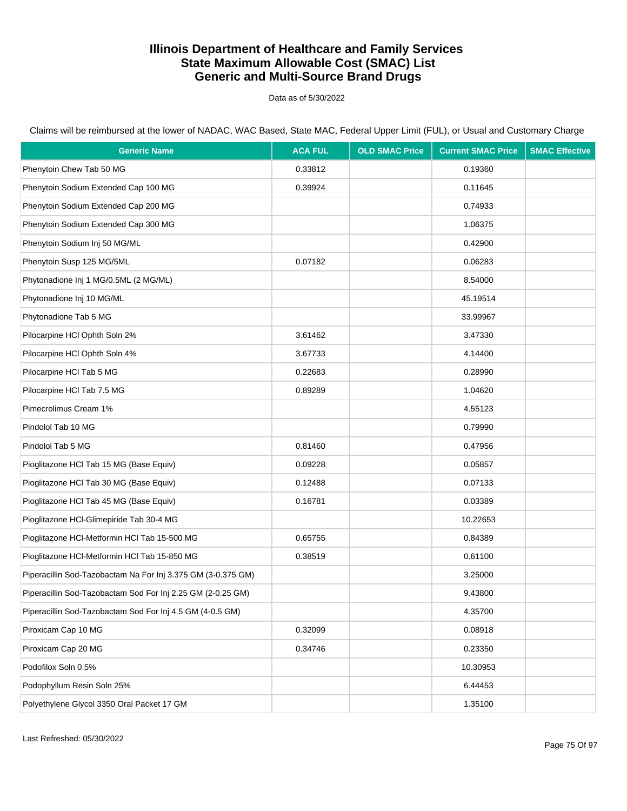Data as of 5/30/2022

Claims will be reimbursed at the lower of NADAC, WAC Based, State MAC, Federal Upper Limit (FUL), or Usual and Customary Charge

| <b>Generic Name</b>                                          | <b>ACA FUL</b> | <b>OLD SMAC Price</b> | <b>Current SMAC Price</b> | <b>SMAC Effective</b> |
|--------------------------------------------------------------|----------------|-----------------------|---------------------------|-----------------------|
| Phenytoin Chew Tab 50 MG                                     | 0.33812        |                       | 0.19360                   |                       |
| Phenytoin Sodium Extended Cap 100 MG                         | 0.39924        |                       | 0.11645                   |                       |
| Phenytoin Sodium Extended Cap 200 MG                         |                |                       | 0.74933                   |                       |
| Phenytoin Sodium Extended Cap 300 MG                         |                |                       | 1.06375                   |                       |
| Phenytoin Sodium Inj 50 MG/ML                                |                |                       | 0.42900                   |                       |
| Phenytoin Susp 125 MG/5ML                                    | 0.07182        |                       | 0.06283                   |                       |
| Phytonadione Inj 1 MG/0.5ML (2 MG/ML)                        |                |                       | 8.54000                   |                       |
| Phytonadione Inj 10 MG/ML                                    |                |                       | 45.19514                  |                       |
| Phytonadione Tab 5 MG                                        |                |                       | 33.99967                  |                       |
| Pilocarpine HCI Ophth Soln 2%                                | 3.61462        |                       | 3.47330                   |                       |
| Pilocarpine HCI Ophth Soln 4%                                | 3.67733        |                       | 4.14400                   |                       |
| Pilocarpine HCI Tab 5 MG                                     | 0.22683        |                       | 0.28990                   |                       |
| Pilocarpine HCl Tab 7.5 MG                                   | 0.89289        |                       | 1.04620                   |                       |
| Pimecrolimus Cream 1%                                        |                |                       | 4.55123                   |                       |
| Pindolol Tab 10 MG                                           |                |                       | 0.79990                   |                       |
| Pindolol Tab 5 MG                                            | 0.81460        |                       | 0.47956                   |                       |
| Pioglitazone HCl Tab 15 MG (Base Equiv)                      | 0.09228        |                       | 0.05857                   |                       |
| Pioglitazone HCl Tab 30 MG (Base Equiv)                      | 0.12488        |                       | 0.07133                   |                       |
| Pioglitazone HCl Tab 45 MG (Base Equiv)                      | 0.16781        |                       | 0.03389                   |                       |
| Pioglitazone HCI-Glimepiride Tab 30-4 MG                     |                |                       | 10.22653                  |                       |
| Pioglitazone HCl-Metformin HCl Tab 15-500 MG                 | 0.65755        |                       | 0.84389                   |                       |
| Pioglitazone HCI-Metformin HCI Tab 15-850 MG                 | 0.38519        |                       | 0.61100                   |                       |
| Piperacillin Sod-Tazobactam Na For Inj 3.375 GM (3-0.375 GM) |                |                       | 3.25000                   |                       |
| Piperacillin Sod-Tazobactam Sod For Inj 2.25 GM (2-0.25 GM)  |                |                       | 9.43800                   |                       |
| Piperacillin Sod-Tazobactam Sod For Inj 4.5 GM (4-0.5 GM)    |                |                       | 4.35700                   |                       |
| Piroxicam Cap 10 MG                                          | 0.32099        |                       | 0.08918                   |                       |
| Piroxicam Cap 20 MG                                          | 0.34746        |                       | 0.23350                   |                       |
| Podofilox Soln 0.5%                                          |                |                       | 10.30953                  |                       |
| Podophyllum Resin Soln 25%                                   |                |                       | 6.44453                   |                       |
| Polyethylene Glycol 3350 Oral Packet 17 GM                   |                |                       | 1.35100                   |                       |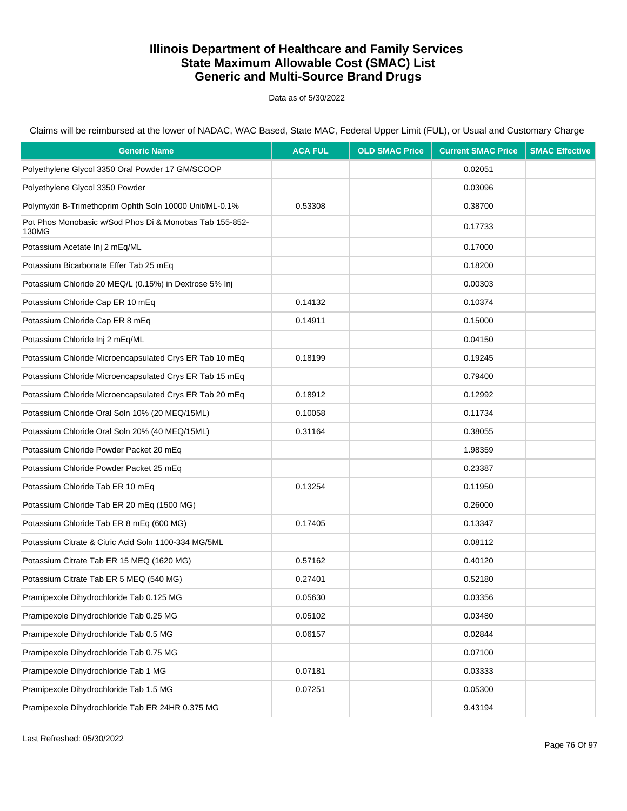Data as of 5/30/2022

Claims will be reimbursed at the lower of NADAC, WAC Based, State MAC, Federal Upper Limit (FUL), or Usual and Customary Charge

| <b>Generic Name</b>                                              | <b>ACA FUL</b> | <b>OLD SMAC Price</b> | <b>Current SMAC Price</b> | <b>SMAC Effective</b> |
|------------------------------------------------------------------|----------------|-----------------------|---------------------------|-----------------------|
| Polyethylene Glycol 3350 Oral Powder 17 GM/SCOOP                 |                |                       | 0.02051                   |                       |
| Polyethylene Glycol 3350 Powder                                  |                |                       | 0.03096                   |                       |
| Polymyxin B-Trimethoprim Ophth Soln 10000 Unit/ML-0.1%           | 0.53308        |                       | 0.38700                   |                       |
| Pot Phos Monobasic w/Sod Phos Di & Monobas Tab 155-852-<br>130MG |                |                       | 0.17733                   |                       |
| Potassium Acetate Inj 2 mEq/ML                                   |                |                       | 0.17000                   |                       |
| Potassium Bicarbonate Effer Tab 25 mEq                           |                |                       | 0.18200                   |                       |
| Potassium Chloride 20 MEQ/L (0.15%) in Dextrose 5% Inj           |                |                       | 0.00303                   |                       |
| Potassium Chloride Cap ER 10 mEq                                 | 0.14132        |                       | 0.10374                   |                       |
| Potassium Chloride Cap ER 8 mEq                                  | 0.14911        |                       | 0.15000                   |                       |
| Potassium Chloride Inj 2 mEq/ML                                  |                |                       | 0.04150                   |                       |
| Potassium Chloride Microencapsulated Crys ER Tab 10 mEq          | 0.18199        |                       | 0.19245                   |                       |
| Potassium Chloride Microencapsulated Crys ER Tab 15 mEq          |                |                       | 0.79400                   |                       |
| Potassium Chloride Microencapsulated Crys ER Tab 20 mEq          | 0.18912        |                       | 0.12992                   |                       |
| Potassium Chloride Oral Soln 10% (20 MEQ/15ML)                   | 0.10058        |                       | 0.11734                   |                       |
| Potassium Chloride Oral Soln 20% (40 MEQ/15ML)                   | 0.31164        |                       | 0.38055                   |                       |
| Potassium Chloride Powder Packet 20 mEq                          |                |                       | 1.98359                   |                       |
| Potassium Chloride Powder Packet 25 mEq                          |                |                       | 0.23387                   |                       |
| Potassium Chloride Tab ER 10 mEq                                 | 0.13254        |                       | 0.11950                   |                       |
| Potassium Chloride Tab ER 20 mEq (1500 MG)                       |                |                       | 0.26000                   |                       |
| Potassium Chloride Tab ER 8 mEq (600 MG)                         | 0.17405        |                       | 0.13347                   |                       |
| Potassium Citrate & Citric Acid Soln 1100-334 MG/5ML             |                |                       | 0.08112                   |                       |
| Potassium Citrate Tab ER 15 MEQ (1620 MG)                        | 0.57162        |                       | 0.40120                   |                       |
| Potassium Citrate Tab ER 5 MEQ (540 MG)                          | 0.27401        |                       | 0.52180                   |                       |
| Pramipexole Dihydrochloride Tab 0.125 MG                         | 0.05630        |                       | 0.03356                   |                       |
| Pramipexole Dihydrochloride Tab 0.25 MG                          | 0.05102        |                       | 0.03480                   |                       |
| Pramipexole Dihydrochloride Tab 0.5 MG                           | 0.06157        |                       | 0.02844                   |                       |
| Pramipexole Dihydrochloride Tab 0.75 MG                          |                |                       | 0.07100                   |                       |
| Pramipexole Dihydrochloride Tab 1 MG                             | 0.07181        |                       | 0.03333                   |                       |
| Pramipexole Dihydrochloride Tab 1.5 MG                           | 0.07251        |                       | 0.05300                   |                       |
| Pramipexole Dihydrochloride Tab ER 24HR 0.375 MG                 |                |                       | 9.43194                   |                       |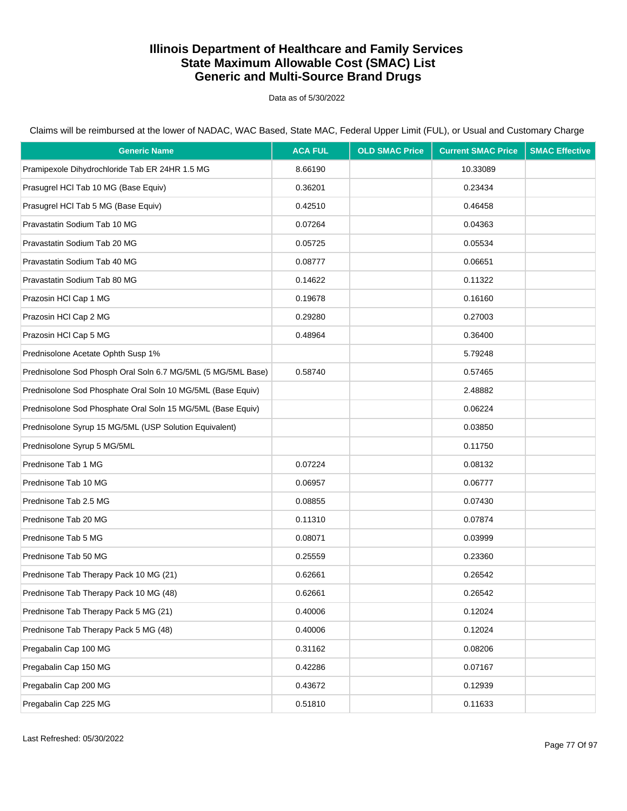Data as of 5/30/2022

| <b>Generic Name</b>                                          | <b>ACA FUL</b> | <b>OLD SMAC Price</b> | <b>Current SMAC Price</b> | <b>SMAC Effective</b> |
|--------------------------------------------------------------|----------------|-----------------------|---------------------------|-----------------------|
| Pramipexole Dihydrochloride Tab ER 24HR 1.5 MG               | 8.66190        |                       | 10.33089                  |                       |
| Prasugrel HCl Tab 10 MG (Base Equiv)                         | 0.36201        |                       | 0.23434                   |                       |
| Prasugrel HCl Tab 5 MG (Base Equiv)                          | 0.42510        |                       | 0.46458                   |                       |
| Pravastatin Sodium Tab 10 MG                                 | 0.07264        |                       | 0.04363                   |                       |
| Pravastatin Sodium Tab 20 MG                                 | 0.05725        |                       | 0.05534                   |                       |
| Pravastatin Sodium Tab 40 MG                                 | 0.08777        |                       | 0.06651                   |                       |
| Pravastatin Sodium Tab 80 MG                                 | 0.14622        |                       | 0.11322                   |                       |
| Prazosin HCI Cap 1 MG                                        | 0.19678        |                       | 0.16160                   |                       |
| Prazosin HCI Cap 2 MG                                        | 0.29280        |                       | 0.27003                   |                       |
| Prazosin HCI Cap 5 MG                                        | 0.48964        |                       | 0.36400                   |                       |
| Prednisolone Acetate Ophth Susp 1%                           |                |                       | 5.79248                   |                       |
| Prednisolone Sod Phosph Oral Soln 6.7 MG/5ML (5 MG/5ML Base) | 0.58740        |                       | 0.57465                   |                       |
| Prednisolone Sod Phosphate Oral Soln 10 MG/5ML (Base Equiv)  |                |                       | 2.48882                   |                       |
| Prednisolone Sod Phosphate Oral Soln 15 MG/5ML (Base Equiv)  |                |                       | 0.06224                   |                       |
| Prednisolone Syrup 15 MG/5ML (USP Solution Equivalent)       |                |                       | 0.03850                   |                       |
| Prednisolone Syrup 5 MG/5ML                                  |                |                       | 0.11750                   |                       |
| Prednisone Tab 1 MG                                          | 0.07224        |                       | 0.08132                   |                       |
| Prednisone Tab 10 MG                                         | 0.06957        |                       | 0.06777                   |                       |
| Prednisone Tab 2.5 MG                                        | 0.08855        |                       | 0.07430                   |                       |
| Prednisone Tab 20 MG                                         | 0.11310        |                       | 0.07874                   |                       |
| Prednisone Tab 5 MG                                          | 0.08071        |                       | 0.03999                   |                       |
| Prednisone Tab 50 MG                                         | 0.25559        |                       | 0.23360                   |                       |
| Prednisone Tab Therapy Pack 10 MG (21)                       | 0.62661        |                       | 0.26542                   |                       |
| Prednisone Tab Therapy Pack 10 MG (48)                       | 0.62661        |                       | 0.26542                   |                       |
| Prednisone Tab Therapy Pack 5 MG (21)                        | 0.40006        |                       | 0.12024                   |                       |
| Prednisone Tab Therapy Pack 5 MG (48)                        | 0.40006        |                       | 0.12024                   |                       |
| Pregabalin Cap 100 MG                                        | 0.31162        |                       | 0.08206                   |                       |
| Pregabalin Cap 150 MG                                        | 0.42286        |                       | 0.07167                   |                       |
| Pregabalin Cap 200 MG                                        | 0.43672        |                       | 0.12939                   |                       |
| Pregabalin Cap 225 MG                                        | 0.51810        |                       | 0.11633                   |                       |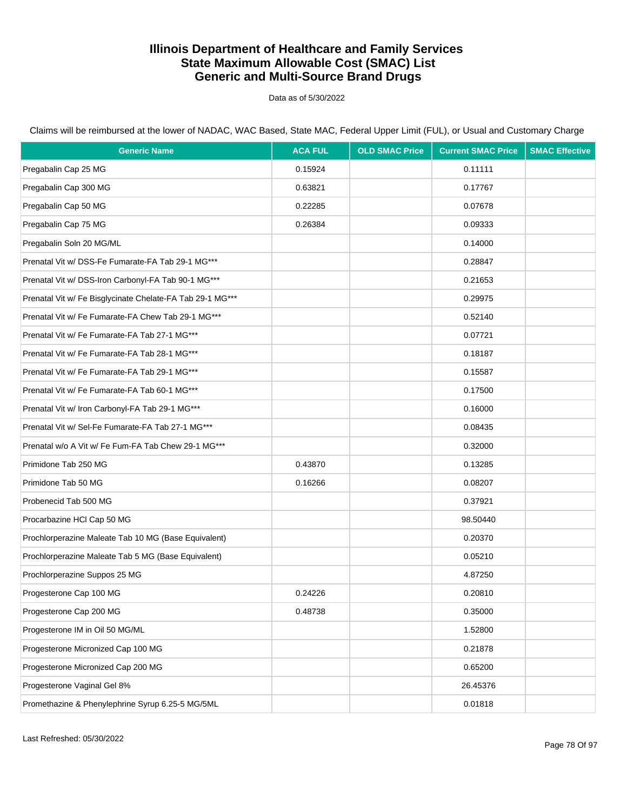Data as of 5/30/2022

| <b>Generic Name</b>                                       | <b>ACA FUL</b> | <b>OLD SMAC Price</b> | <b>Current SMAC Price</b> | <b>SMAC Effective</b> |
|-----------------------------------------------------------|----------------|-----------------------|---------------------------|-----------------------|
| Pregabalin Cap 25 MG                                      | 0.15924        |                       | 0.11111                   |                       |
| Pregabalin Cap 300 MG                                     | 0.63821        |                       | 0.17767                   |                       |
| Pregabalin Cap 50 MG                                      | 0.22285        |                       | 0.07678                   |                       |
| Pregabalin Cap 75 MG                                      | 0.26384        |                       | 0.09333                   |                       |
| Pregabalin Soln 20 MG/ML                                  |                |                       | 0.14000                   |                       |
| Prenatal Vit w/ DSS-Fe Fumarate-FA Tab 29-1 MG***         |                |                       | 0.28847                   |                       |
| Prenatal Vit w/ DSS-Iron Carbonyl-FA Tab 90-1 MG***       |                |                       | 0.21653                   |                       |
| Prenatal Vit w/ Fe Bisglycinate Chelate-FA Tab 29-1 MG*** |                |                       | 0.29975                   |                       |
| Prenatal Vit w/ Fe Fumarate-FA Chew Tab 29-1 MG***        |                |                       | 0.52140                   |                       |
| Prenatal Vit w/ Fe Fumarate-FA Tab 27-1 MG***             |                |                       | 0.07721                   |                       |
| Prenatal Vit w/ Fe Fumarate-FA Tab 28-1 MG***             |                |                       | 0.18187                   |                       |
| Prenatal Vit w/ Fe Fumarate-FA Tab 29-1 MG***             |                |                       | 0.15587                   |                       |
| Prenatal Vit w/ Fe Fumarate-FA Tab 60-1 MG***             |                |                       | 0.17500                   |                       |
| Prenatal Vit w/ Iron Carbonyl-FA Tab 29-1 MG***           |                |                       | 0.16000                   |                       |
| Prenatal Vit w/ Sel-Fe Fumarate-FA Tab 27-1 MG***         |                |                       | 0.08435                   |                       |
| Prenatal w/o A Vit w/ Fe Fum-FA Tab Chew 29-1 MG***       |                |                       | 0.32000                   |                       |
| Primidone Tab 250 MG                                      | 0.43870        |                       | 0.13285                   |                       |
| Primidone Tab 50 MG                                       | 0.16266        |                       | 0.08207                   |                       |
| Probenecid Tab 500 MG                                     |                |                       | 0.37921                   |                       |
| Procarbazine HCl Cap 50 MG                                |                |                       | 98.50440                  |                       |
| Prochlorperazine Maleate Tab 10 MG (Base Equivalent)      |                |                       | 0.20370                   |                       |
| Prochlorperazine Maleate Tab 5 MG (Base Equivalent)       |                |                       | 0.05210                   |                       |
| Prochlorperazine Suppos 25 MG                             |                |                       | 4.87250                   |                       |
| Progesterone Cap 100 MG                                   | 0.24226        |                       | 0.20810                   |                       |
| Progesterone Cap 200 MG                                   | 0.48738        |                       | 0.35000                   |                       |
| Progesterone IM in Oil 50 MG/ML                           |                |                       | 1.52800                   |                       |
| Progesterone Micronized Cap 100 MG                        |                |                       | 0.21878                   |                       |
| Progesterone Micronized Cap 200 MG                        |                |                       | 0.65200                   |                       |
| Progesterone Vaginal Gel 8%                               |                |                       | 26.45376                  |                       |
| Promethazine & Phenylephrine Syrup 6.25-5 MG/5ML          |                |                       | 0.01818                   |                       |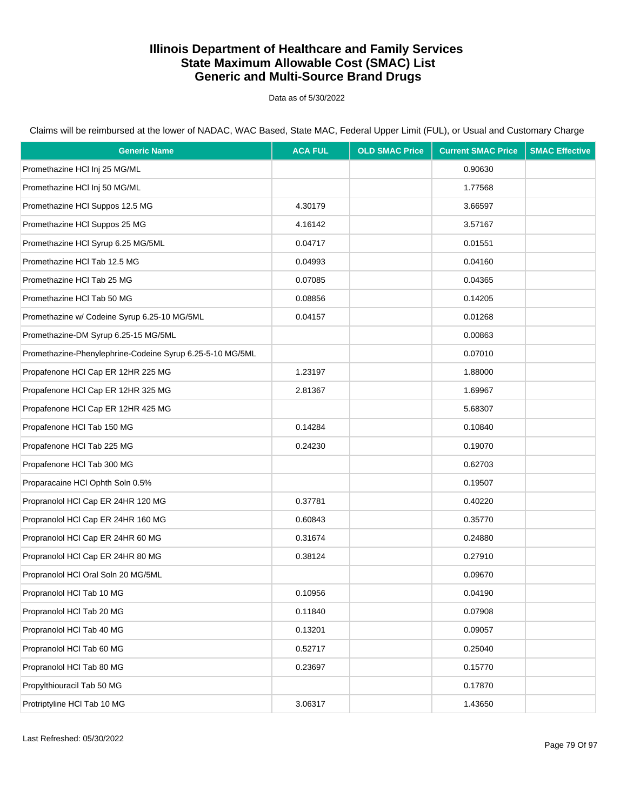Data as of 5/30/2022

| <b>Generic Name</b>                                       | <b>ACA FUL</b> | <b>OLD SMAC Price</b> | <b>Current SMAC Price</b> | <b>SMAC Effective</b> |
|-----------------------------------------------------------|----------------|-----------------------|---------------------------|-----------------------|
| Promethazine HCl Inj 25 MG/ML                             |                |                       | 0.90630                   |                       |
| Promethazine HCl Inj 50 MG/ML                             |                |                       | 1.77568                   |                       |
| Promethazine HCl Suppos 12.5 MG                           | 4.30179        |                       | 3.66597                   |                       |
| Promethazine HCI Suppos 25 MG                             | 4.16142        |                       | 3.57167                   |                       |
| Promethazine HCl Syrup 6.25 MG/5ML                        | 0.04717        |                       | 0.01551                   |                       |
| Promethazine HCl Tab 12.5 MG                              | 0.04993        |                       | 0.04160                   |                       |
| Promethazine HCI Tab 25 MG                                | 0.07085        |                       | 0.04365                   |                       |
| Promethazine HCI Tab 50 MG                                | 0.08856        |                       | 0.14205                   |                       |
| Promethazine w/ Codeine Syrup 6.25-10 MG/5ML              | 0.04157        |                       | 0.01268                   |                       |
| Promethazine-DM Syrup 6.25-15 MG/5ML                      |                |                       | 0.00863                   |                       |
| Promethazine-Phenylephrine-Codeine Syrup 6.25-5-10 MG/5ML |                |                       | 0.07010                   |                       |
| Propafenone HCI Cap ER 12HR 225 MG                        | 1.23197        |                       | 1.88000                   |                       |
| Propafenone HCI Cap ER 12HR 325 MG                        | 2.81367        |                       | 1.69967                   |                       |
| Propafenone HCI Cap ER 12HR 425 MG                        |                |                       | 5.68307                   |                       |
| Propafenone HCI Tab 150 MG                                | 0.14284        |                       | 0.10840                   |                       |
| Propafenone HCI Tab 225 MG                                | 0.24230        |                       | 0.19070                   |                       |
| Propafenone HCI Tab 300 MG                                |                |                       | 0.62703                   |                       |
| Proparacaine HCl Ophth Soln 0.5%                          |                |                       | 0.19507                   |                       |
| Propranolol HCl Cap ER 24HR 120 MG                        | 0.37781        |                       | 0.40220                   |                       |
| Propranolol HCl Cap ER 24HR 160 MG                        | 0.60843        |                       | 0.35770                   |                       |
| Propranolol HCl Cap ER 24HR 60 MG                         | 0.31674        |                       | 0.24880                   |                       |
| Propranolol HCl Cap ER 24HR 80 MG                         | 0.38124        |                       | 0.27910                   |                       |
| Propranolol HCl Oral Soln 20 MG/5ML                       |                |                       | 0.09670                   |                       |
| Propranolol HCl Tab 10 MG                                 | 0.10956        |                       | 0.04190                   |                       |
| Propranolol HCl Tab 20 MG                                 | 0.11840        |                       | 0.07908                   |                       |
| Propranolol HCl Tab 40 MG                                 | 0.13201        |                       | 0.09057                   |                       |
| Propranolol HCl Tab 60 MG                                 | 0.52717        |                       | 0.25040                   |                       |
| Propranolol HCl Tab 80 MG                                 | 0.23697        |                       | 0.15770                   |                       |
| Propylthiouracil Tab 50 MG                                |                |                       | 0.17870                   |                       |
| Protriptyline HCI Tab 10 MG                               | 3.06317        |                       | 1.43650                   |                       |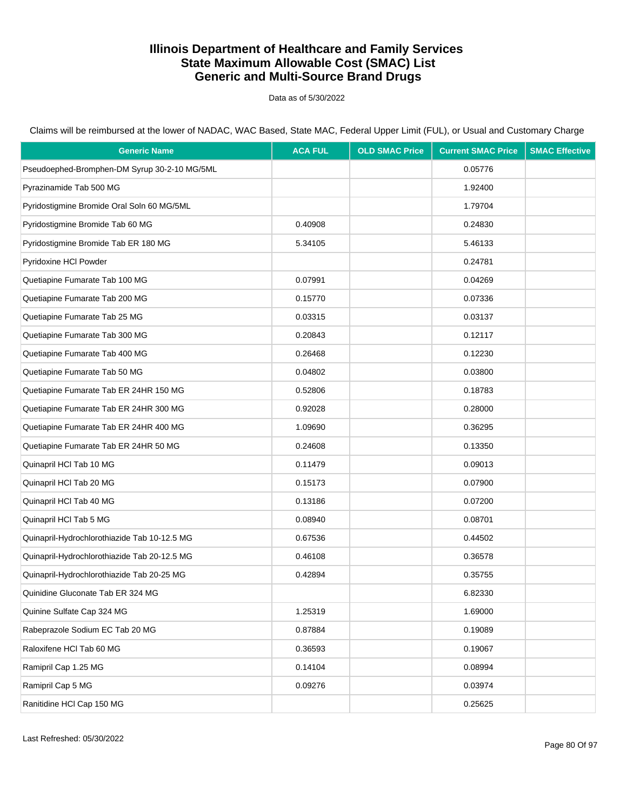Data as of 5/30/2022

Claims will be reimbursed at the lower of NADAC, WAC Based, State MAC, Federal Upper Limit (FUL), or Usual and Customary Charge

| <b>Generic Name</b>                          | <b>ACA FUL</b> | <b>OLD SMAC Price</b> | <b>Current SMAC Price</b> | <b>SMAC Effective</b> |
|----------------------------------------------|----------------|-----------------------|---------------------------|-----------------------|
| Pseudoephed-Bromphen-DM Syrup 30-2-10 MG/5ML |                |                       | 0.05776                   |                       |
| Pyrazinamide Tab 500 MG                      |                |                       | 1.92400                   |                       |
| Pyridostigmine Bromide Oral Soln 60 MG/5ML   |                |                       | 1.79704                   |                       |
| Pyridostigmine Bromide Tab 60 MG             | 0.40908        |                       | 0.24830                   |                       |
| Pyridostigmine Bromide Tab ER 180 MG         | 5.34105        |                       | 5.46133                   |                       |
| Pyridoxine HCI Powder                        |                |                       | 0.24781                   |                       |
| Quetiapine Fumarate Tab 100 MG               | 0.07991        |                       | 0.04269                   |                       |
| Quetiapine Fumarate Tab 200 MG               | 0.15770        |                       | 0.07336                   |                       |
| Quetiapine Fumarate Tab 25 MG                | 0.03315        |                       | 0.03137                   |                       |
| Quetiapine Fumarate Tab 300 MG               | 0.20843        |                       | 0.12117                   |                       |
| Quetiapine Fumarate Tab 400 MG               | 0.26468        |                       | 0.12230                   |                       |
| Quetiapine Fumarate Tab 50 MG                | 0.04802        |                       | 0.03800                   |                       |
| Quetiapine Fumarate Tab ER 24HR 150 MG       | 0.52806        |                       | 0.18783                   |                       |
| Quetiapine Fumarate Tab ER 24HR 300 MG       | 0.92028        |                       | 0.28000                   |                       |
| Quetiapine Fumarate Tab ER 24HR 400 MG       | 1.09690        |                       | 0.36295                   |                       |
| Quetiapine Fumarate Tab ER 24HR 50 MG        | 0.24608        |                       | 0.13350                   |                       |
| Quinapril HCl Tab 10 MG                      | 0.11479        |                       | 0.09013                   |                       |
| Quinapril HCl Tab 20 MG                      | 0.15173        |                       | 0.07900                   |                       |
| Quinapril HCl Tab 40 MG                      | 0.13186        |                       | 0.07200                   |                       |
| Quinapril HCl Tab 5 MG                       | 0.08940        |                       | 0.08701                   |                       |
| Quinapril-Hydrochlorothiazide Tab 10-12.5 MG | 0.67536        |                       | 0.44502                   |                       |
| Quinapril-Hydrochlorothiazide Tab 20-12.5 MG | 0.46108        |                       | 0.36578                   |                       |
| Quinapril-Hydrochlorothiazide Tab 20-25 MG   | 0.42894        |                       | 0.35755                   |                       |
| Quinidine Gluconate Tab ER 324 MG            |                |                       | 6.82330                   |                       |
| Quinine Sulfate Cap 324 MG                   | 1.25319        |                       | 1.69000                   |                       |
| Rabeprazole Sodium EC Tab 20 MG              | 0.87884        |                       | 0.19089                   |                       |
| Raloxifene HCl Tab 60 MG                     | 0.36593        |                       | 0.19067                   |                       |
| Ramipril Cap 1.25 MG                         | 0.14104        |                       | 0.08994                   |                       |
| Ramipril Cap 5 MG                            | 0.09276        |                       | 0.03974                   |                       |
| Ranitidine HCl Cap 150 MG                    |                |                       | 0.25625                   |                       |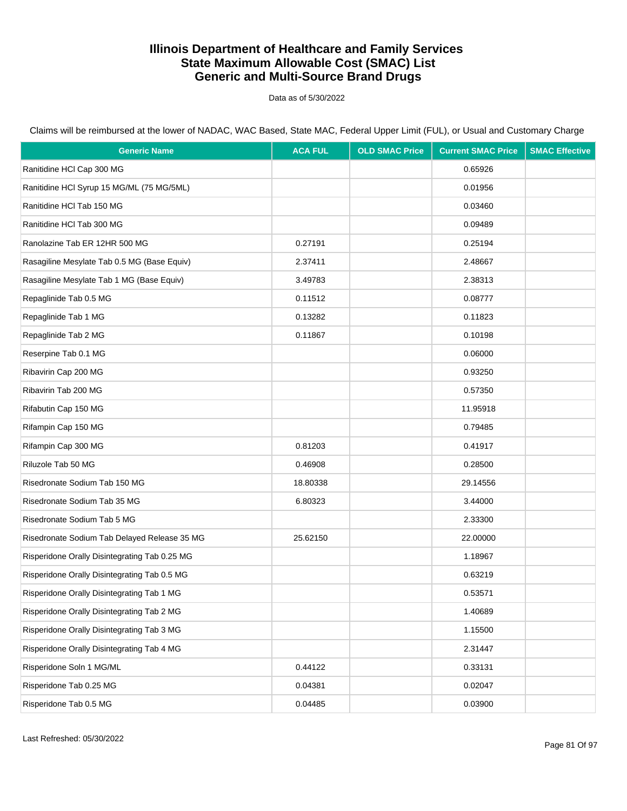Data as of 5/30/2022

| <b>Generic Name</b>                           | <b>ACA FUL</b> | <b>OLD SMAC Price</b> | <b>Current SMAC Price</b> | <b>SMAC Effective</b> |
|-----------------------------------------------|----------------|-----------------------|---------------------------|-----------------------|
| Ranitidine HCI Cap 300 MG                     |                |                       | 0.65926                   |                       |
| Ranitidine HCl Syrup 15 MG/ML (75 MG/5ML)     |                |                       | 0.01956                   |                       |
| Ranitidine HCI Tab 150 MG                     |                |                       | 0.03460                   |                       |
| Ranitidine HCI Tab 300 MG                     |                |                       | 0.09489                   |                       |
| Ranolazine Tab ER 12HR 500 MG                 | 0.27191        |                       | 0.25194                   |                       |
| Rasagiline Mesylate Tab 0.5 MG (Base Equiv)   | 2.37411        |                       | 2.48667                   |                       |
| Rasagiline Mesylate Tab 1 MG (Base Equiv)     | 3.49783        |                       | 2.38313                   |                       |
| Repaglinide Tab 0.5 MG                        | 0.11512        |                       | 0.08777                   |                       |
| Repaglinide Tab 1 MG                          | 0.13282        |                       | 0.11823                   |                       |
| Repaglinide Tab 2 MG                          | 0.11867        |                       | 0.10198                   |                       |
| Reserpine Tab 0.1 MG                          |                |                       | 0.06000                   |                       |
| Ribavirin Cap 200 MG                          |                |                       | 0.93250                   |                       |
| Ribavirin Tab 200 MG                          |                |                       | 0.57350                   |                       |
| Rifabutin Cap 150 MG                          |                |                       | 11.95918                  |                       |
| Rifampin Cap 150 MG                           |                |                       | 0.79485                   |                       |
| Rifampin Cap 300 MG                           | 0.81203        |                       | 0.41917                   |                       |
| Riluzole Tab 50 MG                            | 0.46908        |                       | 0.28500                   |                       |
| Risedronate Sodium Tab 150 MG                 | 18.80338       |                       | 29.14556                  |                       |
| Risedronate Sodium Tab 35 MG                  | 6.80323        |                       | 3.44000                   |                       |
| Risedronate Sodium Tab 5 MG                   |                |                       | 2.33300                   |                       |
| Risedronate Sodium Tab Delayed Release 35 MG  | 25.62150       |                       | 22.00000                  |                       |
| Risperidone Orally Disintegrating Tab 0.25 MG |                |                       | 1.18967                   |                       |
| Risperidone Orally Disintegrating Tab 0.5 MG  |                |                       | 0.63219                   |                       |
| Risperidone Orally Disintegrating Tab 1 MG    |                |                       | 0.53571                   |                       |
| Risperidone Orally Disintegrating Tab 2 MG    |                |                       | 1.40689                   |                       |
| Risperidone Orally Disintegrating Tab 3 MG    |                |                       | 1.15500                   |                       |
| Risperidone Orally Disintegrating Tab 4 MG    |                |                       | 2.31447                   |                       |
| Risperidone Soln 1 MG/ML                      | 0.44122        |                       | 0.33131                   |                       |
| Risperidone Tab 0.25 MG                       | 0.04381        |                       | 0.02047                   |                       |
| Risperidone Tab 0.5 MG                        | 0.04485        |                       | 0.03900                   |                       |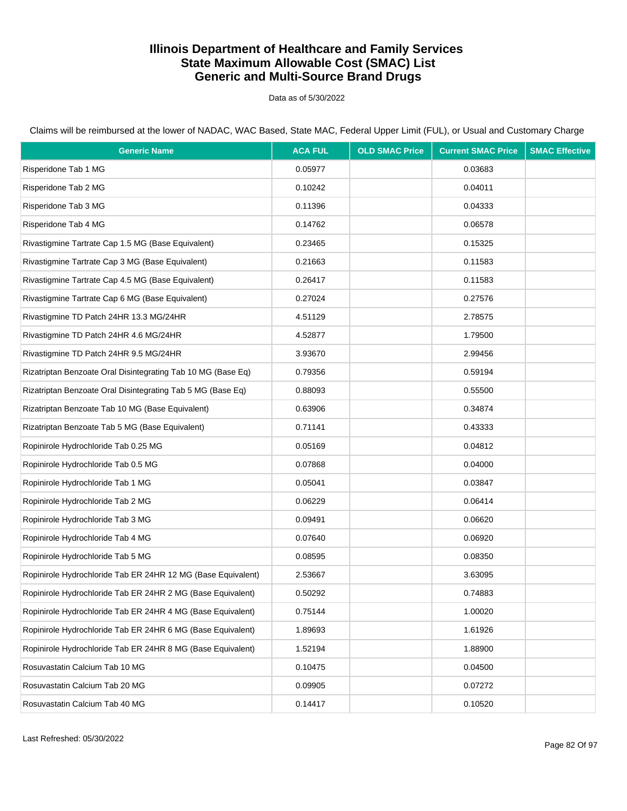Data as of 5/30/2022

Claims will be reimbursed at the lower of NADAC, WAC Based, State MAC, Federal Upper Limit (FUL), or Usual and Customary Charge

| <b>Generic Name</b>                                          | <b>ACA FUL</b> | <b>OLD SMAC Price</b> | <b>Current SMAC Price</b> | <b>SMAC Effective</b> |
|--------------------------------------------------------------|----------------|-----------------------|---------------------------|-----------------------|
| Risperidone Tab 1 MG                                         | 0.05977        |                       | 0.03683                   |                       |
| Risperidone Tab 2 MG                                         | 0.10242        |                       | 0.04011                   |                       |
| Risperidone Tab 3 MG                                         | 0.11396        |                       | 0.04333                   |                       |
| Risperidone Tab 4 MG                                         | 0.14762        |                       | 0.06578                   |                       |
| Rivastigmine Tartrate Cap 1.5 MG (Base Equivalent)           | 0.23465        |                       | 0.15325                   |                       |
| Rivastigmine Tartrate Cap 3 MG (Base Equivalent)             | 0.21663        |                       | 0.11583                   |                       |
| Rivastigmine Tartrate Cap 4.5 MG (Base Equivalent)           | 0.26417        |                       | 0.11583                   |                       |
| Rivastigmine Tartrate Cap 6 MG (Base Equivalent)             | 0.27024        |                       | 0.27576                   |                       |
| Rivastigmine TD Patch 24HR 13.3 MG/24HR                      | 4.51129        |                       | 2.78575                   |                       |
| Rivastigmine TD Patch 24HR 4.6 MG/24HR                       | 4.52877        |                       | 1.79500                   |                       |
| Rivastigmine TD Patch 24HR 9.5 MG/24HR                       | 3.93670        |                       | 2.99456                   |                       |
| Rizatriptan Benzoate Oral Disintegrating Tab 10 MG (Base Eq) | 0.79356        |                       | 0.59194                   |                       |
| Rizatriptan Benzoate Oral Disintegrating Tab 5 MG (Base Eq)  | 0.88093        |                       | 0.55500                   |                       |
| Rizatriptan Benzoate Tab 10 MG (Base Equivalent)             | 0.63906        |                       | 0.34874                   |                       |
| Rizatriptan Benzoate Tab 5 MG (Base Equivalent)              | 0.71141        |                       | 0.43333                   |                       |
| Ropinirole Hydrochloride Tab 0.25 MG                         | 0.05169        |                       | 0.04812                   |                       |
| Ropinirole Hydrochloride Tab 0.5 MG                          | 0.07868        |                       | 0.04000                   |                       |
| Ropinirole Hydrochloride Tab 1 MG                            | 0.05041        |                       | 0.03847                   |                       |
| Ropinirole Hydrochloride Tab 2 MG                            | 0.06229        |                       | 0.06414                   |                       |
| Ropinirole Hydrochloride Tab 3 MG                            | 0.09491        |                       | 0.06620                   |                       |
| Ropinirole Hydrochloride Tab 4 MG                            | 0.07640        |                       | 0.06920                   |                       |
| Ropinirole Hydrochloride Tab 5 MG                            | 0.08595        |                       | 0.08350                   |                       |
| Ropinirole Hydrochloride Tab ER 24HR 12 MG (Base Equivalent) | 2.53667        |                       | 3.63095                   |                       |
| Ropinirole Hydrochloride Tab ER 24HR 2 MG (Base Equivalent)  | 0.50292        |                       | 0.74883                   |                       |
| Ropinirole Hydrochloride Tab ER 24HR 4 MG (Base Equivalent)  | 0.75144        |                       | 1.00020                   |                       |
| Ropinirole Hydrochloride Tab ER 24HR 6 MG (Base Equivalent)  | 1.89693        |                       | 1.61926                   |                       |
| Ropinirole Hydrochloride Tab ER 24HR 8 MG (Base Equivalent)  | 1.52194        |                       | 1.88900                   |                       |
| Rosuvastatin Calcium Tab 10 MG                               | 0.10475        |                       | 0.04500                   |                       |
| Rosuvastatin Calcium Tab 20 MG                               | 0.09905        |                       | 0.07272                   |                       |
| Rosuvastatin Calcium Tab 40 MG                               | 0.14417        |                       | 0.10520                   |                       |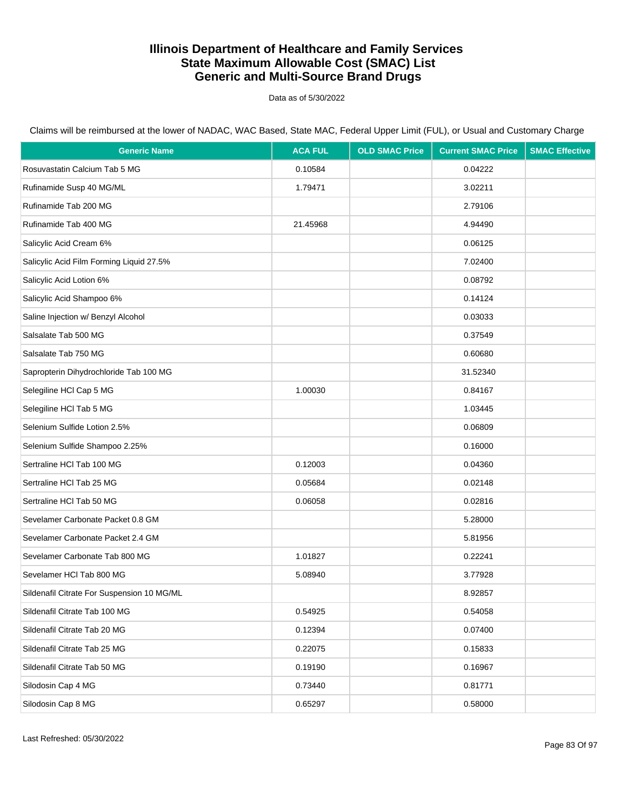Data as of 5/30/2022

| <b>Generic Name</b>                        | <b>ACA FUL</b> | <b>OLD SMAC Price</b> | <b>Current SMAC Price</b> | <b>SMAC Effective</b> |
|--------------------------------------------|----------------|-----------------------|---------------------------|-----------------------|
| Rosuvastatin Calcium Tab 5 MG              | 0.10584        |                       | 0.04222                   |                       |
| Rufinamide Susp 40 MG/ML                   | 1.79471        |                       | 3.02211                   |                       |
| Rufinamide Tab 200 MG                      |                |                       | 2.79106                   |                       |
| Rufinamide Tab 400 MG                      | 21.45968       |                       | 4.94490                   |                       |
| Salicylic Acid Cream 6%                    |                |                       | 0.06125                   |                       |
| Salicylic Acid Film Forming Liquid 27.5%   |                |                       | 7.02400                   |                       |
| Salicylic Acid Lotion 6%                   |                |                       | 0.08792                   |                       |
| Salicylic Acid Shampoo 6%                  |                |                       | 0.14124                   |                       |
| Saline Injection w/ Benzyl Alcohol         |                |                       | 0.03033                   |                       |
| Salsalate Tab 500 MG                       |                |                       | 0.37549                   |                       |
| Salsalate Tab 750 MG                       |                |                       | 0.60680                   |                       |
| Sapropterin Dihydrochloride Tab 100 MG     |                |                       | 31.52340                  |                       |
| Selegiline HCl Cap 5 MG                    | 1.00030        |                       | 0.84167                   |                       |
| Selegiline HCI Tab 5 MG                    |                |                       | 1.03445                   |                       |
| Selenium Sulfide Lotion 2.5%               |                |                       | 0.06809                   |                       |
| Selenium Sulfide Shampoo 2.25%             |                |                       | 0.16000                   |                       |
| Sertraline HCI Tab 100 MG                  | 0.12003        |                       | 0.04360                   |                       |
| Sertraline HCI Tab 25 MG                   | 0.05684        |                       | 0.02148                   |                       |
| Sertraline HCI Tab 50 MG                   | 0.06058        |                       | 0.02816                   |                       |
| Sevelamer Carbonate Packet 0.8 GM          |                |                       | 5.28000                   |                       |
| Sevelamer Carbonate Packet 2.4 GM          |                |                       | 5.81956                   |                       |
| Sevelamer Carbonate Tab 800 MG             | 1.01827        |                       | 0.22241                   |                       |
| Sevelamer HCI Tab 800 MG                   | 5.08940        |                       | 3.77928                   |                       |
| Sildenafil Citrate For Suspension 10 MG/ML |                |                       | 8.92857                   |                       |
| Sildenafil Citrate Tab 100 MG              | 0.54925        |                       | 0.54058                   |                       |
| Sildenafil Citrate Tab 20 MG               | 0.12394        |                       | 0.07400                   |                       |
| Sildenafil Citrate Tab 25 MG               | 0.22075        |                       | 0.15833                   |                       |
| Sildenafil Citrate Tab 50 MG               | 0.19190        |                       | 0.16967                   |                       |
| Silodosin Cap 4 MG                         | 0.73440        |                       | 0.81771                   |                       |
| Silodosin Cap 8 MG                         | 0.65297        |                       | 0.58000                   |                       |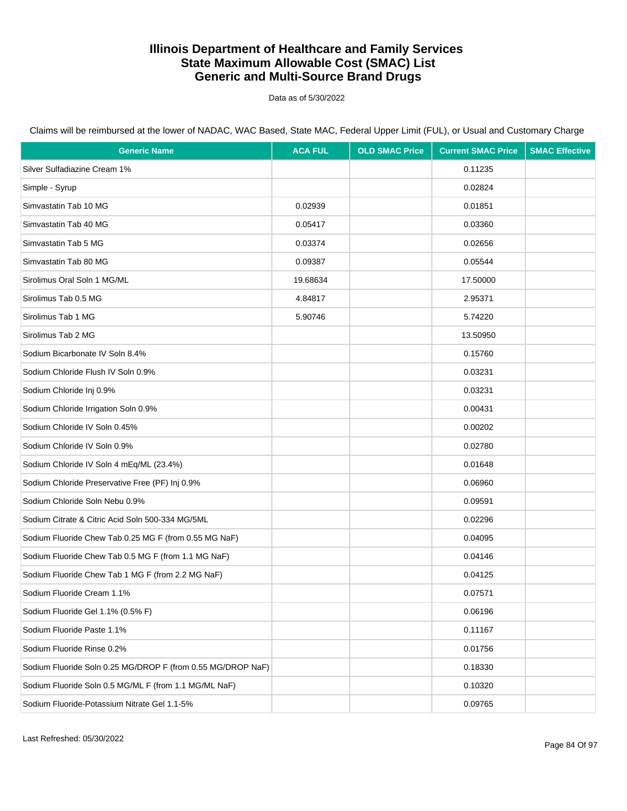Data as of 5/30/2022

| <b>Generic Name</b>                                         | <b>ACA FUL</b> | <b>OLD SMAC Price</b> | <b>Current SMAC Price</b> | <b>SMAC Effective</b> |
|-------------------------------------------------------------|----------------|-----------------------|---------------------------|-----------------------|
| Silver Sulfadiazine Cream 1%                                |                |                       | 0.11235                   |                       |
| Simple - Syrup                                              |                |                       | 0.02824                   |                       |
| Simvastatin Tab 10 MG                                       | 0.02939        |                       | 0.01851                   |                       |
| Simvastatin Tab 40 MG                                       | 0.05417        |                       | 0.03360                   |                       |
| Simvastatin Tab 5 MG                                        | 0.03374        |                       | 0.02656                   |                       |
| Simvastatin Tab 80 MG                                       | 0.09387        |                       | 0.05544                   |                       |
| Sirolimus Oral Soln 1 MG/ML                                 | 19.68634       |                       | 17.50000                  |                       |
| Sirolimus Tab 0.5 MG                                        | 4.84817        |                       | 2.95371                   |                       |
| Sirolimus Tab 1 MG                                          | 5.90746        |                       | 5.74220                   |                       |
| Sirolimus Tab 2 MG                                          |                |                       | 13.50950                  |                       |
| Sodium Bicarbonate IV Soln 8.4%                             |                |                       | 0.15760                   |                       |
| Sodium Chloride Flush IV Soln 0.9%                          |                |                       | 0.03231                   |                       |
| Sodium Chloride Inj 0.9%                                    |                |                       | 0.03231                   |                       |
| Sodium Chloride Irrigation Soln 0.9%                        |                |                       | 0.00431                   |                       |
| Sodium Chloride IV Soln 0.45%                               |                |                       | 0.00202                   |                       |
| Sodium Chloride IV Soln 0.9%                                |                |                       | 0.02780                   |                       |
| Sodium Chloride IV Soln 4 mEq/ML (23.4%)                    |                |                       | 0.01648                   |                       |
| Sodium Chloride Preservative Free (PF) Inj 0.9%             |                |                       | 0.06960                   |                       |
| Sodium Chloride Soln Nebu 0.9%                              |                |                       | 0.09591                   |                       |
| Sodium Citrate & Citric Acid Soln 500-334 MG/5ML            |                |                       | 0.02296                   |                       |
| Sodium Fluoride Chew Tab 0.25 MG F (from 0.55 MG NaF)       |                |                       | 0.04095                   |                       |
| Sodium Fluoride Chew Tab 0.5 MG F (from 1.1 MG NaF)         |                |                       | 0.04146                   |                       |
| Sodium Fluoride Chew Tab 1 MG F (from 2.2 MG NaF)           |                |                       | 0.04125                   |                       |
| Sodium Fluoride Cream 1.1%                                  |                |                       | 0.07571                   |                       |
| Sodium Fluoride Gel 1.1% (0.5% F)                           |                |                       | 0.06196                   |                       |
| Sodium Fluoride Paste 1.1%                                  |                |                       | 0.11167                   |                       |
| Sodium Fluoride Rinse 0.2%                                  |                |                       | 0.01756                   |                       |
| Sodium Fluoride Soln 0.25 MG/DROP F (from 0.55 MG/DROP NaF) |                |                       | 0.18330                   |                       |
| Sodium Fluoride Soln 0.5 MG/ML F (from 1.1 MG/ML NaF)       |                |                       | 0.10320                   |                       |
| Sodium Fluoride-Potassium Nitrate Gel 1.1-5%                |                |                       | 0.09765                   |                       |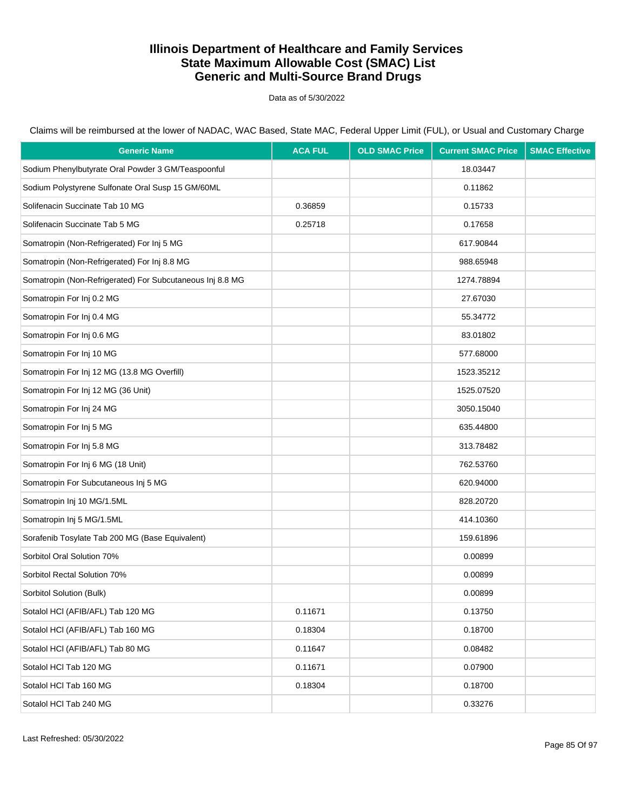Data as of 5/30/2022

| <b>Generic Name</b>                                       | <b>ACA FUL</b> | <b>OLD SMAC Price</b> | <b>Current SMAC Price</b> | <b>SMAC Effective</b> |
|-----------------------------------------------------------|----------------|-----------------------|---------------------------|-----------------------|
| Sodium Phenylbutyrate Oral Powder 3 GM/Teaspoonful        |                |                       | 18.03447                  |                       |
| Sodium Polystyrene Sulfonate Oral Susp 15 GM/60ML         |                |                       | 0.11862                   |                       |
| Solifenacin Succinate Tab 10 MG                           | 0.36859        |                       | 0.15733                   |                       |
| Solifenacin Succinate Tab 5 MG                            | 0.25718        |                       | 0.17658                   |                       |
| Somatropin (Non-Refrigerated) For Inj 5 MG                |                |                       | 617.90844                 |                       |
| Somatropin (Non-Refrigerated) For Inj 8.8 MG              |                |                       | 988.65948                 |                       |
| Somatropin (Non-Refrigerated) For Subcutaneous Inj 8.8 MG |                |                       | 1274.78894                |                       |
| Somatropin For Inj 0.2 MG                                 |                |                       | 27.67030                  |                       |
| Somatropin For Inj 0.4 MG                                 |                |                       | 55.34772                  |                       |
| Somatropin For Inj 0.6 MG                                 |                |                       | 83.01802                  |                       |
| Somatropin For Inj 10 MG                                  |                |                       | 577.68000                 |                       |
| Somatropin For Inj 12 MG (13.8 MG Overfill)               |                |                       | 1523.35212                |                       |
| Somatropin For Inj 12 MG (36 Unit)                        |                |                       | 1525.07520                |                       |
| Somatropin For Inj 24 MG                                  |                |                       | 3050.15040                |                       |
| Somatropin For Inj 5 MG                                   |                |                       | 635.44800                 |                       |
| Somatropin For Inj 5.8 MG                                 |                |                       | 313.78482                 |                       |
| Somatropin For Inj 6 MG (18 Unit)                         |                |                       | 762.53760                 |                       |
| Somatropin For Subcutaneous Inj 5 MG                      |                |                       | 620.94000                 |                       |
| Somatropin Inj 10 MG/1.5ML                                |                |                       | 828.20720                 |                       |
| Somatropin Inj 5 MG/1.5ML                                 |                |                       | 414.10360                 |                       |
| Sorafenib Tosylate Tab 200 MG (Base Equivalent)           |                |                       | 159.61896                 |                       |
| Sorbitol Oral Solution 70%                                |                |                       | 0.00899                   |                       |
| Sorbitol Rectal Solution 70%                              |                |                       | 0.00899                   |                       |
| Sorbitol Solution (Bulk)                                  |                |                       | 0.00899                   |                       |
| Sotalol HCI (AFIB/AFL) Tab 120 MG                         | 0.11671        |                       | 0.13750                   |                       |
| Sotalol HCI (AFIB/AFL) Tab 160 MG                         | 0.18304        |                       | 0.18700                   |                       |
| Sotalol HCI (AFIB/AFL) Tab 80 MG                          | 0.11647        |                       | 0.08482                   |                       |
| Sotalol HCl Tab 120 MG                                    | 0.11671        |                       | 0.07900                   |                       |
| Sotalol HCl Tab 160 MG                                    | 0.18304        |                       | 0.18700                   |                       |
| Sotalol HCl Tab 240 MG                                    |                |                       | 0.33276                   |                       |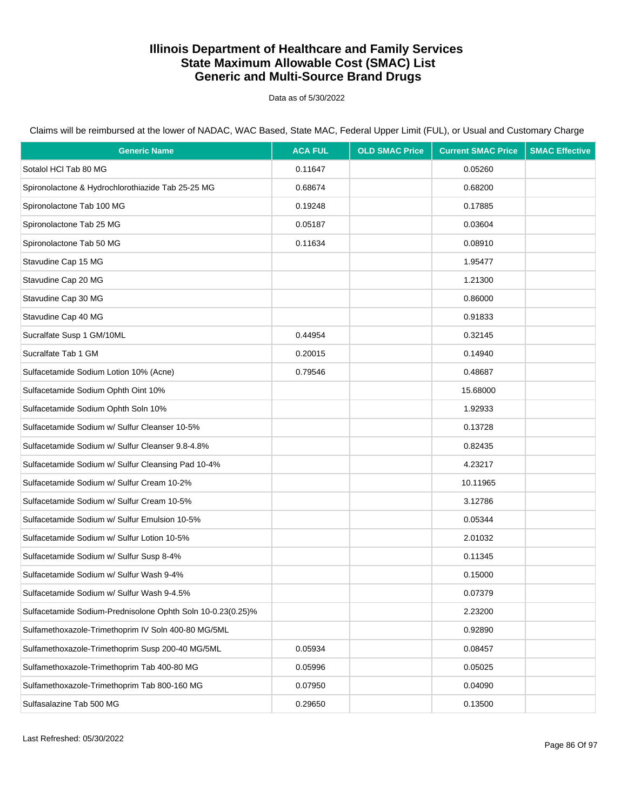Data as of 5/30/2022

| <b>Generic Name</b>                                         | <b>ACA FUL</b> | <b>OLD SMAC Price</b> | <b>Current SMAC Price</b> | <b>SMAC Effective</b> |
|-------------------------------------------------------------|----------------|-----------------------|---------------------------|-----------------------|
| Sotalol HCl Tab 80 MG                                       | 0.11647        |                       | 0.05260                   |                       |
| Spironolactone & Hydrochlorothiazide Tab 25-25 MG           | 0.68674        |                       | 0.68200                   |                       |
| Spironolactone Tab 100 MG                                   | 0.19248        |                       | 0.17885                   |                       |
| Spironolactone Tab 25 MG                                    | 0.05187        |                       | 0.03604                   |                       |
| Spironolactone Tab 50 MG                                    | 0.11634        |                       | 0.08910                   |                       |
| Stavudine Cap 15 MG                                         |                |                       | 1.95477                   |                       |
| Stavudine Cap 20 MG                                         |                |                       | 1.21300                   |                       |
| Stavudine Cap 30 MG                                         |                |                       | 0.86000                   |                       |
| Stavudine Cap 40 MG                                         |                |                       | 0.91833                   |                       |
| Sucralfate Susp 1 GM/10ML                                   | 0.44954        |                       | 0.32145                   |                       |
| Sucralfate Tab 1 GM                                         | 0.20015        |                       | 0.14940                   |                       |
| Sulfacetamide Sodium Lotion 10% (Acne)                      | 0.79546        |                       | 0.48687                   |                       |
| Sulfacetamide Sodium Ophth Oint 10%                         |                |                       | 15.68000                  |                       |
| Sulfacetamide Sodium Ophth Soln 10%                         |                |                       | 1.92933                   |                       |
| Sulfacetamide Sodium w/ Sulfur Cleanser 10-5%               |                |                       | 0.13728                   |                       |
| Sulfacetamide Sodium w/ Sulfur Cleanser 9.8-4.8%            |                |                       | 0.82435                   |                       |
| Sulfacetamide Sodium w/ Sulfur Cleansing Pad 10-4%          |                |                       | 4.23217                   |                       |
| Sulfacetamide Sodium w/ Sulfur Cream 10-2%                  |                |                       | 10.11965                  |                       |
| Sulfacetamide Sodium w/ Sulfur Cream 10-5%                  |                |                       | 3.12786                   |                       |
| Sulfacetamide Sodium w/ Sulfur Emulsion 10-5%               |                |                       | 0.05344                   |                       |
| Sulfacetamide Sodium w/ Sulfur Lotion 10-5%                 |                |                       | 2.01032                   |                       |
| Sulfacetamide Sodium w/ Sulfur Susp 8-4%                    |                |                       | 0.11345                   |                       |
| Sulfacetamide Sodium w/ Sulfur Wash 9-4%                    |                |                       | 0.15000                   |                       |
| Sulfacetamide Sodium w/ Sulfur Wash 9-4.5%                  |                |                       | 0.07379                   |                       |
| Sulfacetamide Sodium-Prednisolone Ophth Soln 10-0.23(0.25)% |                |                       | 2.23200                   |                       |
| Sulfamethoxazole-Trimethoprim IV Soln 400-80 MG/5ML         |                |                       | 0.92890                   |                       |
| Sulfamethoxazole-Trimethoprim Susp 200-40 MG/5ML            | 0.05934        |                       | 0.08457                   |                       |
| Sulfamethoxazole-Trimethoprim Tab 400-80 MG                 | 0.05996        |                       | 0.05025                   |                       |
| Sulfamethoxazole-Trimethoprim Tab 800-160 MG                | 0.07950        |                       | 0.04090                   |                       |
| Sulfasalazine Tab 500 MG                                    | 0.29650        |                       | 0.13500                   |                       |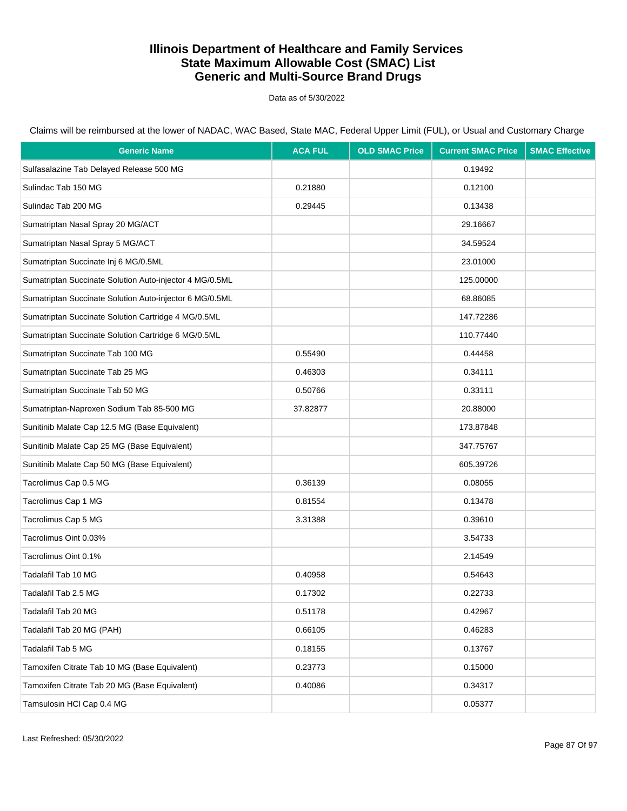Data as of 5/30/2022

| <b>Generic Name</b>                                     | <b>ACA FUL</b> | <b>OLD SMAC Price</b> | <b>Current SMAC Price</b> | <b>SMAC Effective</b> |
|---------------------------------------------------------|----------------|-----------------------|---------------------------|-----------------------|
| Sulfasalazine Tab Delayed Release 500 MG                |                |                       | 0.19492                   |                       |
| Sulindac Tab 150 MG                                     | 0.21880        |                       | 0.12100                   |                       |
| Sulindac Tab 200 MG                                     | 0.29445        |                       | 0.13438                   |                       |
| Sumatriptan Nasal Spray 20 MG/ACT                       |                |                       | 29.16667                  |                       |
| Sumatriptan Nasal Spray 5 MG/ACT                        |                |                       | 34.59524                  |                       |
| Sumatriptan Succinate Inj 6 MG/0.5ML                    |                |                       | 23.01000                  |                       |
| Sumatriptan Succinate Solution Auto-injector 4 MG/0.5ML |                |                       | 125.00000                 |                       |
| Sumatriptan Succinate Solution Auto-injector 6 MG/0.5ML |                |                       | 68.86085                  |                       |
| Sumatriptan Succinate Solution Cartridge 4 MG/0.5ML     |                |                       | 147.72286                 |                       |
| Sumatriptan Succinate Solution Cartridge 6 MG/0.5ML     |                |                       | 110.77440                 |                       |
| Sumatriptan Succinate Tab 100 MG                        | 0.55490        |                       | 0.44458                   |                       |
| Sumatriptan Succinate Tab 25 MG                         | 0.46303        |                       | 0.34111                   |                       |
| Sumatriptan Succinate Tab 50 MG                         | 0.50766        |                       | 0.33111                   |                       |
| Sumatriptan-Naproxen Sodium Tab 85-500 MG               | 37.82877       |                       | 20.88000                  |                       |
| Sunitinib Malate Cap 12.5 MG (Base Equivalent)          |                |                       | 173.87848                 |                       |
| Sunitinib Malate Cap 25 MG (Base Equivalent)            |                |                       | 347.75767                 |                       |
| Sunitinib Malate Cap 50 MG (Base Equivalent)            |                |                       | 605.39726                 |                       |
| Tacrolimus Cap 0.5 MG                                   | 0.36139        |                       | 0.08055                   |                       |
| Tacrolimus Cap 1 MG                                     | 0.81554        |                       | 0.13478                   |                       |
| Tacrolimus Cap 5 MG                                     | 3.31388        |                       | 0.39610                   |                       |
| Tacrolimus Oint 0.03%                                   |                |                       | 3.54733                   |                       |
| Tacrolimus Oint 0.1%                                    |                |                       | 2.14549                   |                       |
| Tadalafil Tab 10 MG                                     | 0.40958        |                       | 0.54643                   |                       |
| Tadalafil Tab 2.5 MG                                    | 0.17302        |                       | 0.22733                   |                       |
| Tadalafil Tab 20 MG                                     | 0.51178        |                       | 0.42967                   |                       |
| Tadalafil Tab 20 MG (PAH)                               | 0.66105        |                       | 0.46283                   |                       |
| Tadalafil Tab 5 MG                                      | 0.18155        |                       | 0.13767                   |                       |
| Tamoxifen Citrate Tab 10 MG (Base Equivalent)           | 0.23773        |                       | 0.15000                   |                       |
| Tamoxifen Citrate Tab 20 MG (Base Equivalent)           | 0.40086        |                       | 0.34317                   |                       |
| Tamsulosin HCl Cap 0.4 MG                               |                |                       | 0.05377                   |                       |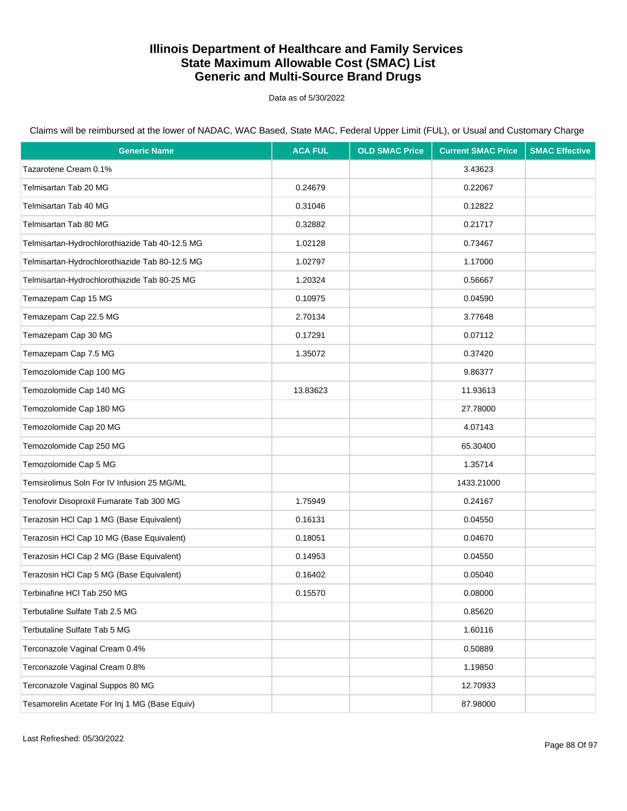Data as of 5/30/2022

Claims will be reimbursed at the lower of NADAC, WAC Based, State MAC, Federal Upper Limit (FUL), or Usual and Customary Charge

| <b>Generic Name</b>                            | <b>ACA FUL</b> | <b>OLD SMAC Price</b> | <b>Current SMAC Price</b> | <b>SMAC Effective</b> |
|------------------------------------------------|----------------|-----------------------|---------------------------|-----------------------|
| Tazarotene Cream 0.1%                          |                |                       | 3.43623                   |                       |
| Telmisartan Tab 20 MG                          | 0.24679        |                       | 0.22067                   |                       |
| Telmisartan Tab 40 MG                          | 0.31046        |                       | 0.12822                   |                       |
| Telmisartan Tab 80 MG                          | 0.32882        |                       | 0.21717                   |                       |
| Telmisartan-Hydrochlorothiazide Tab 40-12.5 MG | 1.02128        |                       | 0.73467                   |                       |
| Telmisartan-Hydrochlorothiazide Tab 80-12.5 MG | 1.02797        |                       | 1.17000                   |                       |
| Telmisartan-Hydrochlorothiazide Tab 80-25 MG   | 1.20324        |                       | 0.56667                   |                       |
| Temazepam Cap 15 MG                            | 0.10975        |                       | 0.04590                   |                       |
| Temazepam Cap 22.5 MG                          | 2.70134        |                       | 3.77648                   |                       |
| Temazepam Cap 30 MG                            | 0.17291        |                       | 0.07112                   |                       |
| Temazepam Cap 7.5 MG                           | 1.35072        |                       | 0.37420                   |                       |
| Temozolomide Cap 100 MG                        |                |                       | 9.86377                   |                       |
| Temozolomide Cap 140 MG                        | 13.83623       |                       | 11.93613                  |                       |
| Temozolomide Cap 180 MG                        |                |                       | 27.78000                  |                       |
| Temozolomide Cap 20 MG                         |                |                       | 4.07143                   |                       |
| Temozolomide Cap 250 MG                        |                |                       | 65.30400                  |                       |
| Temozolomide Cap 5 MG                          |                |                       | 1.35714                   |                       |
| Temsirolimus Soln For IV Infusion 25 MG/ML     |                |                       | 1433.21000                |                       |
| Tenofovir Disoproxil Fumarate Tab 300 MG       | 1.75949        |                       | 0.24167                   |                       |
| Terazosin HCl Cap 1 MG (Base Equivalent)       | 0.16131        |                       | 0.04550                   |                       |
| Terazosin HCl Cap 10 MG (Base Equivalent)      | 0.18051        |                       | 0.04670                   |                       |
| Terazosin HCl Cap 2 MG (Base Equivalent)       | 0.14953        |                       | 0.04550                   |                       |
| Terazosin HCI Cap 5 MG (Base Equivalent)       | 0.16402        |                       | 0.05040                   |                       |
| Terbinafine HCI Tab 250 MG                     | 0.15570        |                       | 0.08000                   |                       |
| Terbutaline Sulfate Tab 2.5 MG                 |                |                       | 0.85620                   |                       |
| Terbutaline Sulfate Tab 5 MG                   |                |                       | 1.60116                   |                       |
| Terconazole Vaginal Cream 0.4%                 |                |                       | 0.50889                   |                       |
| Terconazole Vaginal Cream 0.8%                 |                |                       | 1.19850                   |                       |
| Terconazole Vaginal Suppos 80 MG               |                |                       | 12.70933                  |                       |
| Tesamorelin Acetate For Inj 1 MG (Base Equiv)  |                |                       | 87.98000                  |                       |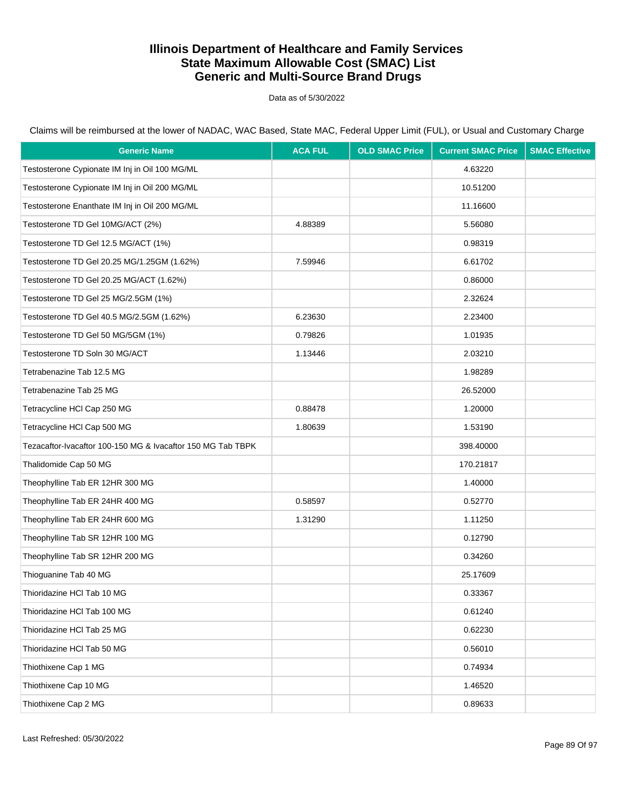Data as of 5/30/2022

| <b>Generic Name</b>                                         | <b>ACA FUL</b> | <b>OLD SMAC Price</b> | <b>Current SMAC Price</b> | <b>SMAC Effective</b> |
|-------------------------------------------------------------|----------------|-----------------------|---------------------------|-----------------------|
| Testosterone Cypionate IM Inj in Oil 100 MG/ML              |                |                       | 4.63220                   |                       |
| Testosterone Cypionate IM Inj in Oil 200 MG/ML              |                |                       | 10.51200                  |                       |
| Testosterone Enanthate IM Inj in Oil 200 MG/ML              |                |                       | 11.16600                  |                       |
| Testosterone TD Gel 10MG/ACT (2%)                           | 4.88389        |                       | 5.56080                   |                       |
| Testosterone TD Gel 12.5 MG/ACT (1%)                        |                |                       | 0.98319                   |                       |
| Testosterone TD Gel 20.25 MG/1.25GM (1.62%)                 | 7.59946        |                       | 6.61702                   |                       |
| Testosterone TD Gel 20.25 MG/ACT (1.62%)                    |                |                       | 0.86000                   |                       |
| Testosterone TD Gel 25 MG/2.5GM (1%)                        |                |                       | 2.32624                   |                       |
| Testosterone TD Gel 40.5 MG/2.5GM (1.62%)                   | 6.23630        |                       | 2.23400                   |                       |
| Testosterone TD Gel 50 MG/5GM (1%)                          | 0.79826        |                       | 1.01935                   |                       |
| Testosterone TD Soln 30 MG/ACT                              | 1.13446        |                       | 2.03210                   |                       |
| Tetrabenazine Tab 12.5 MG                                   |                |                       | 1.98289                   |                       |
| Tetrabenazine Tab 25 MG                                     |                |                       | 26.52000                  |                       |
| Tetracycline HCl Cap 250 MG                                 | 0.88478        |                       | 1.20000                   |                       |
| Tetracycline HCI Cap 500 MG                                 | 1.80639        |                       | 1.53190                   |                       |
| Tezacaftor-Ivacaftor 100-150 MG & Ivacaftor 150 MG Tab TBPK |                |                       | 398.40000                 |                       |
| Thalidomide Cap 50 MG                                       |                |                       | 170.21817                 |                       |
| Theophylline Tab ER 12HR 300 MG                             |                |                       | 1.40000                   |                       |
| Theophylline Tab ER 24HR 400 MG                             | 0.58597        |                       | 0.52770                   |                       |
| Theophylline Tab ER 24HR 600 MG                             | 1.31290        |                       | 1.11250                   |                       |
| Theophylline Tab SR 12HR 100 MG                             |                |                       | 0.12790                   |                       |
| Theophylline Tab SR 12HR 200 MG                             |                |                       | 0.34260                   |                       |
| Thioguanine Tab 40 MG                                       |                |                       | 25.17609                  |                       |
| Thioridazine HCI Tab 10 MG                                  |                |                       | 0.33367                   |                       |
| Thioridazine HCI Tab 100 MG                                 |                |                       | 0.61240                   |                       |
| Thioridazine HCI Tab 25 MG                                  |                |                       | 0.62230                   |                       |
| Thioridazine HCI Tab 50 MG                                  |                |                       | 0.56010                   |                       |
| Thiothixene Cap 1 MG                                        |                |                       | 0.74934                   |                       |
| Thiothixene Cap 10 MG                                       |                |                       | 1.46520                   |                       |
| Thiothixene Cap 2 MG                                        |                |                       | 0.89633                   |                       |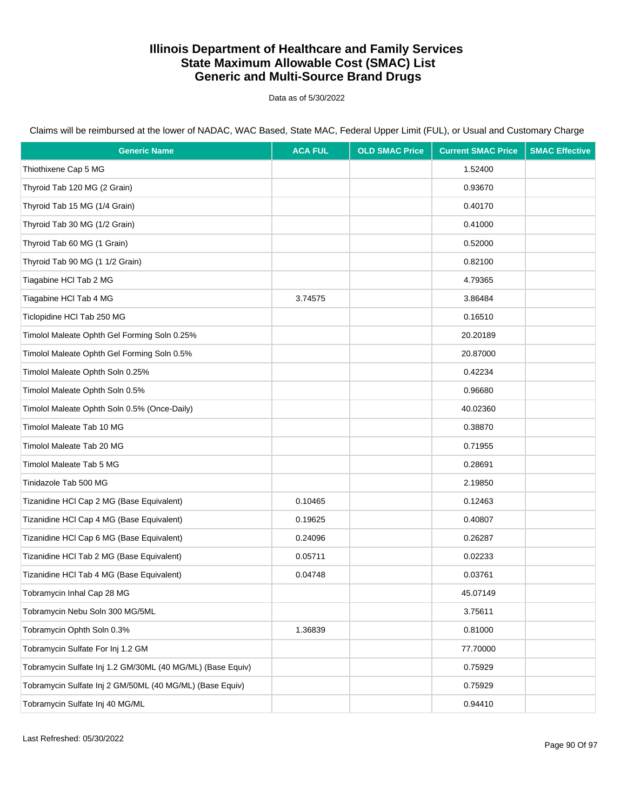Data as of 5/30/2022

| <b>Generic Name</b>                                        | <b>ACA FUL</b> | <b>OLD SMAC Price</b> | <b>Current SMAC Price</b> | <b>SMAC Effective</b> |
|------------------------------------------------------------|----------------|-----------------------|---------------------------|-----------------------|
| Thiothixene Cap 5 MG                                       |                |                       | 1.52400                   |                       |
| Thyroid Tab 120 MG (2 Grain)                               |                |                       | 0.93670                   |                       |
| Thyroid Tab 15 MG (1/4 Grain)                              |                |                       | 0.40170                   |                       |
| Thyroid Tab 30 MG (1/2 Grain)                              |                |                       | 0.41000                   |                       |
| Thyroid Tab 60 MG (1 Grain)                                |                |                       | 0.52000                   |                       |
| Thyroid Tab 90 MG (1 1/2 Grain)                            |                |                       | 0.82100                   |                       |
| Tiagabine HCI Tab 2 MG                                     |                |                       | 4.79365                   |                       |
| Tiagabine HCI Tab 4 MG                                     | 3.74575        |                       | 3.86484                   |                       |
| Ticlopidine HCl Tab 250 MG                                 |                |                       | 0.16510                   |                       |
| Timolol Maleate Ophth Gel Forming Soln 0.25%               |                |                       | 20.20189                  |                       |
| Timolol Maleate Ophth Gel Forming Soln 0.5%                |                |                       | 20.87000                  |                       |
| Timolol Maleate Ophth Soln 0.25%                           |                |                       | 0.42234                   |                       |
| Timolol Maleate Ophth Soln 0.5%                            |                |                       | 0.96680                   |                       |
| Timolol Maleate Ophth Soln 0.5% (Once-Daily)               |                |                       | 40.02360                  |                       |
| Timolol Maleate Tab 10 MG                                  |                |                       | 0.38870                   |                       |
| Timolol Maleate Tab 20 MG                                  |                |                       | 0.71955                   |                       |
| Timolol Maleate Tab 5 MG                                   |                |                       | 0.28691                   |                       |
| Tinidazole Tab 500 MG                                      |                |                       | 2.19850                   |                       |
| Tizanidine HCl Cap 2 MG (Base Equivalent)                  | 0.10465        |                       | 0.12463                   |                       |
| Tizanidine HCl Cap 4 MG (Base Equivalent)                  | 0.19625        |                       | 0.40807                   |                       |
| Tizanidine HCl Cap 6 MG (Base Equivalent)                  | 0.24096        |                       | 0.26287                   |                       |
| Tizanidine HCl Tab 2 MG (Base Equivalent)                  | 0.05711        |                       | 0.02233                   |                       |
| Tizanidine HCl Tab 4 MG (Base Equivalent)                  | 0.04748        |                       | 0.03761                   |                       |
| Tobramycin Inhal Cap 28 MG                                 |                |                       | 45.07149                  |                       |
| Tobramycin Nebu Soln 300 MG/5ML                            |                |                       | 3.75611                   |                       |
| Tobramycin Ophth Soln 0.3%                                 | 1.36839        |                       | 0.81000                   |                       |
| Tobramycin Sulfate For Inj 1.2 GM                          |                |                       | 77.70000                  |                       |
| Tobramycin Sulfate Inj 1.2 GM/30ML (40 MG/ML) (Base Equiv) |                |                       | 0.75929                   |                       |
| Tobramycin Sulfate Inj 2 GM/50ML (40 MG/ML) (Base Equiv)   |                |                       | 0.75929                   |                       |
| Tobramycin Sulfate Inj 40 MG/ML                            |                |                       | 0.94410                   |                       |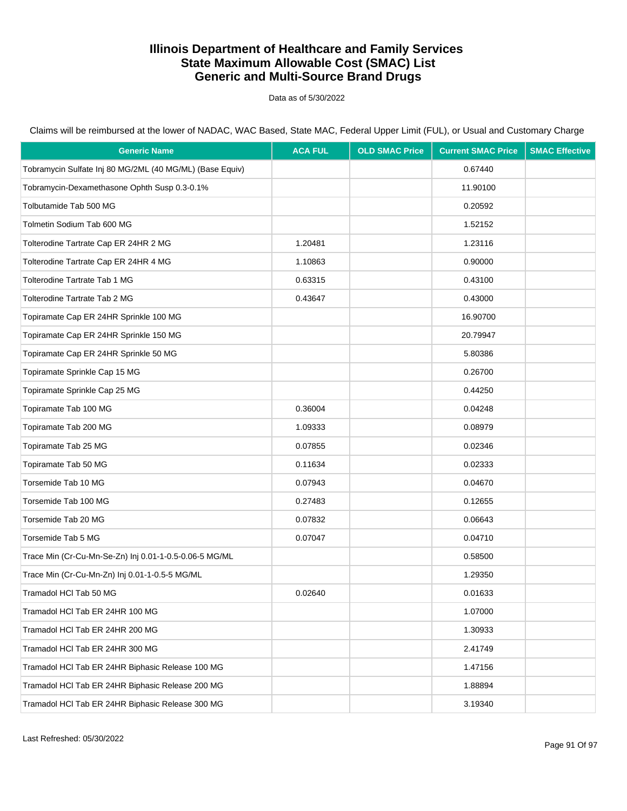Data as of 5/30/2022

| <b>Generic Name</b>                                      | <b>ACA FUL</b> | <b>OLD SMAC Price</b> | <b>Current SMAC Price</b> | <b>SMAC Effective</b> |
|----------------------------------------------------------|----------------|-----------------------|---------------------------|-----------------------|
| Tobramycin Sulfate Inj 80 MG/2ML (40 MG/ML) (Base Equiv) |                |                       | 0.67440                   |                       |
| Tobramycin-Dexamethasone Ophth Susp 0.3-0.1%             |                |                       | 11.90100                  |                       |
| Tolbutamide Tab 500 MG                                   |                |                       | 0.20592                   |                       |
| Tolmetin Sodium Tab 600 MG                               |                |                       | 1.52152                   |                       |
| Tolterodine Tartrate Cap ER 24HR 2 MG                    | 1.20481        |                       | 1.23116                   |                       |
| Tolterodine Tartrate Cap ER 24HR 4 MG                    | 1.10863        |                       | 0.90000                   |                       |
| Tolterodine Tartrate Tab 1 MG                            | 0.63315        |                       | 0.43100                   |                       |
| Tolterodine Tartrate Tab 2 MG                            | 0.43647        |                       | 0.43000                   |                       |
| Topiramate Cap ER 24HR Sprinkle 100 MG                   |                |                       | 16.90700                  |                       |
| Topiramate Cap ER 24HR Sprinkle 150 MG                   |                |                       | 20.79947                  |                       |
| Topiramate Cap ER 24HR Sprinkle 50 MG                    |                |                       | 5.80386                   |                       |
| Topiramate Sprinkle Cap 15 MG                            |                |                       | 0.26700                   |                       |
| Topiramate Sprinkle Cap 25 MG                            |                |                       | 0.44250                   |                       |
| Topiramate Tab 100 MG                                    | 0.36004        |                       | 0.04248                   |                       |
| Topiramate Tab 200 MG                                    | 1.09333        |                       | 0.08979                   |                       |
| Topiramate Tab 25 MG                                     | 0.07855        |                       | 0.02346                   |                       |
| Topiramate Tab 50 MG                                     | 0.11634        |                       | 0.02333                   |                       |
| Torsemide Tab 10 MG                                      | 0.07943        |                       | 0.04670                   |                       |
| Torsemide Tab 100 MG                                     | 0.27483        |                       | 0.12655                   |                       |
| Torsemide Tab 20 MG                                      | 0.07832        |                       | 0.06643                   |                       |
| Torsemide Tab 5 MG                                       | 0.07047        |                       | 0.04710                   |                       |
| Trace Min (Cr-Cu-Mn-Se-Zn) Inj 0.01-1-0.5-0.06-5 MG/ML   |                |                       | 0.58500                   |                       |
| Trace Min (Cr-Cu-Mn-Zn) Inj 0.01-1-0.5-5 MG/ML           |                |                       | 1.29350                   |                       |
| Tramadol HCI Tab 50 MG                                   | 0.02640        |                       | 0.01633                   |                       |
| Tramadol HCI Tab ER 24HR 100 MG                          |                |                       | 1.07000                   |                       |
| Tramadol HCI Tab ER 24HR 200 MG                          |                |                       | 1.30933                   |                       |
| Tramadol HCl Tab ER 24HR 300 MG                          |                |                       | 2.41749                   |                       |
| Tramadol HCl Tab ER 24HR Biphasic Release 100 MG         |                |                       | 1.47156                   |                       |
| Tramadol HCI Tab ER 24HR Biphasic Release 200 MG         |                |                       | 1.88894                   |                       |
| Tramadol HCI Tab ER 24HR Biphasic Release 300 MG         |                |                       | 3.19340                   |                       |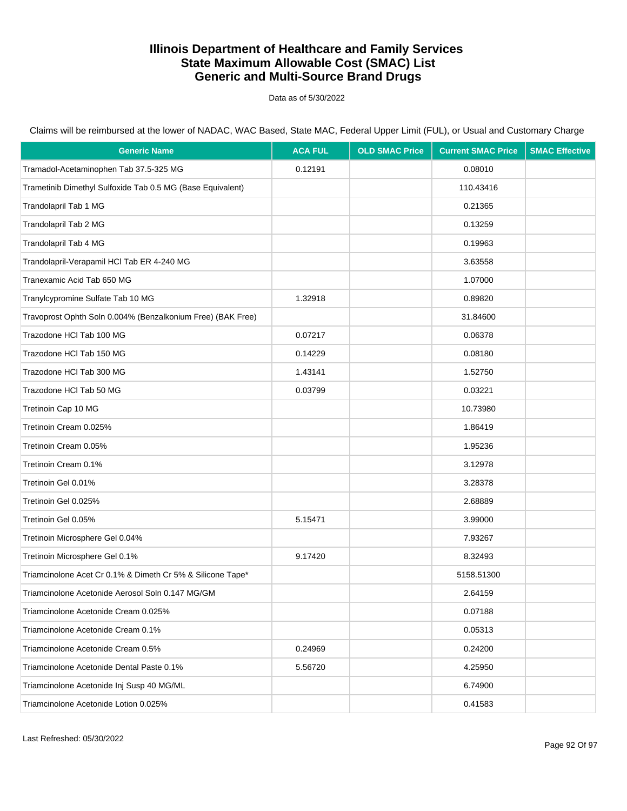Data as of 5/30/2022

| <b>Generic Name</b>                                         | <b>ACA FUL</b> | <b>OLD SMAC Price</b> | <b>Current SMAC Price</b> | <b>SMAC Effective</b> |
|-------------------------------------------------------------|----------------|-----------------------|---------------------------|-----------------------|
| Tramadol-Acetaminophen Tab 37.5-325 MG                      | 0.12191        |                       | 0.08010                   |                       |
| Trametinib Dimethyl Sulfoxide Tab 0.5 MG (Base Equivalent)  |                |                       | 110.43416                 |                       |
| Trandolapril Tab 1 MG                                       |                |                       | 0.21365                   |                       |
| Trandolapril Tab 2 MG                                       |                |                       | 0.13259                   |                       |
| Trandolapril Tab 4 MG                                       |                |                       | 0.19963                   |                       |
| Trandolapril-Verapamil HCl Tab ER 4-240 MG                  |                |                       | 3.63558                   |                       |
| Tranexamic Acid Tab 650 MG                                  |                |                       | 1.07000                   |                       |
| Tranylcypromine Sulfate Tab 10 MG                           | 1.32918        |                       | 0.89820                   |                       |
| Travoprost Ophth Soln 0.004% (Benzalkonium Free) (BAK Free) |                |                       | 31.84600                  |                       |
| Trazodone HCI Tab 100 MG                                    | 0.07217        |                       | 0.06378                   |                       |
| Trazodone HCI Tab 150 MG                                    | 0.14229        |                       | 0.08180                   |                       |
| Trazodone HCI Tab 300 MG                                    | 1.43141        |                       | 1.52750                   |                       |
| Trazodone HCI Tab 50 MG                                     | 0.03799        |                       | 0.03221                   |                       |
| Tretinoin Cap 10 MG                                         |                |                       | 10.73980                  |                       |
| Tretinoin Cream 0.025%                                      |                |                       | 1.86419                   |                       |
| Tretinoin Cream 0.05%                                       |                |                       | 1.95236                   |                       |
| Tretinoin Cream 0.1%                                        |                |                       | 3.12978                   |                       |
| Tretinoin Gel 0.01%                                         |                |                       | 3.28378                   |                       |
| Tretinoin Gel 0.025%                                        |                |                       | 2.68889                   |                       |
| Tretinoin Gel 0.05%                                         | 5.15471        |                       | 3.99000                   |                       |
| Tretinoin Microsphere Gel 0.04%                             |                |                       | 7.93267                   |                       |
| Tretinoin Microsphere Gel 0.1%                              | 9.17420        |                       | 8.32493                   |                       |
| Triamcinolone Acet Cr 0.1% & Dimeth Cr 5% & Silicone Tape*  |                |                       | 5158.51300                |                       |
| Triamcinolone Acetonide Aerosol Soln 0.147 MG/GM            |                |                       | 2.64159                   |                       |
| Triamcinolone Acetonide Cream 0.025%                        |                |                       | 0.07188                   |                       |
| Triamcinolone Acetonide Cream 0.1%                          |                |                       | 0.05313                   |                       |
| Triamcinolone Acetonide Cream 0.5%                          | 0.24969        |                       | 0.24200                   |                       |
| Triamcinolone Acetonide Dental Paste 0.1%                   | 5.56720        |                       | 4.25950                   |                       |
| Triamcinolone Acetonide Inj Susp 40 MG/ML                   |                |                       | 6.74900                   |                       |
| Triamcinolone Acetonide Lotion 0.025%                       |                |                       | 0.41583                   |                       |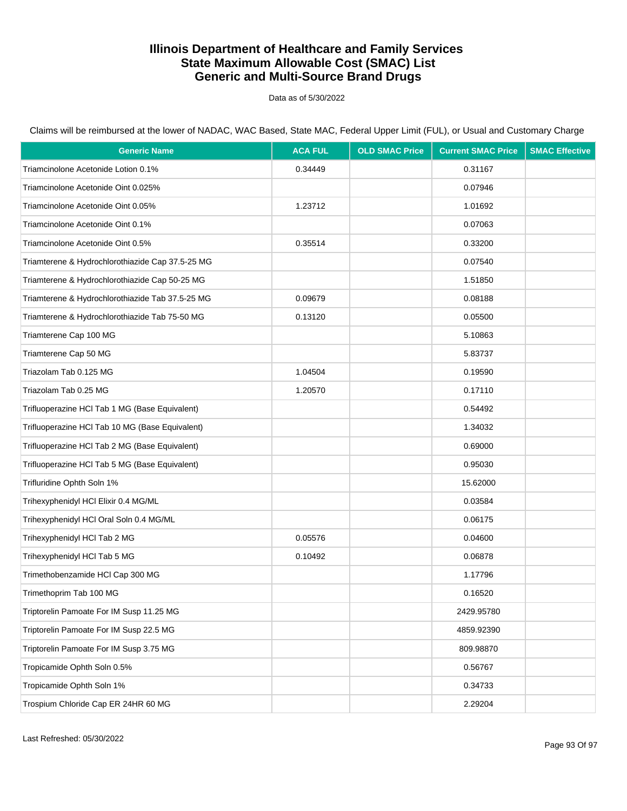Data as of 5/30/2022

| <b>Generic Name</b>                              | <b>ACA FUL</b> | <b>OLD SMAC Price</b> | <b>Current SMAC Price</b> | <b>SMAC Effective</b> |
|--------------------------------------------------|----------------|-----------------------|---------------------------|-----------------------|
| Triamcinolone Acetonide Lotion 0.1%              | 0.34449        |                       | 0.31167                   |                       |
| Triamcinolone Acetonide Oint 0.025%              |                |                       | 0.07946                   |                       |
| Triamcinolone Acetonide Oint 0.05%               | 1.23712        |                       | 1.01692                   |                       |
| Triamcinolone Acetonide Oint 0.1%                |                |                       | 0.07063                   |                       |
| Triamcinolone Acetonide Oint 0.5%                | 0.35514        |                       | 0.33200                   |                       |
| Triamterene & Hydrochlorothiazide Cap 37.5-25 MG |                |                       | 0.07540                   |                       |
| Triamterene & Hydrochlorothiazide Cap 50-25 MG   |                |                       | 1.51850                   |                       |
| Triamterene & Hydrochlorothiazide Tab 37.5-25 MG | 0.09679        |                       | 0.08188                   |                       |
| Triamterene & Hydrochlorothiazide Tab 75-50 MG   | 0.13120        |                       | 0.05500                   |                       |
| Triamterene Cap 100 MG                           |                |                       | 5.10863                   |                       |
| Triamterene Cap 50 MG                            |                |                       | 5.83737                   |                       |
| Triazolam Tab 0.125 MG                           | 1.04504        |                       | 0.19590                   |                       |
| Triazolam Tab 0.25 MG                            | 1.20570        |                       | 0.17110                   |                       |
| Trifluoperazine HCl Tab 1 MG (Base Equivalent)   |                |                       | 0.54492                   |                       |
| Trifluoperazine HCl Tab 10 MG (Base Equivalent)  |                |                       | 1.34032                   |                       |
| Trifluoperazine HCl Tab 2 MG (Base Equivalent)   |                |                       | 0.69000                   |                       |
| Trifluoperazine HCl Tab 5 MG (Base Equivalent)   |                |                       | 0.95030                   |                       |
| Trifluridine Ophth Soln 1%                       |                |                       | 15.62000                  |                       |
| Trihexyphenidyl HCI Elixir 0.4 MG/ML             |                |                       | 0.03584                   |                       |
| Trihexyphenidyl HCl Oral Soln 0.4 MG/ML          |                |                       | 0.06175                   |                       |
| Trihexyphenidyl HCl Tab 2 MG                     | 0.05576        |                       | 0.04600                   |                       |
| Trihexyphenidyl HCl Tab 5 MG                     | 0.10492        |                       | 0.06878                   |                       |
| Trimethobenzamide HCl Cap 300 MG                 |                |                       | 1.17796                   |                       |
| Trimethoprim Tab 100 MG                          |                |                       | 0.16520                   |                       |
| Triptorelin Pamoate For IM Susp 11.25 MG         |                |                       | 2429.95780                |                       |
| Triptorelin Pamoate For IM Susp 22.5 MG          |                |                       | 4859.92390                |                       |
| Triptorelin Pamoate For IM Susp 3.75 MG          |                |                       | 809.98870                 |                       |
| Tropicamide Ophth Soln 0.5%                      |                |                       | 0.56767                   |                       |
| Tropicamide Ophth Soln 1%                        |                |                       | 0.34733                   |                       |
| Trospium Chloride Cap ER 24HR 60 MG              |                |                       | 2.29204                   |                       |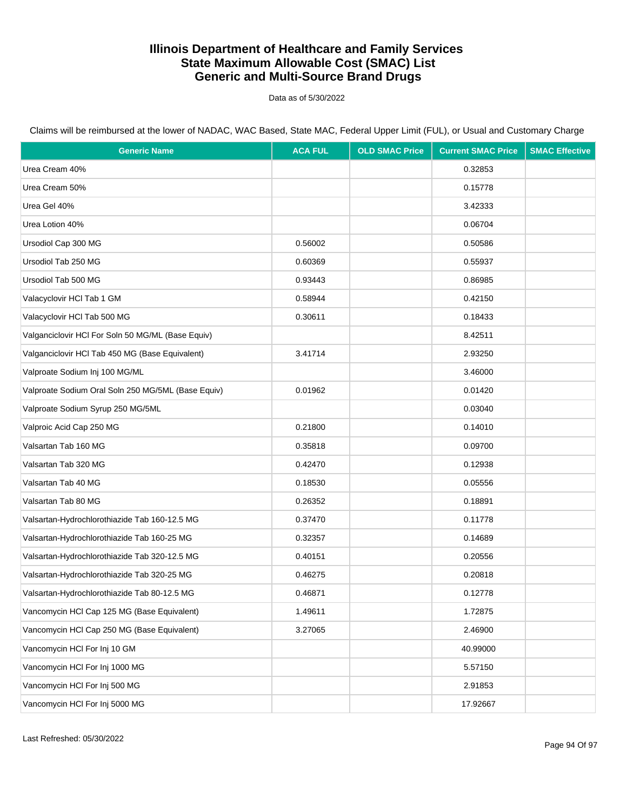Data as of 5/30/2022

Claims will be reimbursed at the lower of NADAC, WAC Based, State MAC, Federal Upper Limit (FUL), or Usual and Customary Charge

| <b>Generic Name</b>                                | <b>ACA FUL</b> | <b>OLD SMAC Price</b> | <b>Current SMAC Price</b> | <b>SMAC Effective</b> |
|----------------------------------------------------|----------------|-----------------------|---------------------------|-----------------------|
| Urea Cream 40%                                     |                |                       | 0.32853                   |                       |
| Urea Cream 50%                                     |                |                       | 0.15778                   |                       |
| Urea Gel 40%                                       |                |                       | 3.42333                   |                       |
| Urea Lotion 40%                                    |                |                       | 0.06704                   |                       |
| Ursodiol Cap 300 MG                                | 0.56002        |                       | 0.50586                   |                       |
| Ursodiol Tab 250 MG                                | 0.60369        |                       | 0.55937                   |                       |
| Ursodiol Tab 500 MG                                | 0.93443        |                       | 0.86985                   |                       |
| Valacyclovir HCl Tab 1 GM                          | 0.58944        |                       | 0.42150                   |                       |
| Valacyclovir HCl Tab 500 MG                        | 0.30611        |                       | 0.18433                   |                       |
| Valganciclovir HCI For Soln 50 MG/ML (Base Equiv)  |                |                       | 8.42511                   |                       |
| Valganciclovir HCI Tab 450 MG (Base Equivalent)    | 3.41714        |                       | 2.93250                   |                       |
| Valproate Sodium Inj 100 MG/ML                     |                |                       | 3.46000                   |                       |
| Valproate Sodium Oral Soln 250 MG/5ML (Base Equiv) | 0.01962        |                       | 0.01420                   |                       |
| Valproate Sodium Syrup 250 MG/5ML                  |                |                       | 0.03040                   |                       |
| Valproic Acid Cap 250 MG                           | 0.21800        |                       | 0.14010                   |                       |
| Valsartan Tab 160 MG                               | 0.35818        |                       | 0.09700                   |                       |
| Valsartan Tab 320 MG                               | 0.42470        |                       | 0.12938                   |                       |
| Valsartan Tab 40 MG                                | 0.18530        |                       | 0.05556                   |                       |
| Valsartan Tab 80 MG                                | 0.26352        |                       | 0.18891                   |                       |
| Valsartan-Hydrochlorothiazide Tab 160-12.5 MG      | 0.37470        |                       | 0.11778                   |                       |
| Valsartan-Hydrochlorothiazide Tab 160-25 MG        | 0.32357        |                       | 0.14689                   |                       |
| Valsartan-Hydrochlorothiazide Tab 320-12.5 MG      | 0.40151        |                       | 0.20556                   |                       |
| Valsartan-Hydrochlorothiazide Tab 320-25 MG        | 0.46275        |                       | 0.20818                   |                       |
| Valsartan-Hydrochlorothiazide Tab 80-12.5 MG       | 0.46871        |                       | 0.12778                   |                       |
| Vancomycin HCl Cap 125 MG (Base Equivalent)        | 1.49611        |                       | 1.72875                   |                       |
| Vancomycin HCl Cap 250 MG (Base Equivalent)        | 3.27065        |                       | 2.46900                   |                       |
| Vancomycin HCI For Inj 10 GM                       |                |                       | 40.99000                  |                       |
| Vancomycin HCI For Inj 1000 MG                     |                |                       | 5.57150                   |                       |
| Vancomycin HCI For Inj 500 MG                      |                |                       | 2.91853                   |                       |
| Vancomycin HCI For Inj 5000 MG                     |                |                       | 17.92667                  |                       |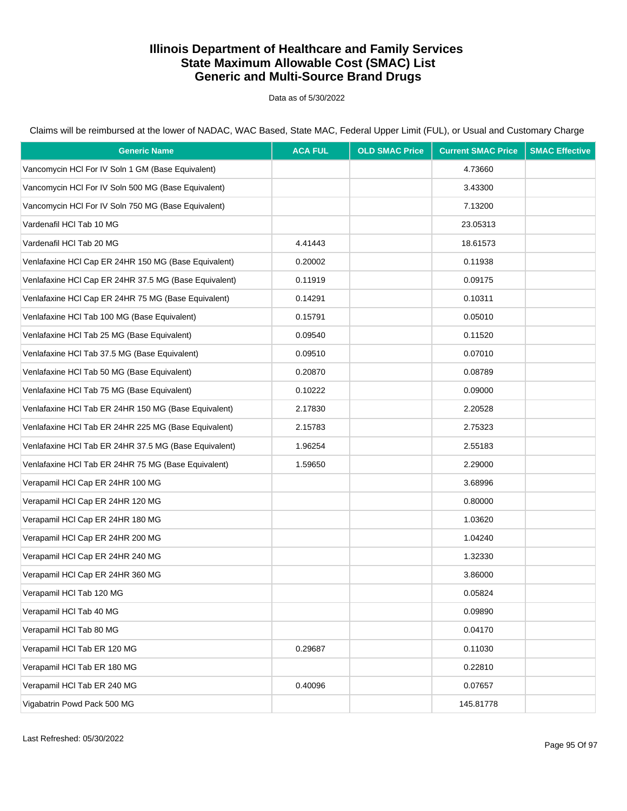Data as of 5/30/2022

| <b>Generic Name</b>                                   | <b>ACA FUL</b> | <b>OLD SMAC Price</b> | <b>Current SMAC Price</b> | <b>SMAC Effective</b> |
|-------------------------------------------------------|----------------|-----------------------|---------------------------|-----------------------|
| Vancomycin HCI For IV Soln 1 GM (Base Equivalent)     |                |                       | 4.73660                   |                       |
| Vancomycin HCI For IV Soln 500 MG (Base Equivalent)   |                |                       | 3.43300                   |                       |
| Vancomycin HCI For IV Soln 750 MG (Base Equivalent)   |                |                       | 7.13200                   |                       |
| Vardenafil HCI Tab 10 MG                              |                |                       | 23.05313                  |                       |
| Vardenafil HCI Tab 20 MG                              | 4.41443        |                       | 18.61573                  |                       |
| Venlafaxine HCl Cap ER 24HR 150 MG (Base Equivalent)  | 0.20002        |                       | 0.11938                   |                       |
| Venlafaxine HCI Cap ER 24HR 37.5 MG (Base Equivalent) | 0.11919        |                       | 0.09175                   |                       |
| Venlafaxine HCI Cap ER 24HR 75 MG (Base Equivalent)   | 0.14291        |                       | 0.10311                   |                       |
| Venlafaxine HCl Tab 100 MG (Base Equivalent)          | 0.15791        |                       | 0.05010                   |                       |
| Venlafaxine HCl Tab 25 MG (Base Equivalent)           | 0.09540        |                       | 0.11520                   |                       |
| Venlafaxine HCl Tab 37.5 MG (Base Equivalent)         | 0.09510        |                       | 0.07010                   |                       |
| Venlafaxine HCl Tab 50 MG (Base Equivalent)           | 0.20870        |                       | 0.08789                   |                       |
| Venlafaxine HCl Tab 75 MG (Base Equivalent)           | 0.10222        |                       | 0.09000                   |                       |
| Venlafaxine HCI Tab ER 24HR 150 MG (Base Equivalent)  | 2.17830        |                       | 2.20528                   |                       |
| Venlafaxine HCI Tab ER 24HR 225 MG (Base Equivalent)  | 2.15783        |                       | 2.75323                   |                       |
| Venlafaxine HCI Tab ER 24HR 37.5 MG (Base Equivalent) | 1.96254        |                       | 2.55183                   |                       |
| Venlafaxine HCI Tab ER 24HR 75 MG (Base Equivalent)   | 1.59650        |                       | 2.29000                   |                       |
| Verapamil HCI Cap ER 24HR 100 MG                      |                |                       | 3.68996                   |                       |
| Verapamil HCl Cap ER 24HR 120 MG                      |                |                       | 0.80000                   |                       |
| Verapamil HCl Cap ER 24HR 180 MG                      |                |                       | 1.03620                   |                       |
| Verapamil HCl Cap ER 24HR 200 MG                      |                |                       | 1.04240                   |                       |
| Verapamil HCl Cap ER 24HR 240 MG                      |                |                       | 1.32330                   |                       |
| Verapamil HCl Cap ER 24HR 360 MG                      |                |                       | 3.86000                   |                       |
| Verapamil HCI Tab 120 MG                              |                |                       | 0.05824                   |                       |
| Verapamil HCI Tab 40 MG                               |                |                       | 0.09890                   |                       |
| Verapamil HCI Tab 80 MG                               |                |                       | 0.04170                   |                       |
| Verapamil HCI Tab ER 120 MG                           | 0.29687        |                       | 0.11030                   |                       |
| Verapamil HCI Tab ER 180 MG                           |                |                       | 0.22810                   |                       |
| Verapamil HCI Tab ER 240 MG                           | 0.40096        |                       | 0.07657                   |                       |
| Vigabatrin Powd Pack 500 MG                           |                |                       | 145.81778                 |                       |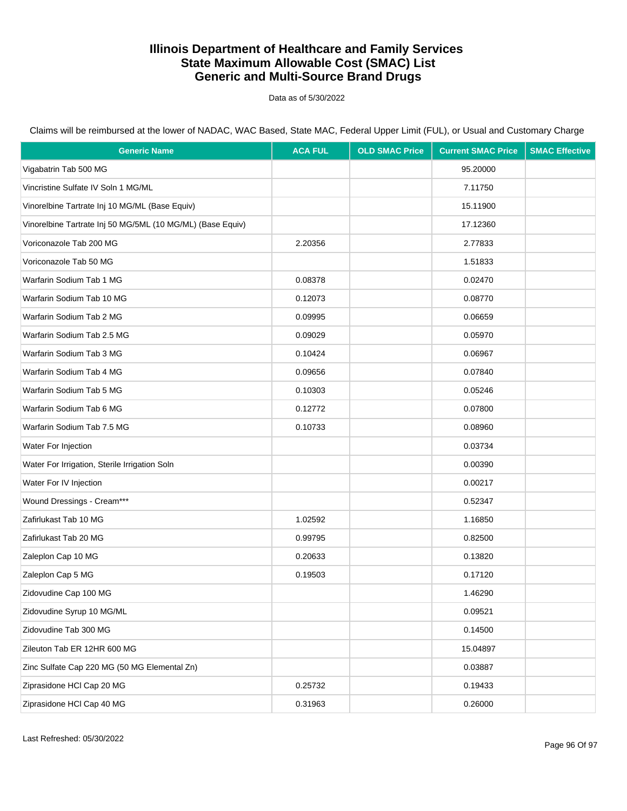Data as of 5/30/2022

| <b>Generic Name</b>                                        | <b>ACA FUL</b> | <b>OLD SMAC Price</b> | <b>Current SMAC Price</b> | <b>SMAC Effective</b> |
|------------------------------------------------------------|----------------|-----------------------|---------------------------|-----------------------|
| Vigabatrin Tab 500 MG                                      |                |                       | 95.20000                  |                       |
| Vincristine Sulfate IV Soln 1 MG/ML                        |                |                       | 7.11750                   |                       |
| Vinorelbine Tartrate Inj 10 MG/ML (Base Equiv)             |                |                       | 15.11900                  |                       |
| Vinorelbine Tartrate Inj 50 MG/5ML (10 MG/ML) (Base Equiv) |                |                       | 17.12360                  |                       |
| Voriconazole Tab 200 MG                                    | 2.20356        |                       | 2.77833                   |                       |
| Voriconazole Tab 50 MG                                     |                |                       | 1.51833                   |                       |
| Warfarin Sodium Tab 1 MG                                   | 0.08378        |                       | 0.02470                   |                       |
| Warfarin Sodium Tab 10 MG                                  | 0.12073        |                       | 0.08770                   |                       |
| Warfarin Sodium Tab 2 MG                                   | 0.09995        |                       | 0.06659                   |                       |
| Warfarin Sodium Tab 2.5 MG                                 | 0.09029        |                       | 0.05970                   |                       |
| Warfarin Sodium Tab 3 MG                                   | 0.10424        |                       | 0.06967                   |                       |
| Warfarin Sodium Tab 4 MG                                   | 0.09656        |                       | 0.07840                   |                       |
| Warfarin Sodium Tab 5 MG                                   | 0.10303        |                       | 0.05246                   |                       |
| Warfarin Sodium Tab 6 MG                                   | 0.12772        |                       | 0.07800                   |                       |
| Warfarin Sodium Tab 7.5 MG                                 | 0.10733        |                       | 0.08960                   |                       |
| Water For Injection                                        |                |                       | 0.03734                   |                       |
| Water For Irrigation, Sterile Irrigation Soln              |                |                       | 0.00390                   |                       |
| Water For IV Injection                                     |                |                       | 0.00217                   |                       |
| Wound Dressings - Cream***                                 |                |                       | 0.52347                   |                       |
| Zafirlukast Tab 10 MG                                      | 1.02592        |                       | 1.16850                   |                       |
| Zafirlukast Tab 20 MG                                      | 0.99795        |                       | 0.82500                   |                       |
| Zaleplon Cap 10 MG                                         | 0.20633        |                       | 0.13820                   |                       |
| Zaleplon Cap 5 MG                                          | 0.19503        |                       | 0.17120                   |                       |
| Zidovudine Cap 100 MG                                      |                |                       | 1.46290                   |                       |
| Zidovudine Syrup 10 MG/ML                                  |                |                       | 0.09521                   |                       |
| Zidovudine Tab 300 MG                                      |                |                       | 0.14500                   |                       |
| Zileuton Tab ER 12HR 600 MG                                |                |                       | 15.04897                  |                       |
| Zinc Sulfate Cap 220 MG (50 MG Elemental Zn)               |                |                       | 0.03887                   |                       |
| Ziprasidone HCI Cap 20 MG                                  | 0.25732        |                       | 0.19433                   |                       |
| Ziprasidone HCI Cap 40 MG                                  | 0.31963        |                       | 0.26000                   |                       |